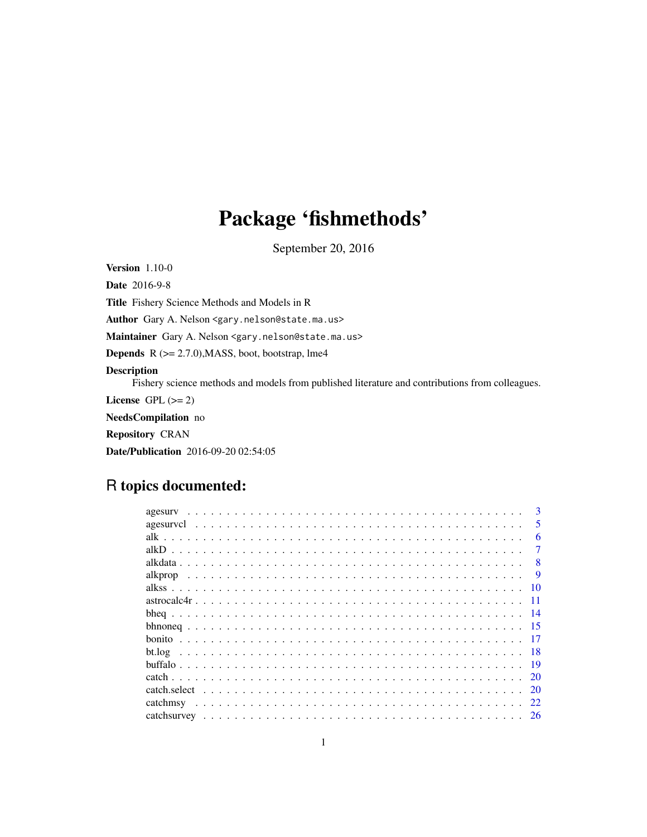# Package 'fishmethods'

September 20, 2016

Version 1.10-0

Date 2016-9-8

Title Fishery Science Methods and Models in R

Author Gary A. Nelson <gary.nelson@state.ma.us>

Maintainer Gary A. Nelson <gary.nelson@state.ma.us>

**Depends**  $R$  ( $>= 2.7.0$ ), MASS, boot, bootstrap, lme4

#### Description

Fishery science methods and models from published literature and contributions from colleagues.

License GPL  $(>= 2)$ 

NeedsCompilation no

Repository CRAN

Date/Publication 2016-09-20 02:54:05

## R topics documented:

| agesury |      | 3                       |
|---------|------|-------------------------|
|         |      | $\overline{\mathbf{5}}$ |
|         |      | 6                       |
|         |      |                         |
|         |      |                         |
| alkprop |      |                         |
|         |      | 10                      |
|         |      |                         |
|         |      |                         |
|         |      |                         |
|         |      |                         |
|         | - 18 |                         |
|         | - 19 |                         |
|         |      |                         |
|         |      | 20                      |
|         |      | 22                      |
|         |      | 26                      |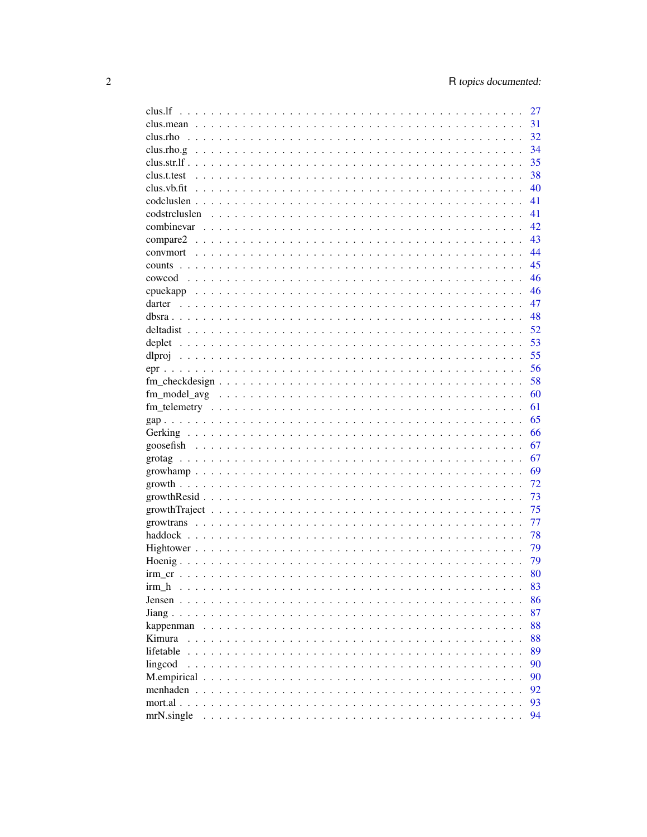|                     | 27 |
|---------------------|----|
|                     | 31 |
|                     | 32 |
|                     | 34 |
|                     | 35 |
|                     | 38 |
|                     | 40 |
|                     | 41 |
|                     | 41 |
|                     | 42 |
|                     | 43 |
|                     | 44 |
|                     | 45 |
|                     | 46 |
|                     | 46 |
|                     |    |
|                     | 47 |
|                     | 48 |
|                     | 52 |
|                     | 53 |
|                     | 55 |
|                     | 56 |
|                     | 58 |
|                     | 60 |
|                     | 61 |
|                     | 65 |
|                     | 66 |
|                     | 67 |
|                     | 67 |
|                     | 69 |
|                     | 72 |
|                     | 73 |
|                     | 75 |
|                     | 77 |
|                     | 78 |
|                     | 79 |
|                     | 79 |
|                     | 80 |
| irm h               | 83 |
| Jensen.             | 86 |
| Jiang               | 87 |
|                     | 88 |
| kappenman<br>Kimura | 88 |
|                     |    |
| lifetable           | 89 |
| lingcod             | 90 |
| M.empirical         | 90 |
| menhaden            | 92 |
| mort.al $\ldots$    | 93 |
| mrN.single          | 94 |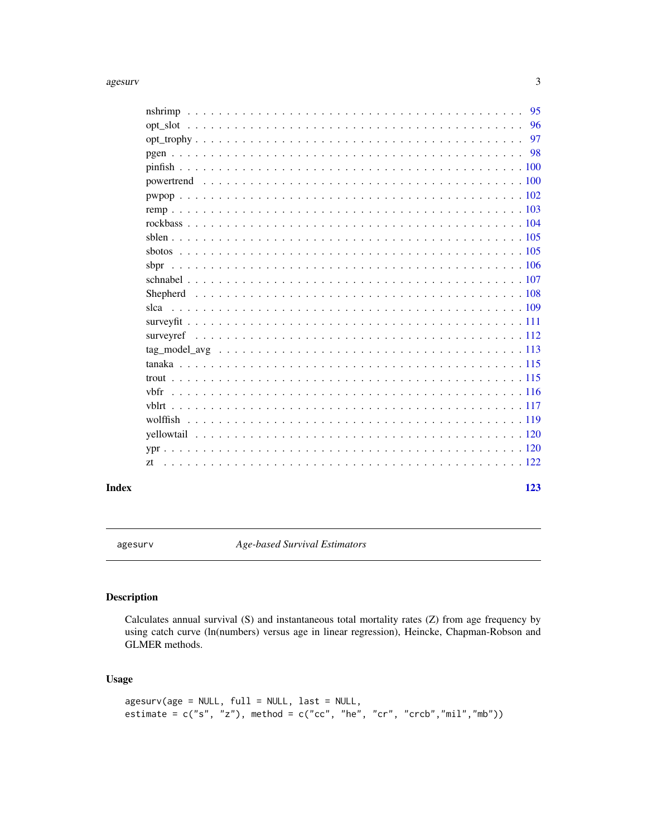#### <span id="page-2-0"></span>agesurv 3

| slca        |
|-------------|
|             |
|             |
|             |
|             |
|             |
| <b>vhfr</b> |
|             |
|             |
|             |
|             |
|             |
|             |

#### **Index** 2003 **[123](#page-122-0)**

<span id="page-2-1"></span>agesurv *Age-based Survival Estimators*

## Description

Calculates annual survival (S) and instantaneous total mortality rates (Z) from age frequency by using catch curve (ln(numbers) versus age in linear regression), Heincke, Chapman-Robson and GLMER methods.

## Usage

```
agesurv(age = NULL, full = NULL, last = NULL,
estimate = c("s", "z"), method = c("cc", "he", "cr", "crcb", "mil", "mb"))
```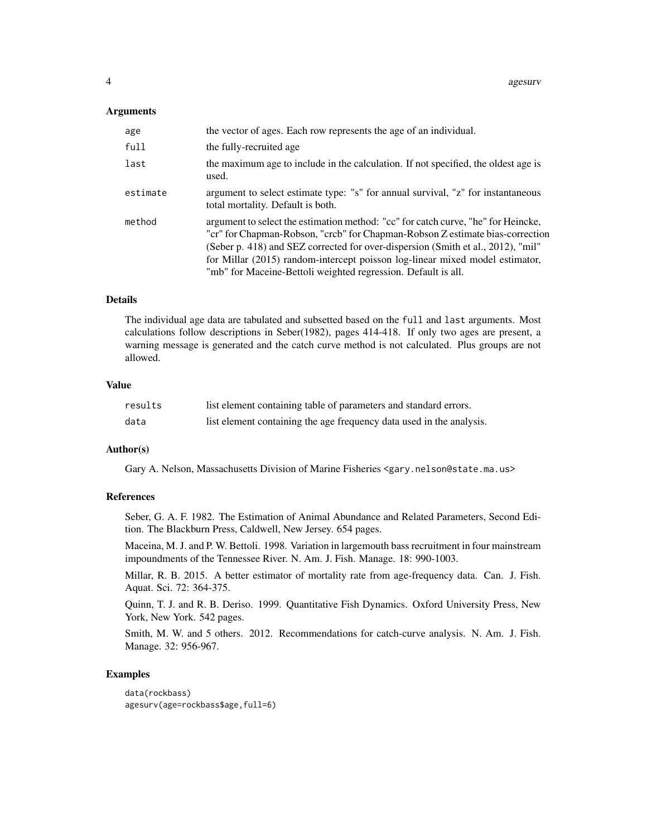#### **Arguments**

| age      | the vector of ages. Each row represents the age of an individual.                                                                                                                                                                                                                                                                                                                                       |
|----------|---------------------------------------------------------------------------------------------------------------------------------------------------------------------------------------------------------------------------------------------------------------------------------------------------------------------------------------------------------------------------------------------------------|
| full     | the fully-recruited age                                                                                                                                                                                                                                                                                                                                                                                 |
| last     | the maximum age to include in the calculation. If not specified, the oldest age is<br>used.                                                                                                                                                                                                                                                                                                             |
| estimate | argument to select estimate type: "s" for annual survival, "z" for instantaneous<br>total mortality. Default is both.                                                                                                                                                                                                                                                                                   |
| method   | argument to select the estimation method: "cc" for catch curve, "he" for Heincke,<br>"cr" for Chapman-Robson, "crcb" for Chapman-Robson Z estimate bias-correction<br>(Seber p. 418) and SEZ corrected for over-dispersion (Smith et al., 2012), "mil"<br>for Millar (2015) random-intercept poisson log-linear mixed model estimator,<br>"mb" for Maceine-Bettoli weighted regression. Default is all. |

## Details

The individual age data are tabulated and subsetted based on the full and last arguments. Most calculations follow descriptions in Seber(1982), pages 414-418. If only two ages are present, a warning message is generated and the catch curve method is not calculated. Plus groups are not allowed.

## Value

| results | list element containing table of parameters and standard errors.     |
|---------|----------------------------------------------------------------------|
| data    | list element containing the age frequency data used in the analysis. |

#### Author(s)

Gary A. Nelson, Massachusetts Division of Marine Fisheries <gary.nelson@state.ma.us>

#### References

Seber, G. A. F. 1982. The Estimation of Animal Abundance and Related Parameters, Second Edition. The Blackburn Press, Caldwell, New Jersey. 654 pages.

Maceina, M. J. and P. W. Bettoli. 1998. Variation in largemouth bass recruitment in four mainstream impoundments of the Tennessee River. N. Am. J. Fish. Manage. 18: 990-1003.

Millar, R. B. 2015. A better estimator of mortality rate from age-frequency data. Can. J. Fish. Aquat. Sci. 72: 364-375.

Quinn, T. J. and R. B. Deriso. 1999. Quantitative Fish Dynamics. Oxford University Press, New York, New York. 542 pages.

Smith, M. W. and 5 others. 2012. Recommendations for catch-curve analysis. N. Am. J. Fish. Manage. 32: 956-967.

#### Examples

```
data(rockbass)
agesurv(age=rockbass$age,full=6)
```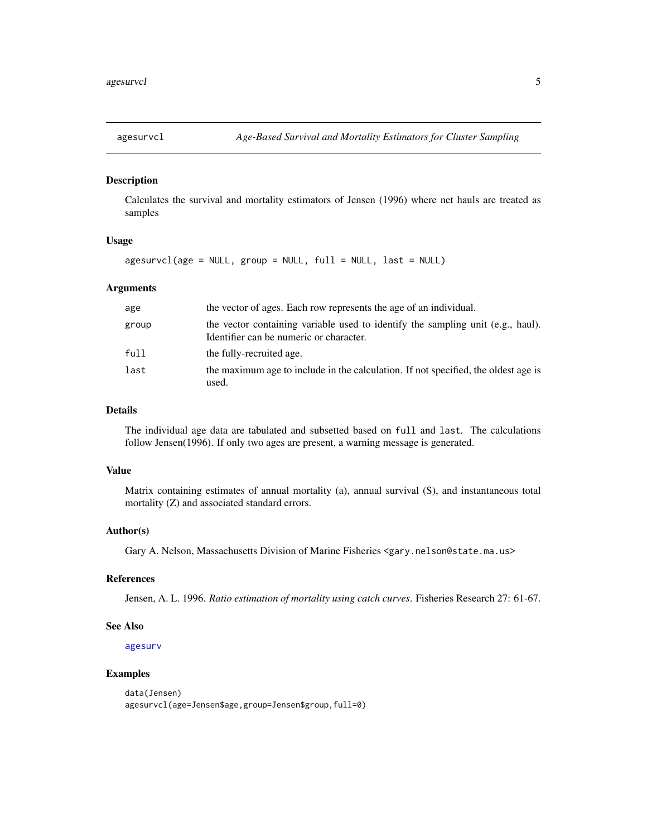<span id="page-4-0"></span>

#### Description

Calculates the survival and mortality estimators of Jensen (1996) where net hauls are treated as samples

#### Usage

agesurvcl(age = NULL, group = NULL, full = NULL, last = NULL)

## Arguments

| age   | the vector of ages. Each row represents the age of an individual.                                                          |
|-------|----------------------------------------------------------------------------------------------------------------------------|
| group | the vector containing variable used to identify the sampling unit (e.g., haul).<br>Identifier can be numeric or character. |
| full  | the fully-recruited age.                                                                                                   |
| last  | the maximum age to include in the calculation. If not specified, the oldest age is<br>used.                                |

#### Details

The individual age data are tabulated and subsetted based on full and last. The calculations follow Jensen(1996). If only two ages are present, a warning message is generated.

#### Value

Matrix containing estimates of annual mortality (a), annual survival (S), and instantaneous total mortality (Z) and associated standard errors.

#### Author(s)

Gary A. Nelson, Massachusetts Division of Marine Fisheries <gary.nelson@state.ma.us>

#### **References**

Jensen, A. L. 1996. *Ratio estimation of mortality using catch curves*. Fisheries Research 27: 61-67.

#### See Also

[agesurv](#page-2-1)

## Examples

data(Jensen) agesurvcl(age=Jensen\$age,group=Jensen\$group,full=0)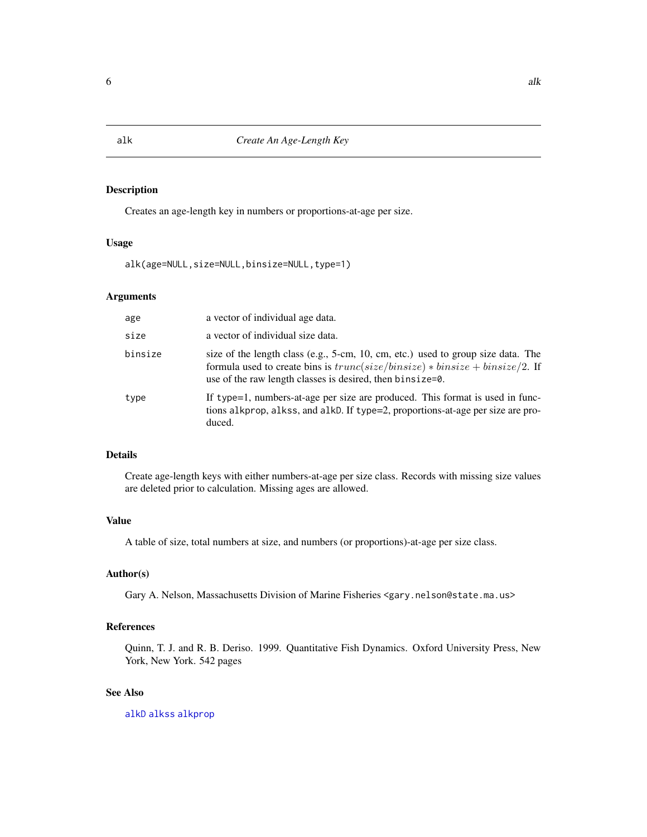## Description

Creates an age-length key in numbers or proportions-at-age per size.

## Usage

alk(age=NULL,size=NULL,binsize=NULL,type=1)

## Arguments

| age     | a vector of individual age data.                                                                                                                                                                                                 |
|---------|----------------------------------------------------------------------------------------------------------------------------------------------------------------------------------------------------------------------------------|
| size    | a vector of individual size data.                                                                                                                                                                                                |
| binsize | size of the length class (e.g., 5-cm, 10, cm, etc.) used to group size data. The<br>formula used to create bins is $trunc(size/binsize) * binsize + binsize/2$ . If<br>use of the raw length classes is desired, then binsize=0. |
| type    | If type=1, numbers-at-age per size are produced. This format is used in func-<br>tions alkprop, alkss, and alkD. If type=2, proportions-at-age per size are pro-<br>duced.                                                       |

## Details

Create age-length keys with either numbers-at-age per size class. Records with missing size values are deleted prior to calculation. Missing ages are allowed.

## Value

A table of size, total numbers at size, and numbers (or proportions)-at-age per size class.

#### Author(s)

Gary A. Nelson, Massachusetts Division of Marine Fisheries <gary.nelson@state.ma.us>

## References

Quinn, T. J. and R. B. Deriso. 1999. Quantitative Fish Dynamics. Oxford University Press, New York, New York. 542 pages

## See Also

[alkD](#page-6-1) [alkss](#page-9-1) [alkprop](#page-8-1)

<span id="page-5-0"></span>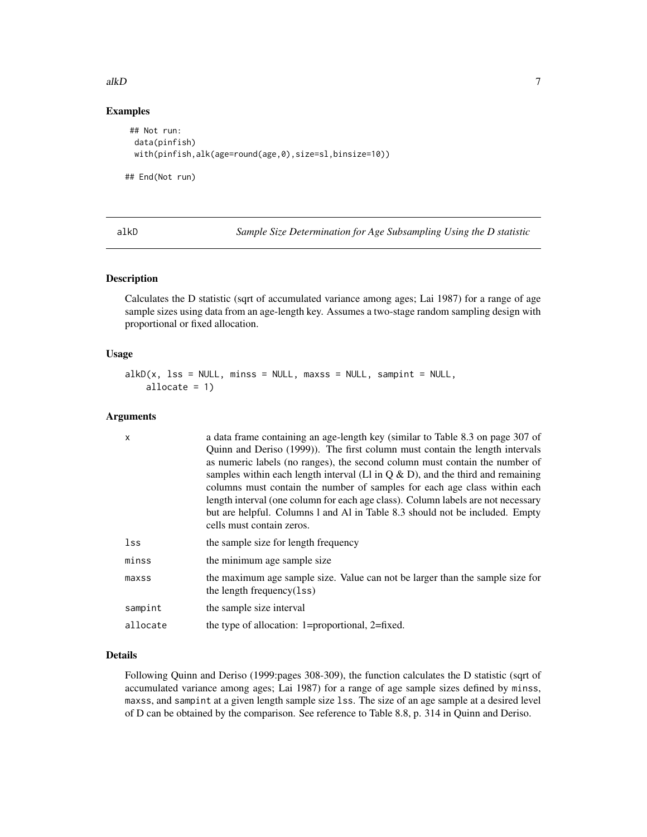#### <span id="page-6-0"></span>alkD  $\sigma$  7 and 2008  $\sigma$  7 and 2008  $\sigma$  7 and 2008  $\sigma$  7 and 2008  $\sigma$  7 and 2008  $\sigma$  7 and 2008  $\sigma$  7 and 2008  $\sigma$  7 and 2008  $\sigma$  7 and 2008  $\sigma$  7 and 2008  $\sigma$  7 and 2008  $\sigma$  7 and 2008  $\sigma$  7 and 2008  $\sigma$  7 a

## Examples

```
## Not run:
 data(pinfish)
 with(pinfish,alk(age=round(age,0),size=sl,binsize=10))
```
## End(Not run)

<span id="page-6-1"></span>

| . .<br>٠ |
|----------|
|----------|

Sample Size Determination for Age Subsampling Using the D statistic

## Description

Calculates the D statistic (sqrt of accumulated variance among ages; Lai 1987) for a range of age sample sizes using data from an age-length key. Assumes a two-stage random sampling design with proportional or fixed allocation.

#### Usage

```
alkD(x, 1ss = NULL, mins = NULL, maxss = NULL, sampint = NULL,allocate = 1)
```
#### Arguments

| x        | a data frame containing an age-length key (similar to Table 8.3 on page 307 of<br>Quinn and Deriso (1999)). The first column must contain the length intervals<br>as numeric labels (no ranges), the second column must contain the number of<br>samples within each length interval (L1 in $Q & D$ ), and the third and remaining<br>columns must contain the number of samples for each age class within each<br>length interval (one column for each age class). Column labels are not necessary<br>but are helpful. Columns 1 and A1 in Table 8.3 should not be included. Empty<br>cells must contain zeros. |
|----------|------------------------------------------------------------------------------------------------------------------------------------------------------------------------------------------------------------------------------------------------------------------------------------------------------------------------------------------------------------------------------------------------------------------------------------------------------------------------------------------------------------------------------------------------------------------------------------------------------------------|
| lss      | the sample size for length frequency                                                                                                                                                                                                                                                                                                                                                                                                                                                                                                                                                                             |
| minss    | the minimum age sample size                                                                                                                                                                                                                                                                                                                                                                                                                                                                                                                                                                                      |
| maxss    | the maximum age sample size. Value can not be larger than the sample size for<br>the length frequency $(\text{lss})$                                                                                                                                                                                                                                                                                                                                                                                                                                                                                             |
| sampint  | the sample size interval                                                                                                                                                                                                                                                                                                                                                                                                                                                                                                                                                                                         |
| allocate | the type of allocation: 1=proportional, 2=fixed.                                                                                                                                                                                                                                                                                                                                                                                                                                                                                                                                                                 |

#### Details

Following Quinn and Deriso (1999:pages 308-309), the function calculates the D statistic (sqrt of accumulated variance among ages; Lai 1987) for a range of age sample sizes defined by minss, maxss, and sampint at a given length sample size lss. The size of an age sample at a desired level of D can be obtained by the comparison. See reference to Table 8.8, p. 314 in Quinn and Deriso.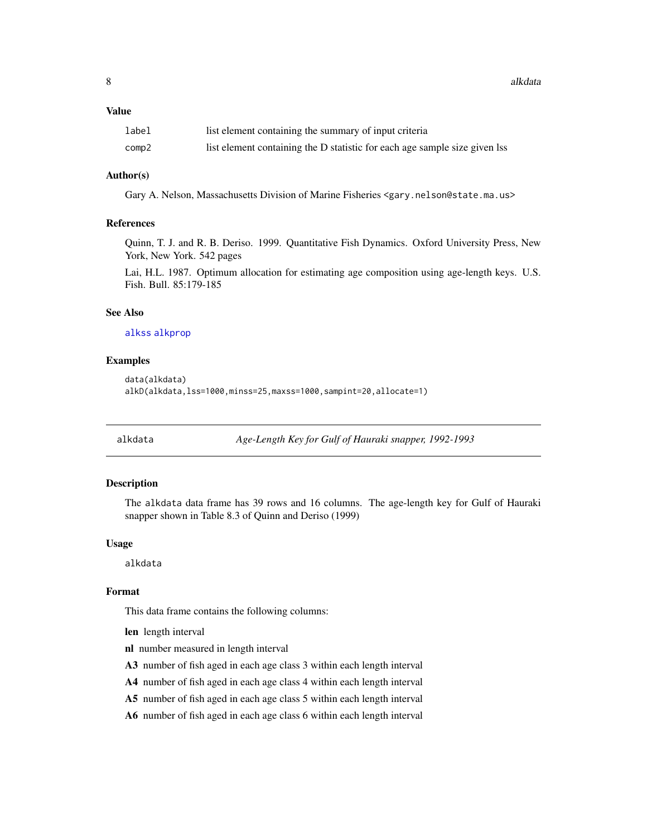## <span id="page-7-0"></span>Value

| label | list element containing the summary of input criteria                      |
|-------|----------------------------------------------------------------------------|
| comp2 | list element containing the D statistic for each age sample size given lss |

#### Author(s)

Gary A. Nelson, Massachusetts Division of Marine Fisheries <gary.nelson@state.ma.us>

#### References

Quinn, T. J. and R. B. Deriso. 1999. Quantitative Fish Dynamics. Oxford University Press, New York, New York. 542 pages

Lai, H.L. 1987. Optimum allocation for estimating age composition using age-length keys. U.S. Fish. Bull. 85:179-185

## See Also

#### [alkss](#page-9-1) [alkprop](#page-8-1)

## Examples

```
data(alkdata)
alkD(alkdata,lss=1000,minss=25,maxss=1000,sampint=20,allocate=1)
```
alkdata *Age-Length Key for Gulf of Hauraki snapper, 1992-1993*

## Description

The alkdata data frame has 39 rows and 16 columns. The age-length key for Gulf of Hauraki snapper shown in Table 8.3 of Quinn and Deriso (1999)

#### Usage

alkdata

#### Format

This data frame contains the following columns:

len length interval

nl number measured in length interval

- A3 number of fish aged in each age class 3 within each length interval
- A4 number of fish aged in each age class 4 within each length interval
- A5 number of fish aged in each age class 5 within each length interval
- A6 number of fish aged in each age class 6 within each length interval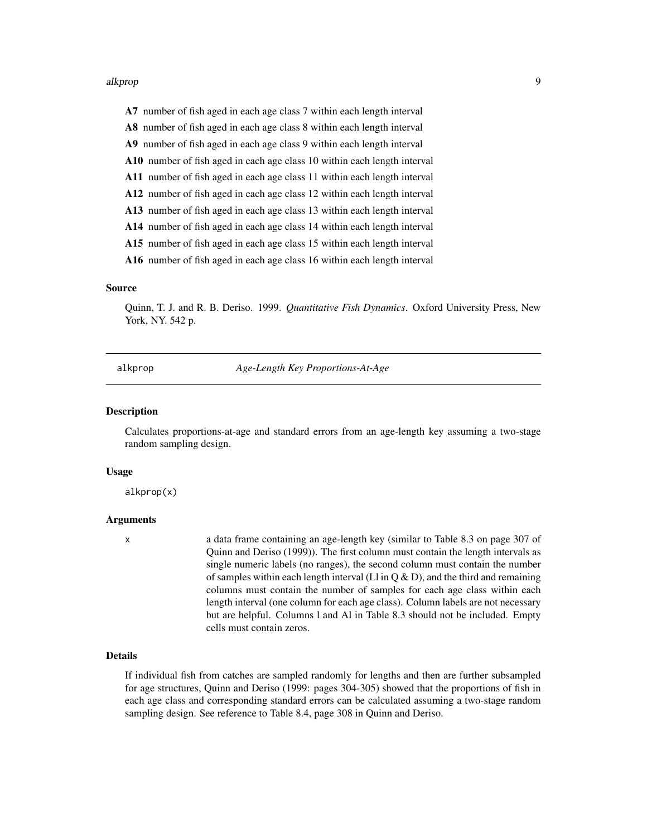#### <span id="page-8-0"></span>alkprop 30 and 200 million of the state of the state of the state of the state of the state of the state of th

A7 number of fish aged in each age class 7 within each length interval A8 number of fish aged in each age class 8 within each length interval A9 number of fish aged in each age class 9 within each length interval A10 number of fish aged in each age class 10 within each length interval A11 number of fish aged in each age class 11 within each length interval A12 number of fish aged in each age class 12 within each length interval A13 number of fish aged in each age class 13 within each length interval A14 number of fish aged in each age class 14 within each length interval A15 number of fish aged in each age class 15 within each length interval A16 number of fish aged in each age class 16 within each length interval

#### Source

Quinn, T. J. and R. B. Deriso. 1999. *Quantitative Fish Dynamics*. Oxford University Press, New York, NY. 542 p.

<span id="page-8-1"></span>alkprop *Age-Length Key Proportions-At-Age*

#### Description

Calculates proportions-at-age and standard errors from an age-length key assuming a two-stage random sampling design.

#### Usage

alkprop(x)

#### Arguments

x a data frame containing an age-length key (similar to Table 8.3 on page 307 of Quinn and Deriso (1999)). The first column must contain the length intervals as single numeric labels (no ranges), the second column must contain the number of samples within each length interval (LI in  $Q & D$ ), and the third and remaining columns must contain the number of samples for each age class within each length interval (one column for each age class). Column labels are not necessary but are helpful. Columns l and Al in Table 8.3 should not be included. Empty cells must contain zeros.

#### Details

If individual fish from catches are sampled randomly for lengths and then are further subsampled for age structures, Quinn and Deriso (1999: pages 304-305) showed that the proportions of fish in each age class and corresponding standard errors can be calculated assuming a two-stage random sampling design. See reference to Table 8.4, page 308 in Quinn and Deriso.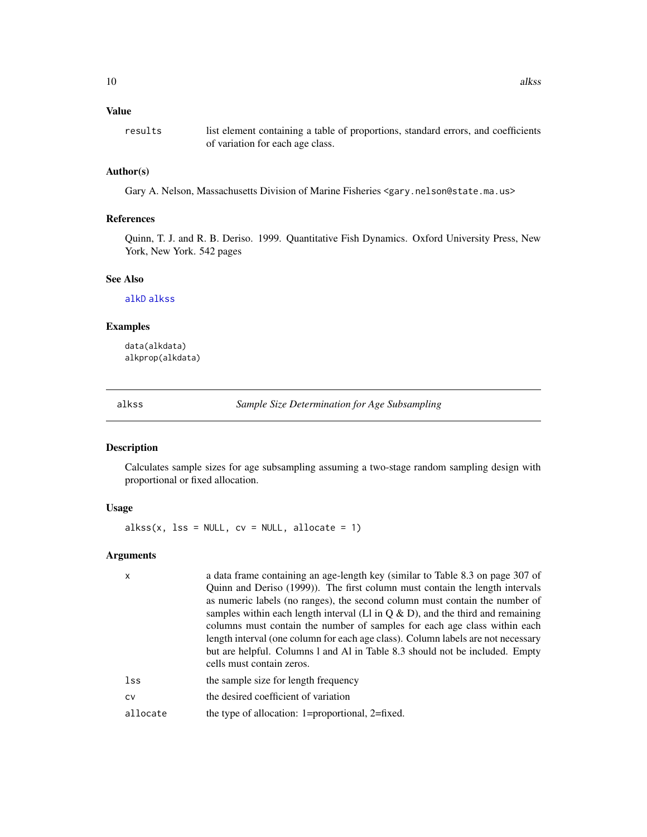## <span id="page-9-0"></span>Value

results list element containing a table of proportions, standard errors, and coefficients of variation for each age class.

## Author(s)

Gary A. Nelson, Massachusetts Division of Marine Fisheries <gary.nelson@state.ma.us>

#### References

Quinn, T. J. and R. B. Deriso. 1999. Quantitative Fish Dynamics. Oxford University Press, New York, New York. 542 pages

## See Also

[alkD](#page-6-1) [alkss](#page-9-1)

## Examples

data(alkdata) alkprop(alkdata)

<span id="page-9-1"></span>alkss *Sample Size Determination for Age Subsampling*

## Description

Calculates sample sizes for age subsampling assuming a two-stage random sampling design with proportional or fixed allocation.

#### Usage

alkss(x,  $\text{lss} = \text{NULL}, \text{cv} = \text{NULL}, \text{allocate} = 1)$ 

#### Arguments

| $\boldsymbol{\mathsf{x}}$ | a data frame containing an age-length key (similar to Table 8.3 on page 307 of    |
|---------------------------|-----------------------------------------------------------------------------------|
|                           | Quinn and Deriso (1999)). The first column must contain the length intervals      |
|                           | as numeric labels (no ranges), the second column must contain the number of       |
|                           | samples within each length interval (L1 in $Q & D$ ), and the third and remaining |
|                           | columns must contain the number of samples for each age class within each         |
|                           | length interval (one column for each age class). Column labels are not necessary  |
|                           | but are helpful. Columns 1 and A1 in Table 8.3 should not be included. Empty      |
|                           | cells must contain zeros.                                                         |
| lss                       | the sample size for length frequency                                              |
| <b>CV</b>                 | the desired coefficient of variation                                              |
| allocate                  | the type of allocation: 1=proportional, $2=fixed$ .                               |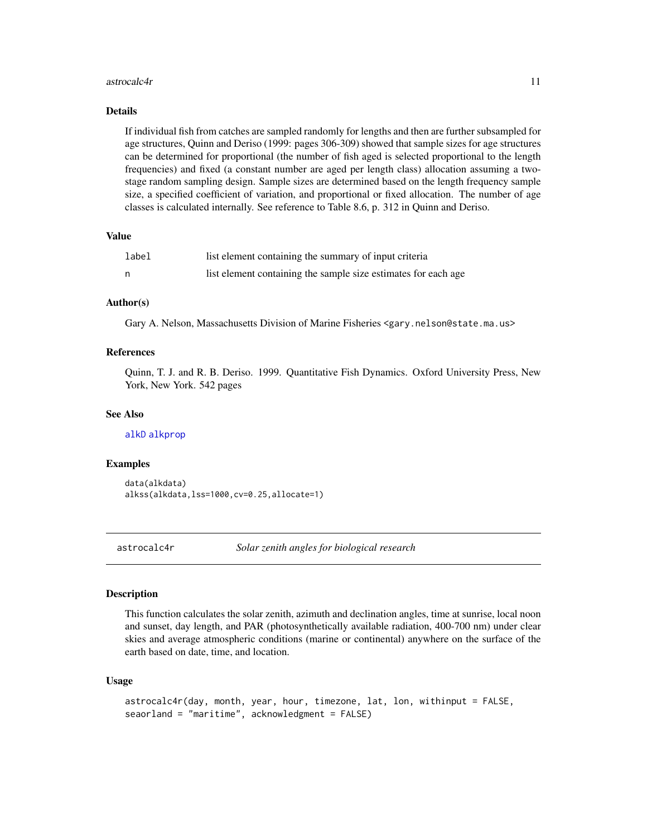#### <span id="page-10-0"></span>astrocalc4r 11

#### Details

If individual fish from catches are sampled randomly for lengths and then are further subsampled for age structures, Quinn and Deriso (1999: pages 306-309) showed that sample sizes for age structures can be determined for proportional (the number of fish aged is selected proportional to the length frequencies) and fixed (a constant number are aged per length class) allocation assuming a twostage random sampling design. Sample sizes are determined based on the length frequency sample size, a specified coefficient of variation, and proportional or fixed allocation. The number of age classes is calculated internally. See reference to Table 8.6, p. 312 in Quinn and Deriso.

#### Value

| label | list element containing the summary of input criteria          |
|-------|----------------------------------------------------------------|
|       | list element containing the sample size estimates for each age |

#### Author(s)

Gary A. Nelson, Massachusetts Division of Marine Fisheries <gary.nelson@state.ma.us>

#### References

Quinn, T. J. and R. B. Deriso. 1999. Quantitative Fish Dynamics. Oxford University Press, New York, New York. 542 pages

#### See Also

[alkD](#page-6-1) [alkprop](#page-8-1)

#### Examples

data(alkdata) alkss(alkdata,lss=1000,cv=0.25,allocate=1)

astrocalc4r *Solar zenith angles for biological research*

#### Description

This function calculates the solar zenith, azimuth and declination angles, time at sunrise, local noon and sunset, day length, and PAR (photosynthetically available radiation, 400-700 nm) under clear skies and average atmospheric conditions (marine or continental) anywhere on the surface of the earth based on date, time, and location.

## Usage

```
astrocalc4r(day, month, year, hour, timezone, lat, lon, withinput = FALSE,
seaorland = "maritime", acknowledgment = FALSE)
```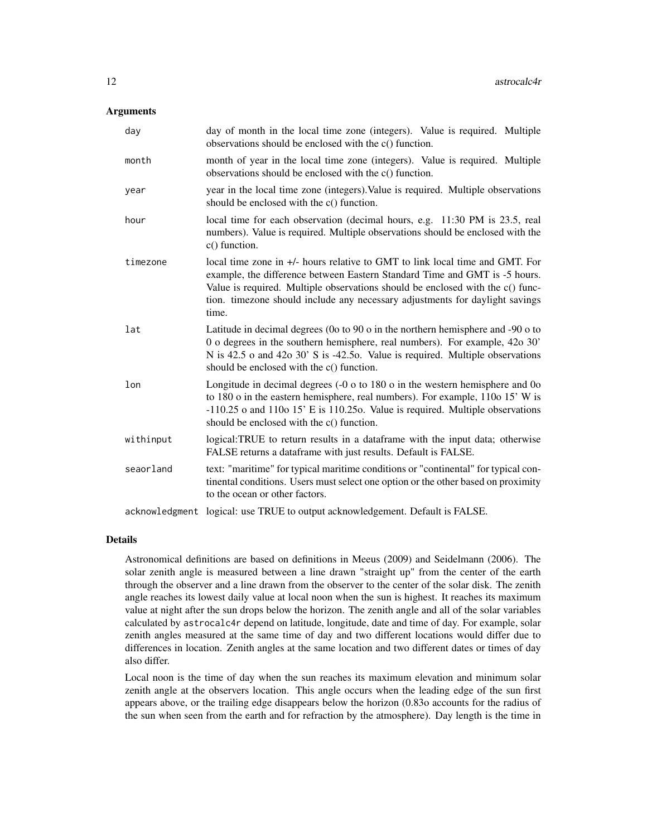#### **Arguments**

| day       | day of month in the local time zone (integers). Value is required. Multiple<br>observations should be enclosed with the c() function.                                                                                                                                                                                                 |
|-----------|---------------------------------------------------------------------------------------------------------------------------------------------------------------------------------------------------------------------------------------------------------------------------------------------------------------------------------------|
| month     | month of year in the local time zone (integers). Value is required. Multiple<br>observations should be enclosed with the c() function.                                                                                                                                                                                                |
| year      | year in the local time zone (integers). Value is required. Multiple observations<br>should be enclosed with the c() function.                                                                                                                                                                                                         |
| hour      | local time for each observation (decimal hours, e.g. 11:30 PM is 23.5, real<br>numbers). Value is required. Multiple observations should be enclosed with the<br>$c()$ function.                                                                                                                                                      |
| timezone  | local time zone in +/- hours relative to GMT to link local time and GMT. For<br>example, the difference between Eastern Standard Time and GMT is -5 hours.<br>Value is required. Multiple observations should be enclosed with the c() func-<br>tion. timezone should include any necessary adjustments for daylight savings<br>time. |
| lat       | Latitude in decimal degrees (0o to 90 o in the northern hemisphere and -90 o to<br>0 o degrees in the southern hemisphere, real numbers). For example, 42o 30'<br>N is 42.5 o and 42o 30' S is -42.5o. Value is required. Multiple observations<br>should be enclosed with the c() function.                                          |
| lon       | Longitude in decimal degrees $(-0 \circ t \circ 180 \circ t)$ in the western hemisphere and 0o<br>to 180 o in the eastern hemisphere, real numbers). For example, 110o 15' W is<br>$-110.25$ o and 110o 15' E is 110.25o. Value is required. Multiple observations<br>should be enclosed with the c() function.                       |
| withinput | logical:TRUE to return results in a dataframe with the input data; otherwise<br>FALSE returns a dataframe with just results. Default is FALSE.                                                                                                                                                                                        |
| seaorland | text: "maritime" for typical maritime conditions or "continental" for typical con-<br>tinental conditions. Users must select one option or the other based on proximity<br>to the ocean or other factors.                                                                                                                             |
|           | acknowledgment logical: use TRUE to output acknowledgement. Default is FALSE.                                                                                                                                                                                                                                                         |

## Details

Astronomical definitions are based on definitions in Meeus (2009) and Seidelmann (2006). The solar zenith angle is measured between a line drawn "straight up" from the center of the earth through the observer and a line drawn from the observer to the center of the solar disk. The zenith angle reaches its lowest daily value at local noon when the sun is highest. It reaches its maximum value at night after the sun drops below the horizon. The zenith angle and all of the solar variables calculated by astrocalc4r depend on latitude, longitude, date and time of day. For example, solar zenith angles measured at the same time of day and two different locations would differ due to differences in location. Zenith angles at the same location and two different dates or times of day also differ.

Local noon is the time of day when the sun reaches its maximum elevation and minimum solar zenith angle at the observers location. This angle occurs when the leading edge of the sun first appears above, or the trailing edge disappears below the horizon (0.83o accounts for the radius of the sun when seen from the earth and for refraction by the atmosphere). Day length is the time in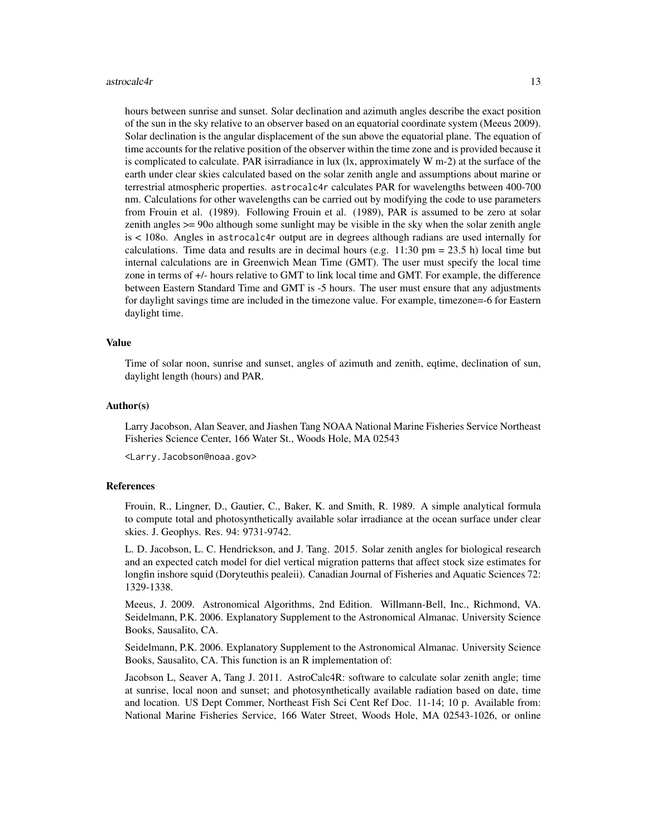#### astrocalc4r 13

hours between sunrise and sunset. Solar declination and azimuth angles describe the exact position of the sun in the sky relative to an observer based on an equatorial coordinate system (Meeus 2009). Solar declination is the angular displacement of the sun above the equatorial plane. The equation of time accounts for the relative position of the observer within the time zone and is provided because it is complicated to calculate. PAR isirradiance in lux  $(lx,$  approximately W m-2) at the surface of the earth under clear skies calculated based on the solar zenith angle and assumptions about marine or terrestrial atmospheric properties. astrocalc4r calculates PAR for wavelengths between 400-700 nm. Calculations for other wavelengths can be carried out by modifying the code to use parameters from Frouin et al. (1989). Following Frouin et al. (1989), PAR is assumed to be zero at solar zenith angles >= 90o although some sunlight may be visible in the sky when the solar zenith angle is < 108o. Angles in astrocalc4r output are in degrees although radians are used internally for calculations. Time data and results are in decimal hours (e.g.  $11:30 \text{ pm} = 23.5 \text{ h}$ ) local time but internal calculations are in Greenwich Mean Time (GMT). The user must specify the local time zone in terms of +/- hours relative to GMT to link local time and GMT. For example, the difference between Eastern Standard Time and GMT is -5 hours. The user must ensure that any adjustments for daylight savings time are included in the timezone value. For example, timezone=-6 for Eastern daylight time.

#### Value

Time of solar noon, sunrise and sunset, angles of azimuth and zenith, eqtime, declination of sun, daylight length (hours) and PAR.

#### Author(s)

Larry Jacobson, Alan Seaver, and Jiashen Tang NOAA National Marine Fisheries Service Northeast Fisheries Science Center, 166 Water St., Woods Hole, MA 02543

<Larry.Jacobson@noaa.gov>

#### References

Frouin, R., Lingner, D., Gautier, C., Baker, K. and Smith, R. 1989. A simple analytical formula to compute total and photosynthetically available solar irradiance at the ocean surface under clear skies. J. Geophys. Res. 94: 9731-9742.

L. D. Jacobson, L. C. Hendrickson, and J. Tang. 2015. Solar zenith angles for biological research and an expected catch model for diel vertical migration patterns that affect stock size estimates for longfin inshore squid (Doryteuthis pealeii). Canadian Journal of Fisheries and Aquatic Sciences 72: 1329-1338.

Meeus, J. 2009. Astronomical Algorithms, 2nd Edition. Willmann-Bell, Inc., Richmond, VA. Seidelmann, P.K. 2006. Explanatory Supplement to the Astronomical Almanac. University Science Books, Sausalito, CA.

Seidelmann, P.K. 2006. Explanatory Supplement to the Astronomical Almanac. University Science Books, Sausalito, CA. This function is an R implementation of:

Jacobson L, Seaver A, Tang J. 2011. AstroCalc4R: software to calculate solar zenith angle; time at sunrise, local noon and sunset; and photosynthetically available radiation based on date, time and location. US Dept Commer, Northeast Fish Sci Cent Ref Doc. 11-14; 10 p. Available from: National Marine Fisheries Service, 166 Water Street, Woods Hole, MA 02543-1026, or online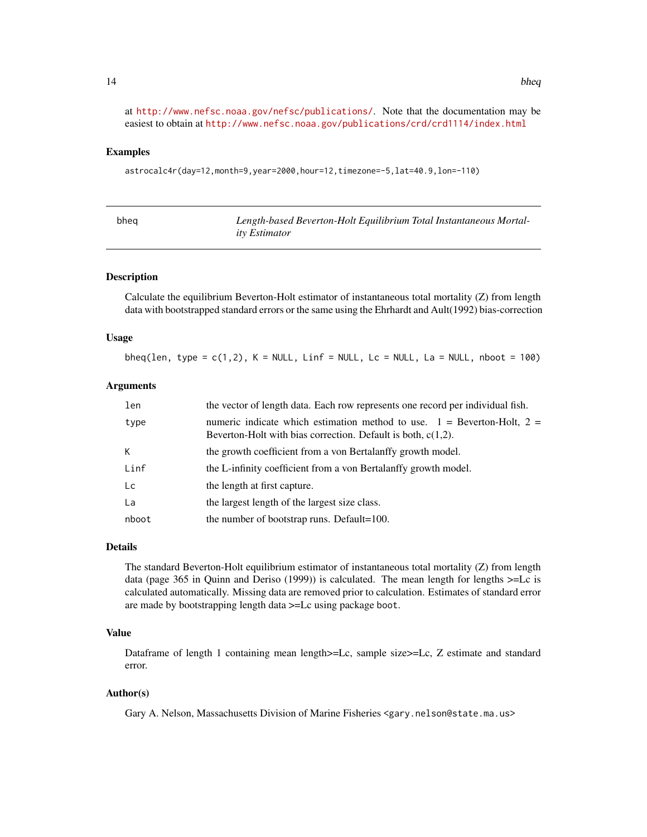at <http://www.nefsc.noaa.gov/nefsc/publications/>. Note that the documentation may be easiest to obtain at <http://www.nefsc.noaa.gov/publications/crd/crd1114/index.html>

#### Examples

astrocalc4r(day=12,month=9,year=2000,hour=12,timezone=-5,lat=40.9,lon=-110)

<span id="page-13-1"></span>

| bheg | Length-based Beverton-Holt Equilibrium Total Instantaneous Mortal- |
|------|--------------------------------------------------------------------|
|      | <i>ity Estimator</i>                                               |

#### Description

Calculate the equilibrium Beverton-Holt estimator of instantaneous total mortality (Z) from length data with bootstrapped standard errors or the same using the Ehrhardt and Ault(1992) bias-correction

#### Usage

bheq(len, type =  $c(1,2)$ , K = NULL, Linf = NULL, Lc = NULL, La = NULL, nboot = 100)

#### Arguments

| len   | the vector of length data. Each row represents one record per individual fish.                                                                 |
|-------|------------------------------------------------------------------------------------------------------------------------------------------------|
| type  | numeric indicate which estimation method to use. $1 =$ Beverton-Holt, $2 =$<br>Beverton-Holt with bias correction. Default is both, $c(1,2)$ . |
| К     | the growth coefficient from a von Bertalanffy growth model.                                                                                    |
| Linf  | the L-infinity coefficient from a von Bertalanffy growth model.                                                                                |
| Lc    | the length at first capture.                                                                                                                   |
| La    | the largest length of the largest size class.                                                                                                  |
| nboot | the number of bootstrap runs. Default=100.                                                                                                     |

#### Details

The standard Beverton-Holt equilibrium estimator of instantaneous total mortality (Z) from length data (page 365 in Quinn and Deriso (1999)) is calculated. The mean length for lengths >=Lc is calculated automatically. Missing data are removed prior to calculation. Estimates of standard error are made by bootstrapping length data >=Lc using package boot.

## Value

Dataframe of length 1 containing mean length>=Lc, sample size>=Lc, Z estimate and standard error.

#### Author(s)

Gary A. Nelson, Massachusetts Division of Marine Fisheries <gary.nelson@state.ma.us>

<span id="page-13-0"></span>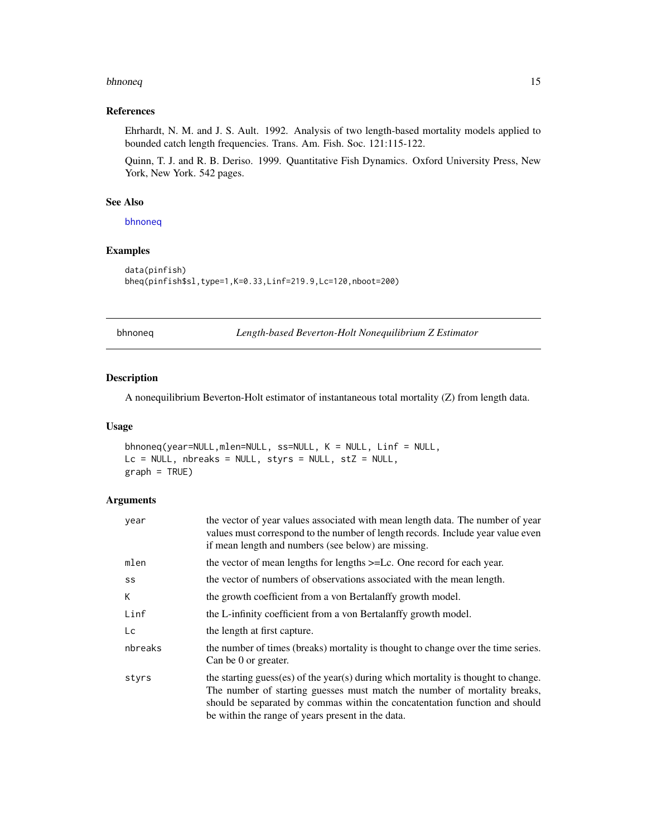#### <span id="page-14-0"></span>bhnoneq and the state of the state of the state of the state of the state of the state of the state of the state of the state of the state of the state of the state of the state of the state of the state of the state of th

## References

Ehrhardt, N. M. and J. S. Ault. 1992. Analysis of two length-based mortality models applied to bounded catch length frequencies. Trans. Am. Fish. Soc. 121:115-122.

Quinn, T. J. and R. B. Deriso. 1999. Quantitative Fish Dynamics. Oxford University Press, New York, New York. 542 pages.

## See Also

[bhnoneq](#page-14-1)

## Examples

```
data(pinfish)
bheq(pinfish$sl,type=1,K=0.33,Linf=219.9,Lc=120,nboot=200)
```
<span id="page-14-1"></span>bhnoneq *Length-based Beverton-Holt Nonequilibrium Z Estimator*

## Description

A nonequilibrium Beverton-Holt estimator of instantaneous total mortality (Z) from length data.

#### Usage

```
bhnoneq(year=NULL,mlen=NULL, ss=NULL, K = NULL, Linf = NULL,
Lc = NULL, nbreaks = NULL, styrs = NULL, stZ = NULL,
graph = TRUE)
```
## Arguments

| year    | the vector of year values associated with mean length data. The number of year<br>values must correspond to the number of length records. Include year value even<br>if mean length and numbers (see below) are missing.                                                                            |
|---------|-----------------------------------------------------------------------------------------------------------------------------------------------------------------------------------------------------------------------------------------------------------------------------------------------------|
| mlen    | the vector of mean lengths for lengths $>=$ Lc. One record for each year.                                                                                                                                                                                                                           |
| SS      | the vector of numbers of observations associated with the mean length.                                                                                                                                                                                                                              |
| K.      | the growth coefficient from a von Bertalanffy growth model.                                                                                                                                                                                                                                         |
| Linf    | the L-infinity coefficient from a von Bertalanffy growth model.                                                                                                                                                                                                                                     |
| Lc      | the length at first capture.                                                                                                                                                                                                                                                                        |
| nbreaks | the number of times (breaks) mortality is thought to change over the time series.<br>Can be 0 or greater.                                                                                                                                                                                           |
| styrs   | the starting guess(es) of the year(s) during which mortality is thought to change.<br>The number of starting guesses must match the number of mortality breaks,<br>should be separated by commas within the concatentation function and should<br>be within the range of years present in the data. |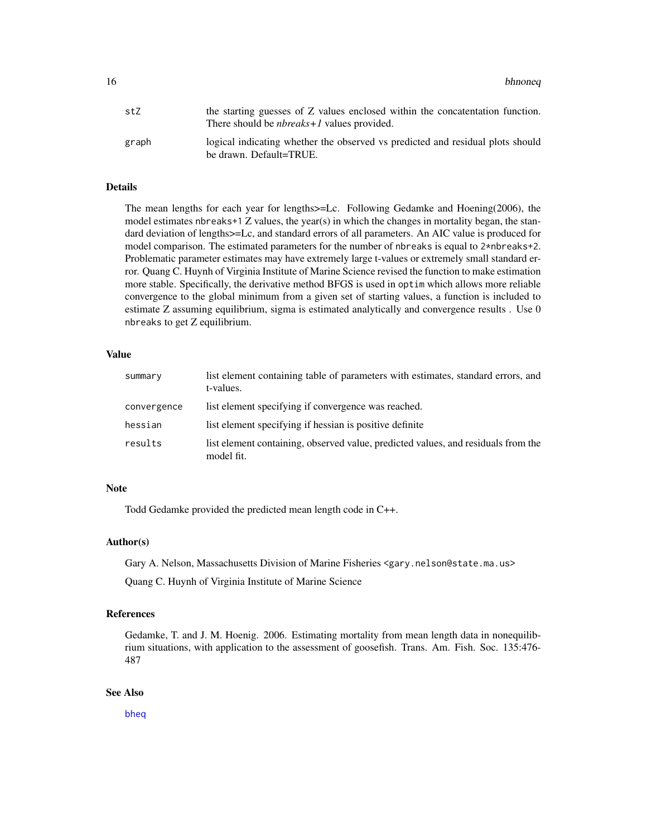16 bhnoneq

| stZ   | the starting guesses of Z values enclosed within the concatentation function.<br>There should be <i>nbreaks</i> $+1$ values provided. |
|-------|---------------------------------------------------------------------------------------------------------------------------------------|
| graph | logical indicating whether the observed vs predicted and residual plots should<br>be drawn. Default=TRUE.                             |

## Details

The mean lengths for each year for lengths>=Lc. Following Gedamke and Hoening(2006), the model estimates nbreaks+1 Z values, the year(s) in which the changes in mortality began, the standard deviation of lengths>=Lc, and standard errors of all parameters. An AIC value is produced for model comparison. The estimated parameters for the number of nbreaks is equal to 2\*nbreaks+2. Problematic parameter estimates may have extremely large t-values or extremely small standard error. Quang C. Huynh of Virginia Institute of Marine Science revised the function to make estimation more stable. Specifically, the derivative method BFGS is used in optim which allows more reliable convergence to the global minimum from a given set of starting values, a function is included to estimate Z assuming equilibrium, sigma is estimated analytically and convergence results . Use 0 nbreaks to get Z equilibrium.

#### Value

| summary     | list element containing table of parameters with estimates, standard errors, and<br>t-values.   |
|-------------|-------------------------------------------------------------------------------------------------|
| convergence | list element specifying if convergence was reached.                                             |
| hessian     | list element specifying if hessian is positive definite                                         |
| results     | list element containing, observed value, predicted values, and residuals from the<br>model fit. |

#### **Note**

Todd Gedamke provided the predicted mean length code in C++.

## Author(s)

Gary A. Nelson, Massachusetts Division of Marine Fisheries <gary.nelson@state.ma.us>

Quang C. Huynh of Virginia Institute of Marine Science

#### References

Gedamke, T. and J. M. Hoenig. 2006. Estimating mortality from mean length data in nonequilibrium situations, with application to the assessment of goosefish. Trans. Am. Fish. Soc. 135:476- 487

## See Also

[bheq](#page-13-1)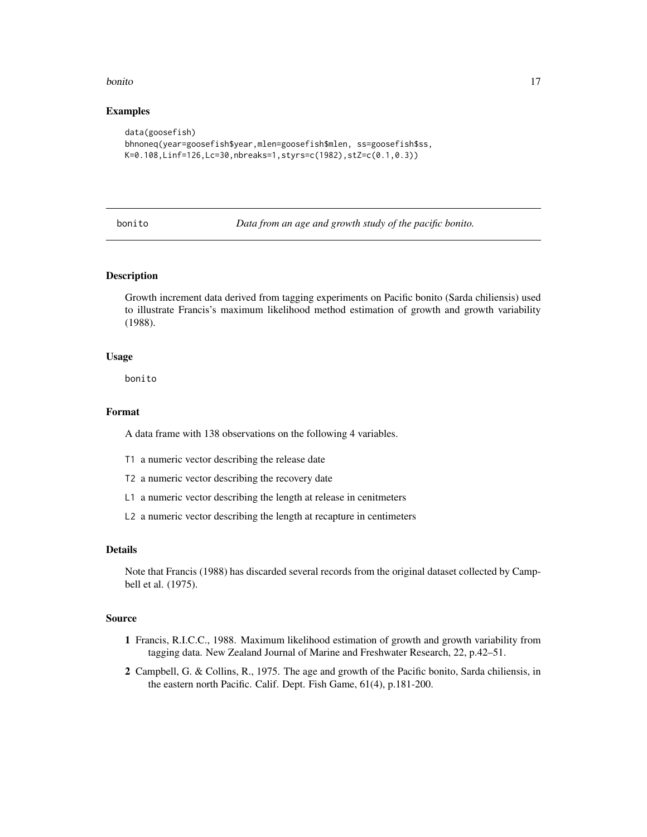#### <span id="page-16-0"></span>bonito and the contract of the contract of the contract of the contract of the contract of the contract of the contract of the contract of the contract of the contract of the contract of the contract of the contract of the

#### Examples

```
data(goosefish)
bhnoneq(year=goosefish$year,mlen=goosefish$mlen, ss=goosefish$ss,
K=0.108,Linf=126,Lc=30,nbreaks=1,styrs=c(1982),stZ=c(0.1,0.3))
```
bonito *Data from an age and growth study of the pacific bonito.*

#### Description

Growth increment data derived from tagging experiments on Pacific bonito (Sarda chiliensis) used to illustrate Francis's maximum likelihood method estimation of growth and growth variability (1988).

#### Usage

bonito

## Format

A data frame with 138 observations on the following 4 variables.

- T1 a numeric vector describing the release date
- T2 a numeric vector describing the recovery date
- L1 a numeric vector describing the length at release in cenitmeters
- L2 a numeric vector describing the length at recapture in centimeters

#### Details

Note that Francis (1988) has discarded several records from the original dataset collected by Campbell et al. (1975).

#### Source

- 1 Francis, R.I.C.C., 1988. Maximum likelihood estimation of growth and growth variability from tagging data. New Zealand Journal of Marine and Freshwater Research, 22, p.42–51.
- 2 Campbell, G. & Collins, R., 1975. The age and growth of the Pacific bonito, Sarda chiliensis, in the eastern north Pacific. Calif. Dept. Fish Game, 61(4), p.181-200.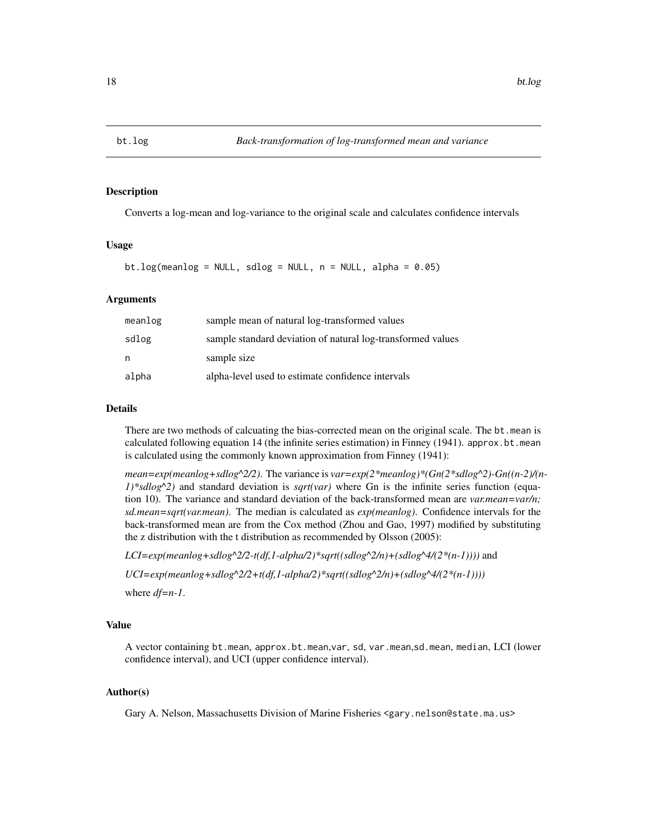<span id="page-17-0"></span>

## Description

Converts a log-mean and log-variance to the original scale and calculates confidence intervals

#### Usage

```
bt.log(meanlog = NULL, sdlog = NULL, n = NULL, alpha = 0.05)
```
#### Arguments

| meanlog | sample mean of natural log-transformed values               |
|---------|-------------------------------------------------------------|
| sdlog   | sample standard deviation of natural log-transformed values |
| n       | sample size                                                 |
| alpha   | alpha-level used to estimate confidence intervals           |

## Details

There are two methods of calcuating the bias-corrected mean on the original scale. The bt.mean is calculated following equation 14 (the infinite series estimation) in Finney (1941). approx.bt.mean is calculated using the commonly known approximation from Finney (1941):

*mean=exp(meanlog+sdlog^2/2)*. The variance is *var=exp(2\*meanlog)\*(Gn(2\*sdlog^2)-Gn((n-2)/(n-1)\*sdlog^2)* and standard deviation is *sqrt(var)* where Gn is the infinite series function (equation 10). The variance and standard deviation of the back-transformed mean are *var.mean=var/n; sd.mean=sqrt(var.mean)*. The median is calculated as *exp(meanlog)*. Confidence intervals for the back-transformed mean are from the Cox method (Zhou and Gao, 1997) modified by substituting the z distribution with the t distribution as recommended by Olsson (2005):

 $LCI=exp(meanlog+sdlog^2/2-t(df,1-alpha/2)*sqrt((sdlog^2/n)+(sdlog^4/(2*(n-1))))$  and

*UCI=exp(meanlog+sdlog^2/2+t(df,1-alpha/2)\*sqrt((sdlog^2/n)+(sdlog^4/(2\*(n-1))))*

where *df=n-1*.

#### Value

A vector containing bt.mean, approx.bt.mean,var, sd, var.mean,sd.mean, median, LCI (lower confidence interval), and UCI (upper confidence interval).

#### Author(s)

Gary A. Nelson, Massachusetts Division of Marine Fisheries <gary.nelson@state.ma.us>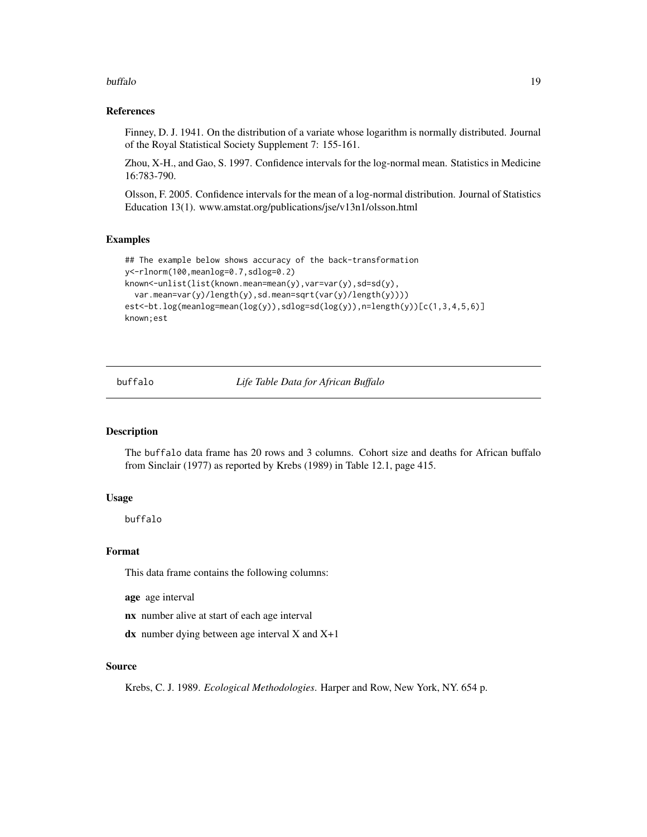#### <span id="page-18-0"></span>buffalo and the contract of the contract of the contract of the contract of the contract of the contract of the contract of the contract of the contract of the contract of the contract of the contract of the contract of th

#### References

Finney, D. J. 1941. On the distribution of a variate whose logarithm is normally distributed. Journal of the Royal Statistical Society Supplement 7: 155-161.

Zhou, X-H., and Gao, S. 1997. Confidence intervals for the log-normal mean. Statistics in Medicine 16:783-790.

Olsson, F. 2005. Confidence intervals for the mean of a log-normal distribution. Journal of Statistics Education 13(1). www.amstat.org/publications/jse/v13n1/olsson.html

#### Examples

```
## The example below shows accuracy of the back-transformation
y<-rlnorm(100,meanlog=0.7,sdlog=0.2)
known<-unlist(list(known.mean=mean(y),var=var(y),sd=sd(y),
  var.mean=var(y)/length(y),sd.mean=sqrt(var(y)/length(y))))
est <-bt.log(meanlog=mean(log(y)),sdlog=sd(log(y)),n=length(y))[c(1,3,4,5,6)]
known;est
```
buffalo *Life Table Data for African Buffalo*

## **Description**

The buffalo data frame has 20 rows and 3 columns. Cohort size and deaths for African buffalo from Sinclair (1977) as reported by Krebs (1989) in Table 12.1, page 415.

#### Usage

buffalo

#### Format

This data frame contains the following columns:

age age interval

nx number alive at start of each age interval

 $dx$  number dying between age interval X and  $X+1$ 

#### Source

Krebs, C. J. 1989. *Ecological Methodologies*. Harper and Row, New York, NY. 654 p.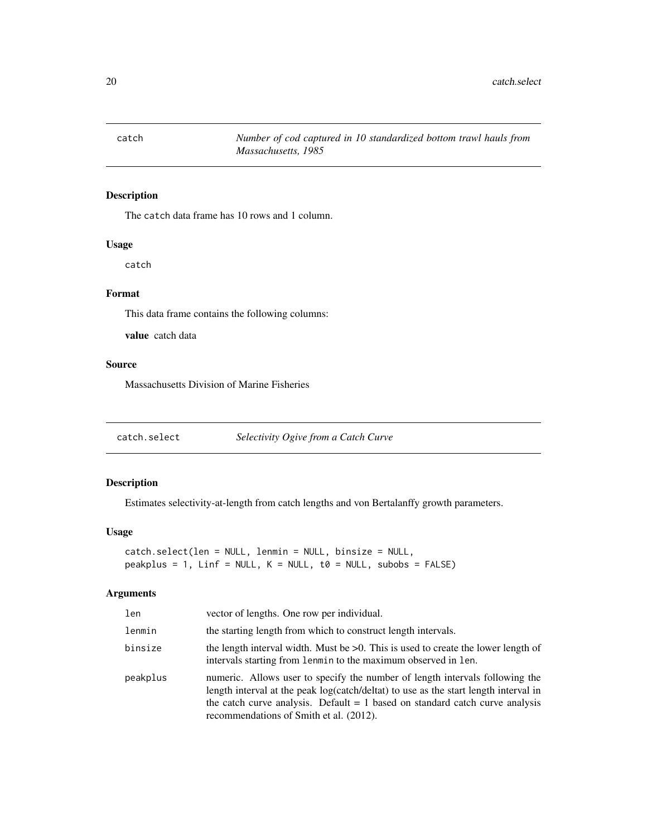<span id="page-19-0"></span>

## Description

The catch data frame has 10 rows and 1 column.

## Usage

catch

## Format

This data frame contains the following columns:

value catch data

## Source

Massachusetts Division of Marine Fisheries

catch.select *Selectivity Ogive from a Catch Curve*

## Description

Estimates selectivity-at-length from catch lengths and von Bertalanffy growth parameters.

#### Usage

catch.select(len = NULL, lenmin = NULL, binsize = NULL,  $peakplus = 1$ ,  $Linf = NULL$ ,  $K = NULL$ ,  $t0 = NULL$ , subobs =  $FALSE$ )

## Arguments

| len      | vector of lengths. One row per individual.                                                                                                                                                                                                                                                        |
|----------|---------------------------------------------------------------------------------------------------------------------------------------------------------------------------------------------------------------------------------------------------------------------------------------------------|
| lenmin   | the starting length from which to construct length intervals.                                                                                                                                                                                                                                     |
| binsize  | the length interval width. Must be $>0$ . This is used to create the lower length of<br>intervals starting from lenmin to the maximum observed in len.                                                                                                                                            |
| peakplus | numeric. Allows user to specify the number of length intervals following the<br>length interval at the peak log(catch/deltat) to use as the start length interval in<br>the catch curve analysis. Default $= 1$ based on standard catch curve analysis<br>recommendations of Smith et al. (2012). |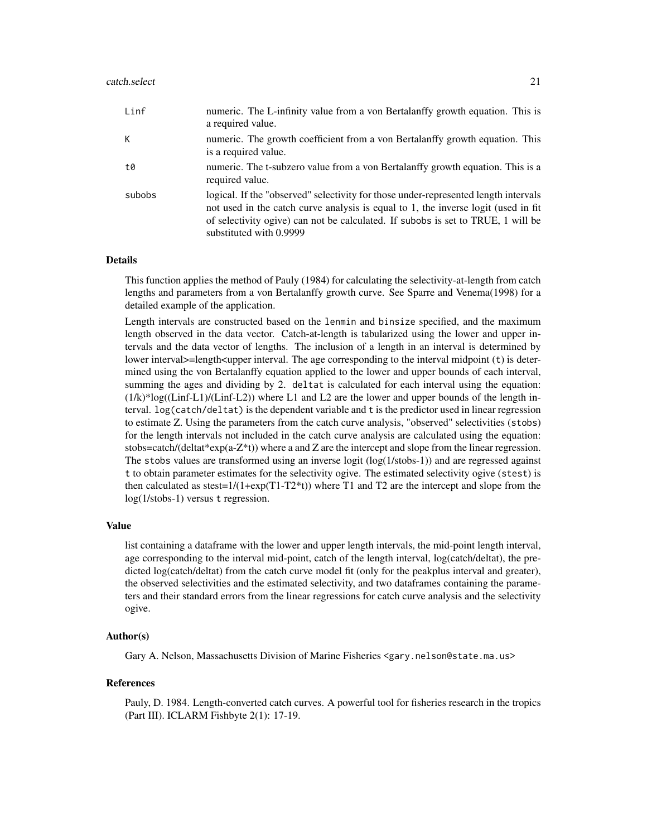| Linf   | numeric. The L-infinity value from a von Bertalanffy growth equation. This is<br>a required value.                                                                                                                                                                                       |
|--------|------------------------------------------------------------------------------------------------------------------------------------------------------------------------------------------------------------------------------------------------------------------------------------------|
| К      | numeric. The growth coefficient from a von Bertalanffy growth equation. This<br>is a required value.                                                                                                                                                                                     |
| t0     | numeric. The t-subzero value from a von Bertalanffy growth equation. This is a<br>required value.                                                                                                                                                                                        |
| subobs | logical. If the "observed" selectivity for those under-represented length intervals<br>not used in the catch curve analysis is equal to 1, the inverse logit (used in fit<br>of selectivity ogive) can not be calculated. If subobs is set to TRUE, 1 will be<br>substituted with 0.9999 |

#### Details

This function applies the method of Pauly (1984) for calculating the selectivity-at-length from catch lengths and parameters from a von Bertalanffy growth curve. See Sparre and Venema(1998) for a detailed example of the application.

Length intervals are constructed based on the lenmin and binsize specified, and the maximum length observed in the data vector. Catch-at-length is tabularized using the lower and upper intervals and the data vector of lengths. The inclusion of a length in an interval is determined by lower interval>=length<upper interval. The age corresponding to the interval midpoint (t) is determined using the von Bertalanffy equation applied to the lower and upper bounds of each interval, summing the ages and dividing by 2. deltat is calculated for each interval using the equation:  $(1/k)^*log((\text{Linf-L1})/(\text{Linf-L2}))$  where L1 and L2 are the lower and upper bounds of the length interval. log(catch/deltat) is the dependent variable and t is the predictor used in linear regression to estimate Z. Using the parameters from the catch curve analysis, "observed" selectivities (stobs) for the length intervals not included in the catch curve analysis are calculated using the equation: stobs=catch/(deltat\*exp(a-Z\*t)) where a and Z are the intercept and slope from the linear regression. The stobs values are transformed using an inverse logit (log(1/stobs-1)) and are regressed against t to obtain parameter estimates for the selectivity ogive. The estimated selectivity ogive (stest) is then calculated as stest= $1/(1+\exp(T1-T2^*t))$  where T1 and T2 are the intercept and slope from the log(1/stobs-1) versus t regression.

#### Value

list containing a dataframe with the lower and upper length intervals, the mid-point length interval, age corresponding to the interval mid-point, catch of the length interval, log(catch/deltat), the predicted log(catch/deltat) from the catch curve model fit (only for the peakplus interval and greater), the observed selectivities and the estimated selectivity, and two dataframes containing the parameters and their standard errors from the linear regressions for catch curve analysis and the selectivity ogive.

#### Author(s)

Gary A. Nelson, Massachusetts Division of Marine Fisheries <gary.nelson@state.ma.us>

#### References

Pauly, D. 1984. Length-converted catch curves. A powerful tool for fisheries research in the tropics (Part III). ICLARM Fishbyte 2(1): 17-19.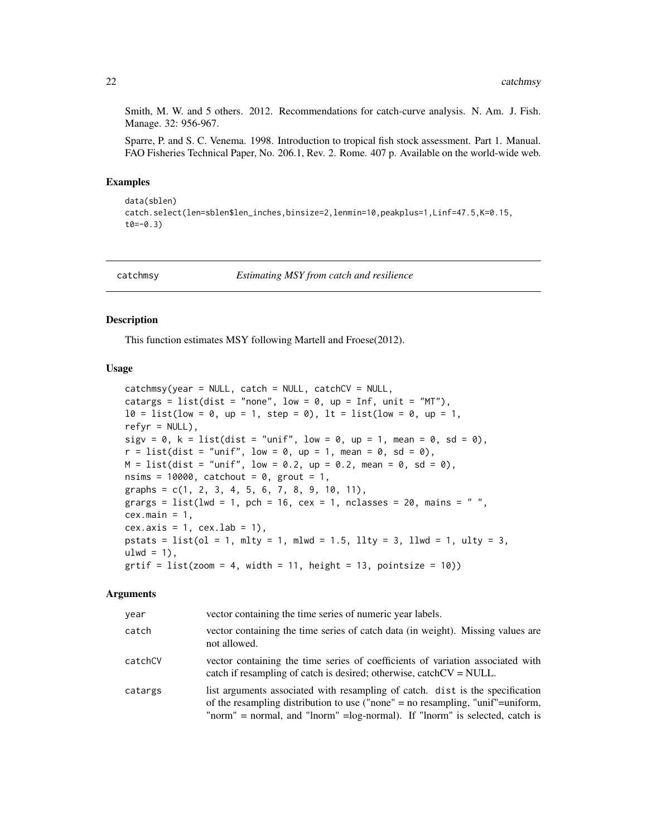Smith, M. W. and 5 others. 2012. Recommendations for catch-curve analysis. N. Am. J. Fish. Manage. 32: 956-967.

Sparre, P. and S. C. Venema. 1998. Introduction to tropical fish stock assessment. Part 1. Manual. FAO Fisheries Technical Paper, No. 206.1, Rev. 2. Rome. 407 p. Available on the world-wide web.

#### Examples

```
data(sblen)
catch.select(len=sblen$len_inches,binsize=2,lenmin=10,peakplus=1,Linf=47.5,K=0.15,
t0=-0.3
```
catchmsy *Estimating MSY from catch and resilience*

#### Description

This function estimates MSY following Martell and Froese(2012).

#### Usage

```
catchmsy(year = NULL, catch = NULL, catchCV = NULL,
catargs = list(dist = "none", low = \theta, up = Inf, unit = "MT").
10 = list(low = 0, up = 1, step = 0), It = list(low = 0, up = 1,refyr = NULL,
sigv = 0, k = list(dist = "unif", low = 0, up = 1, mean = 0, sd = 0),
r = list(dist = "unif", low = 0, up = 1, mean = 0, sd = 0),M = list(dist = "unif", low = 0.2, up = 0.2, mean = 0, sd = 0),nsims = 10000, catchout = 0, grout = 1,
graphs = c(1, 2, 3, 4, 5, 6, 7, 8, 9, 10, 11),
grargs = list(lwd = 1, pch = 16, cex = 1, nclasses = 20, main = "",cex.main = 1,
cex.axis = 1, cex.lab = 1),
pstats = list(ol = 1, mlty = 1, mlwd = 1.5, llty = 3, llwd = 1, ulty = 3,
ulwd = 1,
grtif = list(zoom = 4, width = 11, height = 13, pointsize = 10))
```
#### Arguments

| year    | vector containing the time series of numeric year labels.                                                                                                                                                                                       |
|---------|-------------------------------------------------------------------------------------------------------------------------------------------------------------------------------------------------------------------------------------------------|
| catch   | vector containing the time series of catch data (in weight). Missing values are<br>not allowed.                                                                                                                                                 |
| catchCV | vector containing the time series of coefficients of variation associated with<br>catch if resampling of catch is desired; otherwise, catch $CV = NULL$ .                                                                                       |
| catargs | list arguments associated with resampling of catch. dist is the specification<br>of the resampling distribution to use ("none" = no resampling, "unif"=uniform,<br>"norm" = normal, and "lnorm" = log-normal). If "lnorm" is selected, catch is |

<span id="page-21-0"></span>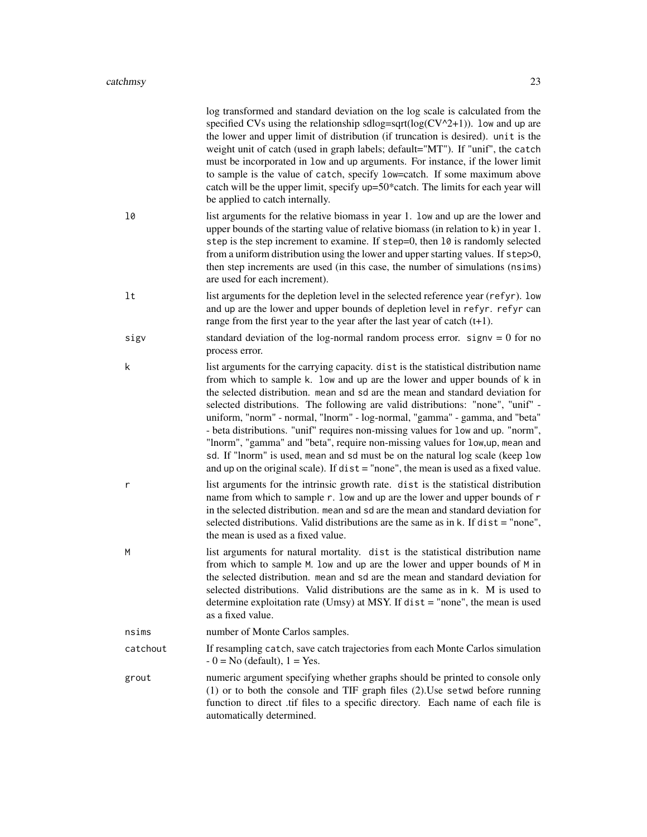|          | log transformed and standard deviation on the log scale is calculated from the<br>specified CVs using the relationship sdlog=sqrt( $log(CV^2+1)$ ). low and up are<br>the lower and upper limit of distribution (if truncation is desired). unit is the<br>weight unit of catch (used in graph labels; default="MT"). If "unif", the catch<br>must be incorporated in low and up arguments. For instance, if the lower limit<br>to sample is the value of catch, specify low=catch. If some maximum above<br>catch will be the upper limit, specify up=50*catch. The limits for each year will<br>be applied to catch internally.                                                                                                                                    |
|----------|----------------------------------------------------------------------------------------------------------------------------------------------------------------------------------------------------------------------------------------------------------------------------------------------------------------------------------------------------------------------------------------------------------------------------------------------------------------------------------------------------------------------------------------------------------------------------------------------------------------------------------------------------------------------------------------------------------------------------------------------------------------------|
| 10       | list arguments for the relative biomass in year 1. low and up are the lower and<br>upper bounds of the starting value of relative biomass (in relation to k) in year 1.<br>step is the step increment to examine. If step=0, then 10 is randomly selected<br>from a uniform distribution using the lower and upper starting values. If step>0,<br>then step increments are used (in this case, the number of simulations (nsims)<br>are used for each increment).                                                                                                                                                                                                                                                                                                    |
| 1t       | list arguments for the depletion level in the selected reference year (refyr). low<br>and up are the lower and upper bounds of depletion level in refyr. refyr can<br>range from the first year to the year after the last year of catch $(t+1)$ .                                                                                                                                                                                                                                                                                                                                                                                                                                                                                                                   |
| sigv     | standard deviation of the log-normal random process error. $signv = 0$ for no<br>process error.                                                                                                                                                                                                                                                                                                                                                                                                                                                                                                                                                                                                                                                                      |
| k        | list arguments for the carrying capacity. dist is the statistical distribution name<br>from which to sample k. low and up are the lower and upper bounds of k in<br>the selected distribution. mean and sd are the mean and standard deviation for<br>selected distributions. The following are valid distributions: "none", "unif" -<br>uniform, "norm" - normal, "lnorm" - log-normal, "gamma" - gamma, and "beta"<br>- beta distributions. "unif" requires non-missing values for low and up. "norm",<br>"lnorm", "gamma" and "beta", require non-missing values for low, up, mean and<br>sd. If "lnorm" is used, mean and sd must be on the natural log scale (keep low<br>and up on the original scale). If $dist = "none",$ the mean is used as a fixed value. |
| r        | list arguments for the intrinsic growth rate. dist is the statistical distribution<br>name from which to sample r. low and up are the lower and upper bounds of r<br>in the selected distribution. mean and sd are the mean and standard deviation for<br>selected distributions. Valid distributions are the same as in $k$ . If $dist = "none",$<br>the mean is used as a fixed value.                                                                                                                                                                                                                                                                                                                                                                             |
| M        | list arguments for natural mortality. dist is the statistical distribution name<br>from which to sample M. low and up are the lower and upper bounds of M in<br>the selected distribution. mean and sd are the mean and standard deviation for<br>selected distributions. Valid distributions are the same as in k. M is used to<br>determine exploitation rate (Umsy) at MSY. If $dist = "none",$ the mean is used<br>as a fixed value.                                                                                                                                                                                                                                                                                                                             |
| nsims    | number of Monte Carlos samples.                                                                                                                                                                                                                                                                                                                                                                                                                                                                                                                                                                                                                                                                                                                                      |
| catchout | If resampling catch, save catch trajectories from each Monte Carlos simulation<br>$-0 = No$ (default), $1 = Yes$ .                                                                                                                                                                                                                                                                                                                                                                                                                                                                                                                                                                                                                                                   |
| grout    | numeric argument specifying whether graphs should be printed to console only<br>$(1)$ or to both the console and TIF graph files $(2)$ . Use setwd before running<br>function to direct .tif files to a specific directory. Each name of each file is<br>automatically determined.                                                                                                                                                                                                                                                                                                                                                                                                                                                                                   |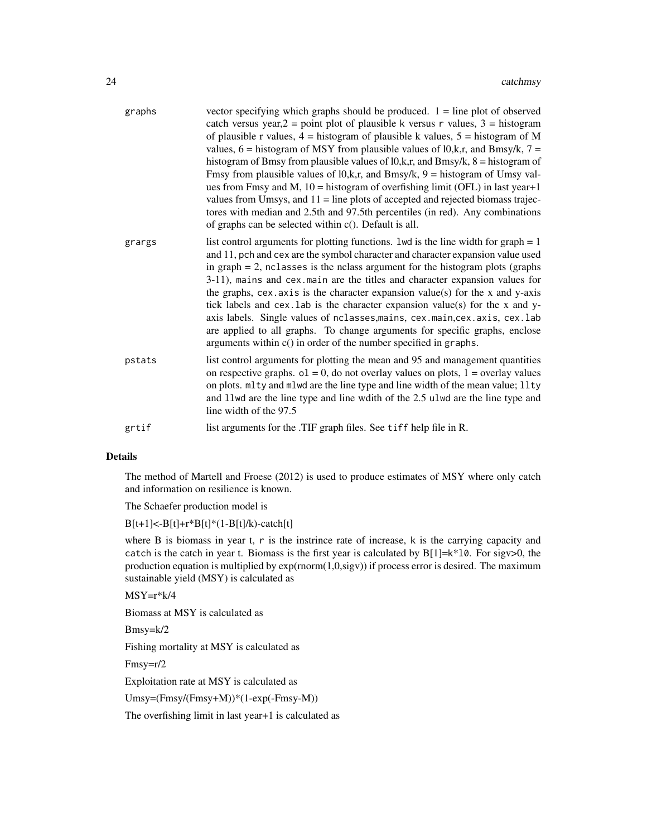| graphs | vector specifying which graphs should be produced. $1 =$ line plot of observed<br>catch versus year, $2 =$ point plot of plausible k versus r values, $3 =$ histogram<br>of plausible r values, $4 =$ histogram of plausible k values, $5 =$ histogram of M<br>values, $6 =$ histogram of MSY from plausible values of $10, k, r$ , and Bmsy/k, $7 =$<br>histogram of Bmsy from plausible values of $10, k, r$ , and Bmsy/k, $8 =$ histogram of<br>Fmsy from plausible values of $10, k, r$ , and Bmsy/k, $9 =$ histogram of Umsy val-<br>ues from Fmsy and M, $10 =$ histogram of overfishing limit (OFL) in last year+1<br>values from Umsys, and $11 =$ line plots of accepted and rejected biomass trajec-<br>tores with median and 2.5th and 97.5th percentiles (in red). Any combinations<br>of graphs can be selected within c(). Default is all. |
|--------|----------------------------------------------------------------------------------------------------------------------------------------------------------------------------------------------------------------------------------------------------------------------------------------------------------------------------------------------------------------------------------------------------------------------------------------------------------------------------------------------------------------------------------------------------------------------------------------------------------------------------------------------------------------------------------------------------------------------------------------------------------------------------------------------------------------------------------------------------------|
| grargs | list control arguments for plotting functions. 1wd is the line width for graph $= 1$<br>and 11, pch and cex are the symbol character and character expansion value used<br>in graph $= 2$ , nclasses is the nclass argument for the histogram plots (graphs<br>3-11), mains and cex. main are the titles and character expansion values for<br>the graphs, cex. axis is the character expansion value(s) for the x and y-axis<br>tick labels and cex. Lab is the character expansion value(s) for the x and y-<br>axis labels. Single values of nclasses, mains, cex. main, cex. axis, cex. lab<br>are applied to all graphs. To change arguments for specific graphs, enclose<br>arguments within c() in order of the number specified in graphs.                                                                                                       |
| pstats | list control arguments for plotting the mean and 95 and management quantities<br>on respective graphs. $o1 = 0$ , do not overlay values on plots, $1 =$ overlay values<br>on plots. mlty and mlwd are the line type and line width of the mean value; llty<br>and 11wd are the line type and line wdith of the 2.5 u1wd are the line type and<br>line width of the 97.5                                                                                                                                                                                                                                                                                                                                                                                                                                                                                  |
| grtif  | list arguments for the .TIF graph files. See tiff help file in R.                                                                                                                                                                                                                                                                                                                                                                                                                                                                                                                                                                                                                                                                                                                                                                                        |

## Details

The method of Martell and Froese (2012) is used to produce estimates of MSY where only catch and information on resilience is known.

The Schaefer production model is

 $B[t+1] < -B[t]+r*B[t]^*(1-B[t]/k)$ -catch[t]

where B is biomass in year t, r is the instrince rate of increase, k is the carrying capacity and catch is the catch in year t. Biomass is the first year is calculated by  $B[1]=k*10$ . For sigv>0, the production equation is multiplied by  $exp(norm(1,0,sigy))$  if process error is desired. The maximum sustainable yield (MSY) is calculated as

 $MSY=r*k/4$ 

Biomass at MSY is calculated as

Bmsy=k/2

Fishing mortality at MSY is calculated as

Fmsy=r/2

Exploitation rate at MSY is calculated as

 $Umsy=(Fmsy/(Fmsy+M))*(1-exp(-Fmsy-M))$ 

The overfishing limit in last year+1 is calculated as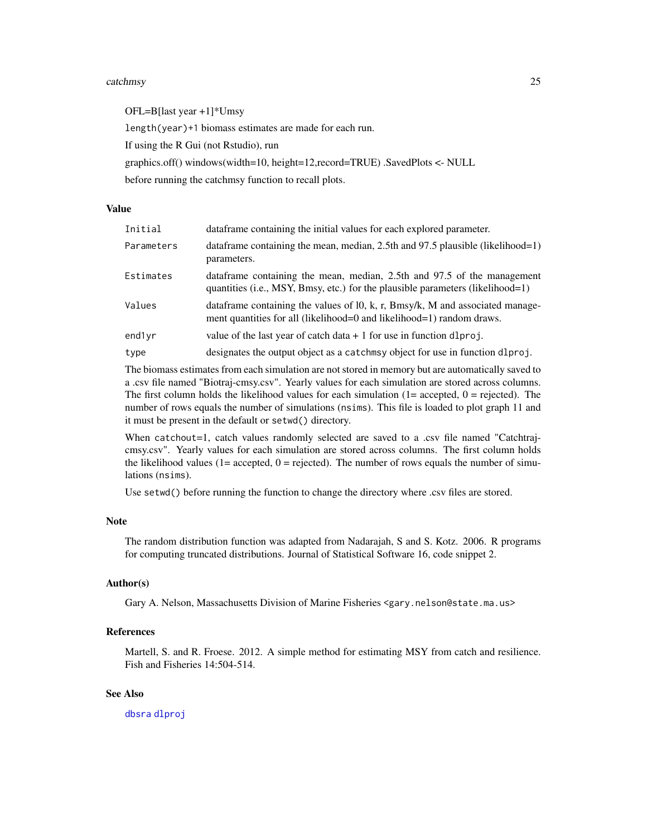#### catchmsy 25

OFL=B[last year +1]\*Umsy length(year)+1 biomass estimates are made for each run. If using the R Gui (not Rstudio), run graphics.off() windows(width=10, height=12,record=TRUE) .SavedPlots <- NULL before running the catchmsy function to recall plots.

#### Value

| Initial    | dataframe containing the initial values for each explored parameter.                                                                                       |
|------------|------------------------------------------------------------------------------------------------------------------------------------------------------------|
| Parameters | data frame containing the mean, median, 2.5th and 97.5 plausible (likelihood=1)<br>parameters.                                                             |
| Estimates  | data frame containing the mean, median, 2.5th and 97.5 of the management<br>quantities (i.e., MSY, Bmsy, etc.) for the plausible parameters (likelihood=1) |
| Values     | data frame containing the values of $10$ , k, r, Bmsy/k, M and associated manage-<br>ment quantities for all (likelihood=0 and likelihood=1) random draws. |
| end1yr     | value of the last year of catch data $+1$ for use in function dlproj.                                                                                      |
| type       | designates the output object as a catching object for use in function dlproj.                                                                              |

The biomass estimates from each simulation are not stored in memory but are automatically saved to a .csv file named "Biotraj-cmsy.csv". Yearly values for each simulation are stored across columns. The first column holds the likelihood values for each simulation  $(1=$  accepted,  $0=$  rejected). The number of rows equals the number of simulations (nsims). This file is loaded to plot graph 11 and it must be present in the default or setwd() directory.

When catchout=1, catch values randomly selected are saved to a .csv file named "Catchtrajcmsy.csv". Yearly values for each simulation are stored across columns. The first column holds the likelihood values  $(1=$  accepted,  $0=$  rejected). The number of rows equals the number of simulations (nsims).

Use setwd() before running the function to change the directory where .csv files are stored.

#### Note

The random distribution function was adapted from Nadarajah, S and S. Kotz. 2006. R programs for computing truncated distributions. Journal of Statistical Software 16, code snippet 2.

#### Author(s)

Gary A. Nelson, Massachusetts Division of Marine Fisheries <gary.nelson@state.ma.us>

#### References

Martell, S. and R. Froese. 2012. A simple method for estimating MSY from catch and resilience. Fish and Fisheries 14:504-514.

## See Also

[dbsra](#page-47-1) [dlproj](#page-54-1)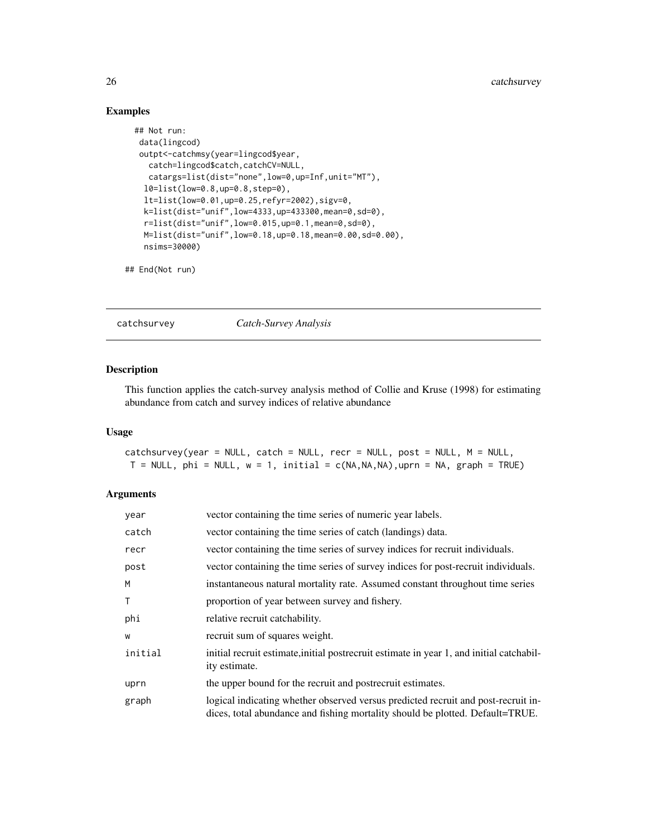## Examples

```
## Not run:
data(lingcod)
outpt<-catchmsy(year=lingcod$year,
  catch=lingcod$catch,catchCV=NULL,
  catargs=list(dist="none",low=0,up=Inf,unit="MT"),
 l0=list(low=0.8,up=0.8,step=0),
 lt=list(low=0.01,up=0.25,refyr=2002),sigv=0,
 k=list(dist="unif",low=4333,up=433300,mean=0,sd=0),
  r=list(dist="unif",low=0.015,up=0.1,mean=0,sd=0),
 M=list(dist="unif",low=0.18,up=0.18,mean=0.00,sd=0.00),
 nsims=30000)
```
## End(Not run)

catchsurvey *Catch-Survey Analysis*

## Description

This function applies the catch-survey analysis method of Collie and Kruse (1998) for estimating abundance from catch and survey indices of relative abundance

## Usage

catchsurvey(year = NULL, catch = NULL, recr = NULL, post = NULL, M = NULL,  $T = NULL$ , phi = NULL,  $w = 1$ , initial =  $c(NA, NA, NA)$ , uprn = NA, graph = TRUE)

#### Arguments

| year         | vector containing the time series of numeric year labels.                                                                                                          |
|--------------|--------------------------------------------------------------------------------------------------------------------------------------------------------------------|
| catch        | vector containing the time series of catch (landings) data.                                                                                                        |
| recr         | vector containing the time series of survey indices for recruit individuals.                                                                                       |
| post         | vector containing the time series of survey indices for post-recruit individuals.                                                                                  |
| M            | instantaneous natural mortality rate. Assumed constant throughout time series                                                                                      |
| $\mathsf{T}$ | proportion of year between survey and fishery.                                                                                                                     |
| phi          | relative recruit catchability.                                                                                                                                     |
| W            | recruit sum of squares weight.                                                                                                                                     |
| initial      | initial recruit estimate, initial postrecruit estimate in year 1, and initial catchabil-<br>ity estimate.                                                          |
| uprn         | the upper bound for the recruit and postrecruit estimates.                                                                                                         |
| graph        | logical indicating whether observed versus predicted recruit and post-recruit in-<br>dices, total abundance and fishing mortality should be plotted. Default=TRUE. |

<span id="page-25-0"></span>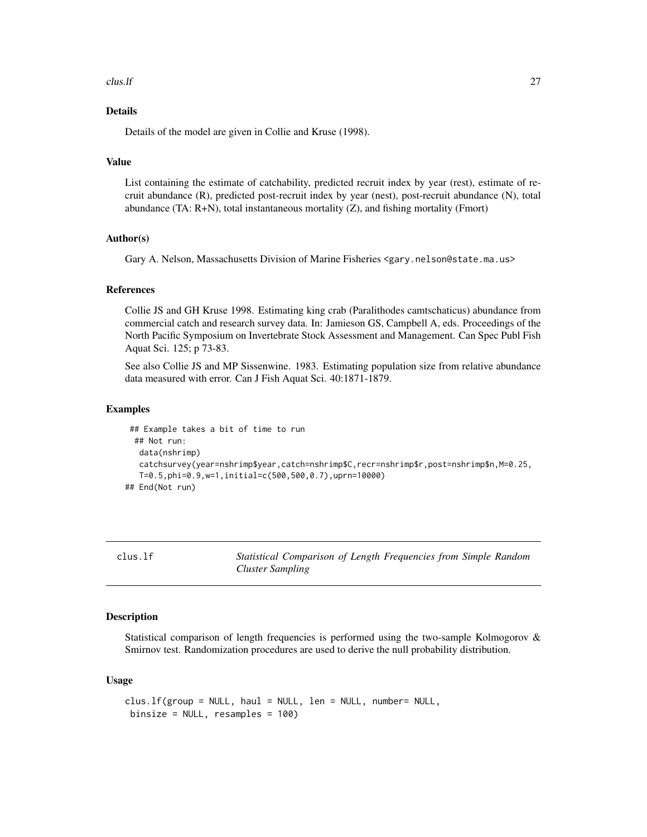#### <span id="page-26-0"></span> $\frac{1}{27}$  clus. If  $\frac{27}{27}$

## Details

Details of the model are given in Collie and Kruse (1998).

## Value

List containing the estimate of catchability, predicted recruit index by year (rest), estimate of recruit abundance (R), predicted post-recruit index by year (nest), post-recruit abundance (N), total abundance (TA: R+N), total instantaneous mortality (Z), and fishing mortality (Fmort)

## Author(s)

Gary A. Nelson, Massachusetts Division of Marine Fisheries <gary.nelson@state.ma.us>

#### References

Collie JS and GH Kruse 1998. Estimating king crab (Paralithodes camtschaticus) abundance from commercial catch and research survey data. In: Jamieson GS, Campbell A, eds. Proceedings of the North Pacific Symposium on Invertebrate Stock Assessment and Management. Can Spec Publ Fish Aquat Sci. 125; p 73-83.

See also Collie JS and MP Sissenwine. 1983. Estimating population size from relative abundance data measured with error. Can J Fish Aquat Sci. 40:1871-1879.

#### Examples

```
## Example takes a bit of time to run
 ## Not run:
  data(nshrimp)
  catchsurvey(year=nshrimp$year,catch=nshrimp$C,recr=nshrimp$r,post=nshrimp$n,M=0.25,
  T=0.5,phi=0.9,w=1,initial=c(500,500,0.7),uprn=10000)
## End(Not run)
```
<span id="page-26-1"></span>clus.lf *Statistical Comparison of Length Frequencies from Simple Random Cluster Sampling*

## Description

Statistical comparison of length frequencies is performed using the two-sample Kolmogorov & Smirnov test. Randomization procedures are used to derive the null probability distribution.

#### Usage

```
clus.lf(group = NULL, haul = NULL, len = NULL, number= NULL,
binsize = NULL, resamples = 100)
```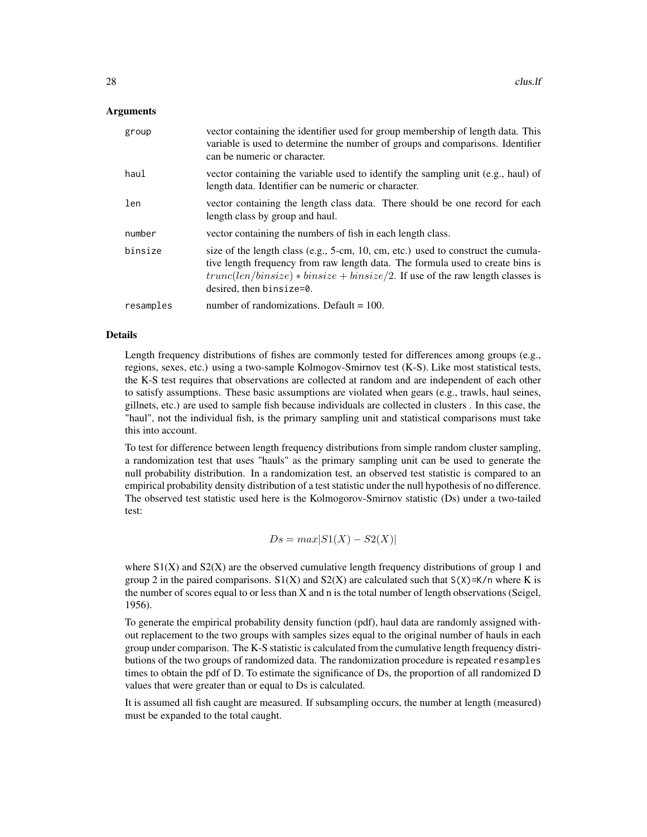#### Arguments

| group     | vector containing the identifier used for group membership of length data. This<br>variable is used to determine the number of groups and comparisons. Identifier<br>can be numeric or character.                                                                                   |
|-----------|-------------------------------------------------------------------------------------------------------------------------------------------------------------------------------------------------------------------------------------------------------------------------------------|
| haul      | vector containing the variable used to identify the sampling unit (e.g., haul) of<br>length data. Identifier can be numeric or character.                                                                                                                                           |
| len       | vector containing the length class data. There should be one record for each<br>length class by group and haul.                                                                                                                                                                     |
| number    | vector containing the numbers of fish in each length class.                                                                                                                                                                                                                         |
| binsize   | size of the length class (e.g., 5-cm, 10, cm, etc.) used to construct the cumula-<br>tive length frequency from raw length data. The formula used to create bins is<br>$trunc(len/binsize) * binsize + binsize/2$ . If use of the raw length classes is<br>desired, then binsize=0. |
| resamples | number of randomizations. Default $= 100$ .                                                                                                                                                                                                                                         |

#### Details

Length frequency distributions of fishes are commonly tested for differences among groups (e.g., regions, sexes, etc.) using a two-sample Kolmogov-Smirnov test (K-S). Like most statistical tests, the K-S test requires that observations are collected at random and are independent of each other to satisfy assumptions. These basic assumptions are violated when gears (e.g., trawls, haul seines, gillnets, etc.) are used to sample fish because individuals are collected in clusters . In this case, the "haul", not the individual fish, is the primary sampling unit and statistical comparisons must take this into account.

To test for difference between length frequency distributions from simple random cluster sampling, a randomization test that uses "hauls" as the primary sampling unit can be used to generate the null probability distribution. In a randomization test, an observed test statistic is compared to an empirical probability density distribution of a test statistic under the null hypothesis of no difference. The observed test statistic used here is the Kolmogorov-Smirnov statistic (Ds) under a two-tailed test:

$$
Ds = max|S1(X) - S2(X)|
$$

where  $S1(X)$  and  $S2(X)$  are the observed cumulative length frequency distributions of group 1 and group 2 in the paired comparisons.  $S1(X)$  and  $S2(X)$  are calculated such that  $S(X)=K/n$  where K is the number of scores equal to or less than X and n is the total number of length observations (Seigel, 1956).

To generate the empirical probability density function (pdf), haul data are randomly assigned without replacement to the two groups with samples sizes equal to the original number of hauls in each group under comparison. The K-S statistic is calculated from the cumulative length frequency distributions of the two groups of randomized data. The randomization procedure is repeated resamples times to obtain the pdf of D. To estimate the significance of Ds, the proportion of all randomized D values that were greater than or equal to Ds is calculated.

It is assumed all fish caught are measured. If subsampling occurs, the number at length (measured) must be expanded to the total caught.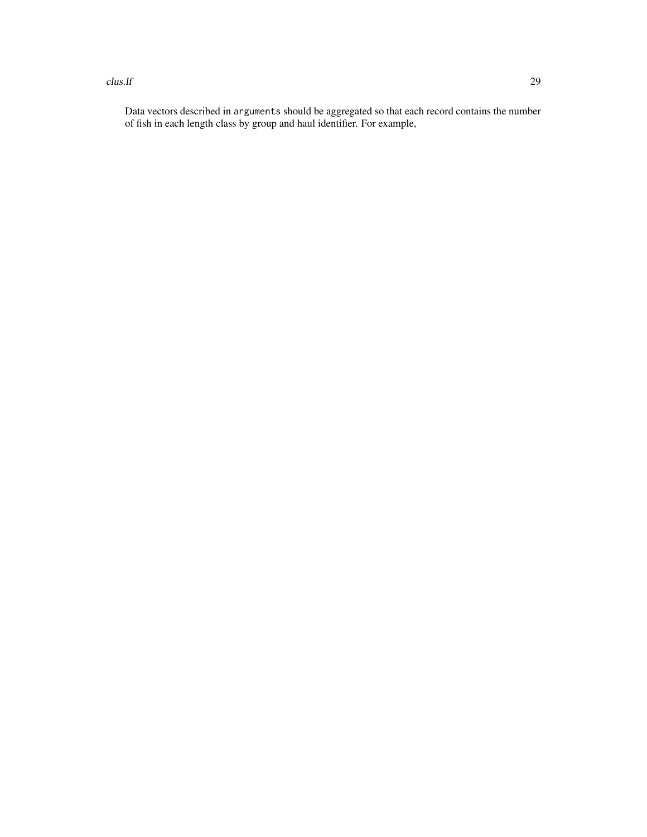#### $\frac{1}{2}$  clus. If  $\frac{29}{2}$

Data vectors described in arguments should be aggregated so that each record contains the number of fish in each length class by group and haul identifier. For example,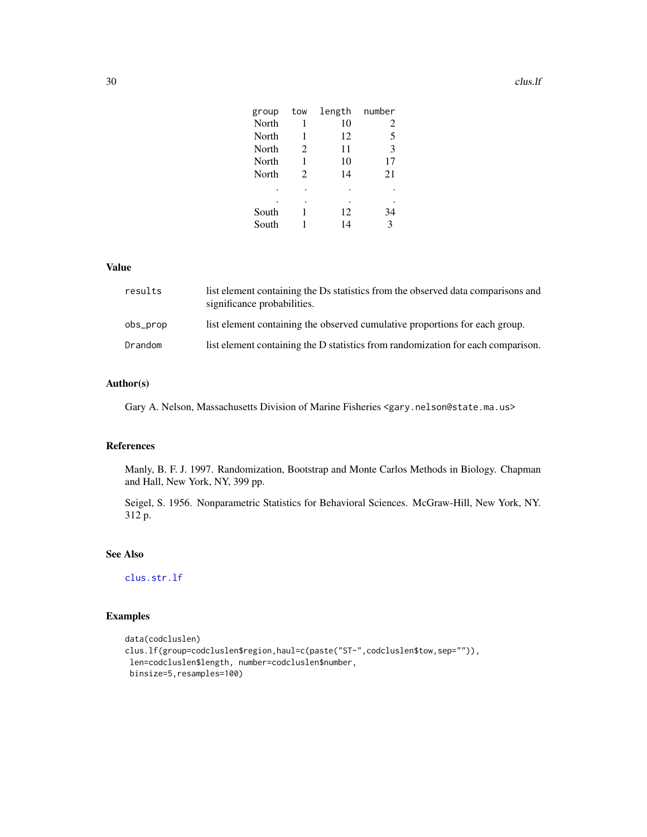| group | tow            | length | number |
|-------|----------------|--------|--------|
|       |                |        |        |
| North | 1              | 10     | 2      |
| North | 1              | 12     | 5      |
| North | 2              | 11     | 3      |
| North | 1              | 10     | 17     |
| North | $\mathfrak{D}$ | 14     | 21     |
|       |                |        |        |
|       |                |        |        |
| South |                | 12     | 34     |
| South |                | 14     | 3      |

#### Value

| results  | list element containing the Ds statistics from the observed data comparisons and<br>significance probabilities. |
|----------|-----------------------------------------------------------------------------------------------------------------|
| obs_prop | list element containing the observed cumulative proportions for each group.                                     |
| Drandom  | list element containing the D statistics from randomization for each comparison.                                |

## Author(s)

Gary A. Nelson, Massachusetts Division of Marine Fisheries <gary.nelson@state.ma.us>

## References

Manly, B. F. J. 1997. Randomization, Bootstrap and Monte Carlos Methods in Biology. Chapman and Hall, New York, NY, 399 pp.

Seigel, S. 1956. Nonparametric Statistics for Behavioral Sciences. McGraw-Hill, New York, NY. 312 p.

## See Also

[clus.str.lf](#page-34-1)

## Examples

```
data(codcluslen)
clus.lf(group=codcluslen$region,haul=c(paste("ST-",codcluslen$tow,sep="")),
len=codcluslen$length, number=codcluslen$number,
binsize=5,resamples=100)
```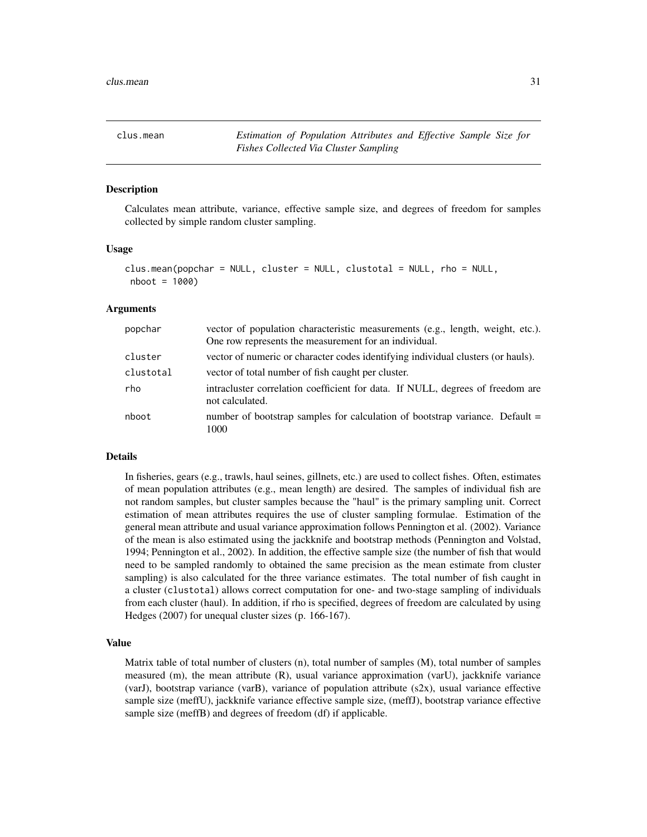<span id="page-30-1"></span><span id="page-30-0"></span>clus.mean *Estimation of Population Attributes and Effective Sample Size for Fishes Collected Via Cluster Sampling*

#### **Description**

Calculates mean attribute, variance, effective sample size, and degrees of freedom for samples collected by simple random cluster sampling.

#### Usage

```
clus.mean(popchar = NULL, cluster = NULL, clustotal = NULL, rho = NULL,
nboot = 1000
```
## Arguments

| popchar   | vector of population characteristic measurements (e.g., length, weight, etc.).<br>One row represents the measurement for an individual. |
|-----------|-----------------------------------------------------------------------------------------------------------------------------------------|
| cluster   | vector of numeric or character codes identifying individual clusters (or hauls).                                                        |
| clustotal | vector of total number of fish caught per cluster.                                                                                      |
| rho       | intracluster correlation coefficient for data. If NULL, degrees of freedom are<br>not calculated.                                       |
| nboot     | number of bootstrap samples for calculation of bootstrap variance. Default =<br>1000                                                    |

#### Details

In fisheries, gears (e.g., trawls, haul seines, gillnets, etc.) are used to collect fishes. Often, estimates of mean population attributes (e.g., mean length) are desired. The samples of individual fish are not random samples, but cluster samples because the "haul" is the primary sampling unit. Correct estimation of mean attributes requires the use of cluster sampling formulae. Estimation of the general mean attribute and usual variance approximation follows Pennington et al. (2002). Variance of the mean is also estimated using the jackknife and bootstrap methods (Pennington and Volstad, 1994; Pennington et al., 2002). In addition, the effective sample size (the number of fish that would need to be sampled randomly to obtained the same precision as the mean estimate from cluster sampling) is also calculated for the three variance estimates. The total number of fish caught in a cluster (clustotal) allows correct computation for one- and two-stage sampling of individuals from each cluster (haul). In addition, if rho is specified, degrees of freedom are calculated by using Hedges (2007) for unequal cluster sizes (p. 166-167).

#### Value

Matrix table of total number of clusters (n), total number of samples (M), total number of samples measured (m), the mean attribute (R), usual variance approximation (varU), jackknife variance (varJ), bootstrap variance (varB), variance of population attribute ( $s2x$ ), usual variance effective sample size (meffU), jackknife variance effective sample size, (meffJ), bootstrap variance effective sample size (meffB) and degrees of freedom (df) if applicable.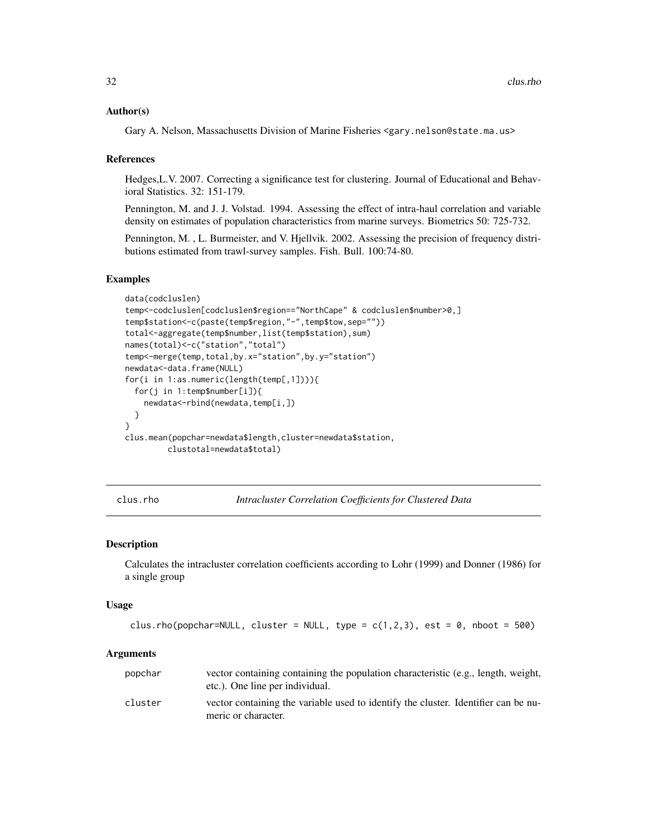#### <span id="page-31-0"></span>Author(s)

Gary A. Nelson, Massachusetts Division of Marine Fisheries <gary.nelson@state.ma.us>

#### References

Hedges,L.V. 2007. Correcting a significance test for clustering. Journal of Educational and Behavioral Statistics. 32: 151-179.

Pennington, M. and J. J. Volstad. 1994. Assessing the effect of intra-haul correlation and variable density on estimates of population characteristics from marine surveys. Biometrics 50: 725-732.

Pennington, M. , L. Burmeister, and V. Hjellvik. 2002. Assessing the precision of frequency distributions estimated from trawl-survey samples. Fish. Bull. 100:74-80.

## Examples

```
data(codcluslen)
temp<-codcluslen[codcluslen$region=="NorthCape" & codcluslen$number>0,]
temp$station<-c(paste(temp$region,"-",temp$tow,sep=""))
total<-aggregate(temp$number,list(temp$station),sum)
names(total)<-c("station","total")
temp<-merge(temp,total,by.x="station",by.y="station")
newdata<-data.frame(NULL)
for(i in 1:as.numeric(length(temp[,1]))){
 for(j in 1:temp$number[i]){
   newdata<-rbind(newdata,temp[i,])
 }
}
clus.mean(popchar=newdata$length,cluster=newdata$station,
         clustotal=newdata$total)
```
clus.rho *Intracluster Correlation Coefficients for Clustered Data*

#### **Description**

Calculates the intracluster correlation coefficients according to Lohr (1999) and Donner (1986) for a single group

#### Usage

```
clus.rho(popchar=NULL, cluster = NULL, type = c(1,2,3), est = 0, nboot = 500)
```
#### Arguments

| popchar | vector containing containing the population characteristic (e.g., length, weight,<br>etc.). One line per individual. |
|---------|----------------------------------------------------------------------------------------------------------------------|
| cluster | vector containing the variable used to identify the cluster. Identifier can be nu-<br>meric or character.            |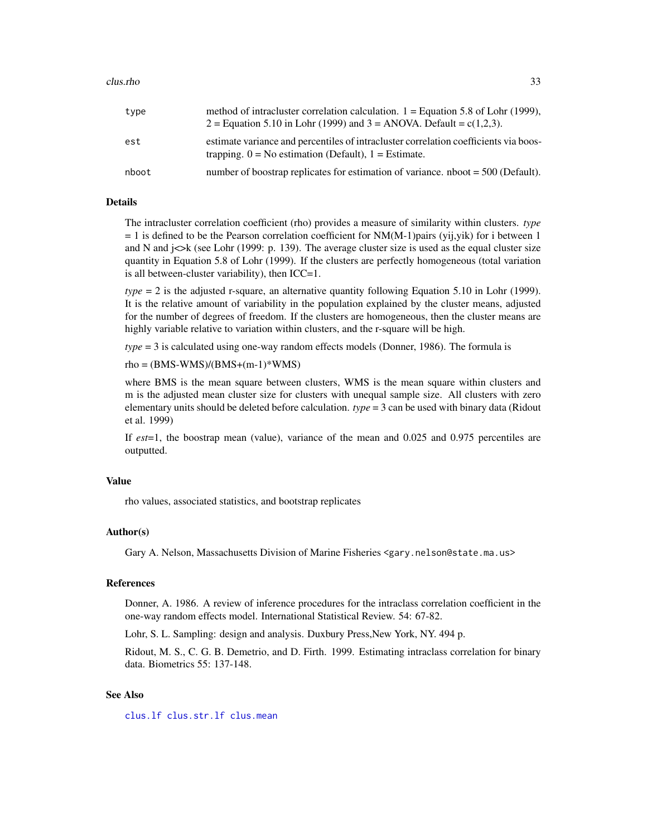| type  | method of intracluster correlation calculation. $1 =$ Equation 5.8 of Lohr (1999),<br>2 = Equation 5.10 in Lohr (1999) and 3 = ANOVA. Default = $c(1,2,3)$ . |
|-------|--------------------------------------------------------------------------------------------------------------------------------------------------------------|
| est   | estimate variance and percentiles of intracluster correlation coefficients via boos-<br>trapping. $0 = No$ estimation (Default), $1 = Estimate$ .            |
| nboot | number of boostrap replicates for estimation of variance. $n$ hoot = 500 (Default).                                                                          |

#### Details

The intracluster correlation coefficient (rho) provides a measure of similarity within clusters. *type*  $= 1$  is defined to be the Pearson correlation coefficient for NM(M-1)pairs (yij,yik) for i between 1 and N and  $i \le k$  (see Lohr (1999: p. 139). The average cluster size is used as the equal cluster size quantity in Equation 5.8 of Lohr (1999). If the clusters are perfectly homogeneous (total variation is all between-cluster variability), then ICC=1.

*type* = 2 is the adjusted r-square, an alternative quantity following Equation 5.10 in Lohr (1999). It is the relative amount of variability in the population explained by the cluster means, adjusted for the number of degrees of freedom. If the clusters are homogeneous, then the cluster means are highly variable relative to variation within clusters, and the r-square will be high.

*type* = 3 is calculated using one-way random effects models (Donner, 1986). The formula is

 $rho = (BMS-WMS)/(BMS+(m-1)*WMS)$ 

where BMS is the mean square between clusters, WMS is the mean square within clusters and m is the adjusted mean cluster size for clusters with unequal sample size. All clusters with zero elementary units should be deleted before calculation. *type* = 3 can be used with binary data (Ridout et al. 1999)

If *est*=1, the boostrap mean (value), variance of the mean and 0.025 and 0.975 percentiles are outputted.

#### Value

rho values, associated statistics, and bootstrap replicates

#### Author(s)

Gary A. Nelson, Massachusetts Division of Marine Fisheries <gary.nelson@state.ma.us>

#### References

Donner, A. 1986. A review of inference procedures for the intraclass correlation coefficient in the one-way random effects model. International Statistical Review. 54: 67-82.

Lohr, S. L. Sampling: design and analysis. Duxbury Press,New York, NY. 494 p.

Ridout, M. S., C. G. B. Demetrio, and D. Firth. 1999. Estimating intraclass correlation for binary data. Biometrics 55: 137-148.

## See Also

[clus.lf](#page-26-1) [clus.str.lf](#page-34-1) [clus.mean](#page-30-1)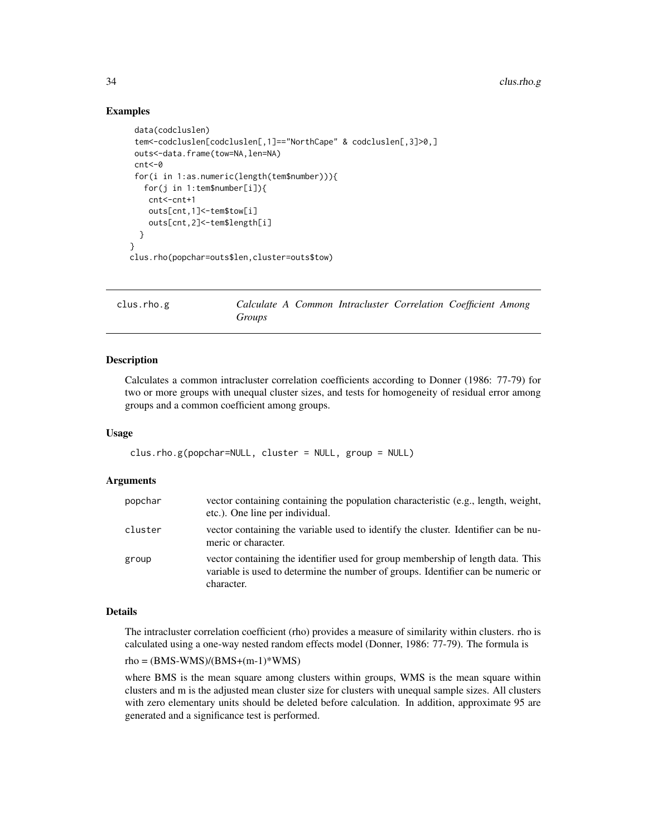## Examples

```
data(codcluslen)
tem<-codcluslen[codcluslen[,1]=="NorthCape" & codcluslen[,3]>0,]
outs<-data.frame(tow=NA,len=NA)
cnt<-0
for(i in 1:as.numeric(length(tem$number))){
  for(j in 1:tem$number[i]){
   cnt<-cnt+1
   outs[cnt,1]<-tem$tow[i]
    outs[cnt,2]<-tem$length[i]
 }
}
clus.rho(popchar=outs$len,cluster=outs$tow)
```
clus.rho.g *Calculate A Common Intracluster Correlation Coefficient Among Groups*

## Description

Calculates a common intracluster correlation coefficients according to Donner (1986: 77-79) for two or more groups with unequal cluster sizes, and tests for homogeneity of residual error among groups and a common coefficient among groups.

#### Usage

```
clus.rho.g(popchar=NULL, cluster = NULL, group = NULL)
```
#### Arguments

| popchar | vector containing containing the population characteristic (e.g., length, weight,<br>etc.). One line per individual.                                                              |
|---------|-----------------------------------------------------------------------------------------------------------------------------------------------------------------------------------|
| cluster | vector containing the variable used to identify the cluster. Identifier can be nu-<br>meric or character.                                                                         |
| group   | vector containing the identifier used for group membership of length data. This<br>variable is used to determine the number of groups. Identifier can be numeric or<br>character. |

## Details

The intracluster correlation coefficient (rho) provides a measure of similarity within clusters. rho is calculated using a one-way nested random effects model (Donner, 1986: 77-79). The formula is

 $rho = (BMS-WMS)/(BMS+(m-1)*WMS)$ 

where BMS is the mean square among clusters within groups, WMS is the mean square within clusters and m is the adjusted mean cluster size for clusters with unequal sample sizes. All clusters with zero elementary units should be deleted before calculation. In addition, approximate 95 are generated and a significance test is performed.

<span id="page-33-0"></span>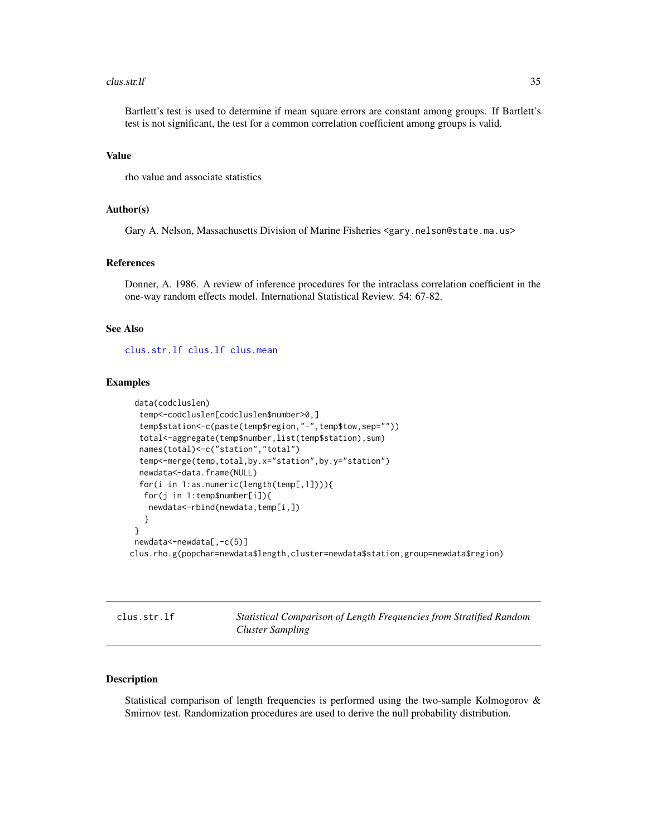#### <span id="page-34-0"></span> $\frac{1}{35}$  clus.str.lf  $\frac{35}{35}$

Bartlett's test is used to determine if mean square errors are constant among groups. If Bartlett's test is not significant, the test for a common correlation coefficient among groups is valid.

#### Value

rho value and associate statistics

## Author(s)

Gary A. Nelson, Massachusetts Division of Marine Fisheries <gary.nelson@state.ma.us>

## References

Donner, A. 1986. A review of inference procedures for the intraclass correlation coefficient in the one-way random effects model. International Statistical Review. 54: 67-82.

#### See Also

[clus.str.lf](#page-34-1) [clus.lf](#page-26-1) [clus.mean](#page-30-1)

## Examples

```
data(codcluslen)
 temp<-codcluslen[codcluslen$number>0,]
  temp$station<-c(paste(temp$region,"-",temp$tow,sep=""))
  total<-aggregate(temp$number,list(temp$station),sum)
 names(total)<-c("station","total")
  temp<-merge(temp,total,by.x="station",by.y="station")
 newdata<-data.frame(NULL)
  for(i in 1:as.numeric(length(temp[,1]))){
  for(j in 1:temp$number[i]){
   newdata<-rbind(newdata,temp[i,])
   }
}
newdata<-newdata[,-c(5)]
clus.rho.g(popchar=newdata$length,cluster=newdata$station,group=newdata$region)
```
<span id="page-34-1"></span>clus.str.lf *Statistical Comparison of Length Frequencies from Stratified Random Cluster Sampling*

#### Description

Statistical comparison of length frequencies is performed using the two-sample Kolmogorov & Smirnov test. Randomization procedures are used to derive the null probability distribution.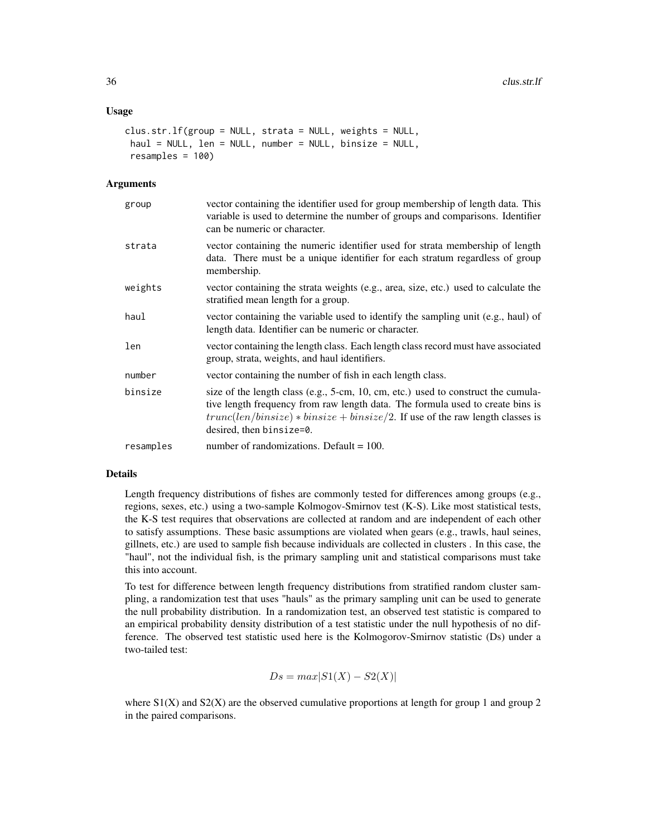#### Usage

```
clus.str.lf(group = NULL, strata = NULL, weights = NULL,
haul = NULL, len = NULL, number = NULL, binsize = NULL,
resamples = 100)
```
#### Arguments

| group     | vector containing the identifier used for group membership of length data. This<br>variable is used to determine the number of groups and comparisons. Identifier<br>can be numeric or character.                                                                                   |
|-----------|-------------------------------------------------------------------------------------------------------------------------------------------------------------------------------------------------------------------------------------------------------------------------------------|
| strata    | vector containing the numeric identifier used for strata membership of length<br>data. There must be a unique identifier for each stratum regardless of group<br>membership.                                                                                                        |
| weights   | vector containing the strata weights (e.g., area, size, etc.) used to calculate the<br>stratified mean length for a group.                                                                                                                                                          |
| haul      | vector containing the variable used to identify the sampling unit (e.g., haul) of<br>length data. Identifier can be numeric or character.                                                                                                                                           |
| len       | vector containing the length class. Each length class record must have associated<br>group, strata, weights, and haul identifiers.                                                                                                                                                  |
| number    | vector containing the number of fish in each length class.                                                                                                                                                                                                                          |
| binsize   | size of the length class (e.g., 5-cm, 10, cm, etc.) used to construct the cumula-<br>tive length frequency from raw length data. The formula used to create bins is<br>$trunc(len/binsize) * binsize + binsize/2$ . If use of the raw length classes is<br>desired, then binsize=0. |
| resamples | number of randomizations. Default $= 100$ .                                                                                                                                                                                                                                         |

#### Details

Length frequency distributions of fishes are commonly tested for differences among groups (e.g., regions, sexes, etc.) using a two-sample Kolmogov-Smirnov test (K-S). Like most statistical tests, the K-S test requires that observations are collected at random and are independent of each other to satisfy assumptions. These basic assumptions are violated when gears (e.g., trawls, haul seines, gillnets, etc.) are used to sample fish because individuals are collected in clusters . In this case, the "haul", not the individual fish, is the primary sampling unit and statistical comparisons must take this into account.

To test for difference between length frequency distributions from stratified random cluster sampling, a randomization test that uses "hauls" as the primary sampling unit can be used to generate the null probability distribution. In a randomization test, an observed test statistic is compared to an empirical probability density distribution of a test statistic under the null hypothesis of no difference. The observed test statistic used here is the Kolmogorov-Smirnov statistic (Ds) under a two-tailed test:

$$
Ds = max|S1(X) - S2(X)|
$$

where  $S1(X)$  and  $S2(X)$  are the observed cumulative proportions at length for group 1 and group 2 in the paired comparisons.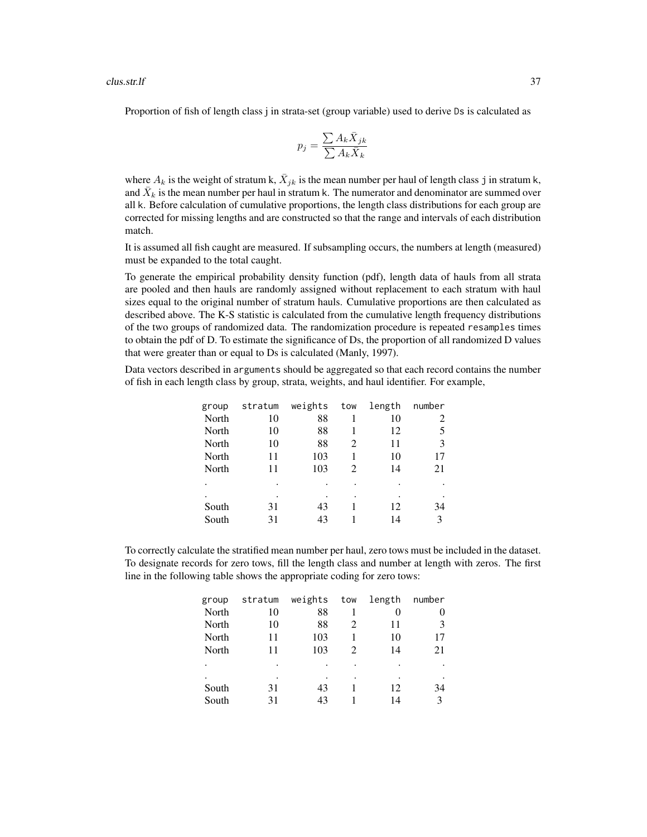#### $\frac{1}{37}$  clus.str.lf  $\frac{37}{37}$

Proportion of fish of length class j in strata-set (group variable) used to derive Ds is calculated as

$$
p_j = \frac{\sum A_k \bar{X}_{jk}}{\sum A_k \bar{X}_k}
$$

where  $A_k$  is the weight of stratum k,  $\bar{X}_{jk}$  is the mean number per haul of length class j in stratum k, and  $\bar{X}_k$  is the mean number per haul in stratum k. The numerator and denominator are summed over all k. Before calculation of cumulative proportions, the length class distributions for each group are corrected for missing lengths and are constructed so that the range and intervals of each distribution match.

It is assumed all fish caught are measured. If subsampling occurs, the numbers at length (measured) must be expanded to the total caught.

To generate the empirical probability density function (pdf), length data of hauls from all strata are pooled and then hauls are randomly assigned without replacement to each stratum with haul sizes equal to the original number of stratum hauls. Cumulative proportions are then calculated as described above. The K-S statistic is calculated from the cumulative length frequency distributions of the two groups of randomized data. The randomization procedure is repeated resamples times to obtain the pdf of D. To estimate the significance of Ds, the proportion of all randomized D values that were greater than or equal to Ds is calculated (Manly, 1997).

Data vectors described in arguments should be aggregated so that each record contains the number of fish in each length class by group, strata, weights, and haul identifier. For example,

| group | stratum | weights | tow | length | number |
|-------|---------|---------|-----|--------|--------|
| North | 10      | 88      |     | 10     | 2      |
| North | 10      | 88      |     | 12     | 5      |
| North | 10      | 88      | 2   | 11     | 3      |
| North | 11      | 103     |     | 10     | 17     |
| North | 11      | 103     | 2   | 14     | 21     |
|       | ٠       |         |     | ٠      |        |
|       | ٠       | ٠       |     | ٠      |        |
| South | 31      | 43      |     | 12     | 34     |
| South | 31      | 43      |     | 14     | 3      |

To correctly calculate the stratified mean number per haul, zero tows must be included in the dataset. To designate records for zero tows, fill the length class and number at length with zeros. The first line in the following table shows the appropriate coding for zero tows:

| group | stratum | weights | tow            | length | number |
|-------|---------|---------|----------------|--------|--------|
| North | 10      | 88      |                | 0      | 0      |
| North | 10      | 88      |                | 11     | 3      |
| North | 11      | 103     |                | 10     | 17     |
| North | 11      | 103     | $\mathfrak{D}$ | 14     | 21     |
|       | ٠       | ٠       | ٠              |        |        |
|       | ٠       |         | ٠              |        |        |
| South | 31      | 43      |                | 12     | 34     |
| South | 31      | 43      |                | 14     | 3      |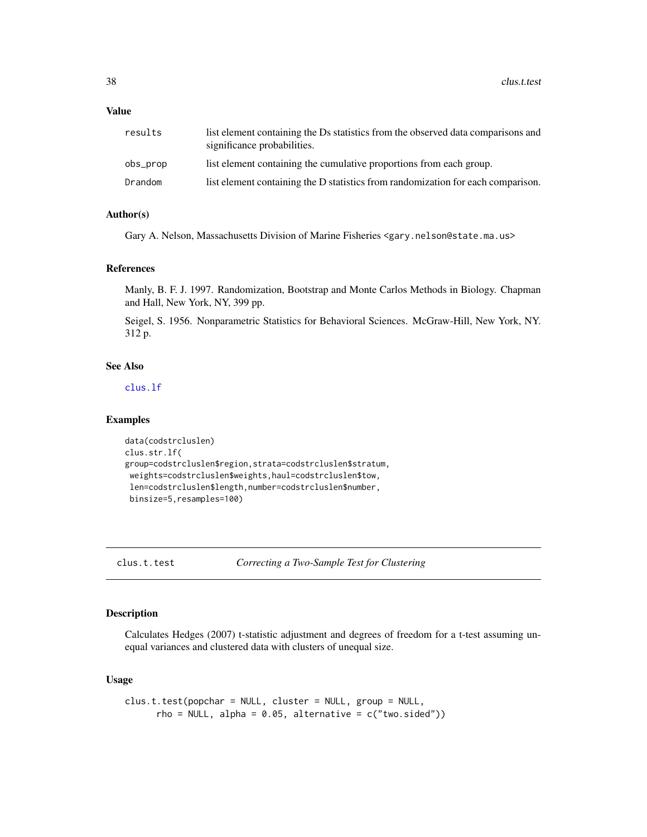## Value

| results  | list element containing the Ds statistics from the observed data comparisons and<br>significance probabilities. |
|----------|-----------------------------------------------------------------------------------------------------------------|
| obs_prop | list element containing the cumulative proportions from each group.                                             |
| Drandom  | list element containing the D statistics from randomization for each comparison.                                |

# Author(s)

Gary A. Nelson, Massachusetts Division of Marine Fisheries <gary.nelson@state.ma.us>

## References

Manly, B. F. J. 1997. Randomization, Bootstrap and Monte Carlos Methods in Biology. Chapman and Hall, New York, NY, 399 pp.

Seigel, S. 1956. Nonparametric Statistics for Behavioral Sciences. McGraw-Hill, New York, NY. 312 p.

# See Also

[clus.lf](#page-26-0)

# Examples

```
data(codstrcluslen)
clus.str.lf(
group=codstrcluslen$region,strata=codstrcluslen$stratum,
weights=codstrcluslen$weights,haul=codstrcluslen$tow,
len=codstrcluslen$length,number=codstrcluslen$number,
binsize=5,resamples=100)
```
clus.t.test *Correcting a Two-Sample Test for Clustering*

#### Description

Calculates Hedges (2007) t-statistic adjustment and degrees of freedom for a t-test assuming unequal variances and clustered data with clusters of unequal size.

# Usage

```
clus.t.test(popchar = NULL, cluster = NULL, group = NULL,
      rho = NULL, alpha = 0.05, alternative = c("two.sided"))
```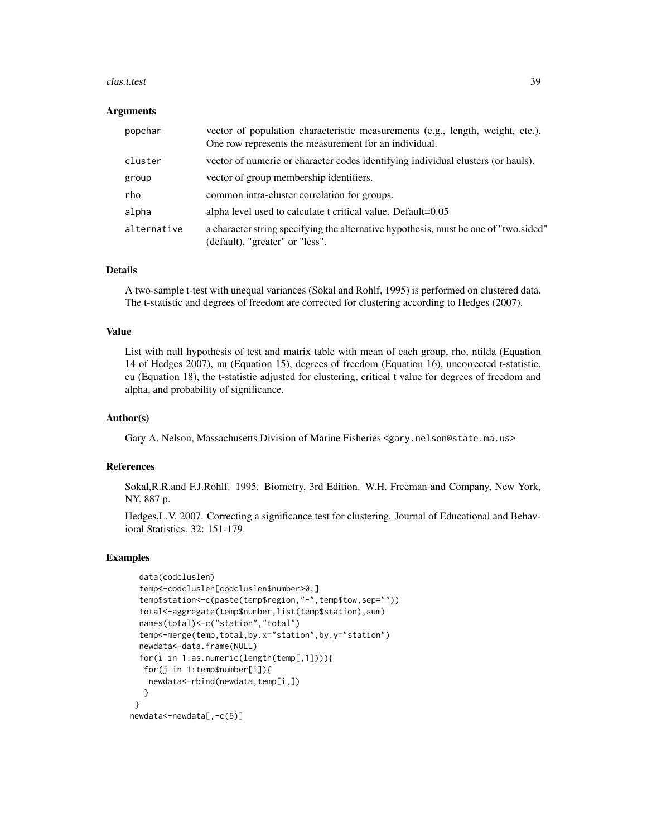#### clus.t.test 39

#### Arguments

| popchar     | vector of population characteristic measurements (e.g., length, weight, etc.).<br>One row represents the measurement for an individual. |
|-------------|-----------------------------------------------------------------------------------------------------------------------------------------|
| cluster     | vector of numeric or character codes identifying individual clusters (or hauls).                                                        |
| group       | vector of group membership identifiers.                                                                                                 |
| rho         | common intra-cluster correlation for groups.                                                                                            |
| alpha       | alpha level used to calculate t critical value. Default=0.05                                                                            |
| alternative | a character string specifying the alternative hypothesis, must be one of "two sided"<br>(default), "greater" or "less".                 |

#### Details

A two-sample t-test with unequal variances (Sokal and Rohlf, 1995) is performed on clustered data. The t-statistic and degrees of freedom are corrected for clustering according to Hedges (2007).

#### Value

List with null hypothesis of test and matrix table with mean of each group, rho, ntilda (Equation 14 of Hedges 2007), nu (Equation 15), degrees of freedom (Equation 16), uncorrected t-statistic, cu (Equation 18), the t-statistic adjusted for clustering, critical t value for degrees of freedom and alpha, and probability of significance.

# Author(s)

Gary A. Nelson, Massachusetts Division of Marine Fisheries <gary.nelson@state.ma.us>

#### References

Sokal,R.R.and F.J.Rohlf. 1995. Biometry, 3rd Edition. W.H. Freeman and Company, New York, NY. 887 p.

Hedges,L.V. 2007. Correcting a significance test for clustering. Journal of Educational and Behavioral Statistics. 32: 151-179.

#### Examples

```
data(codcluslen)
  temp<-codcluslen[codcluslen$number>0,]
  temp$station<-c(paste(temp$region,"-",temp$tow,sep=""))
  total<-aggregate(temp$number,list(temp$station),sum)
 names(total)<-c("station","total")
  temp<-merge(temp,total,by.x="station",by.y="station")
 newdata<-data.frame(NULL)
  for(i in 1:as.numeric(length(temp[,1]))){
  for(j in 1:temp$number[i]){
   newdata<-rbind(newdata,temp[i,])
   }
}
newdata<-newdata[,-c(5)]
```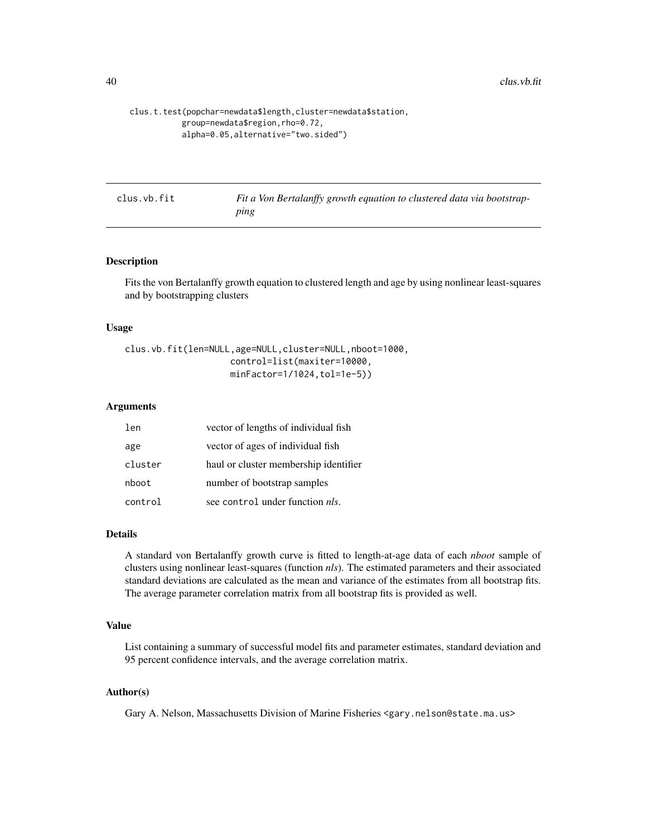```
clus.t.test(popchar=newdata$length,cluster=newdata$station,
           group=newdata$region,rho=0.72,
           alpha=0.05,alternative="two.sided")
```
clus.vb.fit *Fit a Von Bertalanffy growth equation to clustered data via bootstrapping*

# Description

Fits the von Bertalanffy growth equation to clustered length and age by using nonlinear least-squares and by bootstrapping clusters

#### Usage

```
clus.vb.fit(len=NULL,age=NULL,cluster=NULL,nboot=1000,
                    control=list(maxiter=10000,
                    minFactor=1/1024,tol=1e-5))
```
## Arguments

| len     | vector of lengths of individual fish    |
|---------|-----------------------------------------|
| age     | vector of ages of individual fish       |
| cluster | haul or cluster membership identifier   |
| nboot   | number of bootstrap samples             |
| control | see control under function <i>nls</i> . |

#### Details

A standard von Bertalanffy growth curve is fitted to length-at-age data of each *nboot* sample of clusters using nonlinear least-squares (function *nls*). The estimated parameters and their associated standard deviations are calculated as the mean and variance of the estimates from all bootstrap fits. The average parameter correlation matrix from all bootstrap fits is provided as well.

## Value

List containing a summary of successful model fits and parameter estimates, standard deviation and 95 percent confidence intervals, and the average correlation matrix.

#### Author(s)

Gary A. Nelson, Massachusetts Division of Marine Fisheries <gary.nelson@state.ma.us>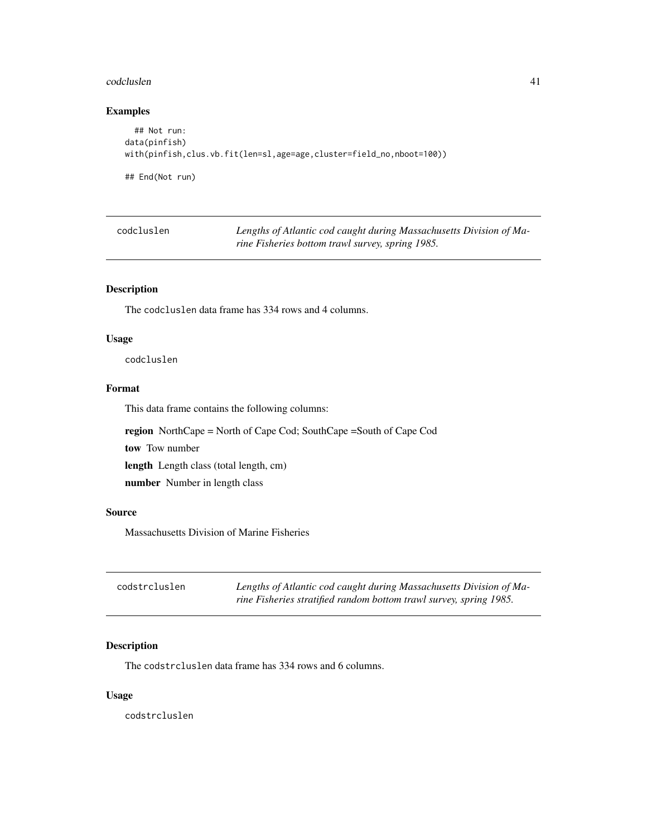#### codcluslen 41

# Examples

```
## Not run:
data(pinfish)
with(pinfish,clus.vb.fit(len=sl,age=age,cluster=field_no,nboot=100))
## End(Not run)
```

| codcluslen | Lengths of Atlantic cod caught during Massachusetts Division of Ma- |
|------------|---------------------------------------------------------------------|
|            | rine Fisheries bottom trawl survey, spring 1985.                    |

# Description

The codcluslen data frame has 334 rows and 4 columns.

# Usage

codcluslen

# Format

This data frame contains the following columns:

region NorthCape = North of Cape Cod; SouthCape =South of Cape Cod

tow Tow number

length Length class (total length, cm)

number Number in length class

# Source

Massachusetts Division of Marine Fisheries

| codstrcluslen | Lengths of Atlantic cod caught during Massachusetts Division of Ma- |
|---------------|---------------------------------------------------------------------|
|               | rine Fisheries stratified random bottom trawl survey, spring 1985.  |

# Description

The codstrcluslen data frame has 334 rows and 6 columns.

# Usage

codstrcluslen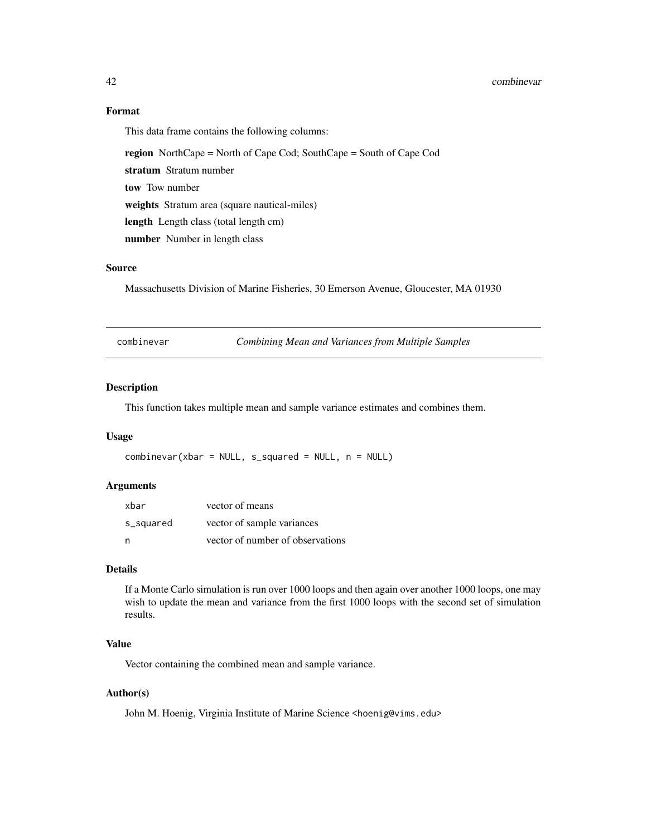#### 42 combinevar

# Format

This data frame contains the following columns:

region NorthCape = North of Cape Cod; SouthCape = South of Cape Cod

stratum Stratum number

tow Tow number

weights Stratum area (square nautical-miles)

length Length class (total length cm)

number Number in length class

# Source

Massachusetts Division of Marine Fisheries, 30 Emerson Avenue, Gloucester, MA 01930

| combinevar |  |  |
|------------|--|--|
|            |  |  |
|            |  |  |

**Combining Mean and Variances from Multiple Samples** 

## Description

This function takes multiple mean and sample variance estimates and combines them.

# Usage

 $combinevar(xbar = NULL, s_square = NULL, n = NULL)$ 

## Arguments

| xbar      | vector of means                  |
|-----------|----------------------------------|
| s_squared | vector of sample variances       |
| n         | vector of number of observations |

# Details

If a Monte Carlo simulation is run over 1000 loops and then again over another 1000 loops, one may wish to update the mean and variance from the first 1000 loops with the second set of simulation results.

# Value

Vector containing the combined mean and sample variance.

# Author(s)

John M. Hoenig, Virginia Institute of Marine Science <hoenig@vims.edu>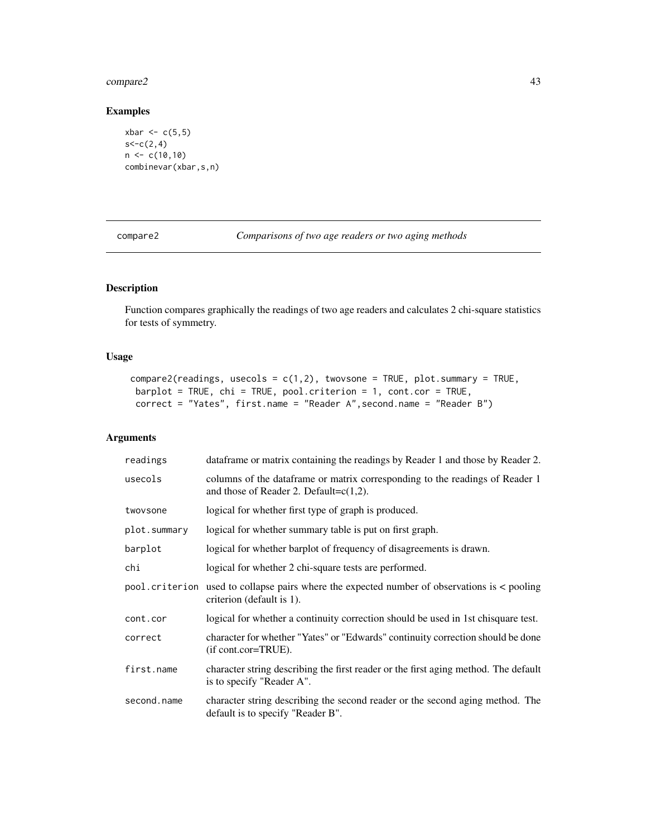#### compare2 43

# Examples

```
xbar < c(5,5)s < -c(2, 4)n < c(10,10)combinevar(xbar,s,n)
```
compare2 *Comparisons of two age readers or two aging methods*

# Description

Function compares graphically the readings of two age readers and calculates 2 chi-square statistics for tests of symmetry.

# Usage

```
compare2(readings, usecols = c(1,2), twovsone = TRUE, plot.summary = TRUE,
barplot = TRUE, chi = TRUE, pool.criterion = 1, cont.cor = TRUE,
correct = "Yates", first.name = "Reader A",second.name = "Reader B")
```
# Arguments

| readings     | data frame or matrix containing the readings by Reader 1 and those by Reader 2.                                                 |
|--------------|---------------------------------------------------------------------------------------------------------------------------------|
| usecols      | columns of the dataframe or matrix corresponding to the readings of Reader 1<br>and those of Reader 2. Default= $c(1,2)$ .      |
| twovsone     | logical for whether first type of graph is produced.                                                                            |
| plot.summary | logical for whether summary table is put on first graph.                                                                        |
| barplot      | logical for whether barplot of frequency of disagreements is drawn.                                                             |
| chi          | logical for whether 2 chi-square tests are performed.                                                                           |
|              | $pool.criterion$ used to collapse pairs where the expected number of observations is $\lt$ pooling<br>criterion (default is 1). |
| cont.cor     | logical for whether a continuity correction should be used in 1st chisquare test.                                               |
| correct      | character for whether "Yates" or "Edwards" continuity correction should be done<br>(if cont.cor=TRUE).                          |
| first.name   | character string describing the first reader or the first aging method. The default<br>is to specify "Reader A".                |
| second.name  | character string describing the second reader or the second aging method. The<br>default is to specify "Reader B".              |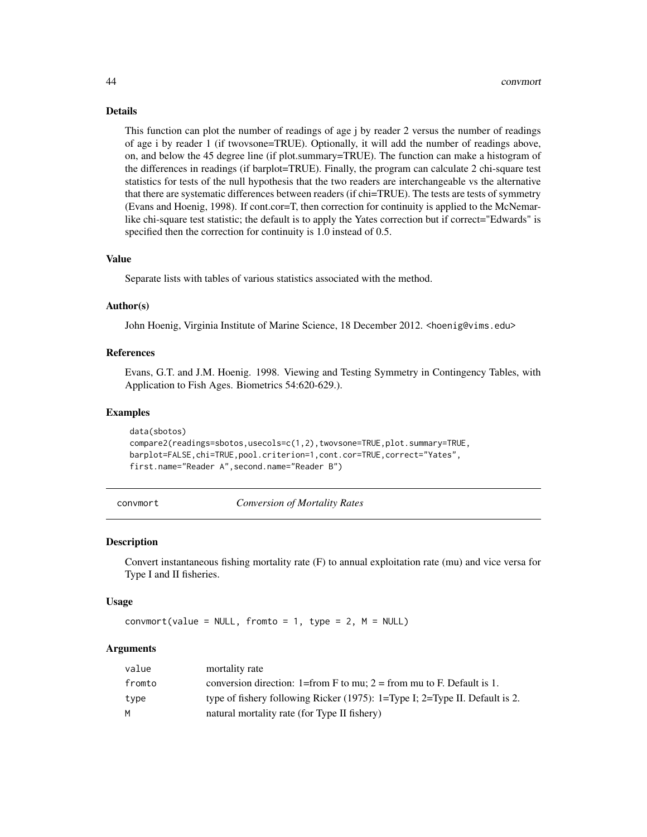## Details

This function can plot the number of readings of age j by reader 2 versus the number of readings of age i by reader 1 (if twovsone=TRUE). Optionally, it will add the number of readings above, on, and below the 45 degree line (if plot.summary=TRUE). The function can make a histogram of the differences in readings (if barplot=TRUE). Finally, the program can calculate 2 chi-square test statistics for tests of the null hypothesis that the two readers are interchangeable vs the alternative that there are systematic differences between readers (if chi=TRUE). The tests are tests of symmetry (Evans and Hoenig, 1998). If cont.cor=T, then correction for continuity is applied to the McNemarlike chi-square test statistic; the default is to apply the Yates correction but if correct="Edwards" is specified then the correction for continuity is 1.0 instead of 0.5.

#### Value

Separate lists with tables of various statistics associated with the method.

#### Author(s)

John Hoenig, Virginia Institute of Marine Science, 18 December 2012. <hoenig@vims.edu>

# References

Evans, G.T. and J.M. Hoenig. 1998. Viewing and Testing Symmetry in Contingency Tables, with Application to Fish Ages. Biometrics 54:620-629.).

#### Examples

```
data(sbotos)
compare2(readings=sbotos,usecols=c(1,2),twovsone=TRUE,plot.summary=TRUE,
barplot=FALSE,chi=TRUE,pool.criterion=1,cont.cor=TRUE,correct="Yates",
first.name="Reader A",second.name="Reader B")
```
convmort *Conversion of Mortality Rates*

#### **Description**

Convert instantaneous fishing mortality rate (F) to annual exploitation rate (mu) and vice versa for Type I and II fisheries.

#### Usage

 $convmort(value = NULL, from to = 1, type = 2, M = NULL)$ 

#### Arguments

| value  | mortality rate                                                              |
|--------|-----------------------------------------------------------------------------|
| fromto | conversion direction: 1=from F to mu; $2 =$ from mu to F. Default is 1.     |
| type   | type of fishery following Ricker (1975): 1=Type I; 2=Type II. Default is 2. |
| M      | natural mortality rate (for Type II fishery)                                |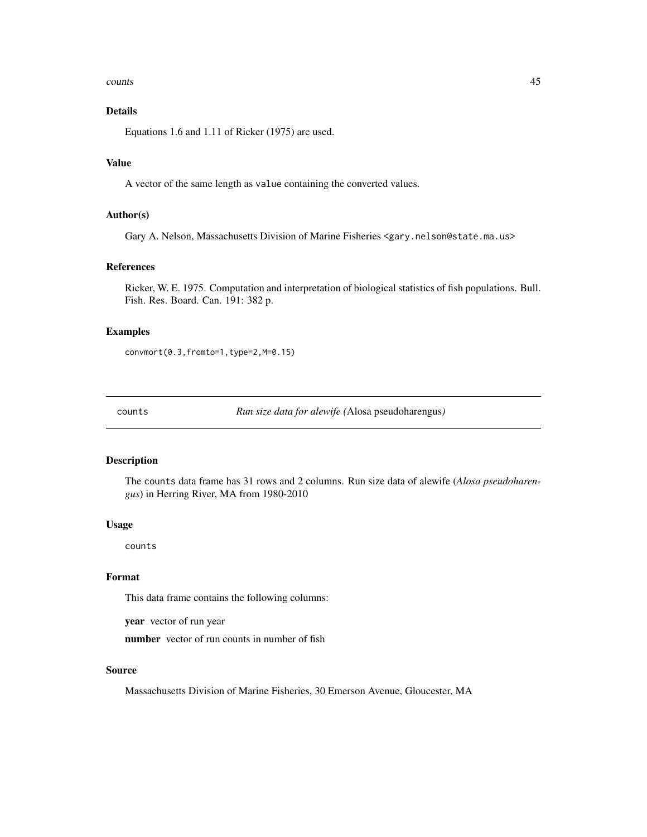#### counts and the counts of the counts of the counts of the counts of the counts of the counts of the counts of the counts of the counts of the counts of the counts of the counts of the counts of the counts of the counts of t

# Details

Equations 1.6 and 1.11 of Ricker (1975) are used.

# Value

A vector of the same length as value containing the converted values.

# Author(s)

Gary A. Nelson, Massachusetts Division of Marine Fisheries <gary.nelson@state.ma.us>

# References

Ricker, W. E. 1975. Computation and interpretation of biological statistics of fish populations. Bull. Fish. Res. Board. Can. 191: 382 p.

#### Examples

convmort(0.3,fromto=1,type=2,M=0.15)

counts *Run size data for alewife (*Alosa pseudoharengus*)*

## Description

The counts data frame has 31 rows and 2 columns. Run size data of alewife (*Alosa pseudoharengus*) in Herring River, MA from 1980-2010

#### Usage

counts

# Format

This data frame contains the following columns:

year vector of run year

number vector of run counts in number of fish

# Source

Massachusetts Division of Marine Fisheries, 30 Emerson Avenue, Gloucester, MA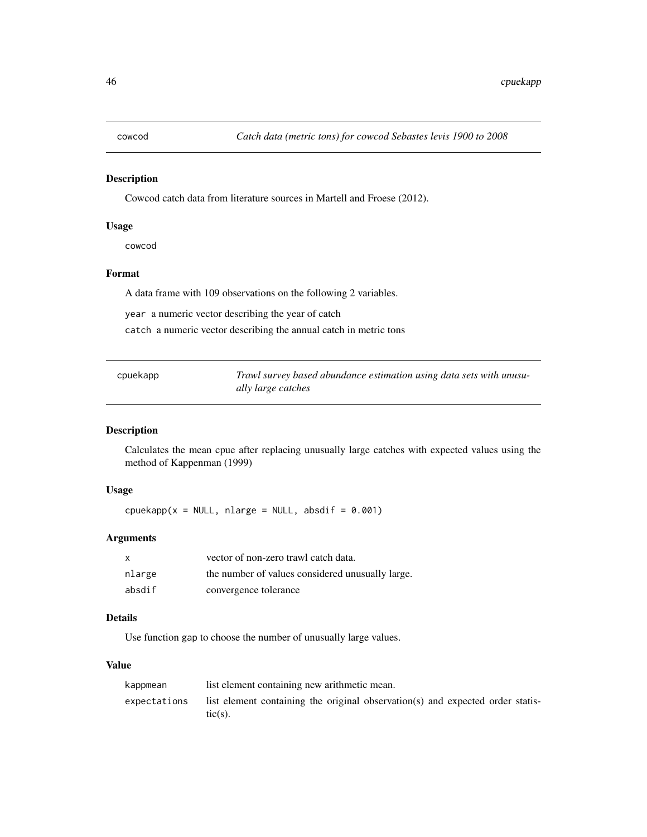## Description

Cowcod catch data from literature sources in Martell and Froese (2012).

# Usage

cowcod

# Format

A data frame with 109 observations on the following 2 variables.

year a numeric vector describing the year of catch

catch a numeric vector describing the annual catch in metric tons

| cpuekapp | Trawl survey based abundance estimation using data sets with unusu- |
|----------|---------------------------------------------------------------------|
|          | ally large catches                                                  |

# Description

Calculates the mean cpue after replacing unusually large catches with expected values using the method of Kappenman (1999)

## Usage

 $c$ puekapp(x = NULL, nlarge = NULL, absdif = 0.001)

# Arguments

| $\mathsf{x}$ | vector of non-zero trawl catch data.             |
|--------------|--------------------------------------------------|
| nlarge       | the number of values considered unusually large. |
| absdif       | convergence tolerance                            |

# Details

Use function gap to choose the number of unusually large values.

## Value

| kappmean     | list element containing new arithmetic mean.                                                 |
|--------------|----------------------------------------------------------------------------------------------|
| expectations | list element containing the original observation(s) and expected order statis-<br>$tic(s)$ . |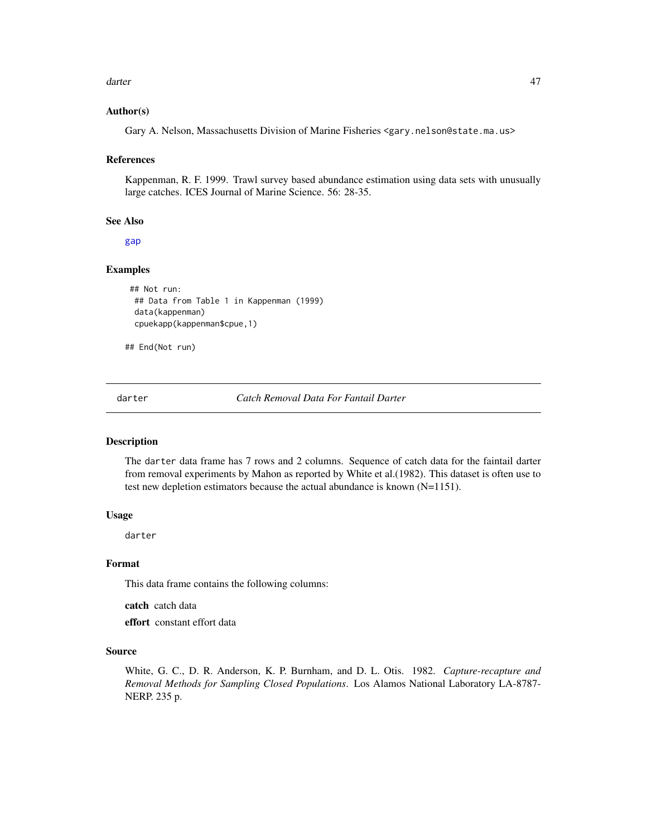darter and the control of the control of the control of the control of the control of the control of the control of the control of the control of the control of the control of the control of the control of the control of t

## Author(s)

Gary A. Nelson, Massachusetts Division of Marine Fisheries <gary.nelson@state.ma.us>

#### References

Kappenman, R. F. 1999. Trawl survey based abundance estimation using data sets with unusually large catches. ICES Journal of Marine Science. 56: 28-35.

# See Also

[gap](#page-64-0)

# Examples

```
## Not run:
 ## Data from Table 1 in Kappenman (1999)
 data(kappenman)
 cpuekapp(kappenman$cpue,1)
```
## End(Not run)

darter *Catch Removal Data For Fantail Darter*

## Description

The darter data frame has 7 rows and 2 columns. Sequence of catch data for the faintail darter from removal experiments by Mahon as reported by White et al.(1982). This dataset is often use to test new depletion estimators because the actual abundance is known (N=1151).

# Usage

darter

# Format

This data frame contains the following columns:

catch catch data

effort constant effort data

# Source

White, G. C., D. R. Anderson, K. P. Burnham, and D. L. Otis. 1982. *Capture-recapture and Removal Methods for Sampling Closed Populations*. Los Alamos National Laboratory LA-8787- NERP. 235 p.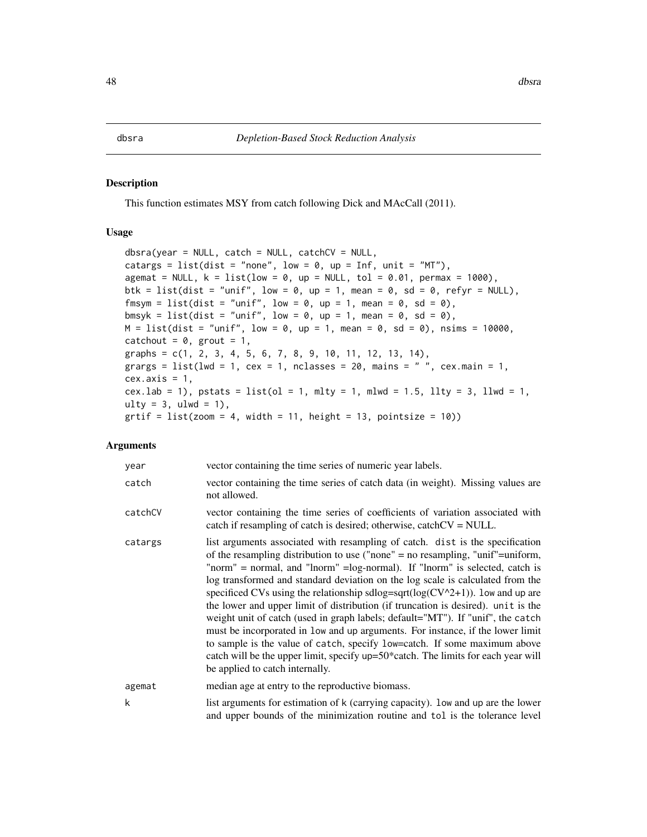#### <span id="page-47-0"></span>Description

This function estimates MSY from catch following Dick and MAcCall (2011).

# Usage

```
dbsra(year = NULL, catch = NULL, catchCV = NULL,catargs = list(dist = "none", low = 0, up = Inf, unit = "MT"),agemat = NULL, k = list(low = 0, up = NULL, tol = 0.01, permax = 1000),
btk = list(dist = "unif", low = 0, up = 1, mean = 0, sd = 0, refyr = NULL),
fmsym = list(dist = "unif", low = 0, up = 1, mean = 0, sd = 0),
bmsyk = list(dist = "unif", low = \theta, up = 1, mean = \theta, sd = \theta),
M = list(dist = "unif", low = 0, up = 1, mean = 0, sd = 0), nsims = 10000,catchout = 0, grout = 1,
graphs = c(1, 2, 3, 4, 5, 6, 7, 8, 9, 10, 11, 12, 13, 14),
grargs = list(lwd = 1, cex = 1, nclasses = 20, mains = " ", cex.main = 1,
cex. axis = 1,cex.lab = 1), pstats = list(ol = 1, mlty = 1, mlwd = 1.5, llty = 3, llwd = 1,
ulty = 3, ulwd = 1),
grti f = list(zoom = 4, width = 11, height = 13, pointsize = 10)
```
## Arguments

| year    | vector containing the time series of numeric year labels.                                                                                                                                                                                                                                                                                                                                                                                                                                                                                                                                                                                                                                                                                                                                                                                                                                |
|---------|------------------------------------------------------------------------------------------------------------------------------------------------------------------------------------------------------------------------------------------------------------------------------------------------------------------------------------------------------------------------------------------------------------------------------------------------------------------------------------------------------------------------------------------------------------------------------------------------------------------------------------------------------------------------------------------------------------------------------------------------------------------------------------------------------------------------------------------------------------------------------------------|
| catch   | vector containing the time series of catch data (in weight). Missing values are<br>not allowed.                                                                                                                                                                                                                                                                                                                                                                                                                                                                                                                                                                                                                                                                                                                                                                                          |
| catchCV | vector containing the time series of coefficients of variation associated with<br>catch if resampling of catch is desired; otherwise, catch $CV = NULL$ .                                                                                                                                                                                                                                                                                                                                                                                                                                                                                                                                                                                                                                                                                                                                |
| catargs | list arguments associated with resampling of catch. dist is the specification<br>of the resampling distribution to use ("none" = no resampling, "unif"=uniform,<br>"norm" = normal, and "lnorm" = log-normal). If "lnorm" is selected, catch is<br>log transformed and standard deviation on the log scale is calculated from the<br>specificed CVs using the relationship sdlog=sqrt( $log(CV^2+1)$ ). low and up are<br>the lower and upper limit of distribution (if truncation is desired). unit is the<br>weight unit of catch (used in graph labels; default="MT"). If "unif", the catch<br>must be incorporated in low and up arguments. For instance, if the lower limit<br>to sample is the value of catch, specify low=catch. If some maximum above<br>catch will be the upper limit, specify $up=50$ *catch. The limits for each year will<br>be applied to catch internally. |
| agemat  | median age at entry to the reproductive biomass.                                                                                                                                                                                                                                                                                                                                                                                                                                                                                                                                                                                                                                                                                                                                                                                                                                         |
| k       | list arguments for estimation of k (carrying capacity). low and up are the lower                                                                                                                                                                                                                                                                                                                                                                                                                                                                                                                                                                                                                                                                                                                                                                                                         |

and upper bounds of the minimization routine and tol is the tolerance level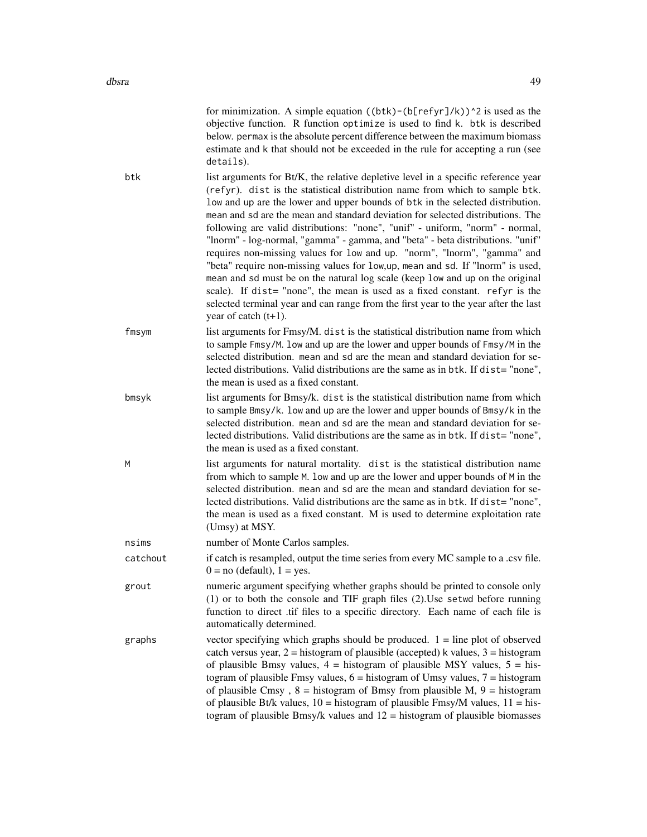for minimization. A simple equation  $((btk)-(b[refyr]/k))^2$  is used as the objective function. R function optimize is used to find k. btk is described below. permax is the absolute percent difference between the maximum biomass estimate and k that should not be exceeded in the rule for accepting a run (see details).

- btk list arguments for Bt/K, the relative depletive level in a specific reference year (refyr). dist is the statistical distribution name from which to sample btk. low and up are the lower and upper bounds of btk in the selected distribution. mean and sd are the mean and standard deviation for selected distributions. The following are valid distributions: "none", "unif" - uniform, "norm" - normal, "lnorm" - log-normal, "gamma" - gamma, and "beta" - beta distributions. "unif" requires non-missing values for low and up. "norm", "lnorm", "gamma" and "beta" require non-missing values for low,up, mean and sd. If "lnorm" is used, mean and sd must be on the natural log scale (keep low and up on the original scale). If dist= "none", the mean is used as a fixed constant. refyr is the selected terminal year and can range from the first year to the year after the last year of catch (t+1).
- fmsym list arguments for Fmsy/M. dist is the statistical distribution name from which to sample Fmsy/M. low and up are the lower and upper bounds of Fmsy/M in the selected distribution. mean and sd are the mean and standard deviation for selected distributions. Valid distributions are the same as in btk. If dist= "none", the mean is used as a fixed constant.
- bmsyk list arguments for Bmsy/k. dist is the statistical distribution name from which to sample Bmsy/k. low and up are the lower and upper bounds of Bmsy/k in the selected distribution. mean and sd are the mean and standard deviation for selected distributions. Valid distributions are the same as in  $btk$ . If  $dist="none"$ , the mean is used as a fixed constant.
- M list arguments for natural mortality. dist is the statistical distribution name from which to sample M. low and up are the lower and upper bounds of M in the selected distribution. mean and sd are the mean and standard deviation for selected distributions. Valid distributions are the same as in btk. If dist= "none", the mean is used as a fixed constant. M is used to determine exploitation rate (Umsy) at MSY.
- nsims number of Monte Carlos samples.
- catchout if catch is resampled, output the time series from every MC sample to a .csv file.  $0 = no$  (default),  $1 = yes$ .
- grout numeric argument specifying whether graphs should be printed to console only (1) or to both the console and TIF graph files (2).Use setwd before running function to direct .tif files to a specific directory. Each name of each file is automatically determined.
- graphs vector specifying which graphs should be produced. 1 = line plot of observed catch versus year,  $2 =$  histogram of plausible (accepted) k values,  $3 =$  histogram of plausible Bmsy values,  $4 =$  histogram of plausible MSY values,  $5 =$  histogram of plausible Fmsy values,  $6 =$  histogram of Umsy values,  $7 =$  histogram of plausible Cmsy,  $8 =$  histogram of Bmsy from plausible M,  $9 =$  histogram of plausible Bt/k values,  $10 =$  histogram of plausible Fmsy/M values,  $11 =$  histogram of plausible Bmsy/k values and  $12$  = histogram of plausible biomasses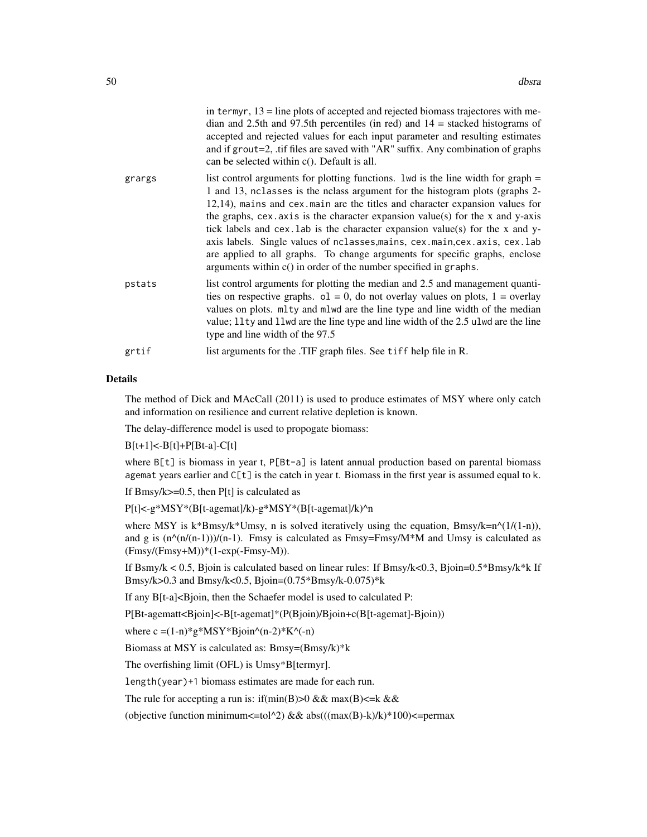|        | in termyr, $13$ = line plots of accepted and rejected biomass trajectores with me-<br>dian and 2.5th and 97.5th percentiles (in red) and $14$ = stacked histograms of<br>accepted and rejected values for each input parameter and resulting estimates<br>and if grout=2, tif files are saved with "AR" suffix. Any combination of graphs<br>can be selected within $c()$ . Default is all.                                                                                                                                                                                                                                                                     |
|--------|-----------------------------------------------------------------------------------------------------------------------------------------------------------------------------------------------------------------------------------------------------------------------------------------------------------------------------------------------------------------------------------------------------------------------------------------------------------------------------------------------------------------------------------------------------------------------------------------------------------------------------------------------------------------|
| grargs | list control arguments for plotting functions. 1wd is the line width for graph $=$<br>1 and 13, nclasses is the nclass argument for the histogram plots (graphs 2-<br>$12,14$ ), mains and cex. main are the titles and character expansion values for<br>the graphs, cex. axis is the character expansion value(s) for the x and y-axis<br>tick labels and cex. Lab is the character expansion value(s) for the x and y-<br>axis labels. Single values of nclasses, mains, cex. main, cex. axis, cex. lab<br>are applied to all graphs. To change arguments for specific graphs, enclose<br>arguments within $c()$ in order of the number specified in graphs. |
| pstats | list control arguments for plotting the median and 2.5 and management quanti-<br>ties on respective graphs. $ol = 0$ , do not overlay values on plots, $l =$ overlay<br>values on plots. mlty and mlwd are the line type and line width of the median<br>value; 11ty and 11wd are the line type and line width of the 2.5 ulwd are the line<br>type and line width of the 97.5                                                                                                                                                                                                                                                                                  |
| grtif  | list arguments for the .TIF graph files. See tiff help file in R.                                                                                                                                                                                                                                                                                                                                                                                                                                                                                                                                                                                               |

#### Details

The method of Dick and MAcCall (2011) is used to produce estimates of MSY where only catch and information on resilience and current relative depletion is known.

The delay-difference model is used to propogate biomass:

B[t+1]<-B[t]+P[Bt-a]-C[t]

where  $B[t]$  is biomass in year t,  $P[Bt-a]$  is latent annual production based on parental biomass agemat years earlier and  $C[t]$  is the catch in year t. Biomass in the first year is assumed equal to k.

If Bmsy/k $>=0.5$ , then P[t] is calculated as

P[t]<-g\*MSY\*(B[t-agemat]/k)-g\*MSY\*(B[t-agemat]/k)^n

where MSY is k\*Bmsy/k\*Umsy, n is solved iteratively using the equation, Bmsy/k=n^(1/(1-n)), and g is  $(n^{(n-1)})/(n-1)$ . Fmsy is calculated as Fmsy=Fmsy/M\*M and Umsy is calculated as  $(Fmsy/(Fmsy+M))*(1-exp(-Fmsy-M)).$ 

If Bsmy/k < 0.5, Bjoin is calculated based on linear rules: If Bmsy/k<0.3, Bjoin=0.5\*Bmsy/k\*k If Bmsy/k>0.3 and Bmsy/k<0.5, Bjoin=(0.75\*Bmsy/k-0.075)\*k

If any B[t-a]<Bjoin, then the Schaefer model is used to calculated P:

P[Bt-agematt<Bjoin]<-B[t-agemat]\*(P(Bjoin)/Bjoin+c(B[t-agemat]-Bjoin))

where  $c = (1-n)*g*MSY*Bjoin^(n-2)*K^(-n)$ 

Biomass at MSY is calculated as: Bmsy=(Bmsy/k)\*k

The overfishing limit (OFL) is Umsy\*B[termyr].

length(year)+1 biomass estimates are made for each run.

The rule for accepting a run is: if(min(B) $>0$  && max(B) $\leq$ =k &&

(objective function minimum <= tol^2) && abs( $((max(B)-k)/k)*(100)$  <= permax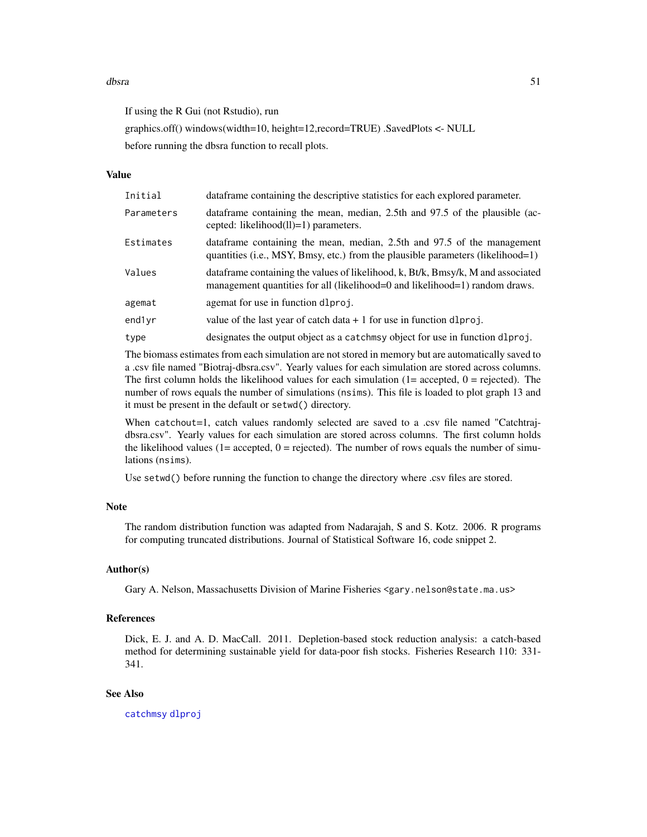#### dbsra 51

If using the R Gui (not Rstudio), run

graphics.off() windows(width=10, height=12,record=TRUE) .SavedPlots <- NULL before running the dbsra function to recall plots.

## Value

| Initial    | dataframe containing the descriptive statistics for each explored parameter.                                                                                     |
|------------|------------------------------------------------------------------------------------------------------------------------------------------------------------------|
| Parameters | data frame containing the mean, median, 2.5th and 97.5 of the plausible (ac-<br>cepted: likelihood $(11)=1$ ) parameters.                                        |
| Estimates  | data frame containing the mean, median, 2.5th and 97.5 of the management<br>quantities (i.e., MSY, Bmsy, etc.) from the plausible parameters (likelihood=1)      |
| Values     | data frame containing the values of likelihood, k, Bt/k, Bmsy/k, M and associated<br>management quantities for all (likelihood=0 and likelihood=1) random draws. |
| agemat     | agemat for use in function dlproj.                                                                                                                               |
| end1vr     | value of the last year of catch data $+1$ for use in function dlproj.                                                                                            |
| type       | designates the output object as a catching object for use in function dlproj.                                                                                    |

The biomass estimates from each simulation are not stored in memory but are automatically saved to a .csv file named "Biotraj-dbsra.csv". Yearly values for each simulation are stored across columns. The first column holds the likelihood values for each simulation  $(1=$  accepted,  $0=$  rejected). The number of rows equals the number of simulations (nsims). This file is loaded to plot graph 13 and it must be present in the default or setwd() directory.

When catchout=1, catch values randomly selected are saved to a .csv file named "Catchtrajdbsra.csv". Yearly values for each simulation are stored across columns. The first column holds the likelihood values (1= accepted,  $0 =$  rejected). The number of rows equals the number of simulations (nsims).

Use setwd() before running the function to change the directory where .csv files are stored.

#### Note

The random distribution function was adapted from Nadarajah, S and S. Kotz. 2006. R programs for computing truncated distributions. Journal of Statistical Software 16, code snippet 2.

#### Author(s)

Gary A. Nelson, Massachusetts Division of Marine Fisheries <gary.nelson@state.ma.us>

#### References

Dick, E. J. and A. D. MacCall. 2011. Depletion-based stock reduction analysis: a catch-based method for determining sustainable yield for data-poor fish stocks. Fisheries Research 110: 331- 341.

# See Also

[catchmsy](#page-21-0) [dlproj](#page-54-0)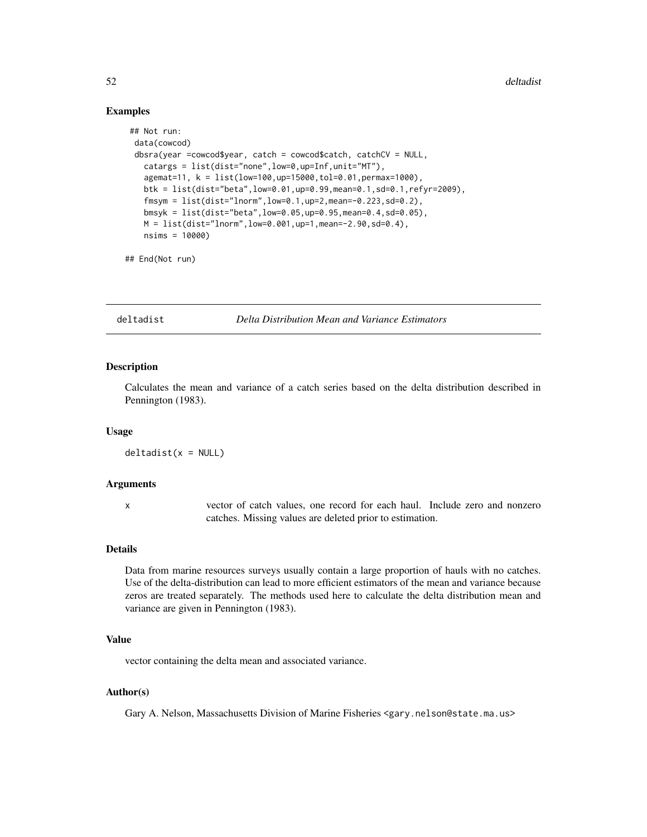# Examples

```
## Not run:
 data(cowcod)
 dbsra(year =cowcod$year, catch = cowcod$catch, catchCV = NULL,
   catargs = list(dist="none",low=0,up=Inf,unit="MT"),
   agemat=11, k = list(low=100,up=15000,tol=0.01,permax=1000),
   btk = list(dist="beta",low=0.01,up=0.99,mean=0.1,sd=0.1,refyr=2009),
   fmsym = list(dist="lnorm",low=0.1,up=2,mean=-0.223,sd=0.2),
   bmsyk = list(dist="beta",low=0.05,up=0.95,mean=0.4,sd=0.05),
   M = list(dist="Inorm", low=0.001, up=1, mean=-2.90, sd=0.4),nsims = 10000)
```
## End(Not run)

deltadist *Delta Distribution Mean and Variance Estimators*

# **Description**

Calculates the mean and variance of a catch series based on the delta distribution described in Pennington (1983).

## Usage

 $deltaist(x = NULL)$ 

#### Arguments

x vector of catch values, one record for each haul. Include zero and nonzero catches. Missing values are deleted prior to estimation.

#### Details

Data from marine resources surveys usually contain a large proportion of hauls with no catches. Use of the delta-distribution can lead to more efficient estimators of the mean and variance because zeros are treated separately. The methods used here to calculate the delta distribution mean and variance are given in Pennington (1983).

# Value

vector containing the delta mean and associated variance.

### Author(s)

Gary A. Nelson, Massachusetts Division of Marine Fisheries <gary.nelson@state.ma.us>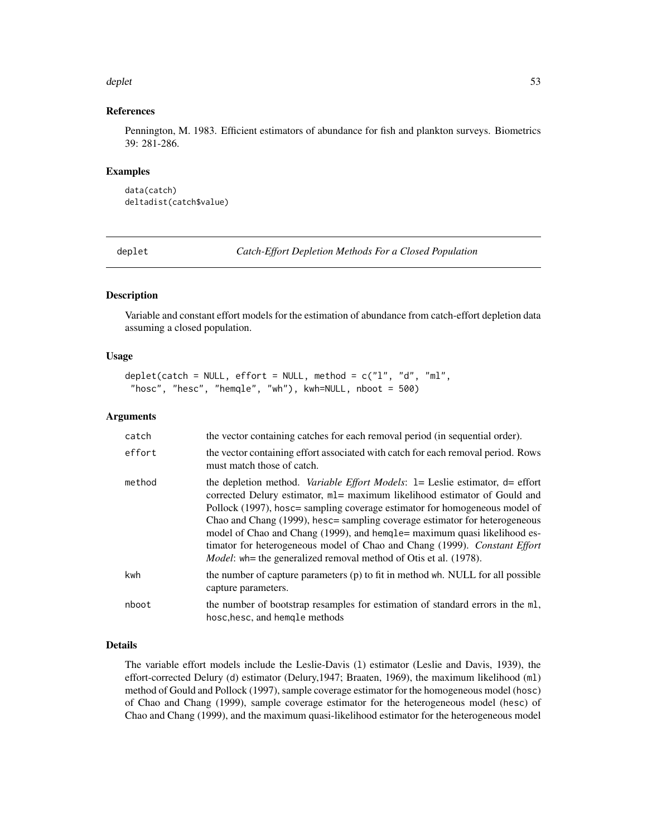#### deplet 53

# References

Pennington, M. 1983. Efficient estimators of abundance for fish and plankton surveys. Biometrics 39: 281-286.

## Examples

```
data(catch)
deltadist(catch$value)
```
deplet *Catch-Effort Depletion Methods For a Closed Population*

# Description

Variable and constant effort models for the estimation of abundance from catch-effort depletion data assuming a closed population.

## Usage

```
deplet(catch = NULL, effort = NULL, method = c("l", "d", "ml","hosc", "hesc", "hemqle", "wh"), kwh=NULL, nboot = 500)
```
#### Arguments

| catch  | the vector containing catches for each removal period (in sequential order).                                                                                                                                                                                                                                                                                                                                                                                                                                                                                              |
|--------|---------------------------------------------------------------------------------------------------------------------------------------------------------------------------------------------------------------------------------------------------------------------------------------------------------------------------------------------------------------------------------------------------------------------------------------------------------------------------------------------------------------------------------------------------------------------------|
| effort | the vector containing effort associated with catch for each removal period. Rows<br>must match those of catch.                                                                                                                                                                                                                                                                                                                                                                                                                                                            |
| method | the depletion method. <i>Variable Effort Models</i> : $l =$ Leslie estimator, $d =$ effort<br>corrected Delury estimator, ml= maximum likelihood estimator of Gould and<br>Pollock (1997), hosc= sampling coverage estimator for homogeneous model of<br>Chao and Chang (1999), hesc= sampling coverage estimator for heterogeneous<br>model of Chao and Chang (1999), and hemqle = maximum quasi likelihood es-<br>timator for heterogeneous model of Chao and Chang (1999). Constant Effort<br><i>Model</i> : wh= the generalized removal method of Otis et al. (1978). |
| kwh    | the number of capture parameters (p) to fit in method wh. NULL for all possible<br>capture parameters.                                                                                                                                                                                                                                                                                                                                                                                                                                                                    |
| nboot  | the number of bootstrap resamples for estimation of standard errors in the ml,<br>hosc, hesc, and hemole methods                                                                                                                                                                                                                                                                                                                                                                                                                                                          |

# Details

The variable effort models include the Leslie-Davis (l) estimator (Leslie and Davis, 1939), the effort-corrected Delury (d) estimator (Delury,1947; Braaten, 1969), the maximum likelihood (ml) method of Gould and Pollock (1997), sample coverage estimator for the homogeneous model (hosc) of Chao and Chang (1999), sample coverage estimator for the heterogeneous model (hesc) of Chao and Chang (1999), and the maximum quasi-likelihood estimator for the heterogeneous model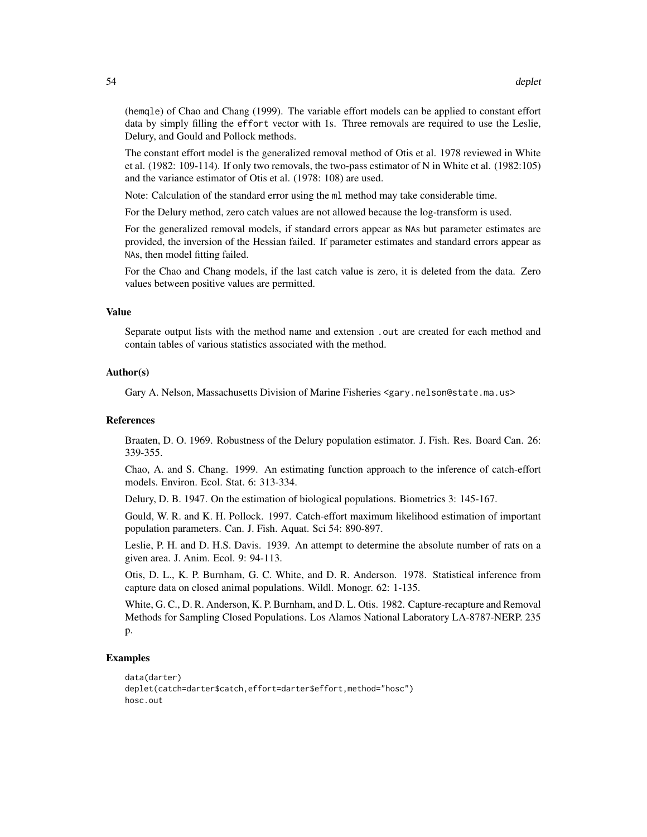(hemqle) of Chao and Chang (1999). The variable effort models can be applied to constant effort data by simply filling the effort vector with 1s. Three removals are required to use the Leslie, Delury, and Gould and Pollock methods.

The constant effort model is the generalized removal method of Otis et al. 1978 reviewed in White et al. (1982: 109-114). If only two removals, the two-pass estimator of N in White et al. (1982:105) and the variance estimator of Otis et al. (1978: 108) are used.

Note: Calculation of the standard error using the ml method may take considerable time.

For the Delury method, zero catch values are not allowed because the log-transform is used.

For the generalized removal models, if standard errors appear as NAs but parameter estimates are provided, the inversion of the Hessian failed. If parameter estimates and standard errors appear as NAs, then model fitting failed.

For the Chao and Chang models, if the last catch value is zero, it is deleted from the data. Zero values between positive values are permitted.

#### Value

Separate output lists with the method name and extension .out are created for each method and contain tables of various statistics associated with the method.

## Author(s)

Gary A. Nelson, Massachusetts Division of Marine Fisheries <gary.nelson@state.ma.us>

#### References

Braaten, D. O. 1969. Robustness of the Delury population estimator. J. Fish. Res. Board Can. 26: 339-355.

Chao, A. and S. Chang. 1999. An estimating function approach to the inference of catch-effort models. Environ. Ecol. Stat. 6: 313-334.

Delury, D. B. 1947. On the estimation of biological populations. Biometrics 3: 145-167.

Gould, W. R. and K. H. Pollock. 1997. Catch-effort maximum likelihood estimation of important population parameters. Can. J. Fish. Aquat. Sci 54: 890-897.

Leslie, P. H. and D. H.S. Davis. 1939. An attempt to determine the absolute number of rats on a given area. J. Anim. Ecol. 9: 94-113.

Otis, D. L., K. P. Burnham, G. C. White, and D. R. Anderson. 1978. Statistical inference from capture data on closed animal populations. Wildl. Monogr. 62: 1-135.

White, G. C., D. R. Anderson, K. P. Burnham, and D. L. Otis. 1982. Capture-recapture and Removal Methods for Sampling Closed Populations. Los Alamos National Laboratory LA-8787-NERP. 235 p.

#### Examples

```
data(darter)
deplet(catch=darter$catch,effort=darter$effort,method="hosc")
hosc.out
```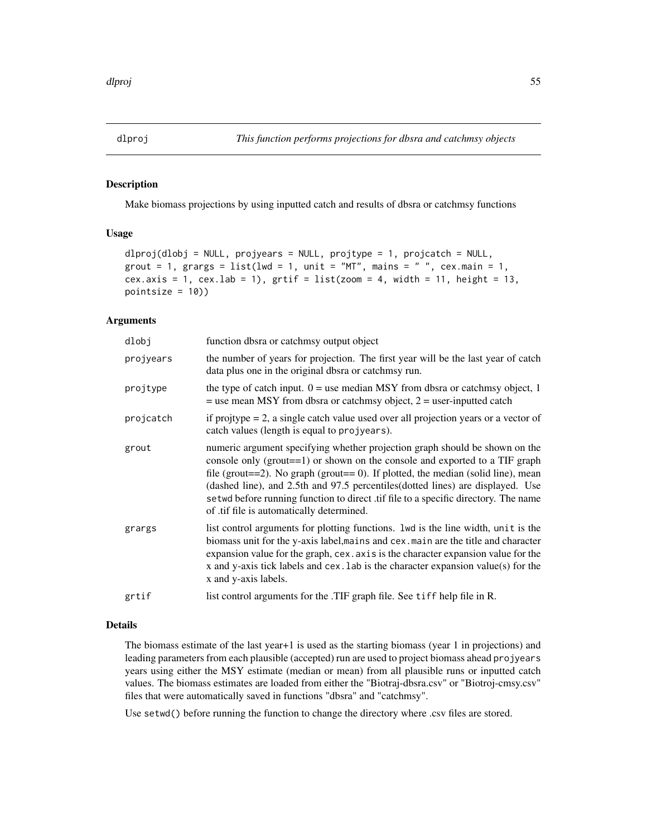<span id="page-54-0"></span>

## Description

Make biomass projections by using inputted catch and results of dbsra or catchmsy functions

# Usage

```
dlproj(dlobj = NULL, projyears = NULL, projtype = 1, projcatch = NULL,grout = 1, grargs = list(lwd = 1, unit = "MT", main = " ", cex.mainloop = 1,cex.axis = 1, cex.lab = 1), grti f = list(zoom = 4, width = 11, height = 13,pointsize = 10))
```
# Arguments

| dlobj     | function dbsra or catchmsy output object                                                                                                                                                                                                                                                                                                                                                                                                                                     |
|-----------|------------------------------------------------------------------------------------------------------------------------------------------------------------------------------------------------------------------------------------------------------------------------------------------------------------------------------------------------------------------------------------------------------------------------------------------------------------------------------|
| projyears | the number of years for projection. The first year will be the last year of catch<br>data plus one in the original dbsra or catchmsy run.                                                                                                                                                                                                                                                                                                                                    |
| projtype  | the type of catch input. $0 =$ use median MSY from dbsra or catchmay object, 1<br>$=$ use mean MSY from dbsra or catchmsy object, $2 =$ user-inputted catch                                                                                                                                                                                                                                                                                                                  |
| projcatch | if projtype $= 2$ , a single catch value used over all projection years or a vector of<br>catch values (length is equal to projyears).                                                                                                                                                                                                                                                                                                                                       |
| grout     | numeric argument specifying whether projection graph should be shown on the<br>console only (grout= $=$ 1) or shown on the console and exported to a TIF graph<br>file (grout==2). No graph (grout== $0$ ). If plotted, the median (solid line), mean<br>(dashed line), and 2.5th and 97.5 percentiles (dotted lines) are displayed. Use<br>setwd before running function to direct .tif file to a specific directory. The name<br>of .tif file is automatically determined. |
| grargs    | list control arguments for plotting functions. 1wd is the line width, unit is the<br>biomass unit for the y-axis label, mains and cex. main are the title and character<br>expansion value for the graph, cex. axis is the character expansion value for the<br>x and y-axis tick labels and cex. Lab is the character expansion value(s) for the<br>x and y-axis labels.                                                                                                    |
| grtif     | list control arguments for the .TIF graph file. See tiff help file in R.                                                                                                                                                                                                                                                                                                                                                                                                     |

#### Details

The biomass estimate of the last year+1 is used as the starting biomass (year 1 in projections) and leading parameters from each plausible (accepted) run are used to project biomass ahead projyears years using either the MSY estimate (median or mean) from all plausible runs or inputted catch values. The biomass estimates are loaded from either the "Biotraj-dbsra.csv" or "Biotroj-cmsy.csv" files that were automatically saved in functions "dbsra" and "catchmsy".

Use setwd() before running the function to change the directory where .csv files are stored.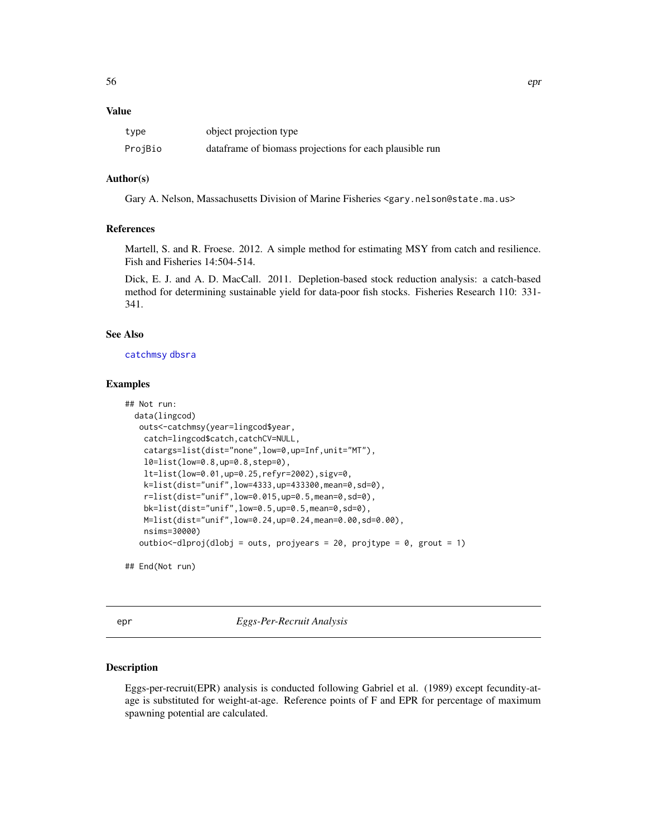# Value

| type    | object projection type                                  |
|---------|---------------------------------------------------------|
| ProjBio | dataframe of biomass projections for each plausible run |

# Author(s)

Gary A. Nelson, Massachusetts Division of Marine Fisheries <gary.nelson@state.ma.us>

## References

Martell, S. and R. Froese. 2012. A simple method for estimating MSY from catch and resilience. Fish and Fisheries 14:504-514.

Dick, E. J. and A. D. MacCall. 2011. Depletion-based stock reduction analysis: a catch-based method for determining sustainable yield for data-poor fish stocks. Fisheries Research 110: 331- 341.

## See Also

[catchmsy](#page-21-0) [dbsra](#page-47-0)

## Examples

```
## Not run:
 data(lingcod)
  outs<-catchmsy(year=lingcod$year,
   catch=lingcod$catch,catchCV=NULL,
   catargs=list(dist="none",low=0,up=Inf,unit="MT"),
   l0=list(low=0.8,up=0.8,step=0),
   lt=list(low=0.01,up=0.25,refyr=2002),sigv=0,
    k=list(dist="unif",low=4333,up=433300,mean=0,sd=0),
    r=list(dist="unif",low=0.015,up=0.5,mean=0,sd=0),
   bk=list(dist="unif",low=0.5,up=0.5,mean=0,sd=0),
   M=list(dist="unif",low=0.24,up=0.24,mean=0.00,sd=0.00),
   nsims=30000)
   outbio \text{-}dlproj(dlobj = outs, projyears = 20, projtype = 0, grout = 1)
```

```
## End(Not run)
```
epr *Eggs-Per-Recruit Analysis*

## **Description**

Eggs-per-recruit(EPR) analysis is conducted following Gabriel et al. (1989) except fecundity-atage is substituted for weight-at-age. Reference points of F and EPR for percentage of maximum spawning potential are calculated.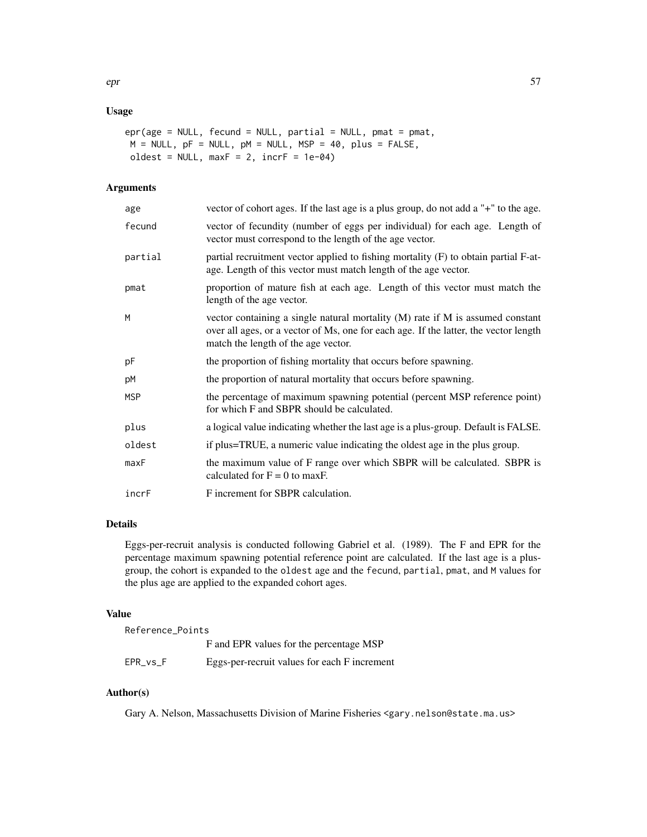# Usage

```
epr(age = NULL, fecund = NULL, partial = NULL, pmat = pmat,
M = NULL, pF = NULL, pM = NULL, MSP = 40, plus = FALSE,
oldest = NULL, maxF = 2, incrF = 1e-04)
```
# Arguments

| age     | vector of cohort ages. If the last age is a plus group, do not add a "+" to the age.                                                                                                                            |
|---------|-----------------------------------------------------------------------------------------------------------------------------------------------------------------------------------------------------------------|
| fecund  | vector of fecundity (number of eggs per individual) for each age. Length of<br>vector must correspond to the length of the age vector.                                                                          |
| partial | partial recruitment vector applied to fishing mortality (F) to obtain partial F-at-<br>age. Length of this vector must match length of the age vector.                                                          |
| pmat    | proportion of mature fish at each age. Length of this vector must match the<br>length of the age vector.                                                                                                        |
| M       | vector containing a single natural mortality $(M)$ rate if M is assumed constant<br>over all ages, or a vector of Ms, one for each age. If the latter, the vector length<br>match the length of the age vector. |
| рF      | the proportion of fishing mortality that occurs before spawning.                                                                                                                                                |
| рM      | the proportion of natural mortality that occurs before spawning.                                                                                                                                                |
| MSP     | the percentage of maximum spawning potential (percent MSP reference point)<br>for which F and SBPR should be calculated.                                                                                        |
| plus    | a logical value indicating whether the last age is a plus-group. Default is FALSE.                                                                                                                              |
| oldest  | if plus=TRUE, a numeric value indicating the oldest age in the plus group.                                                                                                                                      |
| maxF    | the maximum value of F range over which SBPR will be calculated. SBPR is<br>calculated for $F = 0$ to maxF.                                                                                                     |
| incrF   | F increment for SBPR calculation.                                                                                                                                                                               |
|         |                                                                                                                                                                                                                 |

# Details

Eggs-per-recruit analysis is conducted following Gabriel et al. (1989). The F and EPR for the percentage maximum spawning potential reference point are calculated. If the last age is a plusgroup, the cohort is expanded to the oldest age and the fecund, partial, pmat, and M values for the plus age are applied to the expanded cohort ages.

# Value

| Reference Points |                                              |
|------------------|----------------------------------------------|
|                  | F and EPR values for the percentage MSP      |
| EPR vs F         | Eggs-per-recruit values for each F increment |

# Author(s)

Gary A. Nelson, Massachusetts Division of Marine Fisheries <gary.nelson@state.ma.us>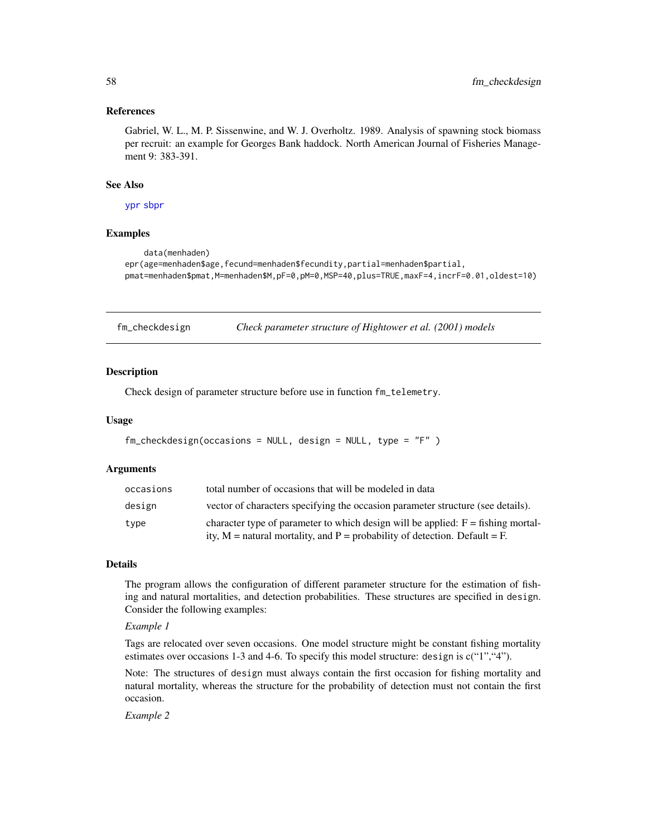## References

Gabriel, W. L., M. P. Sissenwine, and W. J. Overholtz. 1989. Analysis of spawning stock biomass per recruit: an example for Georges Bank haddock. North American Journal of Fisheries Management 9: 383-391.

# See Also

[ypr](#page-119-0) [sbpr](#page-105-0)

# Examples

```
data(menhaden)
epr(age=menhaden$age,fecund=menhaden$fecundity,partial=menhaden$partial,
pmat=menhaden$pmat,M=menhaden$M,pF=0,pM=0,MSP=40,plus=TRUE,maxF=4,incrF=0.01,oldest=10)
```
fm\_checkdesign *Check parameter structure of Hightower et al. (2001) models*

## Description

Check design of parameter structure before use in function fm\_telemetry.

#### Usage

```
fm_checkdesign(occasions = NULL, design = NULL, type = "F" )
```
#### Arguments

| occasions | total number of occasions that will be modeled in data                                                                                                             |
|-----------|--------------------------------------------------------------------------------------------------------------------------------------------------------------------|
| design    | vector of characters specifying the occasion parameter structure (see details).                                                                                    |
| type      | character type of parameter to which design will be applied: $F =$ fishing mortal-<br>ity, $M$ = natural mortality, and P = probability of detection. Default = F. |

# Details

The program allows the configuration of different parameter structure for the estimation of fishing and natural mortalities, and detection probabilities. These structures are specified in design. Consider the following examples:

# *Example 1*

Tags are relocated over seven occasions. One model structure might be constant fishing mortality estimates over occasions 1-3 and 4-6. To specify this model structure: design is  $c("1", "4").$ 

Note: The structures of design must always contain the first occasion for fishing mortality and natural mortality, whereas the structure for the probability of detection must not contain the first occasion.

*Example 2*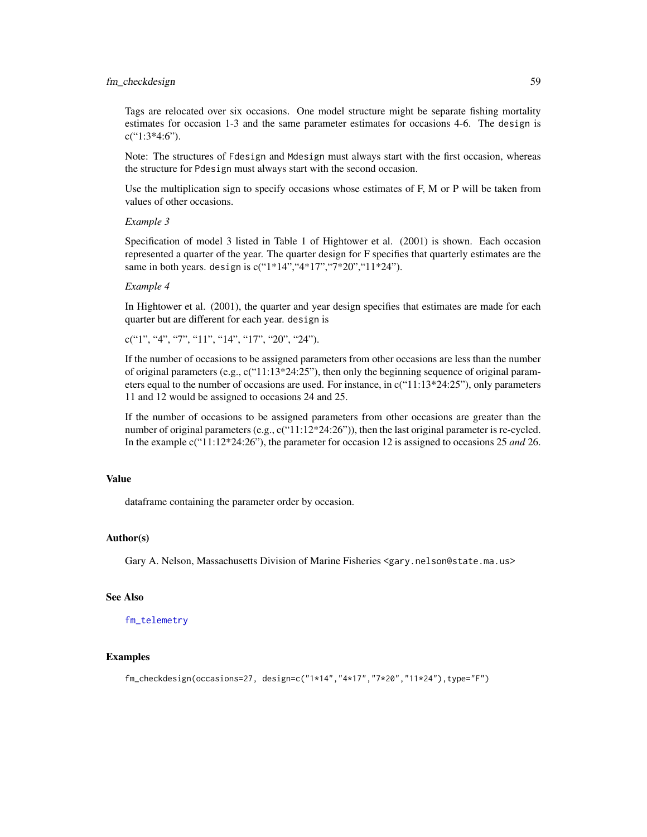# fm\_checkdesign 59

Tags are relocated over six occasions. One model structure might be separate fishing mortality estimates for occasion 1-3 and the same parameter estimates for occasions 4-6. The design is c("1:3\*4:6").

Note: The structures of Fdesign and Mdesign must always start with the first occasion, whereas the structure for Pdesign must always start with the second occasion.

Use the multiplication sign to specify occasions whose estimates of F, M or P will be taken from values of other occasions.

#### *Example 3*

Specification of model 3 listed in Table 1 of Hightower et al. (2001) is shown. Each occasion represented a quarter of the year. The quarter design for F specifies that quarterly estimates are the same in both years. design is c("1\*14", "4\*17", "7\*20", "11\*24").

#### *Example 4*

In Hightower et al. (2001), the quarter and year design specifies that estimates are made for each quarter but are different for each year. design is

 $c("1", "4", "7", "11", "14", "17", "20", "24".$ 

If the number of occasions to be assigned parameters from other occasions are less than the number of original parameters (e.g.,  $c("11:13*24:25")$ , then only the beginning sequence of original parameters equal to the number of occasions are used. For instance, in c("11:13\*24:25"), only parameters 11 and 12 would be assigned to occasions 24 and 25.

If the number of occasions to be assigned parameters from other occasions are greater than the number of original parameters (e.g., c("11:12\*24:26")), then the last original parameter is re-cycled. In the example c("11:12\*24:26"), the parameter for occasion 12 is assigned to occasions 25 *and* 26.

## Value

dataframe containing the parameter order by occasion.

#### Author(s)

Gary A. Nelson, Massachusetts Division of Marine Fisheries <gary.nelson@state.ma.us>

#### See Also

[fm\\_telemetry](#page-60-0)

# Examples

```
fm_checkdesign(occasions=27, design=c("1*14","4*17","7*20","11*24"),type="F")
```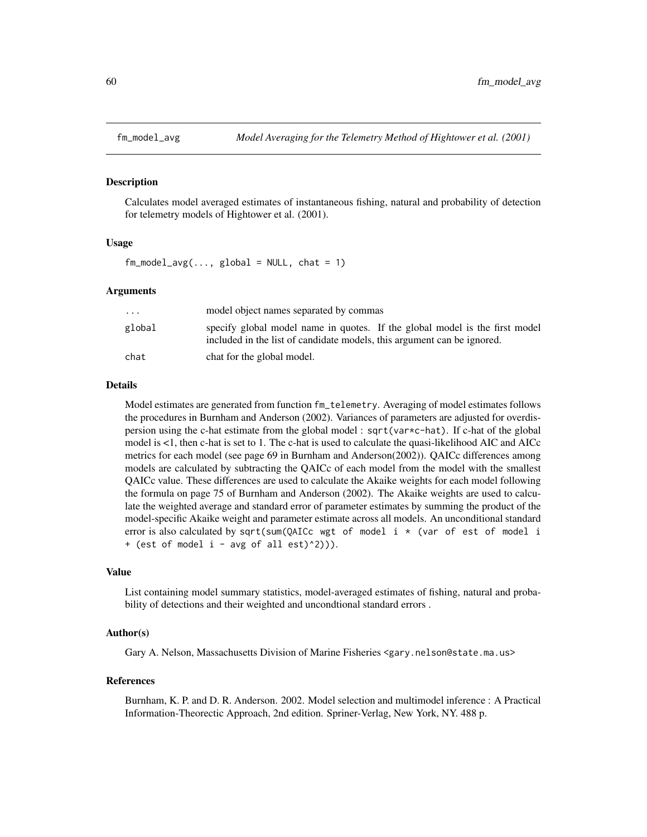#### Description

Calculates model averaged estimates of instantaneous fishing, natural and probability of detection for telemetry models of Hightower et al. (2001).

## Usage

 $fm_{model\_avg(..., global = NULL, chat = 1)$ 

#### Arguments

| $\ddotsc$ | model object names separated by commas                                                                                                                 |
|-----------|--------------------------------------------------------------------------------------------------------------------------------------------------------|
| global    | specify global model name in quotes. If the global model is the first model<br>included in the list of candidate models, this argument can be ignored. |
| chat      | chat for the global model.                                                                                                                             |

#### Details

Model estimates are generated from function fm\_telemetry. Averaging of model estimates follows the procedures in Burnham and Anderson (2002). Variances of parameters are adjusted for overdispersion using the c-hat estimate from the global model : sqrt(var\*c-hat). If c-hat of the global model is <1, then c-hat is set to 1. The c-hat is used to calculate the quasi-likelihood AIC and AICc metrics for each model (see page 69 in Burnham and Anderson(2002)). QAICc differences among models are calculated by subtracting the QAICc of each model from the model with the smallest QAICc value. These differences are used to calculate the Akaike weights for each model following the formula on page 75 of Burnham and Anderson (2002). The Akaike weights are used to calculate the weighted average and standard error of parameter estimates by summing the product of the model-specific Akaike weight and parameter estimate across all models. An unconditional standard error is also calculated by sqrt(sum(QAICc wgt of model i \* (var of est of model i + (est of model  $i$  - avg of all est)^2))).

#### Value

List containing model summary statistics, model-averaged estimates of fishing, natural and probability of detections and their weighted and uncondtional standard errors .

## Author(s)

Gary A. Nelson, Massachusetts Division of Marine Fisheries <gary.nelson@state.ma.us>

## References

Burnham, K. P. and D. R. Anderson. 2002. Model selection and multimodel inference : A Practical Information-Theorectic Approach, 2nd edition. Spriner-Verlag, New York, NY. 488 p.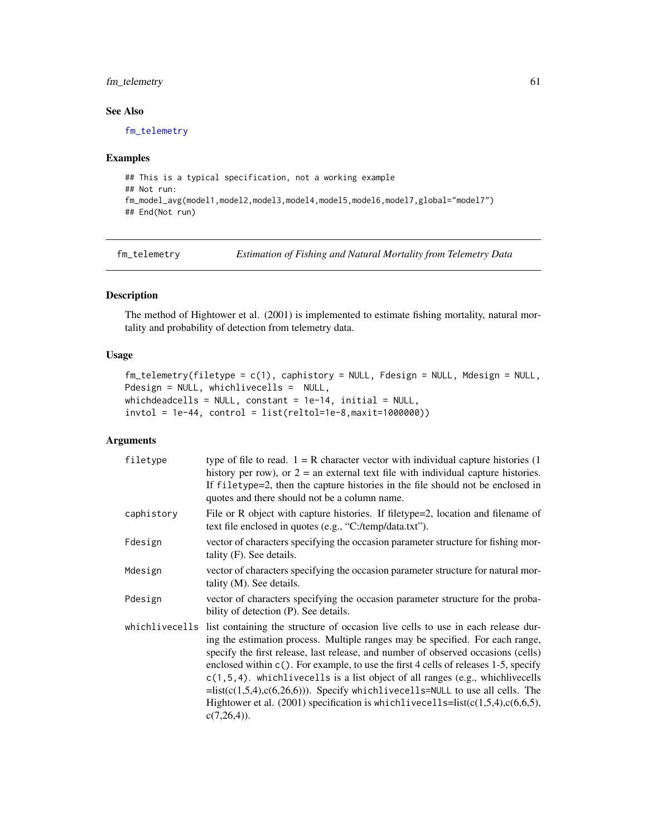# fm\_telemetry 61

# See Also

[fm\\_telemetry](#page-60-0)

## Examples

```
## This is a typical specification, not a working example
## Not run:
fm_model_avg(model1,model2,model3,model4,model5,model6,model7,global="model7")
## End(Not run)
```
<span id="page-60-0"></span>fm\_telemetry *Estimation of Fishing and Natural Mortality from Telemetry Data*

# Description

The method of Hightower et al. (2001) is implemented to estimate fishing mortality, natural mortality and probability of detection from telemetry data.

# Usage

```
fm_telemetry(filetype = c(1), caphistory = NULL, Fdesign = NULL, Mdesign = NULL,
Pdesign = NULL, whichlivecells = NULL,
whichdeadcells = NULL, constant = 1e-14, initial = NULL,
invtol = 1e-44, control = list(reltol=1e-8,maxit=1000000))
```
# Arguments

| filetype   | type of file to read. $1 = R$ character vector with individual capture histories (1)<br>history per row), or $2 =$ an external text file with individual capture histories.<br>If filetype=2, then the capture histories in the file should not be enclosed in<br>quotes and there should not be a column name.                                                                                                                                                                                                                                                                                                                                           |
|------------|-----------------------------------------------------------------------------------------------------------------------------------------------------------------------------------------------------------------------------------------------------------------------------------------------------------------------------------------------------------------------------------------------------------------------------------------------------------------------------------------------------------------------------------------------------------------------------------------------------------------------------------------------------------|
| caphistory | File or R object with capture histories. If filetype=2, location and filename of<br>text file enclosed in quotes (e.g., "C:/temp/data.txt").                                                                                                                                                                                                                                                                                                                                                                                                                                                                                                              |
| Fdesign    | vector of characters specifying the occasion parameter structure for fishing mor-<br>tality (F). See details.                                                                                                                                                                                                                                                                                                                                                                                                                                                                                                                                             |
| Mdesign    | vector of characters specifying the occasion parameter structure for natural mor-<br>tality $(M)$ . See details.                                                                                                                                                                                                                                                                                                                                                                                                                                                                                                                                          |
| Pdesign    | vector of characters specifying the occasion parameter structure for the proba-<br>bility of detection (P). See details.                                                                                                                                                                                                                                                                                                                                                                                                                                                                                                                                  |
|            | which live cells list containing the structure of occasion live cells to use in each release dur-<br>ing the estimation process. Multiple ranges may be specified. For each range,<br>specify the first release, last release, and number of observed occasions (cells)<br>enclosed within c(). For example, to use the first 4 cells of releases 1-5, specify<br>$c(1, 5, 4)$ . which live cells is a list object of all ranges (e.g., which live cells<br>$=$ list(c(1,5,4),c(6,26,6))). Specify whichlivecells=NULL to use all cells. The<br>Hightower et al. $(2001)$ specification is whichlivecells= $list(c(1,5,4), c(6,6,5))$ ,<br>$c(7,26,4)$ ). |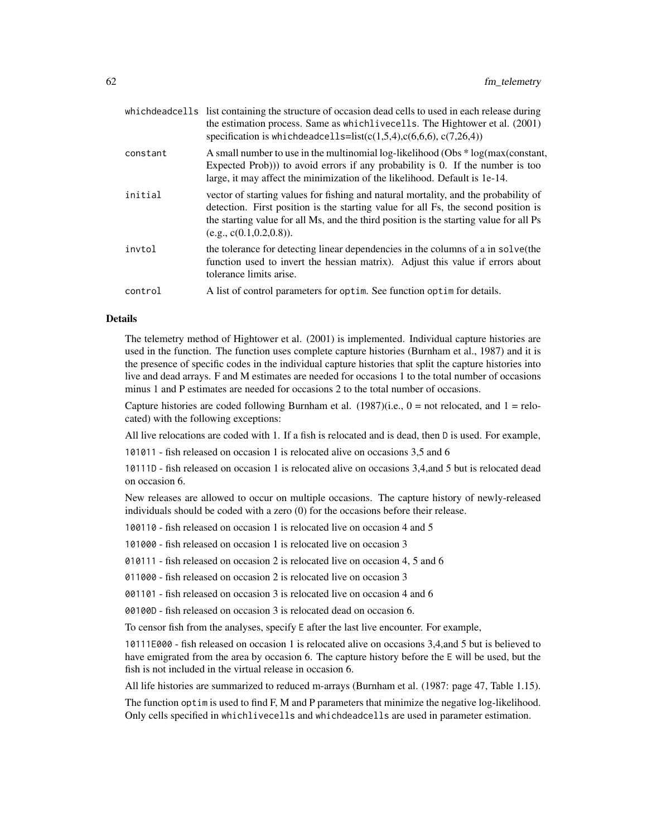|          | whichdead cells list containing the structure of occasion dead cells to used in each release during<br>the estimation process. Same as whichlivecells. The Hightower et al. (2001)<br>specification is whichdeadcells= $list(c(1,5,4), c(6,6,6), c(7,26,4))$                                     |
|----------|--------------------------------------------------------------------------------------------------------------------------------------------------------------------------------------------------------------------------------------------------------------------------------------------------|
| constant | A small number to use in the multinomial log-likelihood (Obs $*$ log(max(constant,<br>Expected Prob $($ ) $)$ to avoid errors if any probability is 0. If the number is too<br>large, it may affect the minimization of the likelihood. Default is 1e-14.                                        |
| initial  | vector of starting values for fishing and natural mortality, and the probability of<br>detection. First position is the starting value for all Fs, the second position is<br>the starting value for all Ms, and the third position is the starting value for all Ps<br>(e.g., c(0.1, 0.2, 0.8)). |
| invtol   | the tolerance for detecting linear dependencies in the columns of a in solve (the<br>function used to invert the hessian matrix). Adjust this value if errors about<br>tolerance limits arise.                                                                                                   |
| control  | A list of control parameters for optim. See function optim for details.                                                                                                                                                                                                                          |

# Details

The telemetry method of Hightower et al. (2001) is implemented. Individual capture histories are used in the function. The function uses complete capture histories (Burnham et al., 1987) and it is the presence of specific codes in the individual capture histories that split the capture histories into live and dead arrays. F and M estimates are needed for occasions 1 to the total number of occasions minus 1 and P estimates are needed for occasions 2 to the total number of occasions.

Capture histories are coded following Burnham et al.  $(1987)(i.e., 0 = not$  relocated, and  $1 =$  relocated) with the following exceptions:

All live relocations are coded with 1. If a fish is relocated and is dead, then D is used. For example,

101011 - fish released on occasion 1 is relocated alive on occasions 3,5 and 6

10111D - fish released on occasion 1 is relocated alive on occasions 3,4,and 5 but is relocated dead on occasion 6.

New releases are allowed to occur on multiple occasions. The capture history of newly-released individuals should be coded with a zero (0) for the occasions before their release.

100110 - fish released on occasion 1 is relocated live on occasion 4 and 5

101000 - fish released on occasion 1 is relocated live on occasion 3

010111 - fish released on occasion 2 is relocated live on occasion 4, 5 and 6

011000 - fish released on occasion 2 is relocated live on occasion 3

001101 - fish released on occasion 3 is relocated live on occasion 4 and 6

00100D - fish released on occasion 3 is relocated dead on occasion 6.

To censor fish from the analyses, specify E after the last live encounter. For example,

10111E000 - fish released on occasion 1 is relocated alive on occasions 3,4,and 5 but is believed to have emigrated from the area by occasion 6. The capture history before the E will be used, but the fish is not included in the virtual release in occasion 6.

All life histories are summarized to reduced m-arrays (Burnham et al. (1987: page 47, Table 1.15).

The function optim is used to find F, M and P parameters that minimize the negative log-likelihood. Only cells specified in whichlivecells and whichdeadcells are used in parameter estimation.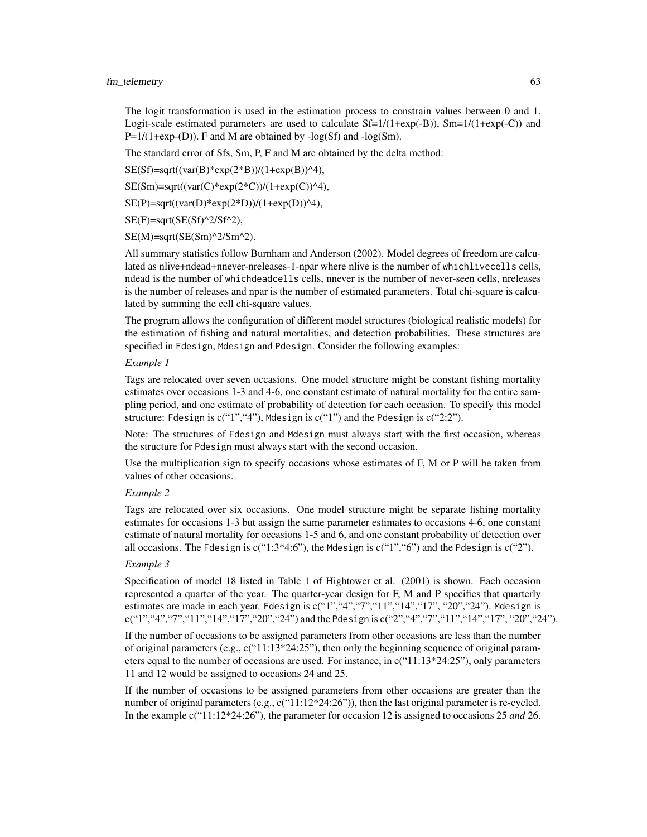The logit transformation is used in the estimation process to constrain values between 0 and 1. Logit-scale estimated parameters are used to calculate  $Sf=1/(1+exp(-B))$ ,  $Sm=1/(1+exp(-C))$  and  $P=1/(1+exp-(D))$ . F and M are obtained by  $-log(Sf)$  and  $-log(Sm)$ .

The standard error of Sfs, Sm, P, F and M are obtained by the delta method:

 $SE(Sf)=sqrt((var(B)*exp(2*B))/(1+exp(B))^24),$ 

 $SE(Sm) = sqrt((var(C)*exp(2*C))/(1+exp(C))^24),$ 

 $SE(P)=sqrt((var(D)*exp(2*D))/(1+exp(D))^24),$ 

SE(F)=sqrt(SE(Sf)^2/Sf^2),

 $SE(M)=sqrt(SE(Sm)^2/Sm^2).$ 

All summary statistics follow Burnham and Anderson (2002). Model degrees of freedom are calculated as nlive+ndead+nnever-nreleases-1-npar where nlive is the number of whichlivecells cells, ndead is the number of whichdeadcells cells, nnever is the number of never-seen cells, nreleases is the number of releases and npar is the number of estimated parameters. Total chi-square is calculated by summing the cell chi-square values.

The program allows the configuration of different model structures (biological realistic models) for the estimation of fishing and natural mortalities, and detection probabilities. These structures are specified in Fdesign, Mdesign and Pdesign. Consider the following examples:

#### *Example 1*

Tags are relocated over seven occasions. One model structure might be constant fishing mortality estimates over occasions 1-3 and 4-6, one constant estimate of natural mortality for the entire sampling period, and one estimate of probability of detection for each occasion. To specify this model structure: Fdesign is  $c("1", "4")$ , Mdesign is  $c("1")$  and the Pdesign is  $c("2:2")$ .

Note: The structures of Fdesign and Mdesign must always start with the first occasion, whereas the structure for Pdesign must always start with the second occasion.

Use the multiplication sign to specify occasions whose estimates of F, M or P will be taken from values of other occasions.

# *Example 2*

Tags are relocated over six occasions. One model structure might be separate fishing mortality estimates for occasions 1-3 but assign the same parameter estimates to occasions 4-6, one constant estimate of natural mortality for occasions 1-5 and 6, and one constant probability of detection over all occasions. The Fdesign is  $c("1:3*4:6")$ , the Mdesign is  $c("1", 6")$  and the Pdesign is  $c("2")$ .

## *Example 3*

Specification of model 18 listed in Table 1 of Hightower et al. (2001) is shown. Each occasion represented a quarter of the year. The quarter-year design for F, M and P specifies that quarterly estimates are made in each year. Fdesign is c("1","4","7","11","14","17", "20","24"). Mdesign is  $c("1", "4", "7", "11", "14", "17", "20", "24")$  and the Pdesign is  $c("2", "4", "7", "11", "14", "17", "20", "24").$ 

If the number of occasions to be assigned parameters from other occasions are less than the number of original parameters (e.g., c("11:13\*24:25"), then only the beginning sequence of original parameters equal to the number of occasions are used. For instance, in  $c("11:13*24:25")$ , only parameters 11 and 12 would be assigned to occasions 24 and 25.

If the number of occasions to be assigned parameters from other occasions are greater than the number of original parameters (e.g., c("11:12\*24:26")), then the last original parameter is re-cycled. In the example c("11:12\*24:26"), the parameter for occasion 12 is assigned to occasions 25 *and* 26.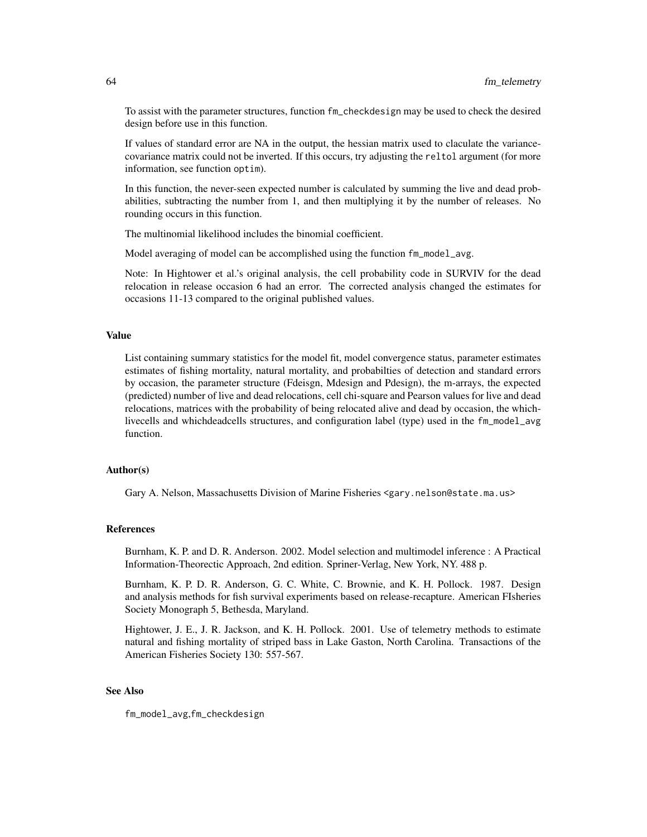To assist with the parameter structures, function fm\_checkdesign may be used to check the desired design before use in this function.

If values of standard error are NA in the output, the hessian matrix used to claculate the variancecovariance matrix could not be inverted. If this occurs, try adjusting the reltol argument (for more information, see function optim).

In this function, the never-seen expected number is calculated by summing the live and dead probabilities, subtracting the number from 1, and then multiplying it by the number of releases. No rounding occurs in this function.

The multinomial likelihood includes the binomial coefficient.

Model averaging of model can be accomplished using the function fm\_model\_avg.

Note: In Hightower et al.'s original analysis, the cell probability code in SURVIV for the dead relocation in release occasion 6 had an error. The corrected analysis changed the estimates for occasions 11-13 compared to the original published values.

#### Value

List containing summary statistics for the model fit, model convergence status, parameter estimates estimates of fishing mortality, natural mortality, and probabilties of detection and standard errors by occasion, the parameter structure (Fdeisgn, Mdesign and Pdesign), the m-arrays, the expected (predicted) number of live and dead relocations, cell chi-square and Pearson values for live and dead relocations, matrices with the probability of being relocated alive and dead by occasion, the whichlivecells and whichdeadcells structures, and configuration label (type) used in the fm\_model\_avg function.

# Author(s)

Gary A. Nelson, Massachusetts Division of Marine Fisheries <gary.nelson@state.ma.us>

#### References

Burnham, K. P. and D. R. Anderson. 2002. Model selection and multimodel inference : A Practical Information-Theorectic Approach, 2nd edition. Spriner-Verlag, New York, NY. 488 p.

Burnham, K. P. D. R. Anderson, G. C. White, C. Brownie, and K. H. Pollock. 1987. Design and analysis methods for fish survival experiments based on release-recapture. American FIsheries Society Monograph 5, Bethesda, Maryland.

Hightower, J. E., J. R. Jackson, and K. H. Pollock. 2001. Use of telemetry methods to estimate natural and fishing mortality of striped bass in Lake Gaston, North Carolina. Transactions of the American Fisheries Society 130: 557-567.

# See Also

fm\_model\_avg,fm\_checkdesign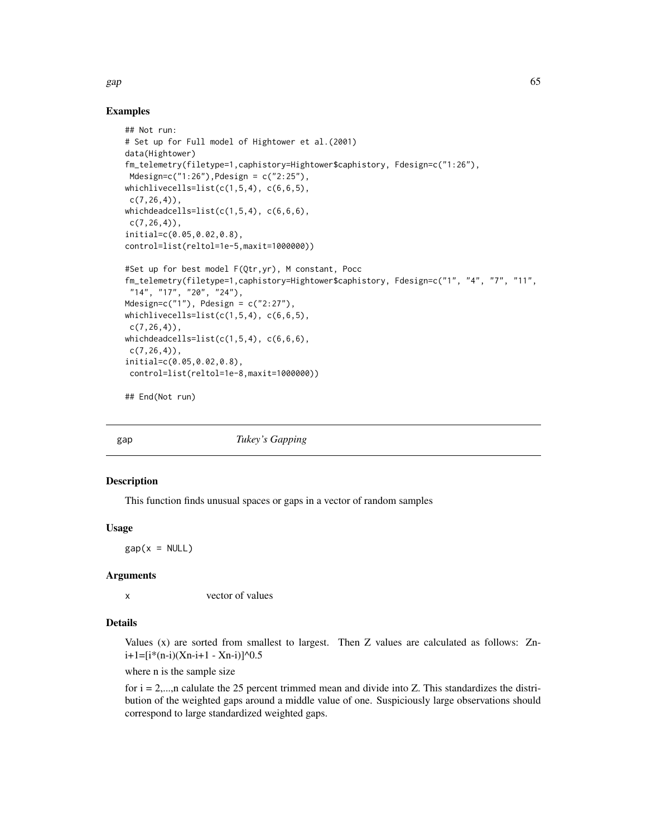## Examples

```
## Not run:
# Set up for Full model of Hightower et al.(2001)
data(Hightower)
fm_telemetry(filetype=1,caphistory=Hightower$caphistory, Fdesign=c("1:26"),
Mdesign=c("1:26"),Pdesign = c("2:25"),
whichlivecells=list(c(1,5,4), c(6,6,5),
 c(7, 26, 4),
whichdeadcells=list(c(1,5,4), c(6,6,6),
 c(7, 26, 4),
initial=c(0.05,0.02,0.8),
control=list(reltol=1e-5,maxit=1000000))
#Set up for best model F(Qtr,yr), M constant, Pocc
fm_telemetry(filetype=1,caphistory=Hightower$caphistory, Fdesign=c("1", "4", "7", "11",
"14", "17", "20", "24"),
Mdesign=c("1"), Pdesign = c("2:27"),
whichlivecells=list(c(1,5,4), c(6,6,5),
 c(7, 26, 4),
whichdeadcells=list(c(1,5,4), c(6,6,6),
 c(7, 26, 4),
initial=c(0.05,0.02,0.8),
 control=list(reltol=1e-8,maxit=1000000))
```
## End(Not run)

<span id="page-64-0"></span>

gap *Tukey's Gapping*

#### Description

This function finds unusual spaces or gaps in a vector of random samples

## Usage

 $gap(x = NULL)$ 

## Arguments

```
x vector of values
```
# Details

Values (x) are sorted from smallest to largest. Then Z values are calculated as follows: Zn $i+1=[i*(n-i)(Xn-i+1 - Xn-i)]$ <sup>^0.5</sup>

where n is the sample size

for  $i = 2,...,n$  calulate the 25 percent trimmed mean and divide into Z. This standardizes the distribution of the weighted gaps around a middle value of one. Suspiciously large observations should correspond to large standardized weighted gaps.

gap 65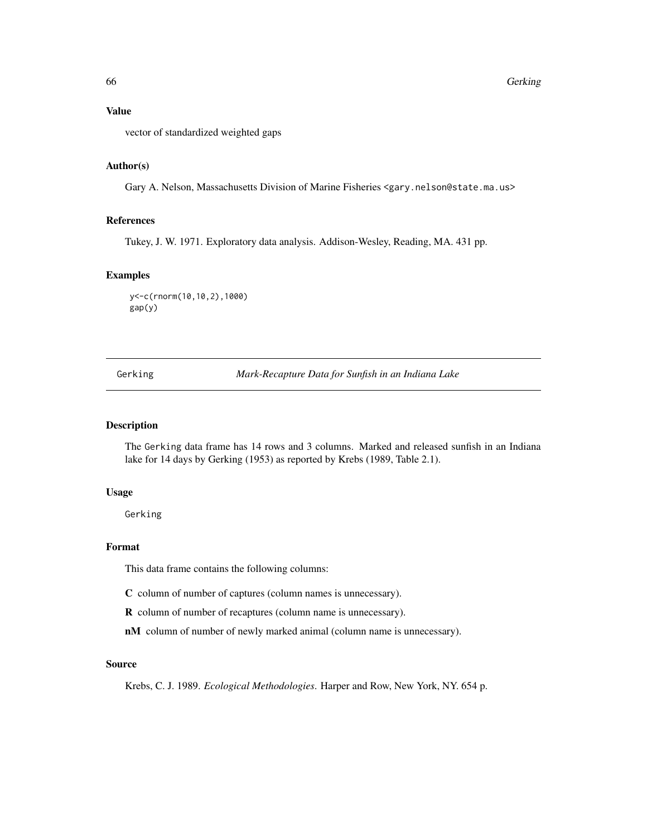# Value

vector of standardized weighted gaps

# Author(s)

Gary A. Nelson, Massachusetts Division of Marine Fisheries <gary.nelson@state.ma.us>

# References

Tukey, J. W. 1971. Exploratory data analysis. Addison-Wesley, Reading, MA. 431 pp.

#### Examples

```
y<-c(rnorm(10,10,2),1000)
gap(y)
```
Gerking *Mark-Recapture Data for Sunfish in an Indiana Lake*

## Description

The Gerking data frame has 14 rows and 3 columns. Marked and released sunfish in an Indiana lake for 14 days by Gerking (1953) as reported by Krebs (1989, Table 2.1).

#### Usage

Gerking

# Format

This data frame contains the following columns:

C column of number of captures (column names is unnecessary).

R column of number of recaptures (column name is unnecessary).

nM column of number of newly marked animal (column name is unnecessary).

#### Source

Krebs, C. J. 1989. *Ecological Methodologies*. Harper and Row, New York, NY. 654 p.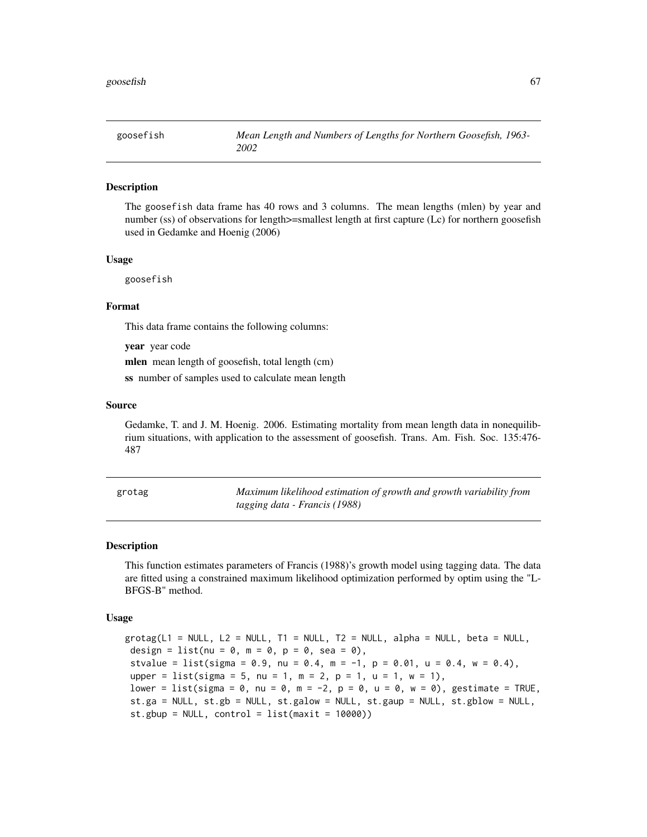## **Description**

The goosefish data frame has 40 rows and 3 columns. The mean lengths (mlen) by year and number (ss) of observations for length>=smallest length at first capture (Lc) for northern goosefish used in Gedamke and Hoenig (2006)

#### Usage

goosefish

## Format

This data frame contains the following columns:

year year code

mlen mean length of goosefish, total length (cm)

ss number of samples used to calculate mean length

## Source

Gedamke, T. and J. M. Hoenig. 2006. Estimating mortality from mean length data in nonequilibrium situations, with application to the assessment of goosefish. Trans. Am. Fish. Soc. 135:476- 487

| grotag | Maximum likelihood estimation of growth and growth variability from |
|--------|---------------------------------------------------------------------|
|        | tagging data - Francis (1988)                                       |

#### Description

This function estimates parameters of Francis (1988)'s growth model using tagging data. The data are fitted using a constrained maximum likelihood optimization performed by optim using the "L-BFGS-B" method.

#### Usage

 $grotag(L1 = NULL, L2 = NULL, T1 = NULL, T2 = NULL, alpha = NULL, beta = NULL,$ design = list(nu =  $0$ , m =  $0$ , p =  $0$ , sea =  $0$ ), stvalue = list(sigma = 0.9, nu = 0.4, m = -1, p = 0.01, u = 0.4, w = 0.4), upper = list(sigma = 5, nu = 1, m = 2, p = 1, u = 1, w = 1), lower = list(sigma = 0, nu = 0, m = -2, p = 0, u = 0, w = 0), gestimate = TRUE, st.ga = NULL, st.gb = NULL, st.galow = NULL, st.gaup = NULL, st.gblow = NULL,  $st.gbup = NULL$ , control = list(maxit = 10000))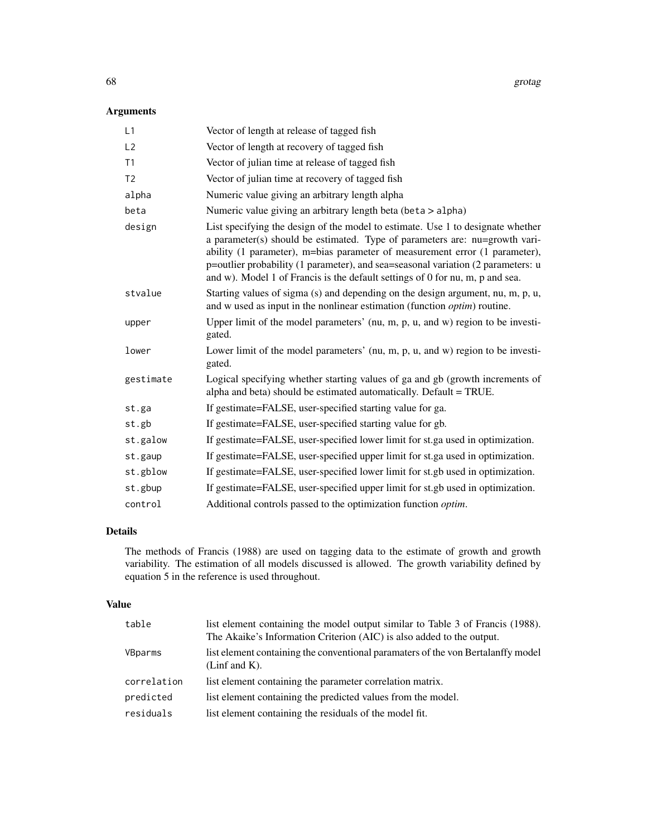# Arguments

| L1             | Vector of length at release of tagged fish                                                                                                                                                                                                                                                                                                                                                                         |
|----------------|--------------------------------------------------------------------------------------------------------------------------------------------------------------------------------------------------------------------------------------------------------------------------------------------------------------------------------------------------------------------------------------------------------------------|
| L2             | Vector of length at recovery of tagged fish                                                                                                                                                                                                                                                                                                                                                                        |
| T1             | Vector of julian time at release of tagged fish                                                                                                                                                                                                                                                                                                                                                                    |
| T <sub>2</sub> | Vector of julian time at recovery of tagged fish                                                                                                                                                                                                                                                                                                                                                                   |
| alpha          | Numeric value giving an arbitrary length alpha                                                                                                                                                                                                                                                                                                                                                                     |
| beta           | Numeric value giving an arbitrary length beta (beta > alpha)                                                                                                                                                                                                                                                                                                                                                       |
| design         | List specifying the design of the model to estimate. Use 1 to designate whether<br>a parameter(s) should be estimated. Type of parameters are: nu=growth vari-<br>ability (1 parameter), m=bias parameter of measurement error (1 parameter),<br>p=outlier probability (1 parameter), and sea=seasonal variation (2 parameters: u<br>and w). Model 1 of Francis is the default settings of 0 for nu, m, p and sea. |
| stvalue        | Starting values of sigma (s) and depending on the design argument, nu, m, p, u,<br>and w used as input in the nonlinear estimation (function $option$ ) routine.                                                                                                                                                                                                                                                   |
| upper          | Upper limit of the model parameters' (nu, m, p, u, and w) region to be investi-<br>gated.                                                                                                                                                                                                                                                                                                                          |
| lower          | Lower limit of the model parameters' (nu, m, p, u, and w) region to be investi-<br>gated.                                                                                                                                                                                                                                                                                                                          |
| gestimate      | Logical specifying whether starting values of ga and gb (growth increments of<br>alpha and beta) should be estimated automatically. Default = TRUE.                                                                                                                                                                                                                                                                |
| st.ga          | If gestimate=FALSE, user-specified starting value for ga.                                                                                                                                                                                                                                                                                                                                                          |
| st.gb          | If gestimate=FALSE, user-specified starting value for gb.                                                                                                                                                                                                                                                                                                                                                          |
| st.galow       | If gestimate=FALSE, user-specified lower limit for st.ga used in optimization.                                                                                                                                                                                                                                                                                                                                     |
| st.gaup        | If gestimate=FALSE, user-specified upper limit for st.ga used in optimization.                                                                                                                                                                                                                                                                                                                                     |
| st.gblow       | If gestimate=FALSE, user-specified lower limit for st.gb used in optimization.                                                                                                                                                                                                                                                                                                                                     |
| st.gbup        | If gestimate=FALSE, user-specified upper limit for st.gb used in optimization.                                                                                                                                                                                                                                                                                                                                     |
| control        | Additional controls passed to the optimization function optim.                                                                                                                                                                                                                                                                                                                                                     |

# Details

The methods of Francis (1988) are used on tagging data to the estimate of growth and growth variability. The estimation of all models discussed is allowed. The growth variability defined by equation 5 in the reference is used throughout.

# Value

| table       | list element containing the model output similar to Table 3 of Francis (1988).<br>The Akaike's Information Criterion (AIC) is also added to the output. |
|-------------|---------------------------------------------------------------------------------------------------------------------------------------------------------|
| VBparms     | list element containing the conventional paramaters of the von Bertalanffy model<br>(Linf and $K$ ).                                                    |
| correlation | list element containing the parameter correlation matrix.                                                                                               |
| predicted   | list element containing the predicted values from the model.                                                                                            |
| residuals   | list element containing the residuals of the model fit.                                                                                                 |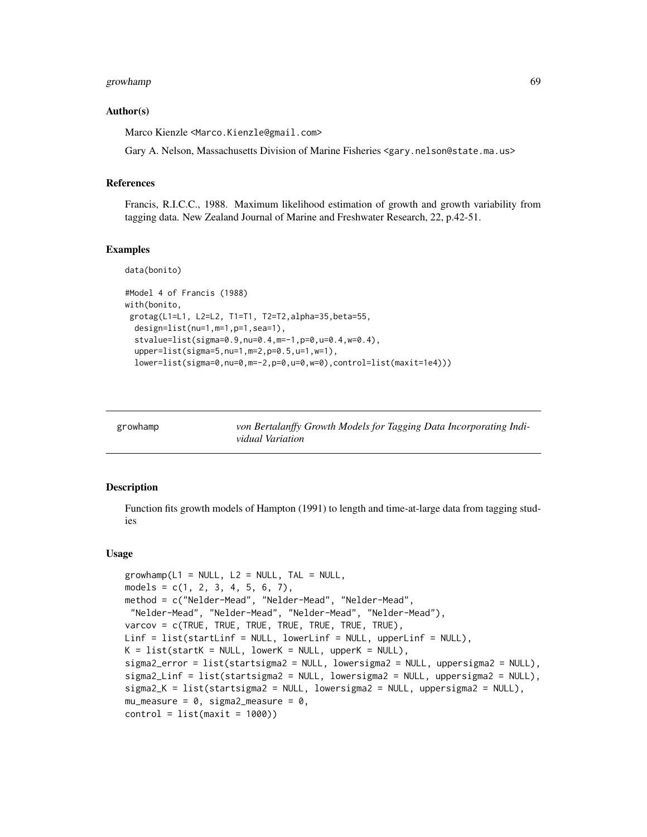#### growhamp 69 and the contract of the contract of the contract of the contract of the contract of the contract of the contract of the contract of the contract of the contract of the contract of the contract of the contract o

#### Author(s)

Marco Kienzle <Marco.Kienzle@gmail.com>

Gary A. Nelson, Massachusetts Division of Marine Fisheries <gary.nelson@state.ma.us>

#### **References**

Francis, R.I.C.C., 1988. Maximum likelihood estimation of growth and growth variability from tagging data. New Zealand Journal of Marine and Freshwater Research, 22, p.42-51.

## Examples

data(bonito)

```
#Model 4 of Francis (1988)
with(bonito,
grotag(L1=L1, L2=L2, T1=T1, T2=T2,alpha=35,beta=55,
 design=list(nu=1,m=1,p=1,sea=1),
 stvalue=list(sigma=0.9,nu=0.4,m=-1,p=0,u=0.4,w=0.4),
 upper=list(sigma=5,nu=1,m=2,p=0.5,u=1,w=1),
 lower-list(sigma=0, nu=0, m=-2, p=0, u=0, w=0), control=list(maxit=1e4)))
```

| growhamp | von Bertalanffy Growth Models for Tagging Data Incorporating Indi- |
|----------|--------------------------------------------------------------------|
|          | vidual Variation                                                   |

## Description

Function fits growth models of Hampton (1991) to length and time-at-large data from tagging studies

## Usage

```
growhamp(L1 = NULL, L2 = NULL, TAL = NULL,
models = c(1, 2, 3, 4, 5, 6, 7),
method = c("Nelder-Mead", "Nelder-Mead", "Nelder-Mead",
 "Nelder-Mead", "Nelder-Mead", "Nelder-Mead", "Nelder-Mead"),
varcov = c(TRUE, TRUE, TRUE, TRUE, TRUE, TRUE, TRUE),
Linf = list(startLinf = NULL, lowerLinf = NULL, upperLinf = NULL),
K = list(startK = NULL, lowerK = NULL, upperK = NULL),sigma2_error = list(startsigma2 = NULL, lowersigma2 = NULL, uppersigma2 = NULL),
sigma2_Linf = list(startsigma2 = NULL, lowersigma2 = NULL, uppersigma2 = NULL),
sigma2_K = list(startsigma2 = NULL, lowersigma2 = NULL, uppersigma2 = NULL),
mu_measure = 0, sigma2_measure = 0,
control = list(maxit = 1000)
```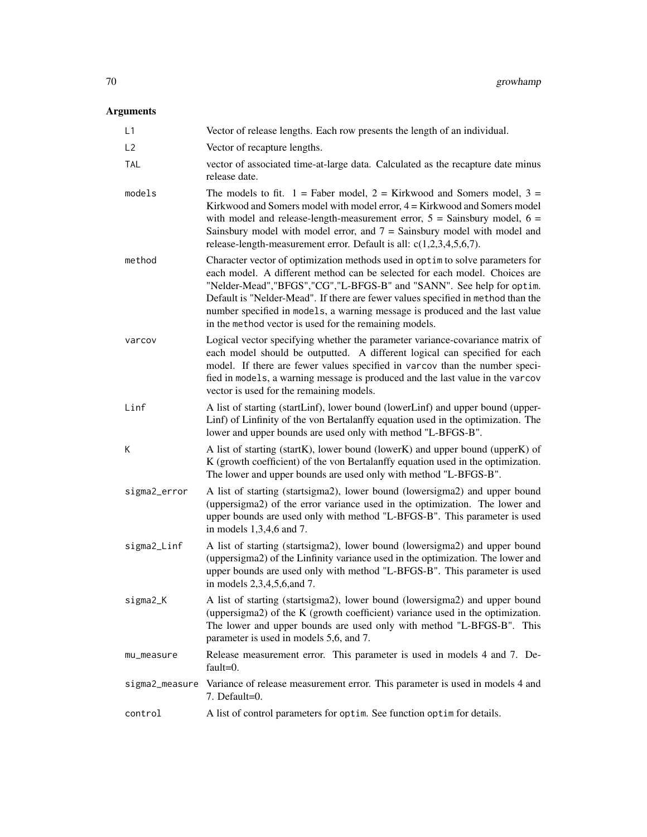# Arguments

| L1             | Vector of release lengths. Each row presents the length of an individual.                                                                                                                                                                                                                                                                                                                                                                                          |
|----------------|--------------------------------------------------------------------------------------------------------------------------------------------------------------------------------------------------------------------------------------------------------------------------------------------------------------------------------------------------------------------------------------------------------------------------------------------------------------------|
| L <sub>2</sub> | Vector of recapture lengths.                                                                                                                                                                                                                                                                                                                                                                                                                                       |
| <b>TAL</b>     | vector of associated time-at-large data. Calculated as the recapture date minus<br>release date.                                                                                                                                                                                                                                                                                                                                                                   |
| models         | The models to fit. $1 =$ Faber model, $2 =$ Kirkwood and Somers model, $3 =$<br>Kirkwood and Somers model with model error, $4 =$ Kirkwood and Somers model<br>with model and release-length-measurement error, $5 =$ Sainsbury model, $6 =$<br>Sainsbury model with model error, and $7 =$ Sainsbury model with model and<br>release-length-measurement error. Default is all: $c(1,2,3,4,5,6,7)$ .                                                               |
| method         | Character vector of optimization methods used in optim to solve parameters for<br>each model. A different method can be selected for each model. Choices are<br>"Nelder-Mead","BFGS","CG","L-BFGS-B" and "SANN". See help for optim.<br>Default is "Nelder-Mead". If there are fewer values specified in method than the<br>number specified in models, a warning message is produced and the last value<br>in the method vector is used for the remaining models. |
| varcov         | Logical vector specifying whether the parameter variance-covariance matrix of<br>each model should be outputted. A different logical can specified for each<br>model. If there are fewer values specified in varcov than the number speci-<br>fied in models, a warning message is produced and the last value in the varcov<br>vector is used for the remaining models.                                                                                           |
| Linf           | A list of starting (startLinf), lower bound (lowerLinf) and upper bound (upper-<br>Linf) of Linfinity of the von Bertalanffy equation used in the optimization. The<br>lower and upper bounds are used only with method "L-BFGS-B".                                                                                                                                                                                                                                |
| К              | A list of starting (startK), lower bound (lowerK) and upper bound (upperK) of<br>K (growth coefficient) of the von Bertalanffy equation used in the optimization.<br>The lower and upper bounds are used only with method "L-BFGS-B".                                                                                                                                                                                                                              |
| sigma2_error   | A list of starting (startsigma2), lower bound (lowersigma2) and upper bound<br>(uppersigma2) of the error variance used in the optimization. The lower and<br>upper bounds are used only with method "L-BFGS-B". This parameter is used<br>in models 1,3,4,6 and 7.                                                                                                                                                                                                |
| sigma2_Linf    | A list of starting (startsigma2), lower bound (lowersigma2) and upper bound<br>(uppersigma2) of the Linfinity variance used in the optimization. The lower and<br>upper bounds are used only with method "L-BFGS-B". This parameter is used<br>in models 2,3,4,5,6, and 7.                                                                                                                                                                                         |
| sigma2_K       | A list of starting (startsigma2), lower bound (lowersigma2) and upper bound<br>(uppersigma2) of the K (growth coefficient) variance used in the optimization.<br>The lower and upper bounds are used only with method "L-BFGS-B". This<br>parameter is used in models 5,6, and 7.                                                                                                                                                                                  |
| mu_measure     | Release measurement error. This parameter is used in models 4 and 7. De-<br>fault= $0$ .                                                                                                                                                                                                                                                                                                                                                                           |
| sigma2_measure | Variance of release measurement error. This parameter is used in models 4 and<br>7. Default=0.                                                                                                                                                                                                                                                                                                                                                                     |
| control        | A list of control parameters for optim. See function optim for details.                                                                                                                                                                                                                                                                                                                                                                                            |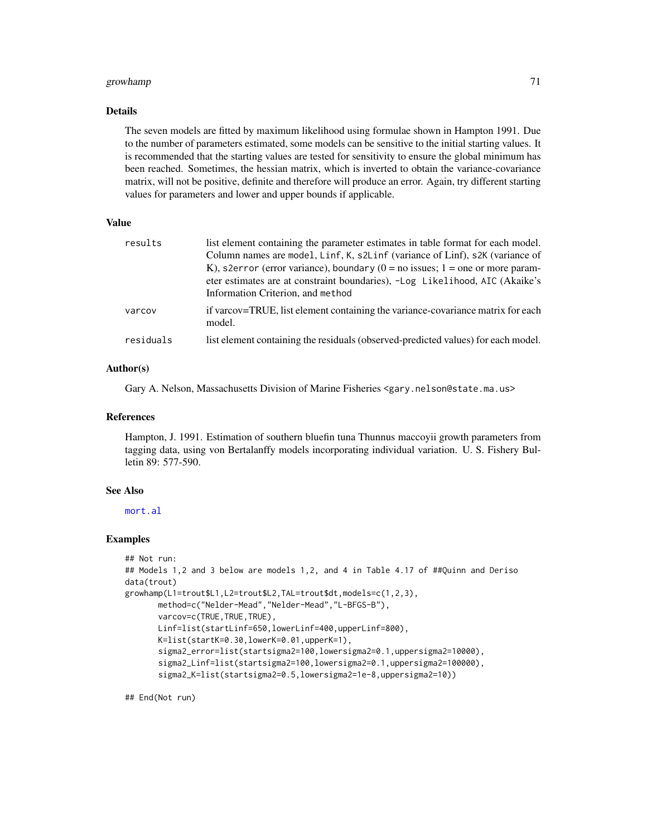#### growhamp 71

#### Details

The seven models are fitted by maximum likelihood using formulae shown in Hampton 1991. Due to the number of parameters estimated, some models can be sensitive to the initial starting values. It is recommended that the starting values are tested for sensitivity to ensure the global minimum has been reached. Sometimes, the hessian matrix, which is inverted to obtain the variance-covariance matrix, will not be positive, definite and therefore will produce an error. Again, try different starting values for parameters and lower and upper bounds if applicable.

#### Value

| results   | list element containing the parameter estimates in table format for each model.           |
|-----------|-------------------------------------------------------------------------------------------|
|           | Column names are model, Linf, K, s2Linf (variance of Linf), s2K (variance of              |
|           | K), s2error (error variance), boundary ( $0 =$ no issues; 1 = one or more param-          |
|           | eter estimates are at constraint boundaries), -Log Likelihood, AIC (Akaike's              |
|           | Information Criterion, and method                                                         |
| varcov    | if varcov=TRUE, list element containing the variance-covariance matrix for each<br>model. |
| residuals | list element containing the residuals (observed-predicted values) for each model.         |

## Author(s)

Gary A. Nelson, Massachusetts Division of Marine Fisheries <gary.nelson@state.ma.us>

#### References

Hampton, J. 1991. Estimation of southern bluefin tuna Thunnus maccoyii growth parameters from tagging data, using von Bertalanffy models incorporating individual variation. U. S. Fishery Bulletin 89: 577-590.

#### See Also

[mort.al](#page-92-0)

# Examples

```
## Not run:
## Models 1,2 and 3 below are models 1,2, and 4 in Table 4.17 of ##Quinn and Deriso
data(trout)
growhamp(L1=trout$L1,L2=trout$L2,TAL=trout$dt,models=c(1,2,3),
      method=c("Nelder-Mead","Nelder-Mead","L-BFGS-B"),
      varcov=c(TRUE,TRUE,TRUE),
      Linf=list(startLinf=650,lowerLinf=400,upperLinf=800),
      K=list(startK=0.30,lowerK=0.01,upperK=1),
      sigma2_error=list(startsigma2=100,lowersigma2=0.1,uppersigma2=10000),
      sigma2_Linf=list(startsigma2=100,lowersigma2=0.1,uppersigma2=100000),
      sigma2_K=list(startsigma2=0.5,lowersigma2=1e-8,uppersigma2=10))
```
## End(Not run)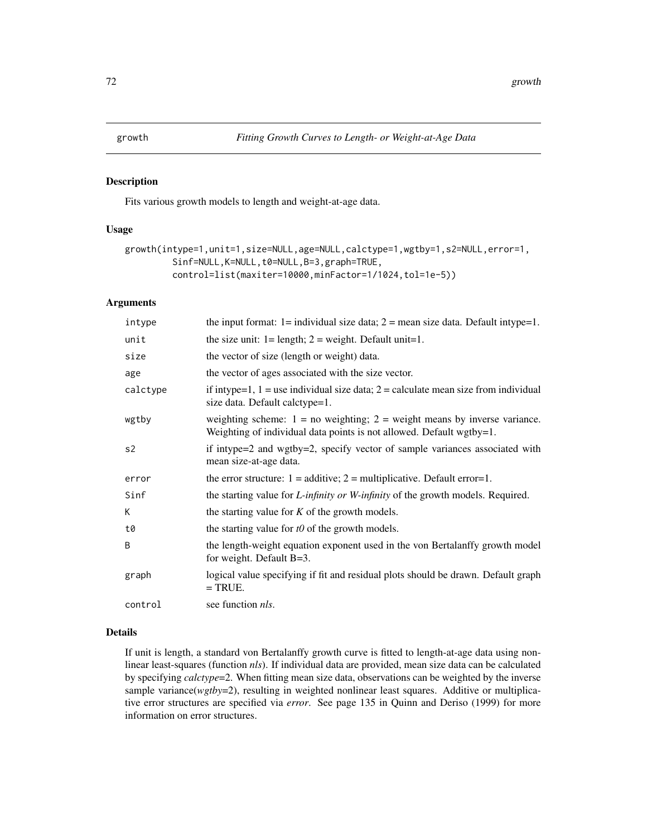# Description

Fits various growth models to length and weight-at-age data.

## Usage

```
growth(intype=1,unit=1,size=NULL,age=NULL,calctype=1,wgtby=1,s2=NULL,error=1,
         Sinf=NULL,K=NULL,t0=NULL,B=3,graph=TRUE,
         control=list(maxiter=10000,minFactor=1/1024,tol=1e-5))
```
# Arguments

| intype       | the input format: $l =$ individual size data; $2 =$ mean size data. Default intype=1.                                                                 |
|--------------|-------------------------------------------------------------------------------------------------------------------------------------------------------|
| unit         | the size unit: $1 =$ length; $2 =$ weight. Default unit=1.                                                                                            |
| size         | the vector of size (length or weight) data.                                                                                                           |
| age          | the vector of ages associated with the size vector.                                                                                                   |
| calctype     | if intype=1, $1 =$ use individual size data; $2 =$ calculate mean size from individual<br>size data. Default calctype=1.                              |
| wgtby        | weighting scheme: $1 = no$ weighting; $2 = weight$ means by inverse variance.<br>Weighting of individual data points is not allowed. Default wgtby=1. |
| s2           | if intype=2 and wgtby=2, specify vector of sample variances associated with<br>mean size-at-age data.                                                 |
| error        | the error structure: $1 =$ additive; $2 =$ multiplicative. Default error=1.                                                                           |
| Sinf         | the starting value for <i>L</i> -infinity or <i>W</i> -infinity of the growth models. Required.                                                       |
| K            | the starting value for $K$ of the growth models.                                                                                                      |
| t0           | the starting value for $t0$ of the growth models.                                                                                                     |
| <sub>B</sub> | the length-weight equation exponent used in the von Bertalanffy growth model<br>for weight. Default $B=3$ .                                           |
| graph        | logical value specifying if fit and residual plots should be drawn. Default graph<br>$=$ TRUE.                                                        |
| control      | see function <i>nls</i> .                                                                                                                             |

# Details

If unit is length, a standard von Bertalanffy growth curve is fitted to length-at-age data using nonlinear least-squares (function *nls*). If individual data are provided, mean size data can be calculated by specifying *calctype*=2. When fitting mean size data, observations can be weighted by the inverse sample variance(*wgtby*=2), resulting in weighted nonlinear least squares. Additive or multiplicative error structures are specified via *error*. See page 135 in Quinn and Deriso (1999) for more information on error structures.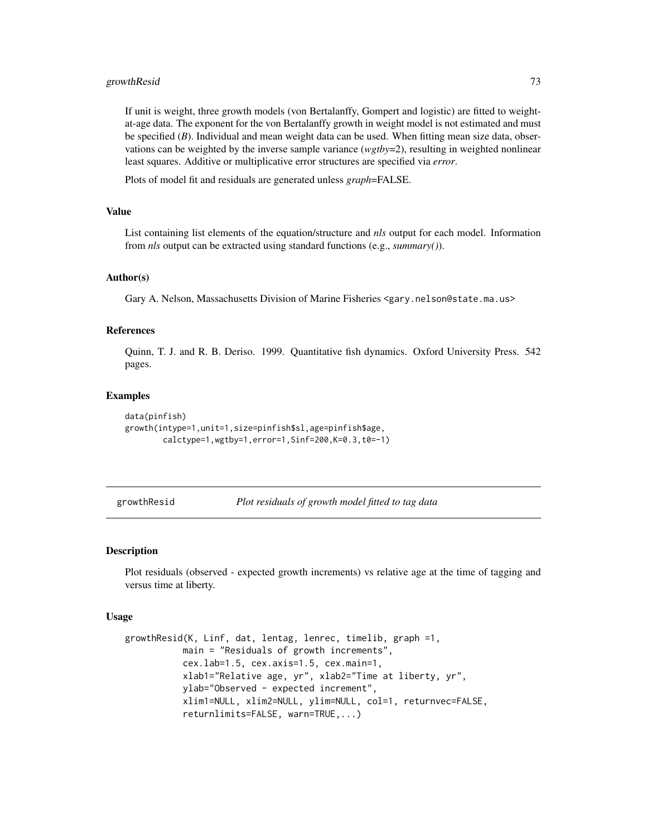## growthResid 73

If unit is weight, three growth models (von Bertalanffy, Gompert and logistic) are fitted to weightat-age data. The exponent for the von Bertalanffy growth in weight model is not estimated and must be specified (*B*). Individual and mean weight data can be used. When fitting mean size data, observations can be weighted by the inverse sample variance (*wgtby*=2), resulting in weighted nonlinear least squares. Additive or multiplicative error structures are specified via *error*.

Plots of model fit and residuals are generated unless *graph*=FALSE.

## Value

List containing list elements of the equation/structure and *nls* output for each model. Information from *nls* output can be extracted using standard functions (e.g., *summary()*).

## Author(s)

Gary A. Nelson, Massachusetts Division of Marine Fisheries <gary.nelson@state.ma.us>

## References

Quinn, T. J. and R. B. Deriso. 1999. Quantitative fish dynamics. Oxford University Press. 542 pages.

#### Examples

```
data(pinfish)
growth(intype=1,unit=1,size=pinfish$sl,age=pinfish$age,
        calctype=1,wgtby=1,error=1,Sinf=200,K=0.3,t0=-1)
```

```
growthResid Plot residuals of growth model fitted to tag data
```
#### Description

Plot residuals (observed - expected growth increments) vs relative age at the time of tagging and versus time at liberty.

#### Usage

```
growthResid(K, Linf, dat, lentag, lenrec, timelib, graph =1,
          main = "Residuals of growth increments",
          cex.lab=1.5, cex.axis=1.5, cex.main=1,
          xlab1="Relative age, yr", xlab2="Time at liberty, yr",
          ylab="Observed - expected increment",
          xlim1=NULL, xlim2=NULL, ylim=NULL, col=1, returnvec=FALSE,
          returnlimits=FALSE, warn=TRUE,...)
```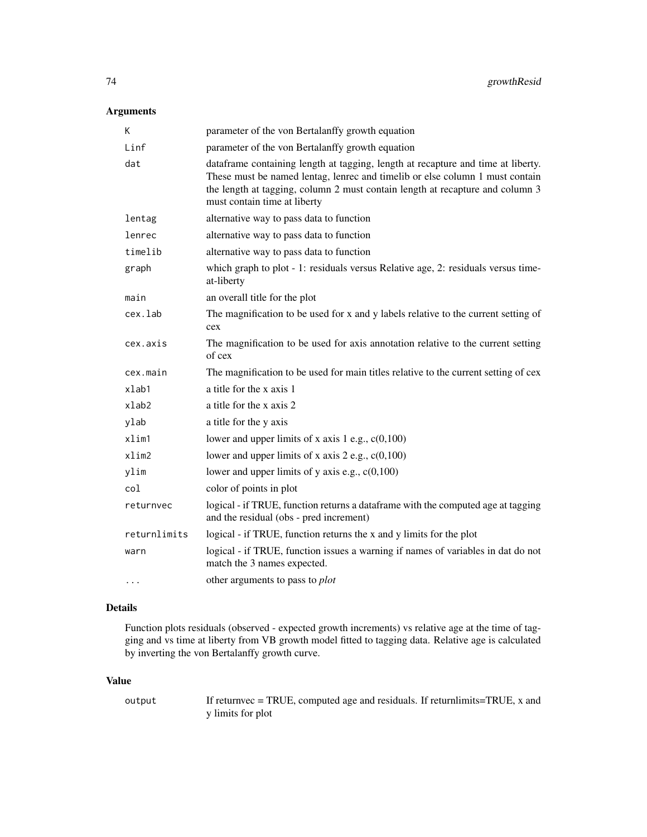# Arguments

| K            | parameter of the von Bertalanffy growth equation                                                                                                                                                                                                                                  |
|--------------|-----------------------------------------------------------------------------------------------------------------------------------------------------------------------------------------------------------------------------------------------------------------------------------|
| Linf         | parameter of the von Bertalanffy growth equation                                                                                                                                                                                                                                  |
| dat          | dataframe containing length at tagging, length at recapture and time at liberty.<br>These must be named lentag, lenrec and timelib or else column 1 must contain<br>the length at tagging, column 2 must contain length at recapture and column 3<br>must contain time at liberty |
| lentag       | alternative way to pass data to function                                                                                                                                                                                                                                          |
| lenrec       | alternative way to pass data to function                                                                                                                                                                                                                                          |
| timelib      | alternative way to pass data to function                                                                                                                                                                                                                                          |
| graph        | which graph to plot - 1: residuals versus Relative age, 2: residuals versus time-<br>at-liberty                                                                                                                                                                                   |
| main         | an overall title for the plot                                                                                                                                                                                                                                                     |
| cex.lab      | The magnification to be used for x and y labels relative to the current setting of<br>cex                                                                                                                                                                                         |
| cex.axis     | The magnification to be used for axis annotation relative to the current setting<br>of cex                                                                                                                                                                                        |
| cex.main     | The magnification to be used for main titles relative to the current setting of cex                                                                                                                                                                                               |
| xlab1        | a title for the x axis 1                                                                                                                                                                                                                                                          |
| $x$ lab $2$  | a title for the x axis 2                                                                                                                                                                                                                                                          |
| ylab         | a title for the y axis                                                                                                                                                                                                                                                            |
| xlim1        | lower and upper limits of x axis 1 e.g., $c(0,100)$                                                                                                                                                                                                                               |
| xlim2        | lower and upper limits of x axis $2$ e.g., $c(0,100)$                                                                                                                                                                                                                             |
| ylim         | lower and upper limits of y axis e.g., $c(0,100)$                                                                                                                                                                                                                                 |
| col          | color of points in plot                                                                                                                                                                                                                                                           |
| returnvec    | logical - if TRUE, function returns a dataframe with the computed age at tagging<br>and the residual (obs - pred increment)                                                                                                                                                       |
| returnlimits | logical - if TRUE, function returns the x and y limits for the plot                                                                                                                                                                                                               |
| warn         | logical - if TRUE, function issues a warning if names of variables in dat do not<br>match the 3 names expected.                                                                                                                                                                   |
| .            | other arguments to pass to <i>plot</i>                                                                                                                                                                                                                                            |

# Details

Function plots residuals (observed - expected growth increments) vs relative age at the time of tagging and vs time at liberty from VB growth model fitted to tagging data. Relative age is calculated by inverting the von Bertalanffy growth curve.

# Value

output If returnvec = TRUE, computed age and residuals. If returnlimits=TRUE, x and y limits for plot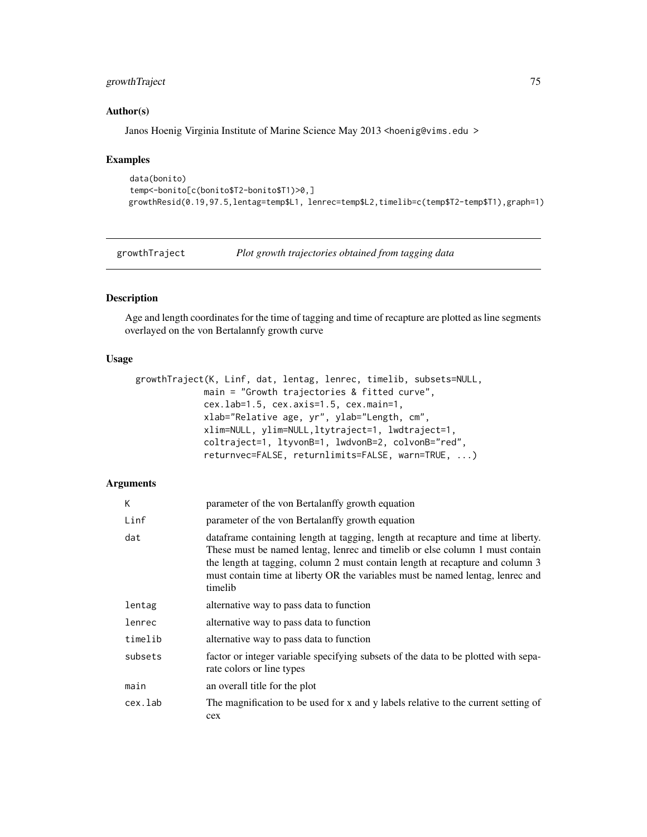# growthTraject 75

## Author(s)

Janos Hoenig Virginia Institute of Marine Science May 2013 <hoenig@vims.edu >

# Examples

```
data(bonito)
temp<-bonito[c(bonito$T2-bonito$T1)>0,]
growthResid(0.19,97.5,lentag=temp$L1, lenrec=temp$L2,timelib=c(temp$T2-temp$T1),graph=1)
```
growthTraject *Plot growth trajectories obtained from tagging data*

# Description

Age and length coordinates for the time of tagging and time of recapture are plotted as line segments overlayed on the von Bertalannfy growth curve

#### Usage

```
growthTraject(K, Linf, dat, lentag, lenrec, timelib, subsets=NULL,
            main = "Growth trajectories & fitted curve",
             cex.lab=1.5, cex.axis=1.5, cex.main=1,
             xlab="Relative age, yr", ylab="Length, cm",
             xlim=NULL, ylim=NULL,ltytraject=1, lwdtraject=1,
             coltraject=1, ltyvonB=1, lwdvonB=2, colvonB="red",
             returnvec=FALSE, returnlimits=FALSE, warn=TRUE, ...)
```
# Arguments

| K       | parameter of the von Bertalanffy growth equation                                                                                                                                                                                                                                                                                                |
|---------|-------------------------------------------------------------------------------------------------------------------------------------------------------------------------------------------------------------------------------------------------------------------------------------------------------------------------------------------------|
| Linf    | parameter of the von Bertalanffy growth equation                                                                                                                                                                                                                                                                                                |
| dat     | data frame containing length at tagging, length at recapture and time at liberty.<br>These must be named lentag, lenrec and timelib or else column 1 must contain<br>the length at tagging, column 2 must contain length at recapture and column 3<br>must contain time at liberty OR the variables must be named lentag, lenrec and<br>timelib |
| lentag  | alternative way to pass data to function                                                                                                                                                                                                                                                                                                        |
| lenrec  | alternative way to pass data to function                                                                                                                                                                                                                                                                                                        |
| timelib | alternative way to pass data to function                                                                                                                                                                                                                                                                                                        |
| subsets | factor or integer variable specifying subsets of the data to be plotted with sepa-<br>rate colors or line types                                                                                                                                                                                                                                 |
| main    | an overall title for the plot                                                                                                                                                                                                                                                                                                                   |
| cex.lab | The magnification to be used for x and y labels relative to the current setting of<br>cex                                                                                                                                                                                                                                                       |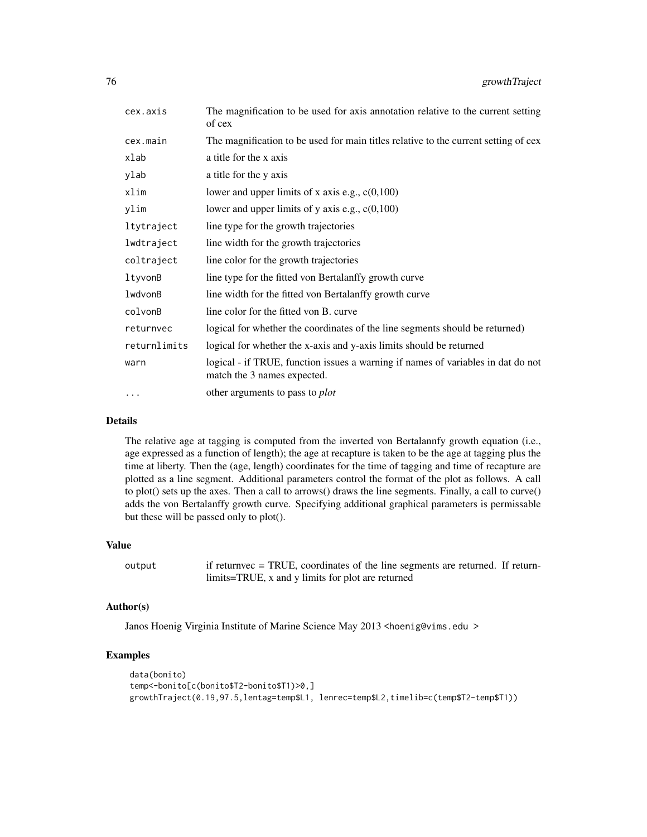| cex.axis     | The magnification to be used for axis annotation relative to the current setting<br>of cex                      |
|--------------|-----------------------------------------------------------------------------------------------------------------|
| cex.main     | The magnification to be used for main titles relative to the current setting of cex                             |
| xlab         | a title for the x axis                                                                                          |
| ylab         | a title for the y axis                                                                                          |
| xlim         | lower and upper limits of x axis e.g., $c(0,100)$                                                               |
| ylim         | lower and upper limits of y axis e.g., $c(0,100)$                                                               |
| ltytraject   | line type for the growth trajectories                                                                           |
| lwdtraject   | line width for the growth trajectories                                                                          |
| coltraject   | line color for the growth trajectories                                                                          |
| ltyvonB      | line type for the fitted von Bertalanffy growth curve                                                           |
| lwdvonB      | line width for the fitted von Bertalanffy growth curve                                                          |
| colvonB      | line color for the fitted von B, curve                                                                          |
| returnvec    | logical for whether the coordinates of the line segments should be returned)                                    |
| returnlimits | logical for whether the x-axis and y-axis limits should be returned                                             |
| warn         | logical - if TRUE, function issues a warning if names of variables in dat do not<br>match the 3 names expected. |
| $\cdots$     | other arguments to pass to <i>plot</i>                                                                          |

## Details

The relative age at tagging is computed from the inverted von Bertalannfy growth equation (i.e., age expressed as a function of length); the age at recapture is taken to be the age at tagging plus the time at liberty. Then the (age, length) coordinates for the time of tagging and time of recapture are plotted as a line segment. Additional parameters control the format of the plot as follows. A call to plot() sets up the axes. Then a call to arrows() draws the line segments. Finally, a call to curve() adds the von Bertalanffy growth curve. Specifying additional graphical parameters is permissable but these will be passed only to plot().

## Value

output if returnvec = TRUE, coordinates of the line segments are returned. If returnlimits=TRUE, x and y limits for plot are returned

# Author(s)

Janos Hoenig Virginia Institute of Marine Science May 2013 <hoenig@vims.edu >

#### Examples

```
data(bonito)
temp<-bonito[c(bonito$T2-bonito$T1)>0,]
growthTraject(0.19,97.5,lentag=temp$L1, lenrec=temp$L2,timelib=c(temp$T2-temp$T1))
```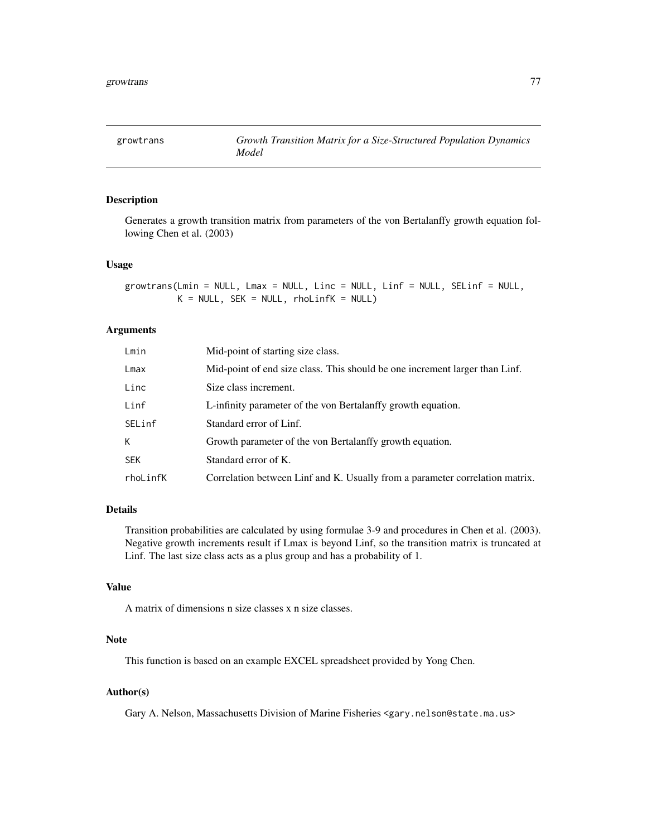Generates a growth transition matrix from parameters of the von Bertalanffy growth equation following Chen et al. (2003)

## Usage

growtrans(Lmin = NULL, Lmax = NULL, Linc = NULL, Linf = NULL, SELinf = NULL,  $K = NULL$ , SEK = NULL, rhoLinfK = NULL)

# Arguments

| Lmin       | Mid-point of starting size class.                                            |
|------------|------------------------------------------------------------------------------|
| Lmax       | Mid-point of end size class. This should be one increment larger than Linf.  |
| Linc       | Size class increment.                                                        |
| Linf       | L-infinity parameter of the von Bertalanffy growth equation.                 |
| SELinf     | Standard error of Linf.                                                      |
| K          | Growth parameter of the von Bertalanffy growth equation.                     |
| <b>SEK</b> | Standard error of K.                                                         |
| rhoLinfK   | Correlation between Linf and K. Usually from a parameter correlation matrix. |

# Details

Transition probabilities are calculated by using formulae 3-9 and procedures in Chen et al. (2003). Negative growth increments result if Lmax is beyond Linf, so the transition matrix is truncated at Linf. The last size class acts as a plus group and has a probability of 1.

# Value

A matrix of dimensions n size classes x n size classes.

## Note

This function is based on an example EXCEL spreadsheet provided by Yong Chen.

# Author(s)

Gary A. Nelson, Massachusetts Division of Marine Fisheries <gary.nelson@state.ma.us>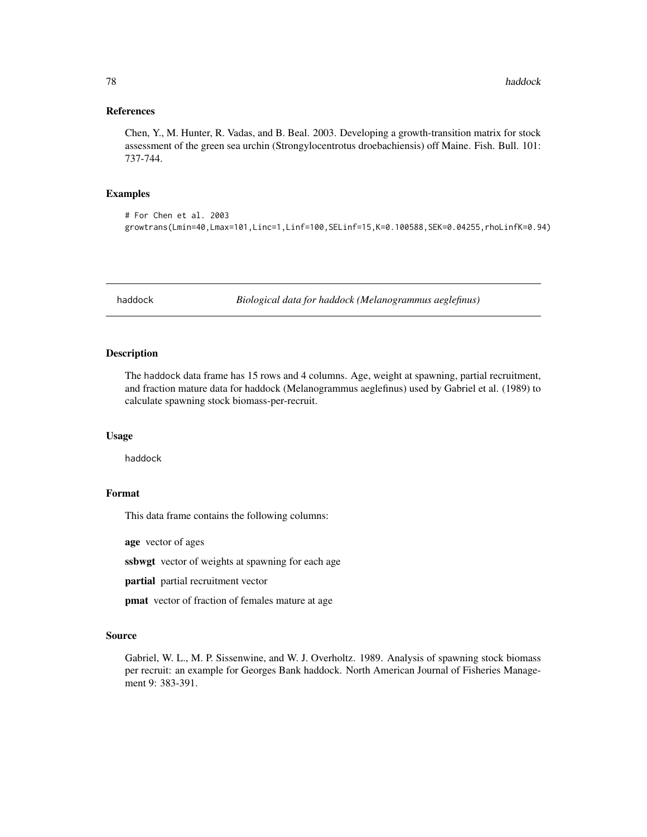#### References

Chen, Y., M. Hunter, R. Vadas, and B. Beal. 2003. Developing a growth-transition matrix for stock assessment of the green sea urchin (Strongylocentrotus droebachiensis) off Maine. Fish. Bull. 101: 737-744.

#### Examples

```
# For Chen et al. 2003
growtrans(Lmin=40,Lmax=101,Linc=1,Linf=100,SELinf=15,K=0.100588,SEK=0.04255,rhoLinfK=0.94)
```
haddock *Biological data for haddock (Melanogrammus aeglefinus)*

#### Description

The haddock data frame has 15 rows and 4 columns. Age, weight at spawning, partial recruitment, and fraction mature data for haddock (Melanogrammus aeglefinus) used by Gabriel et al. (1989) to calculate spawning stock biomass-per-recruit.

#### Usage

haddock

## Format

This data frame contains the following columns:

age vector of ages

ssbwgt vector of weights at spawning for each age

partial partial recruitment vector

pmat vector of fraction of females mature at age

#### Source

Gabriel, W. L., M. P. Sissenwine, and W. J. Overholtz. 1989. Analysis of spawning stock biomass per recruit: an example for Georges Bank haddock. North American Journal of Fisheries Management 9: 383-391.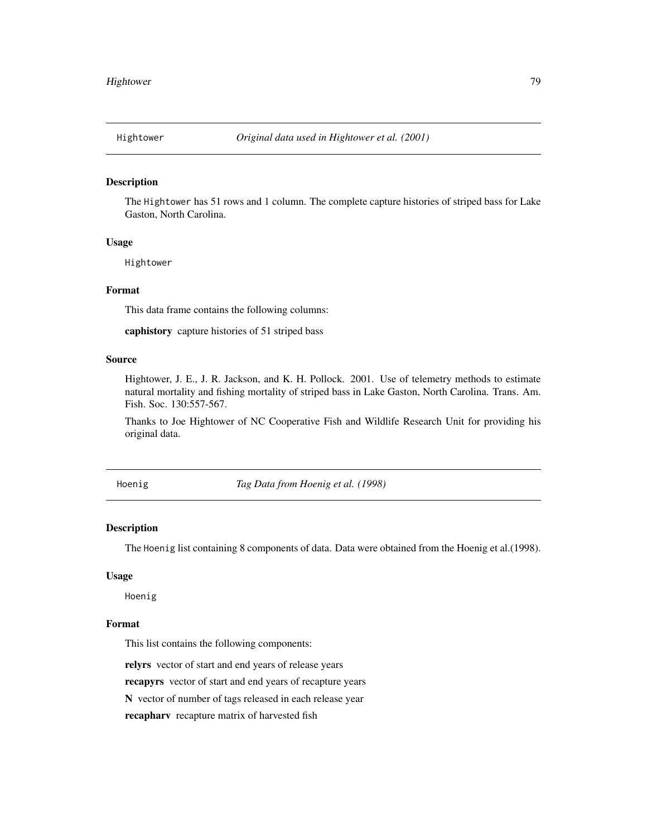The Hightower has 51 rows and 1 column. The complete capture histories of striped bass for Lake Gaston, North Carolina.

#### Usage

Hightower

# Format

This data frame contains the following columns:

caphistory capture histories of 51 striped bass

#### Source

Hightower, J. E., J. R. Jackson, and K. H. Pollock. 2001. Use of telemetry methods to estimate natural mortality and fishing mortality of striped bass in Lake Gaston, North Carolina. Trans. Am. Fish. Soc. 130:557-567.

Thanks to Joe Hightower of NC Cooperative Fish and Wildlife Research Unit for providing his original data.

Hoenig *Tag Data from Hoenig et al. (1998)*

## Description

The Hoenig list containing 8 components of data. Data were obtained from the Hoenig et al.(1998).

#### Usage

Hoenig

#### Format

This list contains the following components:

relyrs vector of start and end years of release years

recapyrs vector of start and end years of recapture years

N vector of number of tags released in each release year

recapharv recapture matrix of harvested fish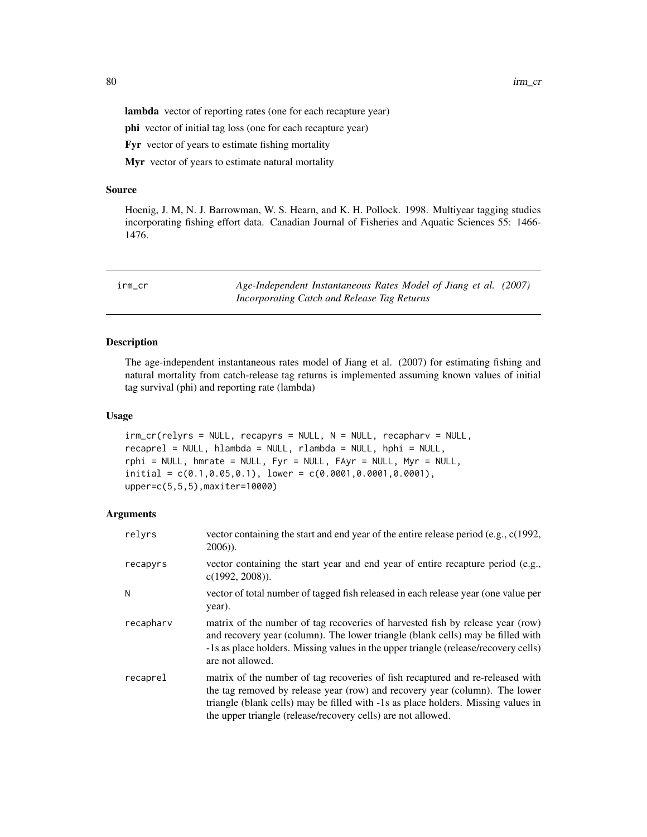lambda vector of reporting rates (one for each recapture year)

phi vector of initial tag loss (one for each recapture year)

Fyr vector of years to estimate fishing mortality

Myr vector of years to estimate natural mortality

#### Source

Hoenig, J. M, N. J. Barrowman, W. S. Hearn, and K. H. Pollock. 1998. Multiyear tagging studies incorporating fishing effort data. Canadian Journal of Fisheries and Aquatic Sciences 55: 1466- 1476.

<span id="page-79-0"></span>irm\_cr *Age-Independent Instantaneous Rates Model of Jiang et al. (2007) Incorporating Catch and Release Tag Returns*

# Description

The age-independent instantaneous rates model of Jiang et al. (2007) for estimating fishing and natural mortality from catch-release tag returns is implemented assuming known values of initial tag survival (phi) and reporting rate (lambda)

#### Usage

```
irm_cr(relyrs = NULL, recapyrs = NULL, N = NULL, recapharv = NULL,
recaprel = NULL, hlambda = NULL, rlambda = NULL, hphi = NULL,
rphi = NULL, hmrate = NULL, Fyr = NULL, FAyr = NULL, Myr = NULL,
initial = c(0.1, 0.05, 0.1), lower = c(0.0001, 0.0001, 0.0001),upper=c(5,5,5),maxiter=10000)
```
## **Arguments**

| relyrs    | vector containing the start and end year of the entire release period (e.g., $c(1992,$<br>$2006$ )).                                                                                                                                                                                                               |
|-----------|--------------------------------------------------------------------------------------------------------------------------------------------------------------------------------------------------------------------------------------------------------------------------------------------------------------------|
| recapyrs  | vector containing the start year and end year of entire recapture period (e.g.,<br>$c(1992, 2008)$ .                                                                                                                                                                                                               |
| N         | vector of total number of tagged fish released in each release year (one value per<br>year).                                                                                                                                                                                                                       |
| recapharv | matrix of the number of tag recoveries of harvested fish by release year (row)<br>and recovery year (column). The lower triangle (blank cells) may be filled with<br>-1s as place holders. Missing values in the upper triangle (release/recovery cells)<br>are not allowed.                                       |
| recaprel  | matrix of the number of tag recoveries of fish recaptured and re-released with<br>the tag removed by release year (row) and recovery year (column). The lower<br>triangle (blank cells) may be filled with -1s as place holders. Missing values in<br>the upper triangle (release/recovery cells) are not allowed. |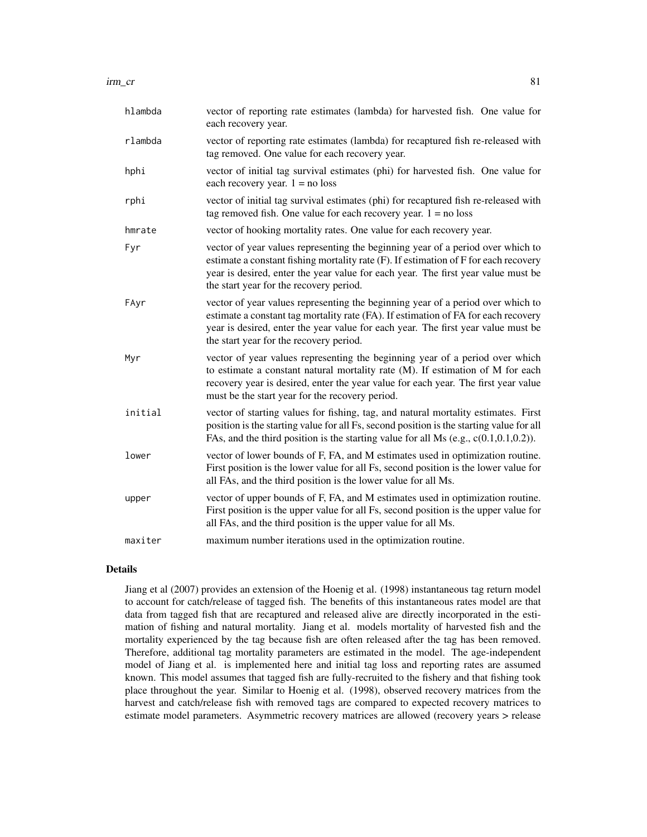| hlambda | vector of reporting rate estimates (lambda) for harvested fish. One value for<br>each recovery year.                                                                                                                                                                                                    |
|---------|---------------------------------------------------------------------------------------------------------------------------------------------------------------------------------------------------------------------------------------------------------------------------------------------------------|
| rlambda | vector of reporting rate estimates (lambda) for recaptured fish re-released with<br>tag removed. One value for each recovery year.                                                                                                                                                                      |
| hphi    | vector of initial tag survival estimates (phi) for harvested fish. One value for<br>each recovery year. $1 = no$ loss                                                                                                                                                                                   |
| rphi    | vector of initial tag survival estimates (phi) for recaptured fish re-released with<br>tag removed fish. One value for each recovery year. $1 = no loss$                                                                                                                                                |
| hmrate  | vector of hooking mortality rates. One value for each recovery year.                                                                                                                                                                                                                                    |
| Fyr     | vector of year values representing the beginning year of a period over which to<br>estimate a constant fishing mortality rate (F). If estimation of F for each recovery<br>year is desired, enter the year value for each year. The first year value must be<br>the start year for the recovery period. |
| FAyr    | vector of year values representing the beginning year of a period over which to<br>estimate a constant tag mortality rate (FA). If estimation of FA for each recovery<br>year is desired, enter the year value for each year. The first year value must be<br>the start year for the recovery period.   |
| Myr     | vector of year values representing the beginning year of a period over which<br>to estimate a constant natural mortality rate (M). If estimation of M for each<br>recovery year is desired, enter the year value for each year. The first year value<br>must be the start year for the recovery period. |
| initial | vector of starting values for fishing, tag, and natural mortality estimates. First<br>position is the starting value for all Fs, second position is the starting value for all<br>FAs, and the third position is the starting value for all Ms (e.g., $c(0.1, 0.1, 0.2)$ ).                             |
| lower   | vector of lower bounds of F, FA, and M estimates used in optimization routine.<br>First position is the lower value for all Fs, second position is the lower value for<br>all FAs, and the third position is the lower value for all Ms.                                                                |
| upper   | vector of upper bounds of F, FA, and M estimates used in optimization routine.<br>First position is the upper value for all Fs, second position is the upper value for<br>all FAs, and the third position is the upper value for all Ms.                                                                |
| maxiter | maximum number iterations used in the optimization routine.                                                                                                                                                                                                                                             |

## Details

Jiang et al (2007) provides an extension of the Hoenig et al. (1998) instantaneous tag return model to account for catch/release of tagged fish. The benefits of this instantaneous rates model are that data from tagged fish that are recaptured and released alive are directly incorporated in the estimation of fishing and natural mortality. Jiang et al. models mortality of harvested fish and the mortality experienced by the tag because fish are often released after the tag has been removed. Therefore, additional tag mortality parameters are estimated in the model. The age-independent model of Jiang et al. is implemented here and initial tag loss and reporting rates are assumed known. This model assumes that tagged fish are fully-recruited to the fishery and that fishing took place throughout the year. Similar to Hoenig et al. (1998), observed recovery matrices from the harvest and catch/release fish with removed tags are compared to expected recovery matrices to estimate model parameters. Asymmetric recovery matrices are allowed (recovery years > release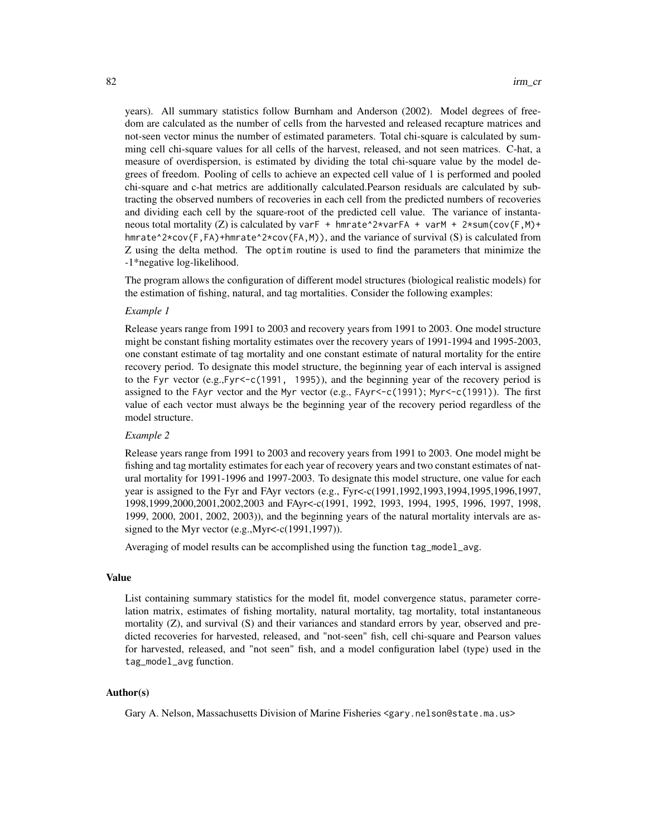years). All summary statistics follow Burnham and Anderson (2002). Model degrees of freedom are calculated as the number of cells from the harvested and released recapture matrices and not-seen vector minus the number of estimated parameters. Total chi-square is calculated by summing cell chi-square values for all cells of the harvest, released, and not seen matrices. C-hat, a measure of overdispersion, is estimated by dividing the total chi-square value by the model degrees of freedom. Pooling of cells to achieve an expected cell value of 1 is performed and pooled chi-square and c-hat metrics are additionally calculated.Pearson residuals are calculated by subtracting the observed numbers of recoveries in each cell from the predicted numbers of recoveries and dividing each cell by the square-root of the predicted cell value. The variance of instantaneous total mortality (Z) is calculated by varF + hmrate^2\*varFA + varM + 2\*sum(cov(F,M)+ hmrate^2\*cov(F,FA)+hmrate^2\*cov(FA,M)), and the variance of survival (S) is calculated from Z using the delta method. The optim routine is used to find the parameters that minimize the -1\*negative log-likelihood.

The program allows the configuration of different model structures (biological realistic models) for the estimation of fishing, natural, and tag mortalities. Consider the following examples:

#### *Example 1*

Release years range from 1991 to 2003 and recovery years from 1991 to 2003. One model structure might be constant fishing mortality estimates over the recovery years of 1991-1994 and 1995-2003, one constant estimate of tag mortality and one constant estimate of natural mortality for the entire recovery period. To designate this model structure, the beginning year of each interval is assigned to the Fyr vector (e.g.,Fyr<-c(1991, 1995)), and the beginning year of the recovery period is assigned to the FAyr vector and the Myr vector (e.g., FAyr<-c(1991); Myr<-c(1991)). The first value of each vector must always be the beginning year of the recovery period regardless of the model structure.

## *Example 2*

Release years range from 1991 to 2003 and recovery years from 1991 to 2003. One model might be fishing and tag mortality estimates for each year of recovery years and two constant estimates of natural mortality for 1991-1996 and 1997-2003. To designate this model structure, one value for each year is assigned to the Fyr and FAyr vectors (e.g., Fyr<-c(1991,1992,1993,1994,1995,1996,1997, 1998,1999,2000,2001,2002,2003 and FAyr<-c(1991, 1992, 1993, 1994, 1995, 1996, 1997, 1998, 1999, 2000, 2001, 2002, 2003)), and the beginning years of the natural mortality intervals are assigned to the Myr vector (e.g.,Myr<-c(1991,1997)).

Averaging of model results can be accomplished using the function tag\_model\_avg.

#### Value

List containing summary statistics for the model fit, model convergence status, parameter correlation matrix, estimates of fishing mortality, natural mortality, tag mortality, total instantaneous mortality (Z), and survival (S) and their variances and standard errors by year, observed and predicted recoveries for harvested, released, and "not-seen" fish, cell chi-square and Pearson values for harvested, released, and "not seen" fish, and a model configuration label (type) used in the tag\_model\_avg function.

## Author(s)

Gary A. Nelson, Massachusetts Division of Marine Fisheries <gary.nelson@state.ma.us>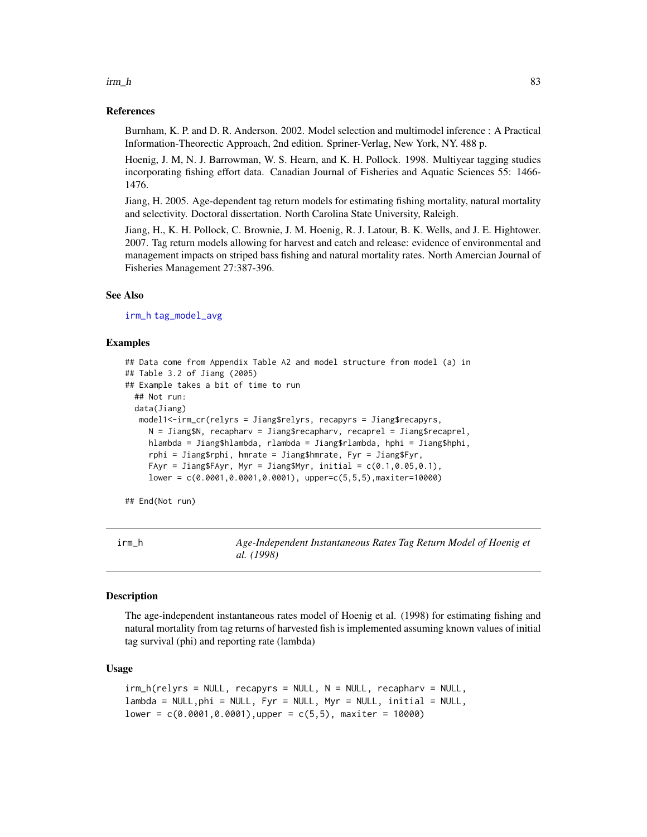#### $\lim_{h \to 0} h$  83

## References

Burnham, K. P. and D. R. Anderson. 2002. Model selection and multimodel inference : A Practical Information-Theorectic Approach, 2nd edition. Spriner-Verlag, New York, NY. 488 p.

Hoenig, J. M, N. J. Barrowman, W. S. Hearn, and K. H. Pollock. 1998. Multiyear tagging studies incorporating fishing effort data. Canadian Journal of Fisheries and Aquatic Sciences 55: 1466- 1476.

Jiang, H. 2005. Age-dependent tag return models for estimating fishing mortality, natural mortality and selectivity. Doctoral dissertation. North Carolina State University, Raleigh.

Jiang, H., K. H. Pollock, C. Brownie, J. M. Hoenig, R. J. Latour, B. K. Wells, and J. E. Hightower. 2007. Tag return models allowing for harvest and catch and release: evidence of environmental and management impacts on striped bass fishing and natural mortality rates. North Amercian Journal of Fisheries Management 27:387-396.

## See Also

[irm\\_h](#page-82-0) [tag\\_model\\_avg](#page-112-0)

## Examples

```
## Data come from Appendix Table A2 and model structure from model (a) in
## Table 3.2 of Jiang (2005)
## Example takes a bit of time to run
 ## Not run:
 data(Jiang)
  model1<-irm_cr(relyrs = Jiang$relyrs, recapyrs = Jiang$recapyrs,
    N = Jiang$N, recapharv = Jiang$recapharv, recaprel = Jiang$recaprel,
    hlambda = Jiang$hlambda, rlambda = Jiang$rlambda, hphi = Jiang$hphi,
    rphi = Jiang$rphi, hmrate = Jiang$hmrate, Fyr = Jiang$Fyr,
    FAyr = Jiang$FAyr, Myr = Jiang$Myr, initial = c(0.1, 0.05, 0.1),
    lower = c(0.0001,0.0001,0.0001), upper=c(5,5,5),maxiter=10000)
```
## End(Not run)

<span id="page-82-0"></span>irm\_h *Age-Independent Instantaneous Rates Tag Return Model of Hoenig et al. (1998)*

#### **Description**

The age-independent instantaneous rates model of Hoenig et al. (1998) for estimating fishing and natural mortality from tag returns of harvested fish is implemented assuming known values of initial tag survival (phi) and reporting rate (lambda)

## Usage

```
irm_h(relyrs = NULL, recapyrus = NULL, N = NULL, recapharv = NULL,lambda = NULL,phi = NULL, Fyr = NULL, Myr = NULL, initial = NULL,lower = c(0.0001, 0.0001), upper = c(5, 5), maxiter = 10000)
```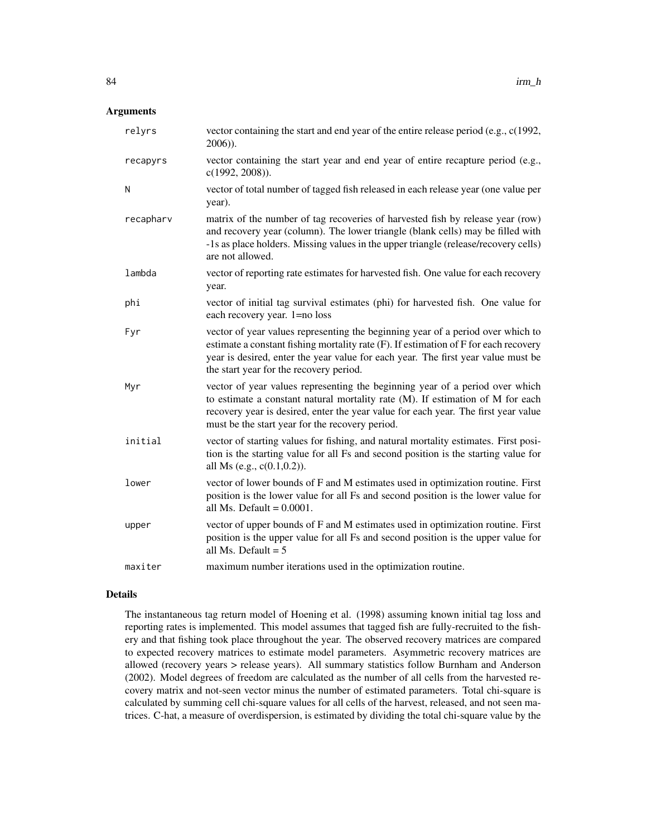## Arguments

| relyrs    | vector containing the start and end year of the entire release period (e.g., c(1992,<br>$2006$ )).                                                                                                                                                                                                      |
|-----------|---------------------------------------------------------------------------------------------------------------------------------------------------------------------------------------------------------------------------------------------------------------------------------------------------------|
| recapyrs  | vector containing the start year and end year of entire recapture period (e.g.,<br>c(1992, 2008)).                                                                                                                                                                                                      |
| N         | vector of total number of tagged fish released in each release year (one value per<br>year).                                                                                                                                                                                                            |
| recapharv | matrix of the number of tag recoveries of harvested fish by release year (row)<br>and recovery year (column). The lower triangle (blank cells) may be filled with<br>-1s as place holders. Missing values in the upper triangle (release/recovery cells)<br>are not allowed.                            |
| lambda    | vector of reporting rate estimates for harvested fish. One value for each recovery<br>year.                                                                                                                                                                                                             |
| phi       | vector of initial tag survival estimates (phi) for harvested fish. One value for<br>each recovery year. 1=no loss                                                                                                                                                                                       |
| Fyr       | vector of year values representing the beginning year of a period over which to<br>estimate a constant fishing mortality rate (F). If estimation of F for each recovery<br>year is desired, enter the year value for each year. The first year value must be<br>the start year for the recovery period. |
| Myr       | vector of year values representing the beginning year of a period over which<br>to estimate a constant natural mortality rate (M). If estimation of M for each<br>recovery year is desired, enter the year value for each year. The first year value<br>must be the start year for the recovery period. |
| initial   | vector of starting values for fishing, and natural mortality estimates. First posi-<br>tion is the starting value for all Fs and second position is the starting value for<br>all Ms (e.g., $c(0.1, 0.2)$ ).                                                                                            |
| lower     | vector of lower bounds of F and M estimates used in optimization routine. First<br>position is the lower value for all Fs and second position is the lower value for<br>all Ms. Default = $0.0001$ .                                                                                                    |
| upper     | vector of upper bounds of F and M estimates used in optimization routine. First<br>position is the upper value for all Fs and second position is the upper value for<br>all Ms. Default = $5$                                                                                                           |
| maxiter   | maximum number iterations used in the optimization routine.                                                                                                                                                                                                                                             |

## Details

The instantaneous tag return model of Hoening et al. (1998) assuming known initial tag loss and reporting rates is implemented. This model assumes that tagged fish are fully-recruited to the fishery and that fishing took place throughout the year. The observed recovery matrices are compared to expected recovery matrices to estimate model parameters. Asymmetric recovery matrices are allowed (recovery years > release years). All summary statistics follow Burnham and Anderson (2002). Model degrees of freedom are calculated as the number of all cells from the harvested recovery matrix and not-seen vector minus the number of estimated parameters. Total chi-square is calculated by summing cell chi-square values for all cells of the harvest, released, and not seen matrices. C-hat, a measure of overdispersion, is estimated by dividing the total chi-square value by the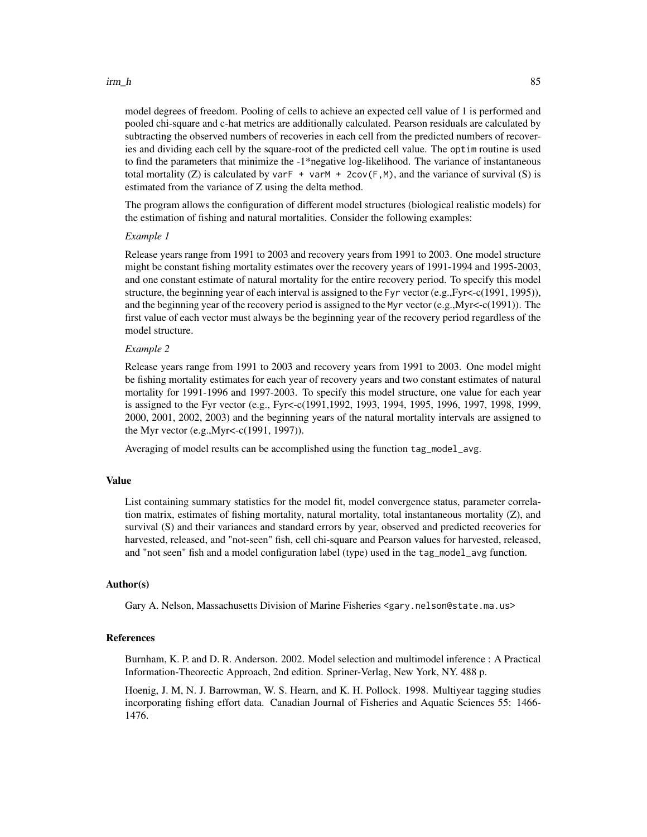### $\lim_{h \to 0} h$  85

model degrees of freedom. Pooling of cells to achieve an expected cell value of 1 is performed and pooled chi-square and c-hat metrics are additionally calculated. Pearson residuals are calculated by subtracting the observed numbers of recoveries in each cell from the predicted numbers of recoveries and dividing each cell by the square-root of the predicted cell value. The optim routine is used to find the parameters that minimize the -1\*negative log-likelihood. The variance of instantaneous total mortality (Z) is calculated by varF + varM + 2cov( $F, M$ ), and the variance of survival (S) is estimated from the variance of Z using the delta method.

The program allows the configuration of different model structures (biological realistic models) for the estimation of fishing and natural mortalities. Consider the following examples:

#### *Example 1*

Release years range from 1991 to 2003 and recovery years from 1991 to 2003. One model structure might be constant fishing mortality estimates over the recovery years of 1991-1994 and 1995-2003, and one constant estimate of natural mortality for the entire recovery period. To specify this model structure, the beginning year of each interval is assigned to the Fyr vector (e.g.,Fyr<-c(1991, 1995)), and the beginning year of the recovery period is assigned to the Myr vector (e.g.,Myr<-c(1991)). The first value of each vector must always be the beginning year of the recovery period regardless of the model structure.

## *Example 2*

Release years range from 1991 to 2003 and recovery years from 1991 to 2003. One model might be fishing mortality estimates for each year of recovery years and two constant estimates of natural mortality for 1991-1996 and 1997-2003. To specify this model structure, one value for each year is assigned to the Fyr vector (e.g., Fyr<-c(1991,1992, 1993, 1994, 1995, 1996, 1997, 1998, 1999, 2000, 2001, 2002, 2003) and the beginning years of the natural mortality intervals are assigned to the Myr vector (e.g.,Myr<-c(1991, 1997)).

Averaging of model results can be accomplished using the function tag\_model\_avg.

## Value

List containing summary statistics for the model fit, model convergence status, parameter correlation matrix, estimates of fishing mortality, natural mortality, total instantaneous mortality (Z), and survival (S) and their variances and standard errors by year, observed and predicted recoveries for harvested, released, and "not-seen" fish, cell chi-square and Pearson values for harvested, released, and "not seen" fish and a model configuration label (type) used in the tag\_model\_avg function.

#### Author(s)

Gary A. Nelson, Massachusetts Division of Marine Fisheries <gary.nelson@state.ma.us>

#### References

Burnham, K. P. and D. R. Anderson. 2002. Model selection and multimodel inference : A Practical Information-Theorectic Approach, 2nd edition. Spriner-Verlag, New York, NY. 488 p.

Hoenig, J. M, N. J. Barrowman, W. S. Hearn, and K. H. Pollock. 1998. Multiyear tagging studies incorporating fishing effort data. Canadian Journal of Fisheries and Aquatic Sciences 55: 1466- 1476.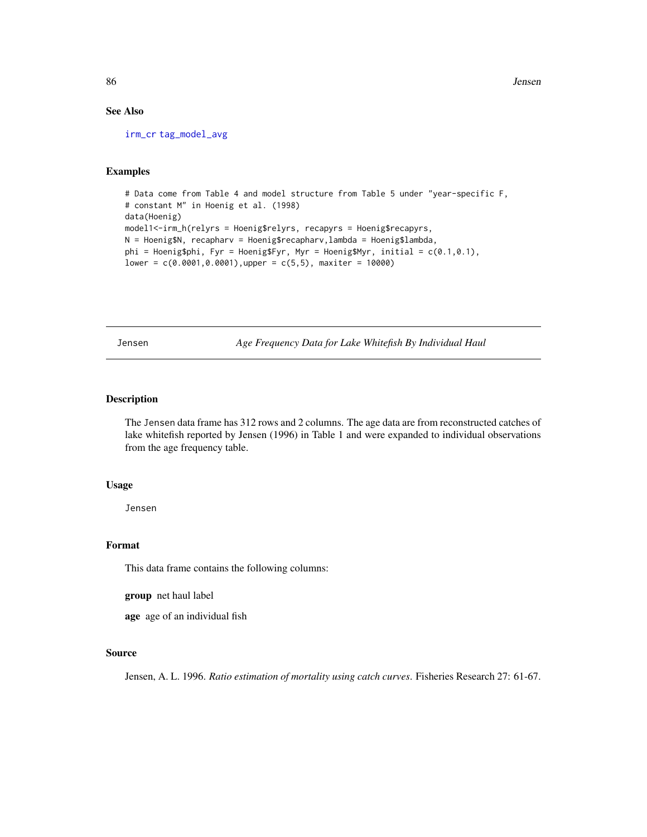86 Jensen (1990) and the set of the set of the set of the set of the set of the set of the set of the set of the set of the set of the set of the set of the set of the set of the set of the set of the set of the set of the

# See Also

[irm\\_cr](#page-79-0) [tag\\_model\\_avg](#page-112-0)

## Examples

```
# Data come from Table 4 and model structure from Table 5 under "year-specific F,
# constant M" in Hoenig et al. (1998)
data(Hoenig)
model1<-irm_h(relyrs = Hoenig$relyrs, recapyrs = Hoenig$recapyrs,
N = Hoenig$N, recapharv = Hoenig$recapharv, lambda = Hoenig$lambda,
phi = Hoenig$phi, Fyr = Hoenig$Fyr, Myr = Hoenig$Myr, initial = c(0.1, 0.1),
lower = c(0.0001, 0.0001), upper = c(5, 5), maxiter = 10000)
```
Jensen *Age Frequency Data for Lake Whitefish By Individual Haul*

## Description

The Jensen data frame has 312 rows and 2 columns. The age data are from reconstructed catches of lake whitefish reported by Jensen (1996) in Table 1 and were expanded to individual observations from the age frequency table.

#### Usage

Jensen

## Format

This data frame contains the following columns:

group net haul label

age age of an individual fish

## Source

Jensen, A. L. 1996. *Ratio estimation of mortality using catch curves*. Fisheries Research 27: 61-67.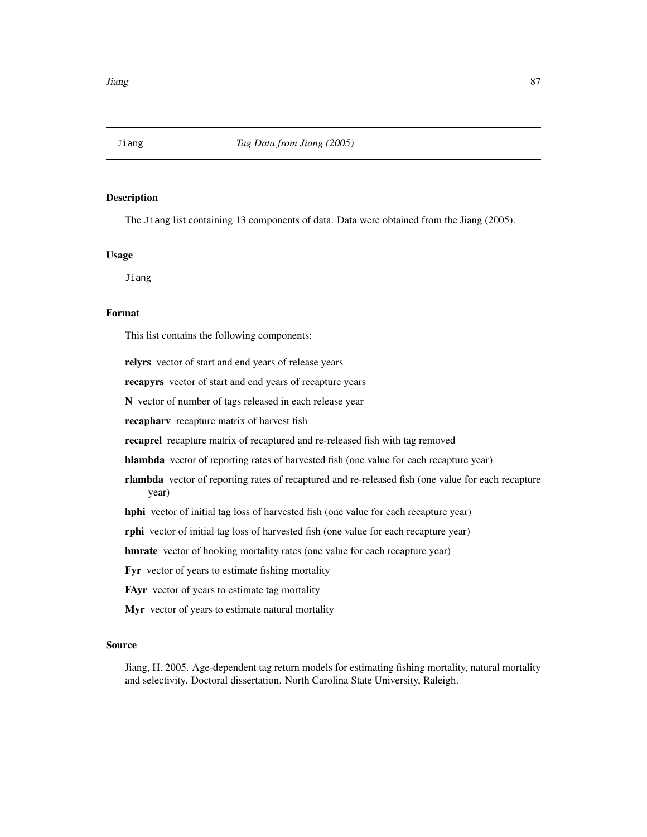The Jiang list containing 13 components of data. Data were obtained from the Jiang (2005).

# Usage

Jiang

## Format

This list contains the following components:

relyrs vector of start and end years of release years

recapyrs vector of start and end years of recapture years

N vector of number of tags released in each release year

recapharv recapture matrix of harvest fish

recaprel recapture matrix of recaptured and re-released fish with tag removed

hlambda vector of reporting rates of harvested fish (one value for each recapture year)

rlambda vector of reporting rates of recaptured and re-released fish (one value for each recapture year)

hphi vector of initial tag loss of harvested fish (one value for each recapture year)

rphi vector of initial tag loss of harvested fish (one value for each recapture year)

hmrate vector of hooking mortality rates (one value for each recapture year)

Fyr vector of years to estimate fishing mortality

FAyr vector of years to estimate tag mortality

Myr vector of years to estimate natural mortality

## Source

Jiang, H. 2005. Age-dependent tag return models for estimating fishing mortality, natural mortality and selectivity. Doctoral dissertation. North Carolina State University, Raleigh.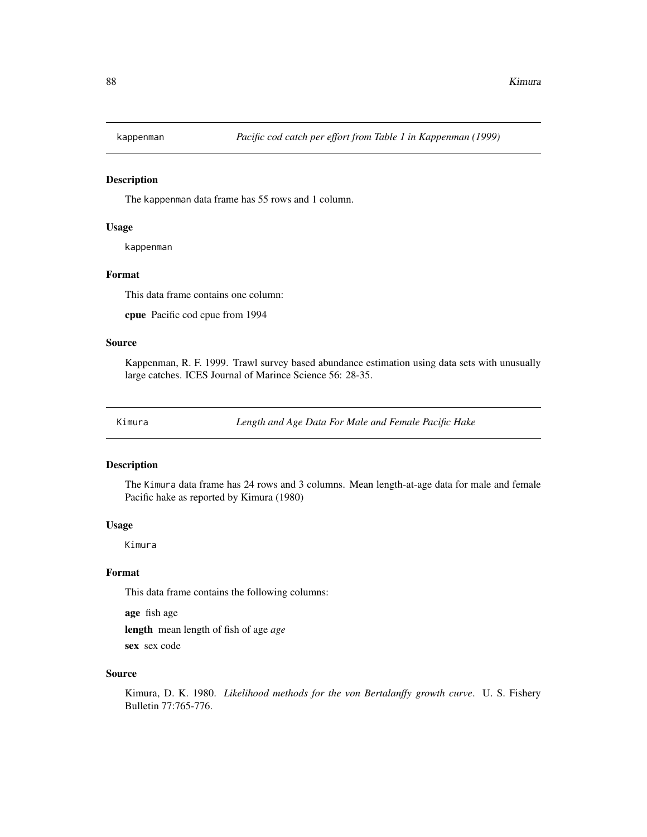The kappenman data frame has 55 rows and 1 column.

# Usage

kappenman

# Format

This data frame contains one column:

cpue Pacific cod cpue from 1994

# Source

Kappenman, R. F. 1999. Trawl survey based abundance estimation using data sets with unusually large catches. ICES Journal of Marince Science 56: 28-35.

Kimura *Length and Age Data For Male and Female Pacific Hake*

## Description

The Kimura data frame has 24 rows and 3 columns. Mean length-at-age data for male and female Pacific hake as reported by Kimura (1980)

# Usage

Kimura

# Format

This data frame contains the following columns:

age fish age

length mean length of fish of age *age*

sex sex code

## Source

Kimura, D. K. 1980. *Likelihood methods for the von Bertalanffy growth curve*. U. S. Fishery Bulletin 77:765-776.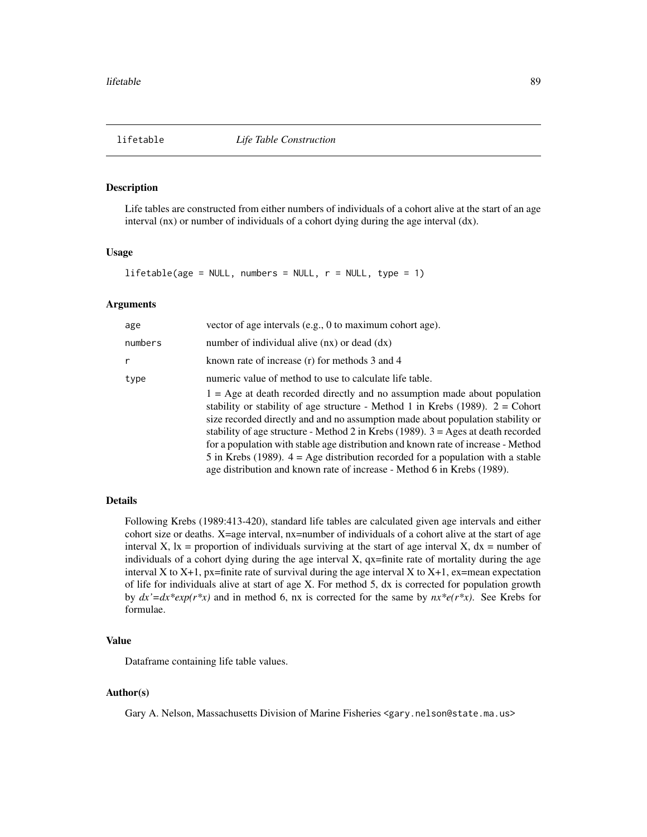Life tables are constructed from either numbers of individuals of a cohort alive at the start of an age interval (nx) or number of individuals of a cohort dying during the age interval (dx).

#### Usage

 $lifetable(age = NULL, numbers = NULL, r = NULL, type = 1)$ 

#### Arguments

| age     | vector of age intervals (e.g., 0 to maximum cohort age).                                                                                                                                                                                                                                                                                                                                                                                                                                                                                                                                                                                                                 |
|---------|--------------------------------------------------------------------------------------------------------------------------------------------------------------------------------------------------------------------------------------------------------------------------------------------------------------------------------------------------------------------------------------------------------------------------------------------------------------------------------------------------------------------------------------------------------------------------------------------------------------------------------------------------------------------------|
| numbers | number of individual alive $(nx)$ or dead $(dx)$                                                                                                                                                                                                                                                                                                                                                                                                                                                                                                                                                                                                                         |
| r       | known rate of increase $(r)$ for methods 3 and 4                                                                                                                                                                                                                                                                                                                                                                                                                                                                                                                                                                                                                         |
| type    | numeric value of method to use to calculate life table.<br>$1 = Age$ at death recorded directly and no assumption made about population<br>stability or stability of age structure - Method 1 in Krebs (1989). $2 =$ Cohort<br>size recorded directly and and no assumption made about population stability or<br>stability of age structure - Method 2 in Krebs (1989). $3 = \text{Ages}$ at death recorded<br>for a population with stable age distribution and known rate of increase - Method<br>5 in Krebs (1989). $4 = \text{Age distribution recorded for a population with a stable}$<br>age distribution and known rate of increase - Method 6 in Krebs (1989). |

# Details

Following Krebs (1989:413-420), standard life tables are calculated given age intervals and either cohort size or deaths. X=age interval, nx=number of individuals of a cohort alive at the start of age interval X,  $|x|$  = proportion of individuals surviving at the start of age interval X,  $dx$  = number of individuals of a cohort dying during the age interval  $X$ , qx=finite rate of mortality during the age interval X to X+1, px=finite rate of survival during the age interval X to X+1, ex=mean expectation of life for individuals alive at start of age X. For method 5, dx is corrected for population growth by  $dx' = dx * exp(r * x)$  and in method 6, nx is corrected for the same by  $nx * e(r * x)$ . See Krebs for formulae.

#### Value

Dataframe containing life table values.

# Author(s)

Gary A. Nelson, Massachusetts Division of Marine Fisheries <gary.nelson@state.ma.us>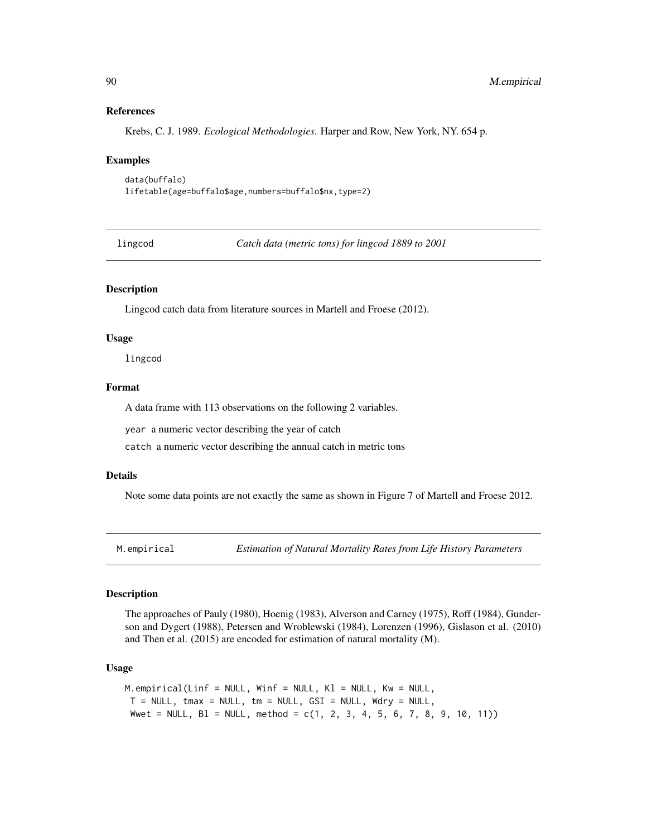## References

Krebs, C. J. 1989. *Ecological Methodologies*. Harper and Row, New York, NY. 654 p.

#### Examples

```
data(buffalo)
lifetable(age=buffalo$age,numbers=buffalo$nx,type=2)
```
lingcod *Catch data (metric tons) for lingcod 1889 to 2001*

## Description

Lingcod catch data from literature sources in Martell and Froese (2012).

#### Usage

lingcod

#### Format

A data frame with 113 observations on the following 2 variables.

year a numeric vector describing the year of catch

catch a numeric vector describing the annual catch in metric tons

## Details

Note some data points are not exactly the same as shown in Figure 7 of Martell and Froese 2012.

M.empirical *Estimation of Natural Mortality Rates from Life History Parameters*

#### Description

The approaches of Pauly (1980), Hoenig (1983), Alverson and Carney (1975), Roff (1984), Gunderson and Dygert (1988), Petersen and Wroblewski (1984), Lorenzen (1996), Gislason et al. (2010) and Then et al. (2015) are encoded for estimation of natural mortality (M).

#### Usage

```
M.empirical(Linf = NULL, Winf = NULL, K1 = NULL, Kw = NULL,
T = NULL, tmax = NULL, tm = NULL, GSI = NULL, Wdry = NULL,
Wwet = NULL, Bl = NULL, method = c(1, 2, 3, 4, 5, 6, 7, 8, 9, 10, 11))
```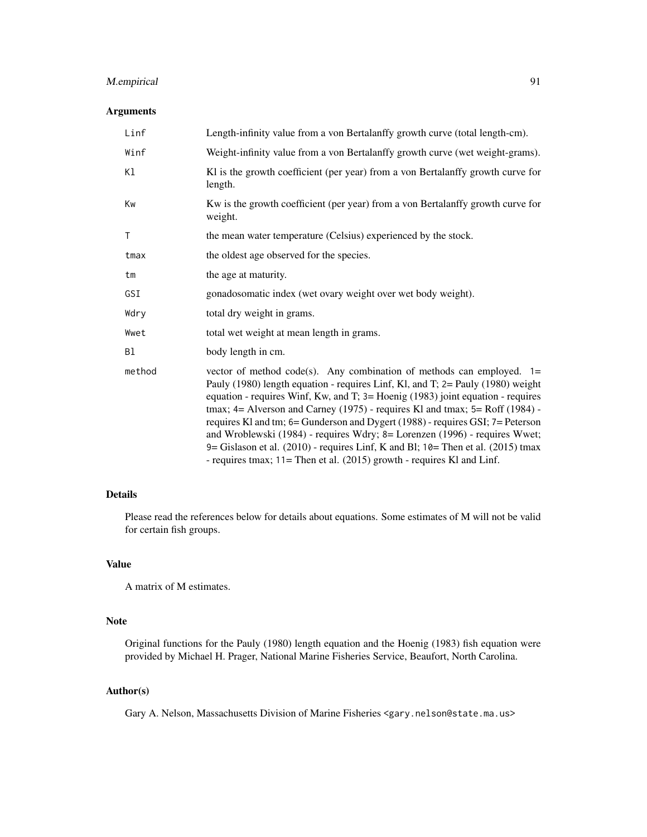# M.empirical 91

# Arguments

| Linf   | Length-infinity value from a von Bertalanffy growth curve (total length-cm).                                                                                                                                                                                                                                                                                                                                                                                                                                                                                                                                                                                  |  |
|--------|---------------------------------------------------------------------------------------------------------------------------------------------------------------------------------------------------------------------------------------------------------------------------------------------------------------------------------------------------------------------------------------------------------------------------------------------------------------------------------------------------------------------------------------------------------------------------------------------------------------------------------------------------------------|--|
| Winf   | Weight-infinity value from a von Bertalanffy growth curve (wet weight-grams).                                                                                                                                                                                                                                                                                                                                                                                                                                                                                                                                                                                 |  |
| Kl     | Kl is the growth coefficient (per year) from a von Bertalanffy growth curve for<br>length.                                                                                                                                                                                                                                                                                                                                                                                                                                                                                                                                                                    |  |
| Kw     | Kw is the growth coefficient (per year) from a von Bertalanffy growth curve for<br>weight.                                                                                                                                                                                                                                                                                                                                                                                                                                                                                                                                                                    |  |
| T      | the mean water temperature (Celsius) experienced by the stock.                                                                                                                                                                                                                                                                                                                                                                                                                                                                                                                                                                                                |  |
| tmax   | the oldest age observed for the species.                                                                                                                                                                                                                                                                                                                                                                                                                                                                                                                                                                                                                      |  |
| tm     | the age at maturity.                                                                                                                                                                                                                                                                                                                                                                                                                                                                                                                                                                                                                                          |  |
| GSI    | gonadosomatic index (wet ovary weight over wet body weight).                                                                                                                                                                                                                                                                                                                                                                                                                                                                                                                                                                                                  |  |
| Wdry   | total dry weight in grams.                                                                                                                                                                                                                                                                                                                                                                                                                                                                                                                                                                                                                                    |  |
| Wwet   | total wet weight at mean length in grams.                                                                                                                                                                                                                                                                                                                                                                                                                                                                                                                                                                                                                     |  |
| Bl     | body length in cm.                                                                                                                                                                                                                                                                                                                                                                                                                                                                                                                                                                                                                                            |  |
| method | vector of method code(s). Any combination of methods can employed. $1=$<br>Pauly (1980) length equation - requires Linf, Kl, and T; 2= Pauly (1980) weight<br>equation - requires Winf, Kw, and T; 3= Hoenig (1983) joint equation - requires<br>tmax; 4= Alverson and Carney (1975) - requires Kl and tmax; 5= Roff (1984) -<br>requires K1 and tm; 6= Gunderson and Dygert (1988) - requires GSI; 7= Peterson<br>and Wroblewski (1984) - requires Wdry; 8= Lorenzen (1996) - requires Wwet;<br>9 = Gislason et al. (2010) - requires Linf, K and Bl; 10 = Then et al. (2015) tmax<br>- requires tmax; 11= Then et al. (2015) growth - requires Kl and Linf. |  |

# Details

Please read the references below for details about equations. Some estimates of M will not be valid for certain fish groups.

# Value

A matrix of M estimates.

## Note

Original functions for the Pauly (1980) length equation and the Hoenig (1983) fish equation were provided by Michael H. Prager, National Marine Fisheries Service, Beaufort, North Carolina.

# Author(s)

Gary A. Nelson, Massachusetts Division of Marine Fisheries <gary.nelson@state.ma.us>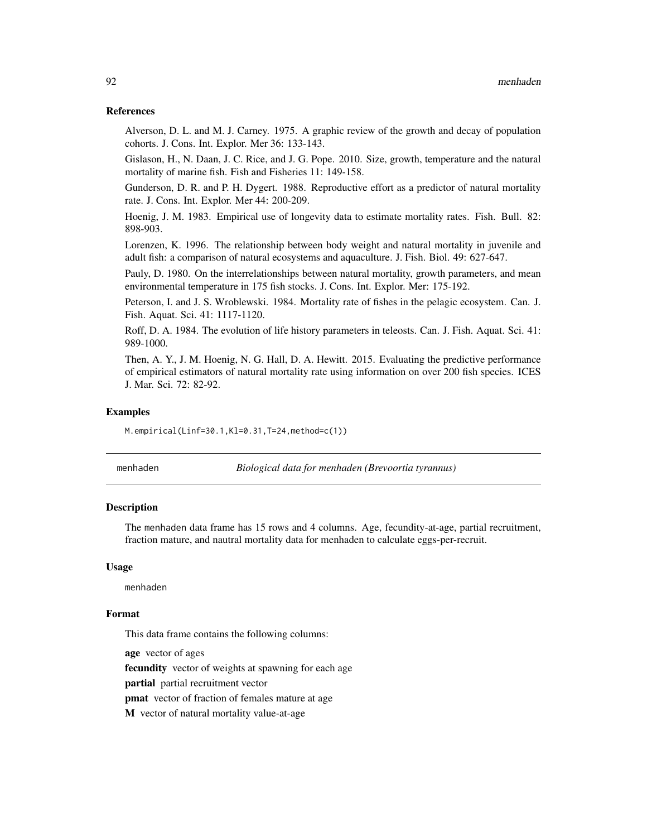#### References

Alverson, D. L. and M. J. Carney. 1975. A graphic review of the growth and decay of population cohorts. J. Cons. Int. Explor. Mer 36: 133-143.

Gislason, H., N. Daan, J. C. Rice, and J. G. Pope. 2010. Size, growth, temperature and the natural mortality of marine fish. Fish and Fisheries 11: 149-158.

Gunderson, D. R. and P. H. Dygert. 1988. Reproductive effort as a predictor of natural mortality rate. J. Cons. Int. Explor. Mer 44: 200-209.

Hoenig, J. M. 1983. Empirical use of longevity data to estimate mortality rates. Fish. Bull. 82: 898-903.

Lorenzen, K. 1996. The relationship between body weight and natural mortality in juvenile and adult fish: a comparison of natural ecosystems and aquaculture. J. Fish. Biol. 49: 627-647.

Pauly, D. 1980. On the interrelationships between natural mortality, growth parameters, and mean environmental temperature in 175 fish stocks. J. Cons. Int. Explor. Mer: 175-192.

Peterson, I. and J. S. Wroblewski. 1984. Mortality rate of fishes in the pelagic ecosystem. Can. J. Fish. Aquat. Sci. 41: 1117-1120.

Roff, D. A. 1984. The evolution of life history parameters in teleosts. Can. J. Fish. Aquat. Sci. 41: 989-1000.

Then, A. Y., J. M. Hoenig, N. G. Hall, D. A. Hewitt. 2015. Evaluating the predictive performance of empirical estimators of natural mortality rate using information on over 200 fish species. ICES J. Mar. Sci. 72: 82-92.

#### Examples

M.empirical(Linf=30.1,Kl=0.31,T=24,method=c(1))

menhaden *Biological data for menhaden (Brevoortia tyrannus)*

#### **Description**

The menhaden data frame has 15 rows and 4 columns. Age, fecundity-at-age, partial recruitment, fraction mature, and nautral mortality data for menhaden to calculate eggs-per-recruit.

#### Usage

menhaden

#### Format

This data frame contains the following columns:

age vector of ages

fecundity vector of weights at spawning for each age

partial partial recruitment vector

pmat vector of fraction of females mature at age

M vector of natural mortality value-at-age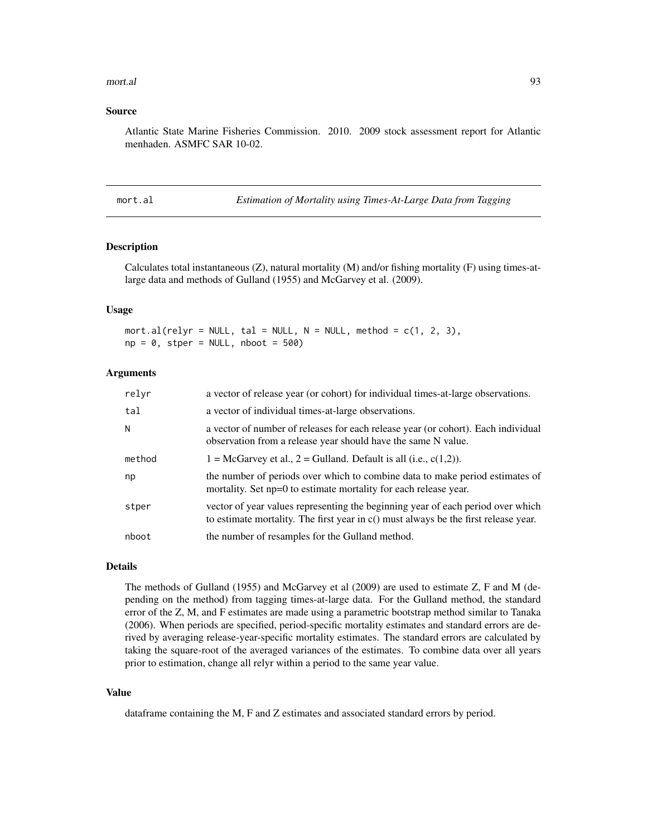#### mort.al 93

## Source

Atlantic State Marine Fisheries Commission. 2010. 2009 stock assessment report for Atlantic menhaden. ASMFC SAR 10-02.

| mor |  |
|-----|--|
|     |  |

Estimation of Mortality using Times-At-Large Data from Tagging

#### Description

Calculates total instantaneous (Z), natural mortality (M) and/or fishing mortality (F) using times-atlarge data and methods of Gulland (1955) and McGarvey et al. (2009).

## Usage

mort.al(relyr = NULL, tal = NULL,  $N = NULL$ , method = c(1, 2, 3),  $np = 0$ , stper = NULL, nboot = 500)

#### Arguments

| relyr  | a vector of release year (or cohort) for individual times-at-large observations.                                                                                         |
|--------|--------------------------------------------------------------------------------------------------------------------------------------------------------------------------|
| tal    | a vector of individual times-at-large observations.                                                                                                                      |
| N      | a vector of number of releases for each release year (or cohort). Each individual<br>observation from a release year should have the same N value.                       |
| method | $1 = \text{McGarvey}$ et al., $2 = \text{Gulland}$ . Default is all (i.e., c(1,2)).                                                                                      |
| np     | the number of periods over which to combine data to make period estimates of<br>mortality. Set np=0 to estimate mortality for each release year.                         |
| stper  | vector of year values representing the beginning year of each period over which<br>to estimate mortality. The first year in $c()$ must always be the first release year. |
| nboot  | the number of resamples for the Gulland method.                                                                                                                          |

## Details

The methods of Gulland (1955) and McGarvey et al (2009) are used to estimate Z, F and M (depending on the method) from tagging times-at-large data. For the Gulland method, the standard error of the Z, M, and F estimates are made using a parametric bootstrap method similar to Tanaka (2006). When periods are specified, period-specific mortality estimates and standard errors are derived by averaging release-year-specific mortality estimates. The standard errors are calculated by taking the square-root of the averaged variances of the estimates. To combine data over all years prior to estimation, change all relyr within a period to the same year value.

## Value

dataframe containing the M, F and Z estimates and associated standard errors by period.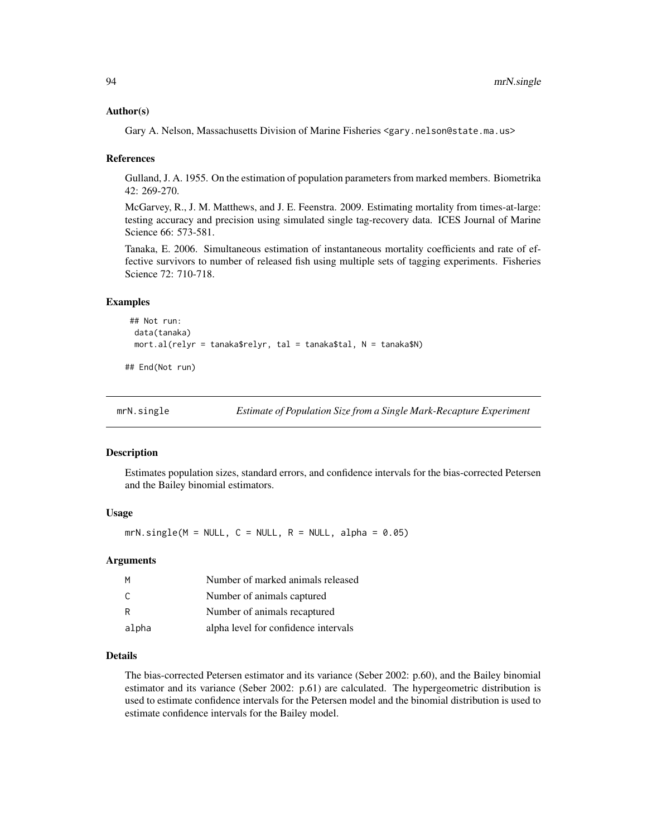#### Author(s)

Gary A. Nelson, Massachusetts Division of Marine Fisheries <gary.nelson@state.ma.us>

#### References

Gulland, J. A. 1955. On the estimation of population parameters from marked members. Biometrika 42: 269-270.

McGarvey, R., J. M. Matthews, and J. E. Feenstra. 2009. Estimating mortality from times-at-large: testing accuracy and precision using simulated single tag-recovery data. ICES Journal of Marine Science 66: 573-581.

Tanaka, E. 2006. Simultaneous estimation of instantaneous mortality coefficients and rate of effective survivors to number of released fish using multiple sets of tagging experiments. Fisheries Science 72: 710-718.

# Examples

```
## Not run:
data(tanaka)
mort.al(relyr = tanaka$relyr, tal = tanaka$tal, N = tanaka$N)
```
## End(Not run)

mrN.single *Estimate of Population Size from a Single Mark-Recapture Experiment*

## Description

Estimates population sizes, standard errors, and confidence intervals for the bias-corrected Petersen and the Bailey binomial estimators.

### Usage

 $m rN \cdot single(M = NULL, C = NULL, R = NULL, alpha = 0.05)$ 

#### Arguments

| M            | Number of marked animals released    |
|--------------|--------------------------------------|
| $\mathsf{C}$ | Number of animals captured           |
| R            | Number of animals recaptured         |
| alpha        | alpha level for confidence intervals |

#### Details

The bias-corrected Petersen estimator and its variance (Seber 2002: p.60), and the Bailey binomial estimator and its variance (Seber 2002: p.61) are calculated. The hypergeometric distribution is used to estimate confidence intervals for the Petersen model and the binomial distribution is used to estimate confidence intervals for the Bailey model.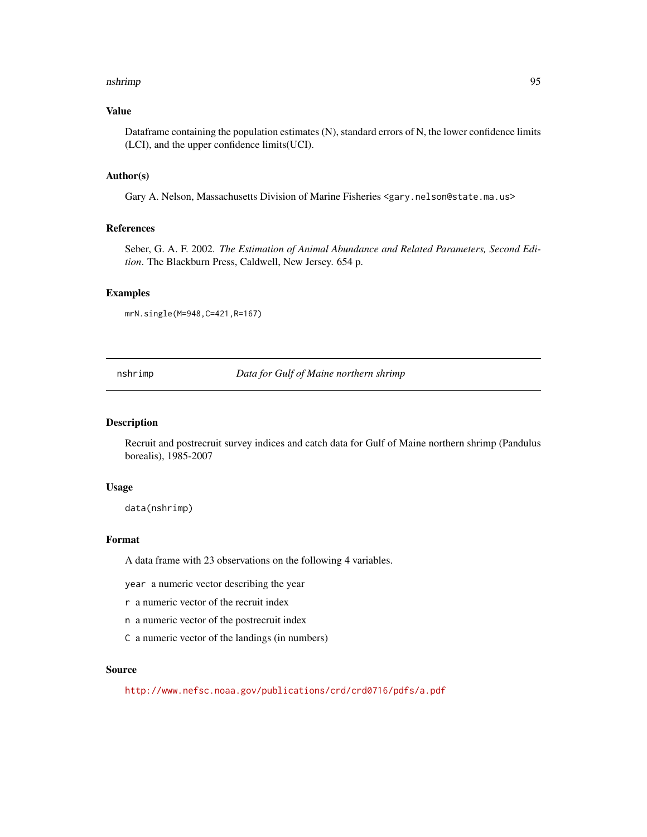#### nshrimp 95

## Value

Dataframe containing the population estimates (N), standard errors of N, the lower confidence limits (LCI), and the upper confidence limits(UCI).

#### Author(s)

Gary A. Nelson, Massachusetts Division of Marine Fisheries <gary.nelson@state.ma.us>

#### References

Seber, G. A. F. 2002. *The Estimation of Animal Abundance and Related Parameters, Second Edition*. The Blackburn Press, Caldwell, New Jersey. 654 p.

#### Examples

mrN.single(M=948,C=421,R=167)

nshrimp *Data for Gulf of Maine northern shrimp*

#### Description

Recruit and postrecruit survey indices and catch data for Gulf of Maine northern shrimp (Pandulus borealis), 1985-2007

#### Usage

data(nshrimp)

## Format

A data frame with 23 observations on the following 4 variables.

year a numeric vector describing the year

r a numeric vector of the recruit index

n a numeric vector of the postrecruit index

C a numeric vector of the landings (in numbers)

### Source

<http://www.nefsc.noaa.gov/publications/crd/crd0716/pdfs/a.pdf>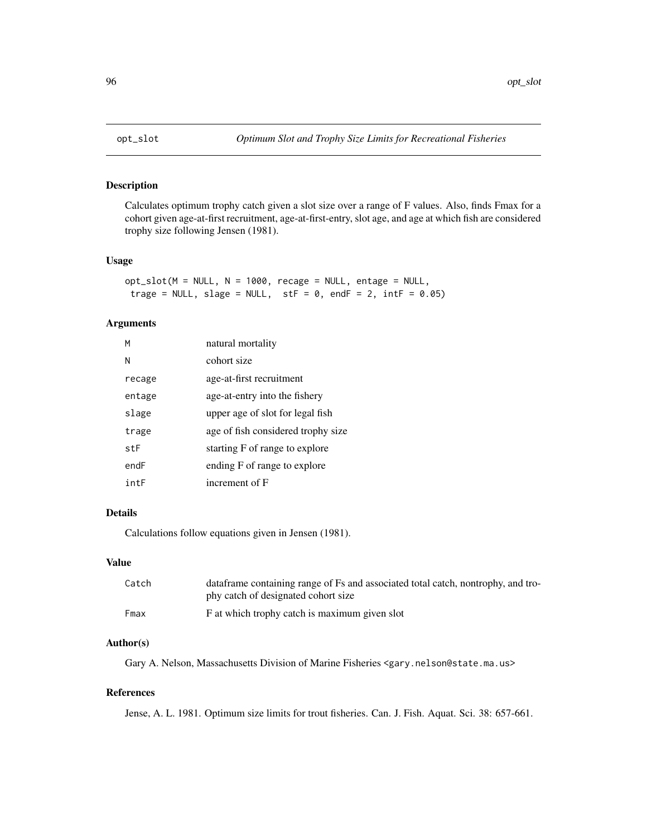<span id="page-95-0"></span>

Calculates optimum trophy catch given a slot size over a range of F values. Also, finds Fmax for a cohort given age-at-first recruitment, age-at-first-entry, slot age, and age at which fish are considered trophy size following Jensen (1981).

## Usage

 $opt\_slot(M = NULL, N = 1000, recage = NULL, entage = NULL,$ trage = NULL, slage = NULL, stF =  $0$ , endF =  $2$ , intF =  $0.05$ )

## Arguments

| М      | natural mortality                  |
|--------|------------------------------------|
| Ν      | cohort size                        |
| recage | age-at-first recruitment           |
| entage | age-at-entry into the fishery      |
| slage  | upper age of slot for legal fish   |
| trage  | age of fish considered trophy size |
| stF    | starting F of range to explore     |
| endF   | ending F of range to explore       |
| intF   | increment of F                     |

# Details

Calculations follow equations given in Jensen (1981).

#### Value

| Catch | dataframe containing range of Fs and associated total catch, nontrophy, and tro- |
|-------|----------------------------------------------------------------------------------|
|       | phy catch of designated cohort size                                              |
| Fmax  | F at which trophy catch is maximum given slot                                    |

## Author(s)

Gary A. Nelson, Massachusetts Division of Marine Fisheries <gary.nelson@state.ma.us>

## References

Jense, A. L. 1981. Optimum size limits for trout fisheries. Can. J. Fish. Aquat. Sci. 38: 657-661.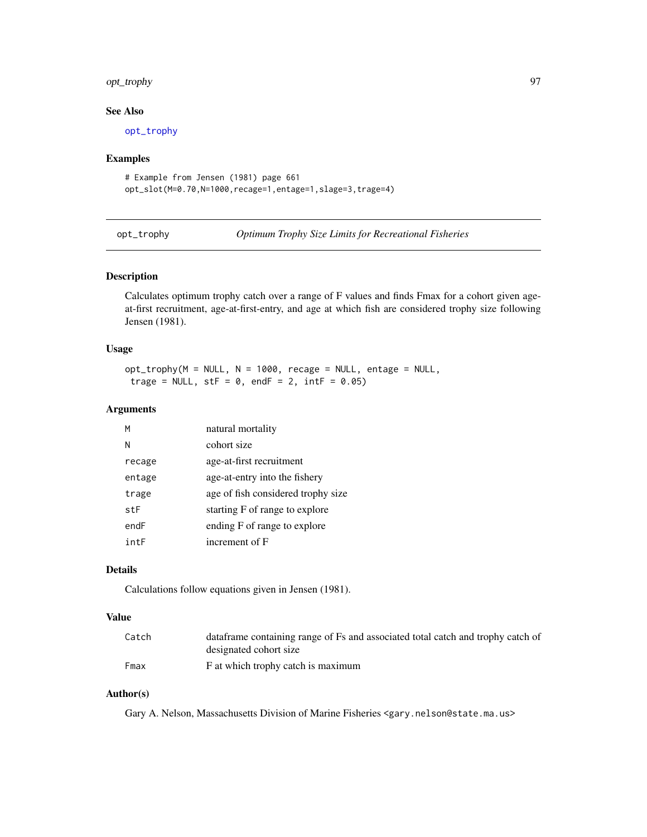# opt\_trophy 97

# See Also

[opt\\_trophy](#page-96-0)

## Examples

```
# Example from Jensen (1981) page 661
opt_slot(M=0.70,N=1000,recage=1,entage=1,slage=3,trage=4)
```
<span id="page-96-0"></span>opt\_trophy *Optimum Trophy Size Limits for Recreational Fisheries*

# Description

Calculates optimum trophy catch over a range of F values and finds Fmax for a cohort given ageat-first recruitment, age-at-first-entry, and age at which fish are considered trophy size following Jensen (1981).

# Usage

opt\_trophy(M = NULL, N = 1000, recage = NULL, entage = NULL, trage = NULL,  $stF = 0$ , endF = 2,  $intF = 0.05$ )

# Arguments

| м      | natural mortality                  |
|--------|------------------------------------|
| N      | cohort size                        |
| recage | age-at-first recruitment           |
| entage | age-at-entry into the fishery      |
| trage  | age of fish considered trophy size |
| stF    | starting F of range to explore     |
| endF   | ending F of range to explore       |
| intF   | increment of F                     |

## Details

Calculations follow equations given in Jensen (1981).

## Value

| Catch | data frame containing range of Fs and associated total catch and trophy catch of |
|-------|----------------------------------------------------------------------------------|
|       | designated cohort size                                                           |
| Fmax  | F at which trophy catch is maximum                                               |

# Author(s)

Gary A. Nelson, Massachusetts Division of Marine Fisheries <gary.nelson@state.ma.us>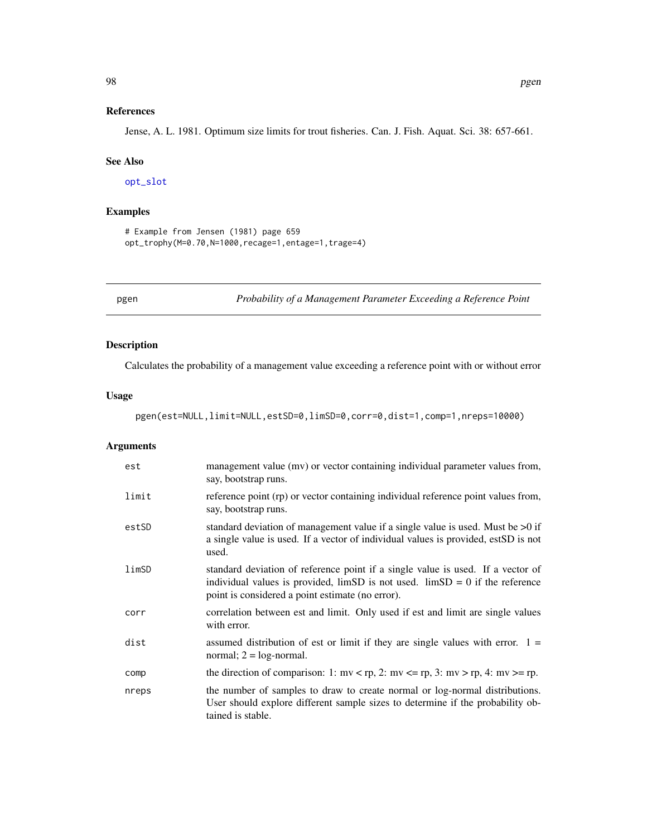# References

Jense, A. L. 1981. Optimum size limits for trout fisheries. Can. J. Fish. Aquat. Sci. 38: 657-661.

#### See Also

[opt\\_slot](#page-95-0)

## Examples

```
# Example from Jensen (1981) page 659
opt_trophy(M=0.70,N=1000,recage=1,entage=1,trage=4)
```
pgen *Probability of a Management Parameter Exceeding a Reference Point*

# Description

Calculates the probability of a management value exceeding a reference point with or without error

# Usage

pgen(est=NULL,limit=NULL,estSD=0,limSD=0,corr=0,dist=1,comp=1,nreps=10000)

# Arguments

| est   | management value (mv) or vector containing individual parameter values from,<br>say, bootstrap runs.                                                                                                                        |
|-------|-----------------------------------------------------------------------------------------------------------------------------------------------------------------------------------------------------------------------------|
| limit | reference point (rp) or vector containing individual reference point values from,<br>say, bootstrap runs.                                                                                                                   |
| estSD | standard deviation of management value if a single value is used. Must be $>0$ if<br>a single value is used. If a vector of individual values is provided, estSD is not<br>used.                                            |
| limSD | standard deviation of reference point if a single value is used. If a vector of<br>individual values is provided, $\lim SD$ is not used. $\lim SD = 0$ if the reference<br>point is considered a point estimate (no error). |
| corr  | correlation between est and limit. Only used if est and limit are single values<br>with error.                                                                                                                              |
| dist  | assumed distribution of est or limit if they are single values with error. $1 =$<br>normal; $2 = log-normal$ .                                                                                                              |
| comp  | the direction of comparison: 1: mv < rp, 2: mv <= rp, 3: mv > rp, 4: mv >= rp.                                                                                                                                              |
| nreps | the number of samples to draw to create normal or log-normal distributions.<br>User should explore different sample sizes to determine if the probability ob-<br>tained is stable.                                          |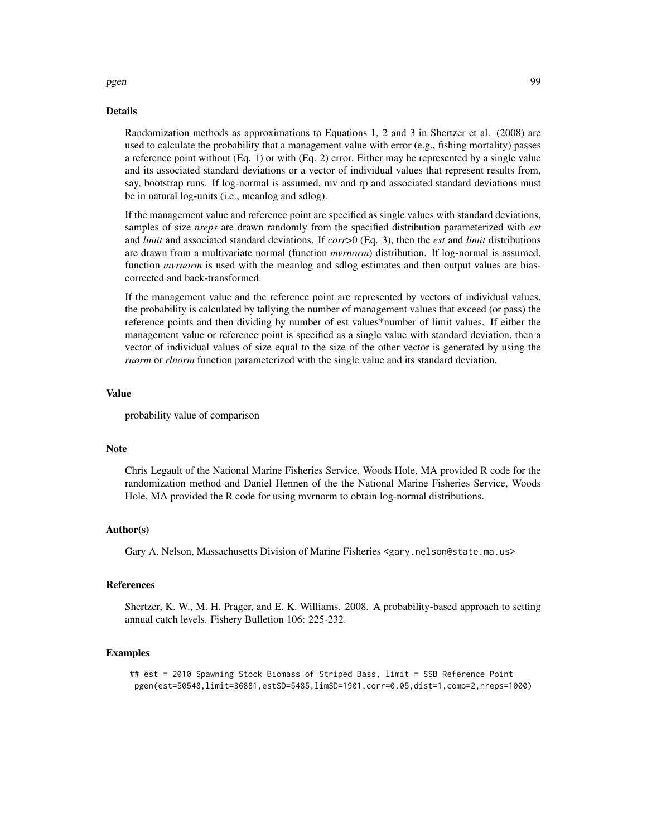# pgen 1999 - 1999 - 1999 - 1999 - 1999 - 1999 - 1999 - 1999 - 1999 - 1999 - 1999 - 1999 - 1999 - 199

## Details

Randomization methods as approximations to Equations 1, 2 and 3 in Shertzer et al. (2008) are used to calculate the probability that a management value with error (e.g., fishing mortality) passes a reference point without (Eq. 1) or with (Eq. 2) error. Either may be represented by a single value and its associated standard deviations or a vector of individual values that represent results from, say, bootstrap runs. If log-normal is assumed, mv and rp and associated standard deviations must be in natural log-units (i.e., meanlog and sdlog).

If the management value and reference point are specified as single values with standard deviations, samples of size *nreps* are drawn randomly from the specified distribution parameterized with *est* and *limit* and associated standard deviations. If *corr*>0 (Eq. 3), then the *est* and *limit* distributions are drawn from a multivariate normal (function *mvrnorm*) distribution. If log-normal is assumed, function *myrnorm* is used with the meanlog and sdlog estimates and then output values are biascorrected and back-transformed.

If the management value and the reference point are represented by vectors of individual values, the probability is calculated by tallying the number of management values that exceed (or pass) the reference points and then dividing by number of est values\*number of limit values. If either the management value or reference point is specified as a single value with standard deviation, then a vector of individual values of size equal to the size of the other vector is generated by using the *rnorm* or *rlnorm* function parameterized with the single value and its standard deviation.

#### Value

probability value of comparison

#### Note

Chris Legault of the National Marine Fisheries Service, Woods Hole, MA provided R code for the randomization method and Daniel Hennen of the the National Marine Fisheries Service, Woods Hole, MA provided the R code for using mvrnorm to obtain log-normal distributions.

#### Author(s)

Gary A. Nelson, Massachusetts Division of Marine Fisheries <gary.nelson@state.ma.us>

## **References**

Shertzer, K. W., M. H. Prager, and E. K. Williams. 2008. A probability-based approach to setting annual catch levels. Fishery Bulletion 106: 225-232.

#### Examples

```
## est = 2010 Spawning Stock Biomass of Striped Bass, limit = SSB Reference Point
pgen(est=50548,limit=36881,estSD=5485,limSD=1901,corr=0.05,dist=1,comp=2,nreps=1000)
```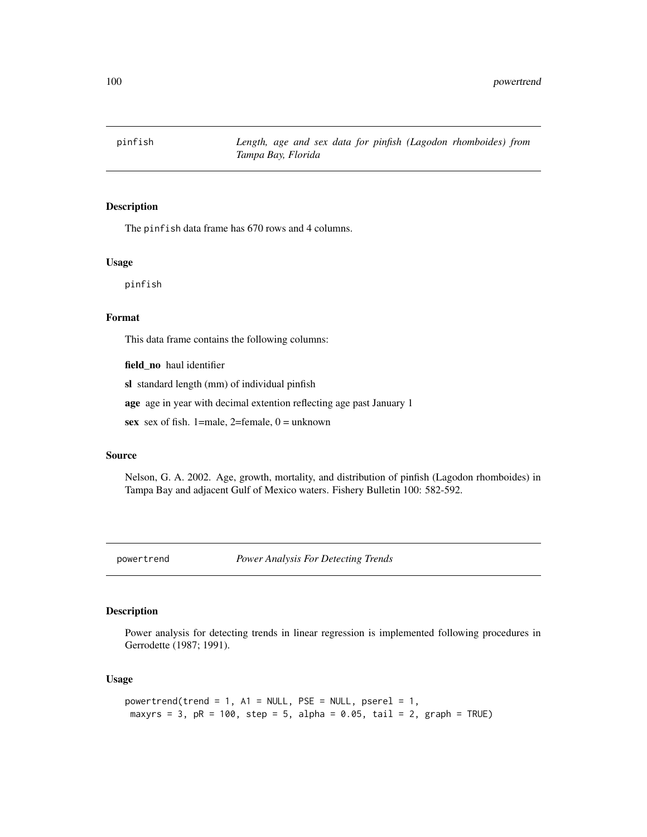pinfish *Length, age and sex data for pinfish (Lagodon rhomboides) from Tampa Bay, Florida*

## Description

The pinfish data frame has 670 rows and 4 columns.

#### Usage

pinfish

## Format

This data frame contains the following columns:

field\_no haul identifier

sl standard length (mm) of individual pinfish

age age in year with decimal extention reflecting age past January 1

sex sex of fish. 1=male, 2=female,  $0 =$ unknown

#### Source

Nelson, G. A. 2002. Age, growth, mortality, and distribution of pinfish (Lagodon rhomboides) in Tampa Bay and adjacent Gulf of Mexico waters. Fishery Bulletin 100: 582-592.

powertrend *Power Analysis For Detecting Trends*

# Description

Power analysis for detecting trends in linear regression is implemented following procedures in Gerrodette (1987; 1991).

## Usage

```
powertrend(trend = 1, A1 = NULL, PSE = NULL, pserel = 1,
maxyrs = 3, pR = 100, step = 5, alpha = 0.05, tail = 2, graph = TRUE)
```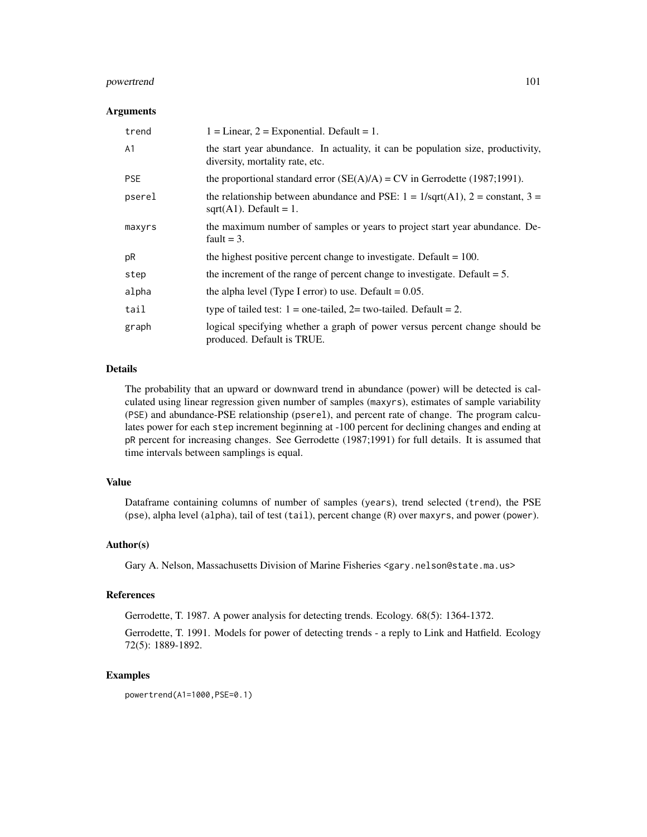# powertrend 101

#### Arguments

| trend          | $1 =$ Linear, $2 =$ Exponential. Default = 1.                                                                          |
|----------------|------------------------------------------------------------------------------------------------------------------------|
| A <sub>1</sub> | the start year abundance. In actuality, it can be population size, productivity,<br>diversity, mortality rate, etc.    |
| <b>PSE</b>     | the proportional standard error $(SE(A)/A) = CV$ in Gerrodette (1987;1991).                                            |
| pserel         | the relationship between abundance and PSE: $1 = 1/\sqrt{(A1)}$ , $2 = constant$ , $3 =$<br>sqrt $(A1)$ . Default = 1. |
| maxyrs         | the maximum number of samples or years to project start year abundance. De-<br>fault = $3$ .                           |
| pR             | the highest positive percent change to investigate. Default $= 100$ .                                                  |
| step           | the increment of the range of percent change to investigate. Default $= 5$ .                                           |
| alpha          | the alpha level (Type I error) to use. Default $= 0.05$ .                                                              |
| tail           | type of tailed test: $1 =$ one-tailed, $2 =$ two-tailed. Default = 2.                                                  |
| graph          | logical specifying whether a graph of power versus percent change should be<br>produced. Default is TRUE.              |

# Details

The probability that an upward or downward trend in abundance (power) will be detected is calculated using linear regression given number of samples (maxyrs), estimates of sample variability (PSE) and abundance-PSE relationship (pserel), and percent rate of change. The program calculates power for each step increment beginning at -100 percent for declining changes and ending at pR percent for increasing changes. See Gerrodette (1987;1991) for full details. It is assumed that time intervals between samplings is equal.

#### Value

Dataframe containing columns of number of samples (years), trend selected (trend), the PSE (pse), alpha level (alpha), tail of test (tail), percent change (R) over maxyrs, and power (power).

## Author(s)

Gary A. Nelson, Massachusetts Division of Marine Fisheries <gary.nelson@state.ma.us>

#### References

Gerrodette, T. 1987. A power analysis for detecting trends. Ecology. 68(5): 1364-1372.

Gerrodette, T. 1991. Models for power of detecting trends - a reply to Link and Hatfield. Ecology 72(5): 1889-1892.

## Examples

powertrend(A1=1000,PSE=0.1)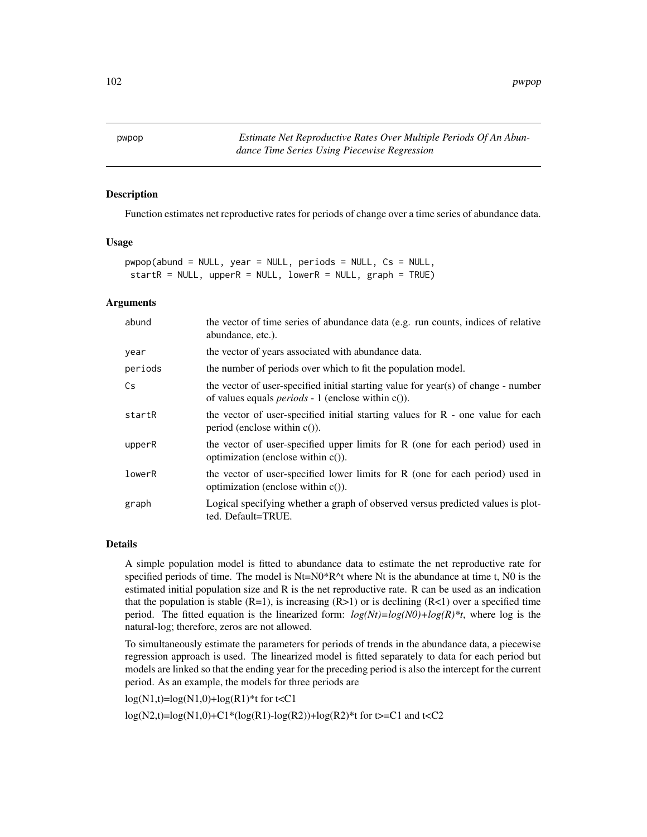pwpop *Estimate Net Reproductive Rates Over Multiple Periods Of An Abundance Time Series Using Piecewise Regression*

## Description

Function estimates net reproductive rates for periods of change over a time series of abundance data.

## Usage

```
pwpop(abund = NULL, year = NULL, periods = NULL, Cs = NULL,
startR = NULL, upperR = NULL, lowerR = NULL, graph = TRUE)
```
## Arguments

| abund   | the vector of time series of abundance data (e.g. run counts, indices of relative<br>abundance, etc.).                                             |
|---------|----------------------------------------------------------------------------------------------------------------------------------------------------|
| year    | the vector of years associated with abundance data.                                                                                                |
| periods | the number of periods over which to fit the population model.                                                                                      |
| Cs      | the vector of user-specified initial starting value for year(s) of change - number<br>of values equals <i>periods</i> - 1 (enclose within $c()$ ). |
| startR  | the vector of user-specified initial starting values for $R$ - one value for each<br>period (enclose within $c()$ ).                               |
| upperR  | the vector of user-specified upper limits for $R$ (one for each period) used in<br>optimization (enclose within $c()$ ).                           |
| lowerR  | the vector of user-specified lower limits for R (one for each period) used in<br>optimization (enclose within $c()$ ).                             |
| graph   | Logical specifying whether a graph of observed versus predicted values is plot-<br>ted. Default=TRUE.                                              |

#### Details

A simple population model is fitted to abundance data to estimate the net reproductive rate for specified periods of time. The model is  $Nt=N0*R^{\wedge}t$  where Nt is the abundance at time t, N0 is the estimated initial population size and R is the net reproductive rate. R can be used as an indication that the population is stable  $(R=1)$ , is increasing  $(R>1)$  or is declining  $(R<1)$  over a specified time period. The fitted equation is the linearized form:  $log(Nt)=log(N0)+log(R)*t$ , where log is the natural-log; therefore, zeros are not allowed.

To simultaneously estimate the parameters for periods of trends in the abundance data, a piecewise regression approach is used. The linearized model is fitted separately to data for each period but models are linked so that the ending year for the preceding period is also the intercept for the current period. As an example, the models for three periods are

 $log(N1,t)=log(N1,0)+log(R1)*t$  for  $t < C1$ 

 $log(N2,t)=log(N1,0)+C1*(log(R1)-log(R2))+log(R2)*t$  for t>=C1 and t<C2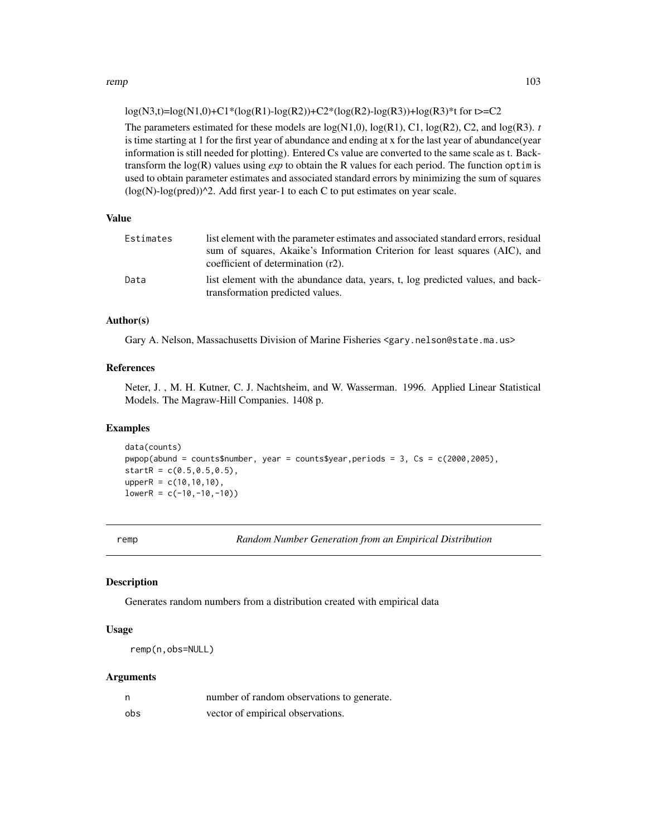#### remp and the state of the state of the state of the state of the state of the state of the state of the state of the state of the state of the state of the state of the state of the state of the state of the state of the s

 $log(N3,t)=log(N1,0)+C1*(log(R1)-log(R2))+C2*(log(R2)-log(R3))+log(R3)*t$  for t>=C2

The parameters estimated for these models are  $log(N1,0)$ ,  $log(R1)$ ,  $C1$ ,  $log(R2)$ ,  $C2$ , and  $log(R3)$ . *t* is time starting at 1 for the first year of abundance and ending at x for the last year of abundance(year information is still needed for plotting). Entered Cs value are converted to the same scale as t. Backtransform the log(R) values using *exp* to obtain the R values for each period. The function optim is used to obtain parameter estimates and associated standard errors by minimizing the sum of squares  $(log(N)-log(pred))$ <sup>2</sup>. Add first year-1 to each C to put estimates on year scale.

## Value

| Estimates | list element with the parameter estimates and associated standard errors, residual<br>sum of squares, Akaike's Information Criterion for least squares (AIC), and<br>coefficient of determination (r2). |
|-----------|---------------------------------------------------------------------------------------------------------------------------------------------------------------------------------------------------------|
| Data      | list element with the abundance data, years, t, log predicted values, and back-<br>transformation predicted values.                                                                                     |

## Author(s)

Gary A. Nelson, Massachusetts Division of Marine Fisheries <gary.nelson@state.ma.us>

# References

Neter, J. , M. H. Kutner, C. J. Nachtsheim, and W. Wasserman. 1996. Applied Linear Statistical Models. The Magraw-Hill Companies. 1408 p.

#### Examples

```
data(counts)
pwpop(abund = counts$number, year = counts$year,periods = 3, Cs = c(2000,2005),
startR = c(0.5, 0.5, 0.5),
upperR = c(10, 10, 10),
lowerR = c(-10, -10, -10)
```
remp *Random Number Generation from an Empirical Distribution*

## Description

Generates random numbers from a distribution created with empirical data

### Usage

remp(n,obs=NULL)

## Arguments

| n   | number of random observations to generate. |
|-----|--------------------------------------------|
| obs | vector of empirical observations.          |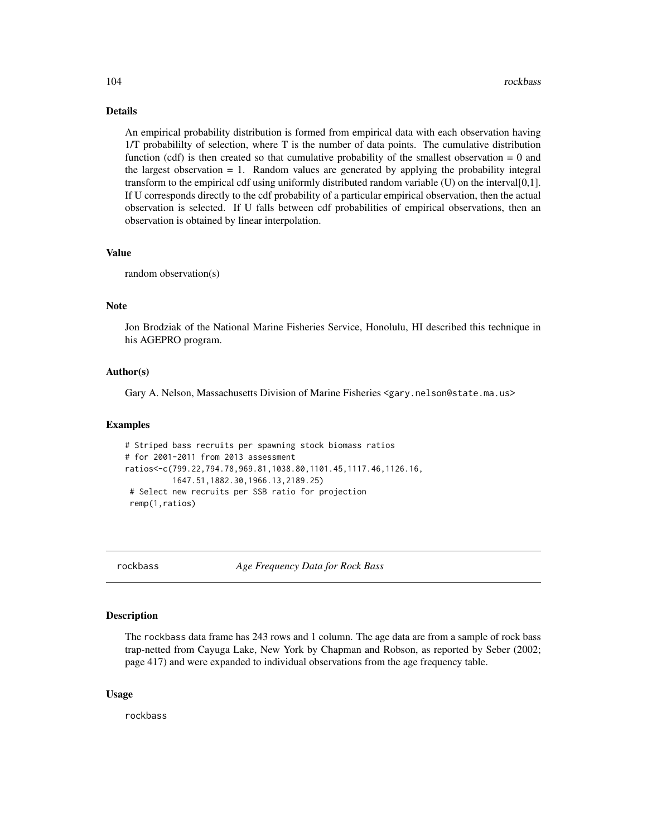#### Details

An empirical probability distribution is formed from empirical data with each observation having 1/T probabililty of selection, where T is the number of data points. The cumulative distribution function  $(cdf)$  is then created so that cumulative probability of the smallest observation  $= 0$  and the largest observation  $= 1$ . Random values are generated by applying the probability integral transform to the empirical cdf using uniformly distributed random variable (U) on the interval[0,1]. If U corresponds directly to the cdf probability of a particular empirical observation, then the actual observation is selected. If U falls between cdf probabilities of empirical observations, then an observation is obtained by linear interpolation.

# Value

random observation(s)

## **Note**

Jon Brodziak of the National Marine Fisheries Service, Honolulu, HI described this technique in his AGEPRO program.

## Author(s)

Gary A. Nelson, Massachusetts Division of Marine Fisheries <gary.nelson@state.ma.us>

#### Examples

```
# Striped bass recruits per spawning stock biomass ratios
# for 2001-2011 from 2013 assessment
ratios<-c(799.22,794.78,969.81,1038.80,1101.45,1117.46,1126.16,
         1647.51,1882.30,1966.13,2189.25)
# Select new recruits per SSB ratio for projection
remp(1,ratios)
```
rockbass *Age Frequency Data for Rock Bass*

## Description

The rockbass data frame has 243 rows and 1 column. The age data are from a sample of rock bass trap-netted from Cayuga Lake, New York by Chapman and Robson, as reported by Seber (2002; page 417) and were expanded to individual observations from the age frequency table.

#### Usage

rockbass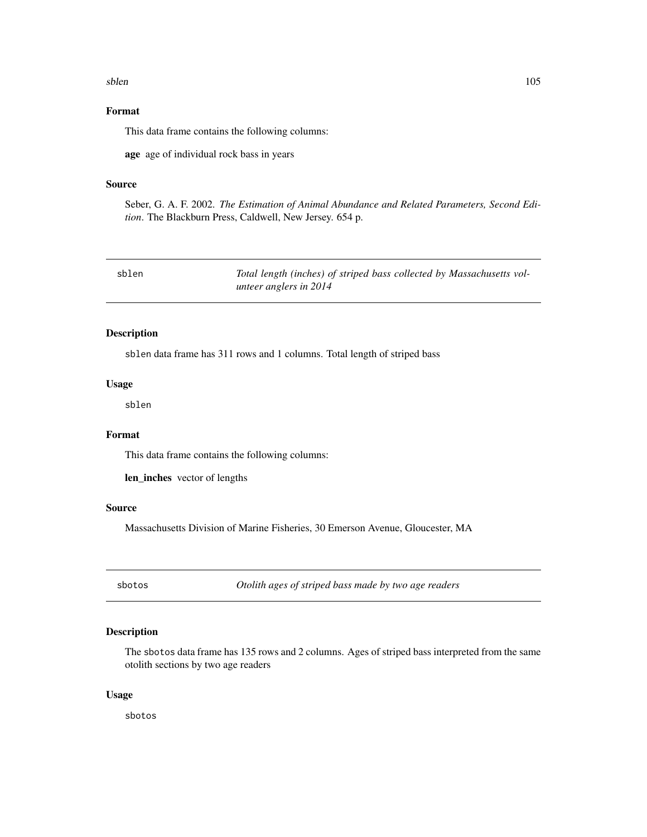#### sblen 105

# Format

This data frame contains the following columns:

age age of individual rock bass in years

#### Source

Seber, G. A. F. 2002. *The Estimation of Animal Abundance and Related Parameters, Second Edition*. The Blackburn Press, Caldwell, New Jersey. 654 p.

| sblen | Total length (inches) of striped bass collected by Massachusetts vol- |
|-------|-----------------------------------------------------------------------|
|       | unteer anglers in 2014                                                |

## Description

sblen data frame has 311 rows and 1 columns. Total length of striped bass

# Usage

sblen

## Format

This data frame contains the following columns:

len\_inches vector of lengths

#### Source

Massachusetts Division of Marine Fisheries, 30 Emerson Avenue, Gloucester, MA

sbotos *Otolith ages of striped bass made by two age readers*

# Description

The sbotos data frame has 135 rows and 2 columns. Ages of striped bass interpreted from the same otolith sections by two age readers

#### Usage

sbotos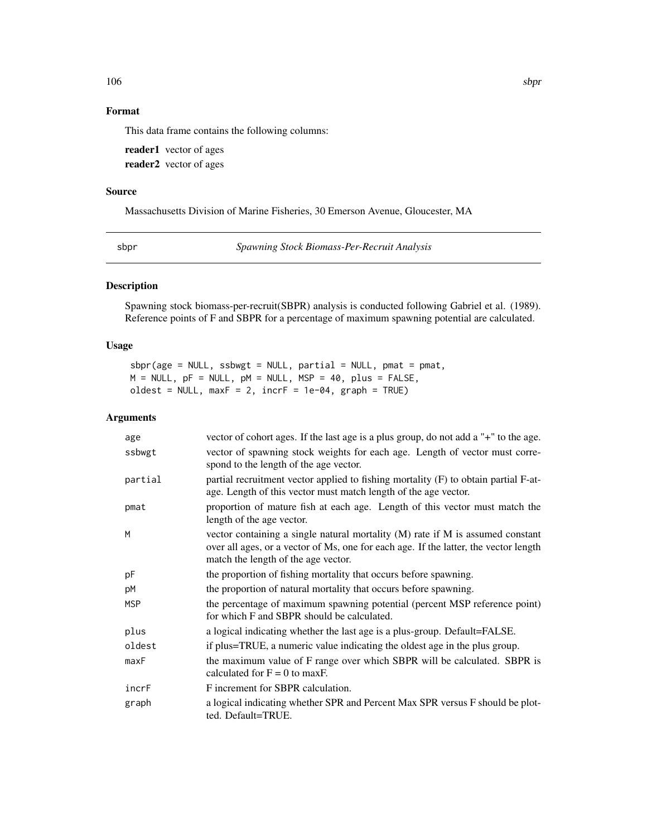# Format

This data frame contains the following columns:

reader1 vector of ages reader2 vector of ages

# Source

Massachusetts Division of Marine Fisheries, 30 Emerson Avenue, Gloucester, MA

sbpr *Spawning Stock Biomass-Per-Recruit Analysis*

# Description

Spawning stock biomass-per-recruit(SBPR) analysis is conducted following Gabriel et al. (1989). Reference points of F and SBPR for a percentage of maximum spawning potential are calculated.

# Usage

 $sbpr(age = NULL, ssbwgt = NULL, partial = NULL, pmat = pmat,$  $M = NULL$ ,  $pF = NULL$ ,  $pM = NULL$ ,  $MSP = 40$ ,  $plus = FALSE$ , oldest = NULL,  $maxF = 2$ ,  $incrF = 1e-04$ ,  $graph = TRUE$ )

## Arguments

| age        | vector of cohort ages. If the last age is a plus group, do not add a "+" to the age.                                                                                                                          |
|------------|---------------------------------------------------------------------------------------------------------------------------------------------------------------------------------------------------------------|
| ssbwgt     | vector of spawning stock weights for each age. Length of vector must corre-<br>spond to the length of the age vector.                                                                                         |
| partial    | partial recruitment vector applied to fishing mortality (F) to obtain partial F-at-<br>age. Length of this vector must match length of the age vector.                                                        |
| pmat       | proportion of mature fish at each age. Length of this vector must match the<br>length of the age vector.                                                                                                      |
| M          | vector containing a single natural mortality (M) rate if M is assumed constant<br>over all ages, or a vector of Ms, one for each age. If the latter, the vector length<br>match the length of the age vector. |
| pF         | the proportion of fishing mortality that occurs before spawning.                                                                                                                                              |
| рM         | the proportion of natural mortality that occurs before spawning.                                                                                                                                              |
| <b>MSP</b> | the percentage of maximum spawning potential (percent MSP reference point)<br>for which F and SBPR should be calculated.                                                                                      |
| plus       | a logical indicating whether the last age is a plus-group. Default=FALSE.                                                                                                                                     |
| oldest     | if plus=TRUE, a numeric value indicating the oldest age in the plus group.                                                                                                                                    |
| maxF       | the maximum value of F range over which SBPR will be calculated. SBPR is<br>calculated for $F = 0$ to maxF.                                                                                                   |
| incrF      | F increment for SBPR calculation.                                                                                                                                                                             |
| graph      | a logical indicating whether SPR and Percent Max SPR versus F should be plot-<br>ted. Default=TRUE.                                                                                                           |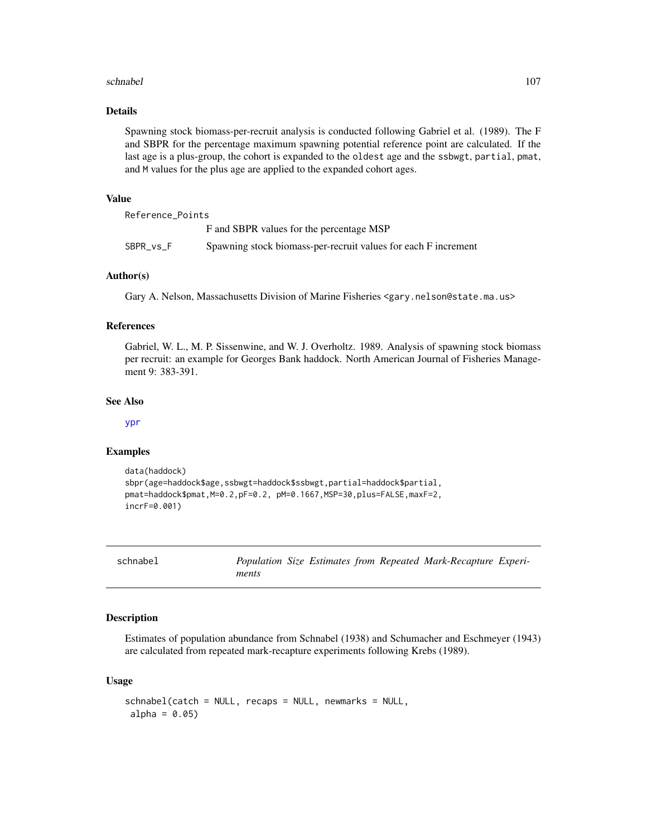#### schnabel and the set of the set of the set of the set of the set of the set of the set of the set of the set of the set of the set of the set of the set of the set of the set of the set of the set of the set of the set of

## Details

Spawning stock biomass-per-recruit analysis is conducted following Gabriel et al. (1989). The F and SBPR for the percentage maximum spawning potential reference point are calculated. If the last age is a plus-group, the cohort is expanded to the oldest age and the ssbwgt, partial, pmat, and M values for the plus age are applied to the expanded cohort ages.

## Value

Reference\_Points F and SBPR values for the percentage MSP SBPR\_vs\_F Spawning stock biomass-per-recruit values for each F increment

## Author(s)

Gary A. Nelson, Massachusetts Division of Marine Fisheries <gary.nelson@state.ma.us>

#### References

Gabriel, W. L., M. P. Sissenwine, and W. J. Overholtz. 1989. Analysis of spawning stock biomass per recruit: an example for Georges Bank haddock. North American Journal of Fisheries Management 9: 383-391.

#### See Also

[ypr](#page-119-0)

## Examples

```
data(haddock)
sbpr(age=haddock$age,ssbwgt=haddock$ssbwgt,partial=haddock$partial,
pmat=haddock$pmat,M=0.2,pF=0.2, pM=0.1667,MSP=30,plus=FALSE,maxF=2,
incrF=0.001)
```
schnabel *Population Size Estimates from Repeated Mark-Recapture Experiments*

## Description

Estimates of population abundance from Schnabel (1938) and Schumacher and Eschmeyer (1943) are calculated from repeated mark-recapture experiments following Krebs (1989).

#### Usage

```
schnabel(catch = NULL, recaps = NULL, newmarks = NULL,
alpha = 0.05
```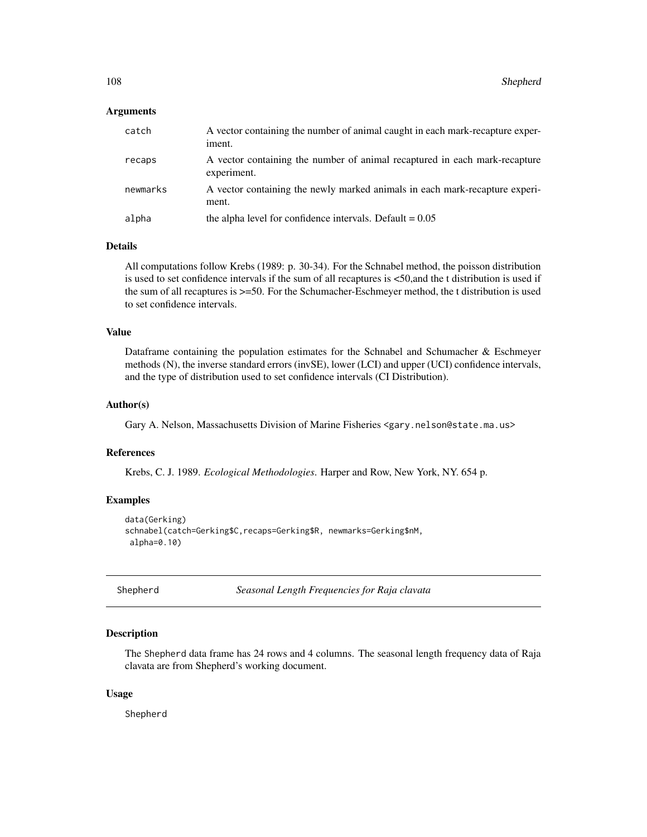## Arguments

| catch    | A vector containing the number of animal caught in each mark-recapture exper-<br>iment.   |
|----------|-------------------------------------------------------------------------------------------|
| recaps   | A vector containing the number of animal recaptured in each mark-recapture<br>experiment. |
| newmarks | A vector containing the newly marked animals in each mark-recapture experi-<br>ment.      |
| alpha    | the alpha level for confidence intervals. Default $= 0.05$                                |

## Details

All computations follow Krebs (1989: p. 30-34). For the Schnabel method, the poisson distribution is used to set confidence intervals if the sum of all recaptures is <50,and the t distribution is used if the sum of all recaptures is >=50. For the Schumacher-Eschmeyer method, the t distribution is used to set confidence intervals.

# Value

Dataframe containing the population estimates for the Schnabel and Schumacher & Eschmeyer methods (N), the inverse standard errors (invSE), lower (LCI) and upper (UCI) confidence intervals, and the type of distribution used to set confidence intervals (CI Distribution).

#### Author(s)

Gary A. Nelson, Massachusetts Division of Marine Fisheries <gary.nelson@state.ma.us>

## References

Krebs, C. J. 1989. *Ecological Methodologies*. Harper and Row, New York, NY. 654 p.

# Examples

```
data(Gerking)
schnabel(catch=Gerking$C,recaps=Gerking$R, newmarks=Gerking$nM,
alpha=0.10)
```

| Shepherd |
|----------|
|          |

d **Shepherd** *Seasonal Length Frequencies for Raja clavata* 

## Description

The Shepherd data frame has 24 rows and 4 columns. The seasonal length frequency data of Raja clavata are from Shepherd's working document.

#### Usage

Shepherd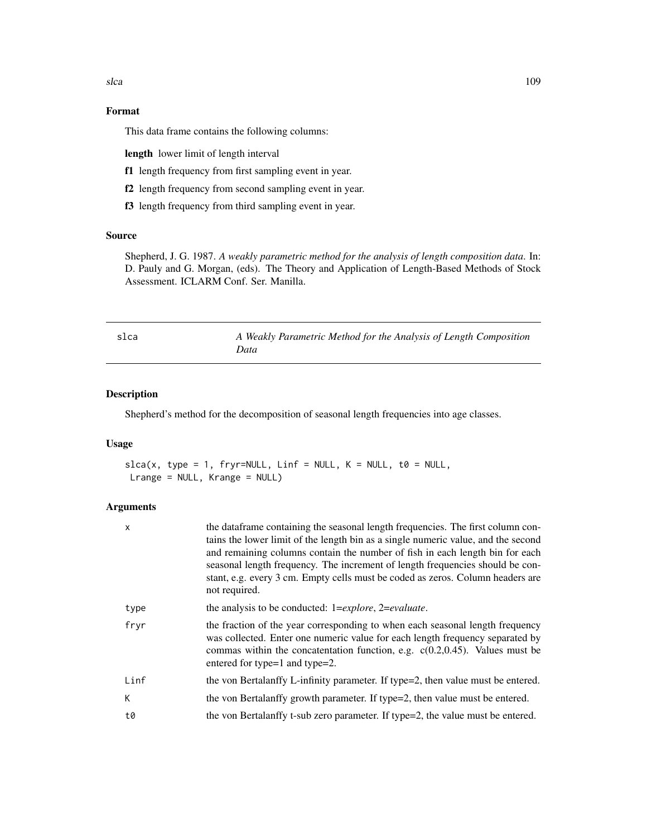# <span id="page-108-0"></span>Format

This data frame contains the following columns:

length lower limit of length interval

- f1 length frequency from first sampling event in year.
- f2 length frequency from second sampling event in year.
- f3 length frequency from third sampling event in year.

#### Source

Shepherd, J. G. 1987. *A weakly parametric method for the analysis of length composition data*. In: D. Pauly and G. Morgan, (eds). The Theory and Application of Length-Based Methods of Stock Assessment. ICLARM Conf. Ser. Manilla.

| I<br>$\sim$ | ×<br>٦<br>$\sim$ | I<br>× |
|-------------|------------------|--------|
|             |                  |        |

slca *A Weakly Parametric Method for the Analysis of Length Composition Data*

# Description

Shepherd's method for the decomposition of seasonal length frequencies into age classes.

# Usage

```
slca(x, type = 1, fryr=NULL, Linf = NULL, K = NULL, t0 = NULL,Lrange = NULL, Krange = NULL)
```
#### Arguments

| x    | the dataframe containing the seasonal length frequencies. The first column con-<br>tains the lower limit of the length bin as a single numeric value, and the second<br>and remaining columns contain the number of fish in each length bin for each<br>seasonal length frequency. The increment of length frequencies should be con-<br>stant, e.g. every 3 cm. Empty cells must be coded as zeros. Column headers are<br>not required. |
|------|------------------------------------------------------------------------------------------------------------------------------------------------------------------------------------------------------------------------------------------------------------------------------------------------------------------------------------------------------------------------------------------------------------------------------------------|
| type | the analysis to be conducted: $1=explore, 2=evaluate.$                                                                                                                                                                                                                                                                                                                                                                                   |
| fryr | the fraction of the year corresponding to when each seasonal length frequency<br>was collected. Enter one numeric value for each length frequency separated by<br>commas within the concatentation function, e.g. $c(0.2, 0.45)$ . Values must be<br>entered for type= $1$ and type= $2$ .                                                                                                                                               |
| Linf | the von Bertalanffy L-infinity parameter. If type=2, then value must be entered.                                                                                                                                                                                                                                                                                                                                                         |
| K.   | the von Bertalanffy growth parameter. If type=2, then value must be entered.                                                                                                                                                                                                                                                                                                                                                             |
| t0   | the von Bertalanffy t-sub zero parameter. If type=2, the value must be entered.                                                                                                                                                                                                                                                                                                                                                          |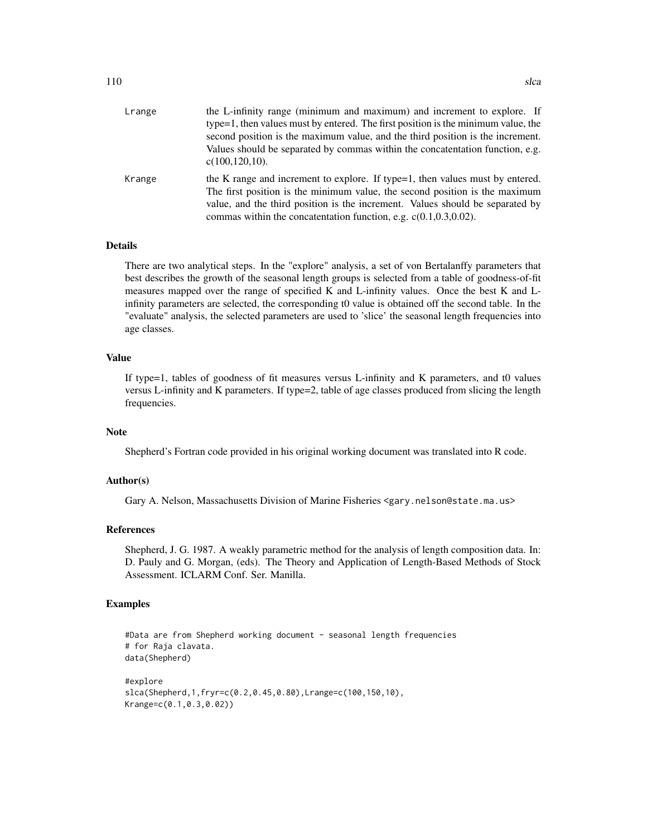| Lrange | the L-infinity range (minimum and maximum) and increment to explore. If                                                                                      |
|--------|--------------------------------------------------------------------------------------------------------------------------------------------------------------|
|        | type=1, then values must by entered. The first position is the minimum value, the                                                                            |
|        | second position is the maximum value, and the third position is the increment.                                                                               |
|        | Values should be separated by commas within the concatentation function, e.g.<br>$c(100, 120, 10)$ .                                                         |
| Krange | the K range and increment to explore. If type=1, then values must by entered.<br>The first position is the minimum value, the second position is the maximum |
|        | value, and the third position is the increment. Values should be separated by                                                                                |
|        | commas within the concatentation function, e.g. $c(0.1, 0.3, 0.02)$ .                                                                                        |
|        |                                                                                                                                                              |

#### Details

There are two analytical steps. In the "explore" analysis, a set of von Bertalanffy parameters that best describes the growth of the seasonal length groups is selected from a table of goodness-of-fit measures mapped over the range of specified K and L-infinity values. Once the best K and Linfinity parameters are selected, the corresponding t0 value is obtained off the second table. In the "evaluate" analysis, the selected parameters are used to 'slice' the seasonal length frequencies into age classes.

# Value

If type=1, tables of goodness of fit measures versus L-infinity and K parameters, and t0 values versus L-infinity and K parameters. If type=2, table of age classes produced from slicing the length frequencies.

# Note

Shepherd's Fortran code provided in his original working document was translated into R code.

# Author(s)

Gary A. Nelson, Massachusetts Division of Marine Fisheries <gary.nelson@state.ma.us>

# References

Shepherd, J. G. 1987. A weakly parametric method for the analysis of length composition data. In: D. Pauly and G. Morgan, (eds). The Theory and Application of Length-Based Methods of Stock Assessment. ICLARM Conf. Ser. Manilla.

# Examples

```
#Data are from Shepherd working document - seasonal length frequencies
# for Raja clavata.
data(Shepherd)
#explore
slca(Shepherd,1,fryr=c(0.2,0.45,0.80),Lrange=c(100,150,10),
Krange=c(0.1,0.3,0.02))
```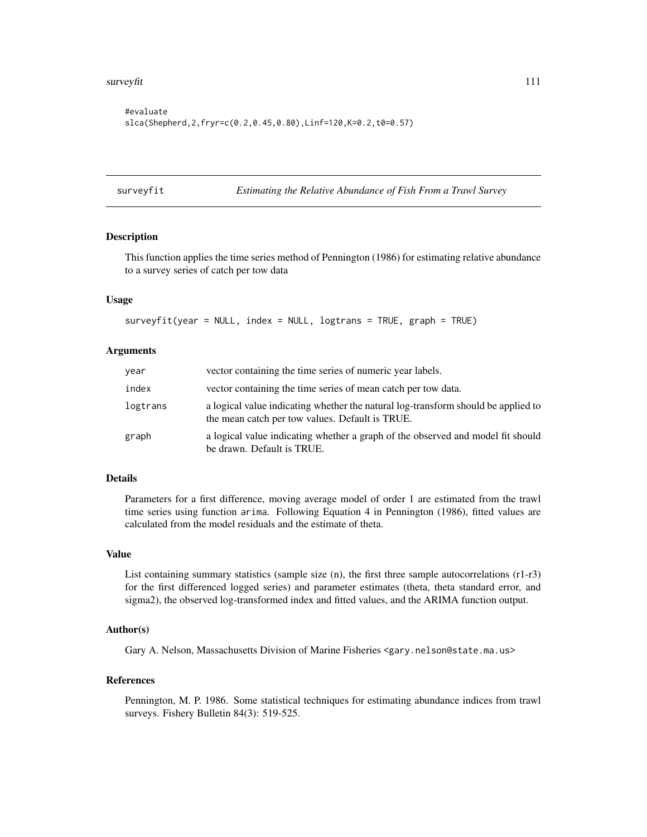#### <span id="page-110-1"></span>surveyfit the contract of the contract of the contract of the contract of the contract of the contract of the contract of the contract of the contract of the contract of the contract of the contract of the contract of the

```
#evaluate
slca(Shepherd,2,fryr=c(0.2,0.45,0.80),Linf=120,K=0.2,t0=0.57)
```
<span id="page-110-0"></span>surveyfit *Estimating the Relative Abundance of Fish From a Trawl Survey*

# Description

This function applies the time series method of Pennington (1986) for estimating relative abundance to a survey series of catch per tow data

# Usage

surveyfit(year = NULL, index = NULL, logtrans = TRUE, graph = TRUE)

#### Arguments

| year     | vector containing the time series of numeric year labels.                                                                            |
|----------|--------------------------------------------------------------------------------------------------------------------------------------|
| index    | vector containing the time series of mean catch per tow data.                                                                        |
| logtrans | a logical value indicating whether the natural log-transform should be applied to<br>the mean catch per tow values. Default is TRUE. |
| graph    | a logical value indicating whether a graph of the observed and model fit should<br>be drawn. Default is TRUE.                        |

# Details

Parameters for a first difference, moving average model of order 1 are estimated from the trawl time series using function arima. Following Equation 4 in Pennington (1986), fitted values are calculated from the model residuals and the estimate of theta.

#### Value

List containing summary statistics (sample size (n), the first three sample autocorrelations (r1-r3) for the first differenced logged series) and parameter estimates (theta, theta standard error, and sigma2), the observed log-transformed index and fitted values, and the ARIMA function output.

#### Author(s)

Gary A. Nelson, Massachusetts Division of Marine Fisheries <gary.nelson@state.ma.us>

#### References

Pennington, M. P. 1986. Some statistical techniques for estimating abundance indices from trawl surveys. Fishery Bulletin 84(3): 519-525.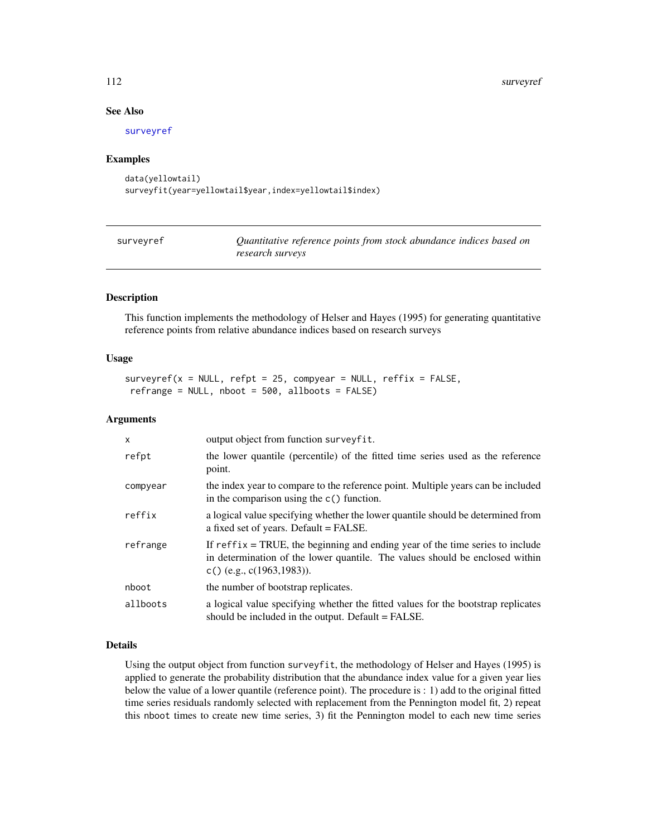#### 112 surveyref

# See Also

[surveyref](#page-111-0)

#### Examples

```
data(yellowtail)
surveyfit(year=yellowtail$year,index=yellowtail$index)
```
<span id="page-111-0"></span>

| surveyref | Quantitative reference points from stock abundance indices based on |
|-----------|---------------------------------------------------------------------|
|           | research surveys                                                    |

# Description

This function implements the methodology of Helser and Hayes (1995) for generating quantitative reference points from relative abundance indices based on research surveys

# Usage

```
surveyref(x = NULL, refpt = 25, compyear = NULL, reffix = FALSE,refrange = NULL, nboot = 500, allboots = FALSE)
```
# Arguments

| $\mathsf{x}$ | output object from function surveyfit.                                                                                                                                                            |
|--------------|---------------------------------------------------------------------------------------------------------------------------------------------------------------------------------------------------|
| refpt        | the lower quantile (percentile) of the fitted time series used as the reference<br>point.                                                                                                         |
| compyear     | the index year to compare to the reference point. Multiple years can be included<br>in the comparison using the $c()$ function.                                                                   |
| reffix       | a logical value specifying whether the lower quantile should be determined from<br>a fixed set of years. Default = FALSE.                                                                         |
| refrange     | If $reffix = TRUE$ , the beginning and ending year of the time series to include<br>in determination of the lower quantile. The values should be enclosed within<br>c() $(e.g., c(1963, 1983))$ . |
| nboot        | the number of bootstrap replicates.                                                                                                                                                               |
| allboots     | a logical value specifying whether the fitted values for the bootstrap replicates<br>should be included in the output. Default = FALSE.                                                           |

# Details

Using the output object from function surveyfit, the methodology of Helser and Hayes (1995) is applied to generate the probability distribution that the abundance index value for a given year lies below the value of a lower quantile (reference point). The procedure is : 1) add to the original fitted time series residuals randomly selected with replacement from the Pennington model fit, 2) repeat this nboot times to create new time series, 3) fit the Pennington model to each new time series

<span id="page-111-1"></span>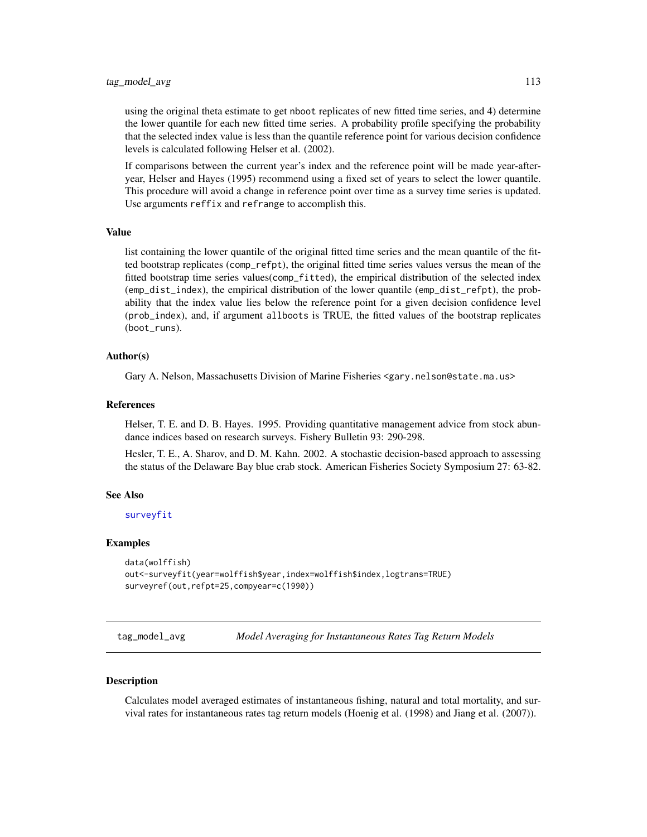<span id="page-112-0"></span>using the original theta estimate to get nboot replicates of new fitted time series, and 4) determine the lower quantile for each new fitted time series. A probability profile specifying the probability that the selected index value is less than the quantile reference point for various decision confidence levels is calculated following Helser et al. (2002).

If comparisons between the current year's index and the reference point will be made year-afteryear, Helser and Hayes (1995) recommend using a fixed set of years to select the lower quantile. This procedure will avoid a change in reference point over time as a survey time series is updated. Use arguments reffix and refrange to accomplish this.

# Value

list containing the lower quantile of the original fitted time series and the mean quantile of the fitted bootstrap replicates (comp\_refpt), the original fitted time series values versus the mean of the fitted bootstrap time series values(comp\_fitted), the empirical distribution of the selected index (emp\_dist\_index), the empirical distribution of the lower quantile (emp\_dist\_refpt), the probability that the index value lies below the reference point for a given decision confidence level (prob\_index), and, if argument allboots is TRUE, the fitted values of the bootstrap replicates (boot\_runs).

#### Author(s)

Gary A. Nelson, Massachusetts Division of Marine Fisheries <gary.nelson@state.ma.us>

# References

Helser, T. E. and D. B. Hayes. 1995. Providing quantitative management advice from stock abundance indices based on research surveys. Fishery Bulletin 93: 290-298.

Hesler, T. E., A. Sharov, and D. M. Kahn. 2002. A stochastic decision-based approach to assessing the status of the Delaware Bay blue crab stock. American Fisheries Society Symposium 27: 63-82.

# See Also

[surveyfit](#page-110-0)

# Examples

```
data(wolffish)
out<-surveyfit(year=wolffish$year,index=wolffish$index,logtrans=TRUE)
surveyref(out,refpt=25,compyear=c(1990))
```
tag\_model\_avg *Model Averaging for Instantaneous Rates Tag Return Models*

#### Description

Calculates model averaged estimates of instantaneous fishing, natural and total mortality, and survival rates for instantaneous rates tag return models (Hoenig et al. (1998) and Jiang et al. (2007)).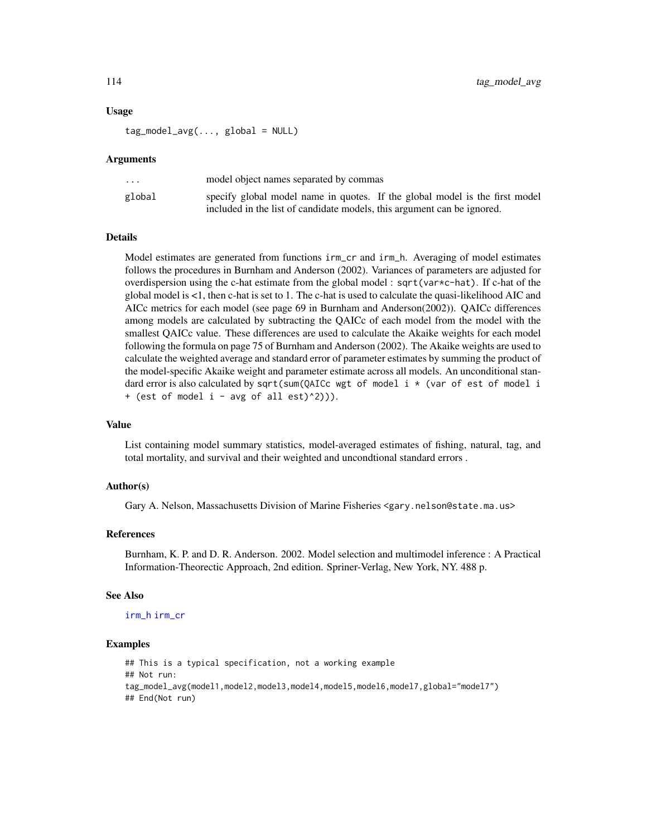### <span id="page-113-0"></span>Usage

 $tag\_model_avg(..., global = NULL)$ 

#### Arguments

| $\cdot$ $\cdot$ $\cdot$ | model object names separated by commas                                      |  |  |  |  |
|-------------------------|-----------------------------------------------------------------------------|--|--|--|--|
| global                  | specify global model name in quotes. If the global model is the first model |  |  |  |  |
|                         | included in the list of candidate models, this argument can be ignored.     |  |  |  |  |

# Details

Model estimates are generated from functions irm\_cr and irm\_h. Averaging of model estimates follows the procedures in Burnham and Anderson (2002). Variances of parameters are adjusted for overdispersion using the c-hat estimate from the global model : sqrt(var\*c-hat). If c-hat of the global model is <1, then c-hat is set to 1. The c-hat is used to calculate the quasi-likelihood AIC and AICc metrics for each model (see page 69 in Burnham and Anderson(2002)). QAICc differences among models are calculated by subtracting the QAICc of each model from the model with the smallest QAICc value. These differences are used to calculate the Akaike weights for each model following the formula on page 75 of Burnham and Anderson (2002). The Akaike weights are used to calculate the weighted average and standard error of parameter estimates by summing the product of the model-specific Akaike weight and parameter estimate across all models. An unconditional standard error is also calculated by sqrt(sum(QAICc wgt of model i \* (var of est of model i + (est of model  $i - avg$  of all est)^2))).

# Value

List containing model summary statistics, model-averaged estimates of fishing, natural, tag, and total mortality, and survival and their weighted and uncondtional standard errors .

#### Author(s)

Gary A. Nelson, Massachusetts Division of Marine Fisheries <gary.nelson@state.ma.us>

#### References

Burnham, K. P. and D. R. Anderson. 2002. Model selection and multimodel inference : A Practical Information-Theorectic Approach, 2nd edition. Spriner-Verlag, New York, NY. 488 p.

#### See Also

#### [irm\\_h](#page-82-0) [irm\\_cr](#page-79-0)

#### Examples

```
## This is a typical specification, not a working example
## Not run:
tag_model_avg(model1,model2,model3,model4,model5,model6,model7,global="model7")
## End(Not run)
```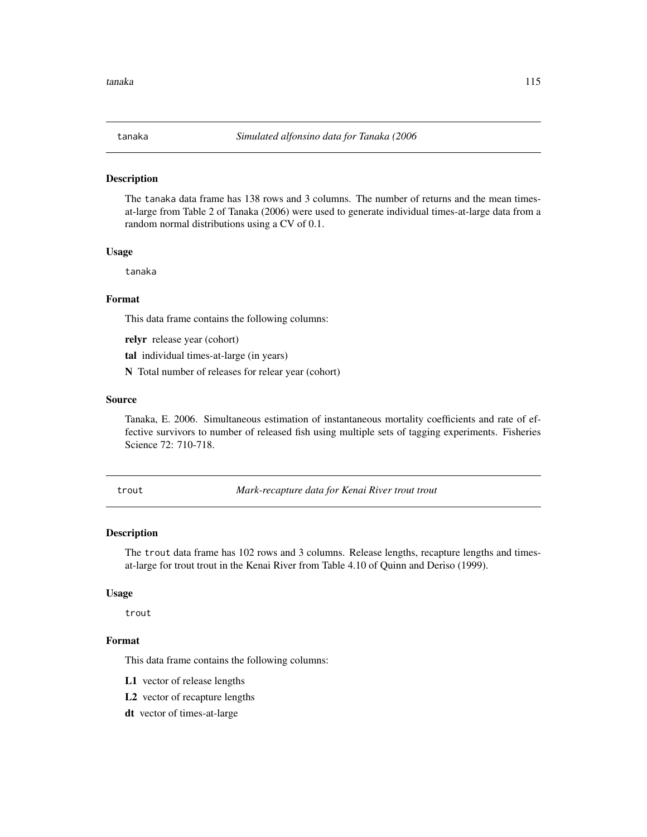<span id="page-114-0"></span>

#### Description

The tanaka data frame has 138 rows and 3 columns. The number of returns and the mean timesat-large from Table 2 of Tanaka (2006) were used to generate individual times-at-large data from a random normal distributions using a CV of 0.1.

#### Usage

tanaka

# Format

This data frame contains the following columns:

relyr release year (cohort)

tal individual times-at-large (in years)

N Total number of releases for relear year (cohort)

# Source

Tanaka, E. 2006. Simultaneous estimation of instantaneous mortality coefficients and rate of effective survivors to number of released fish using multiple sets of tagging experiments. Fisheries Science 72: 710-718.

trout *Mark-recapture data for Kenai River trout trout*

#### Description

The trout data frame has 102 rows and 3 columns. Release lengths, recapture lengths and timesat-large for trout trout in the Kenai River from Table 4.10 of Quinn and Deriso (1999).

#### Usage

trout

#### Format

This data frame contains the following columns:

L1 vector of release lengths

L2 vector of recapture lengths

dt vector of times-at-large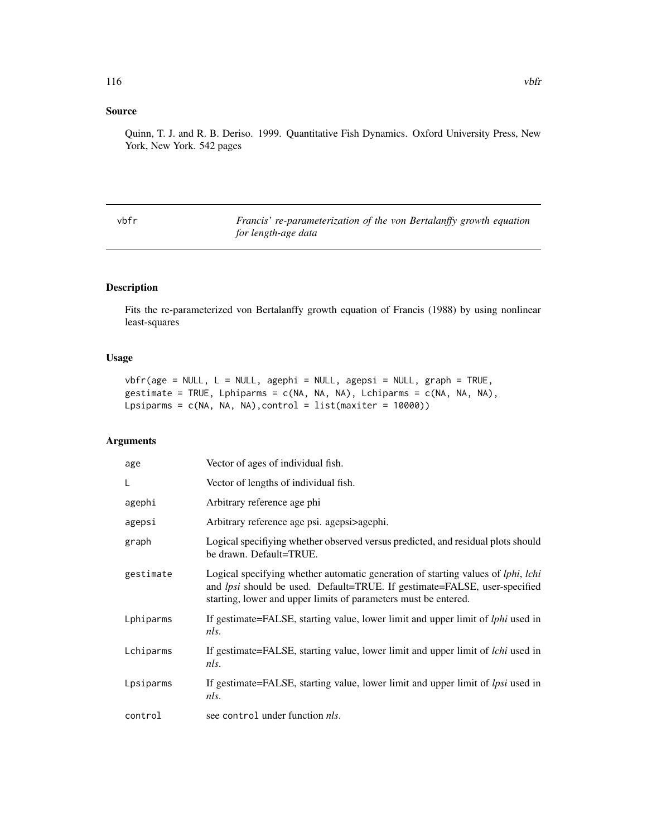# <span id="page-115-0"></span>Source

Quinn, T. J. and R. B. Deriso. 1999. Quantitative Fish Dynamics. Oxford University Press, New York, New York. 542 pages

vbfr *Francis' re-parameterization of the von Bertalanffy growth equation for length-age data*

# Description

Fits the re-parameterized von Bertalanffy growth equation of Francis (1988) by using nonlinear least-squares

#### Usage

```
vbf(\text{age = NULL}, L = NULL, agent = NULL, agent = NULL, graph = TRUE,gestimate = TRUE, Lphiparms = c(NA, NA, NA), Lchiparms = c(NA, NA, NA),
Lpsiparms = c(NA, NA, NA),control = list(maxiter = 10000))
```
# Arguments

| age       | Vector of ages of individual fish.                                                                                                                                                                                                              |
|-----------|-------------------------------------------------------------------------------------------------------------------------------------------------------------------------------------------------------------------------------------------------|
| L         | Vector of lengths of individual fish.                                                                                                                                                                                                           |
| agephi    | Arbitrary reference age phi                                                                                                                                                                                                                     |
| agepsi    | Arbitrary reference age psi. agepsi>agephi.                                                                                                                                                                                                     |
| graph     | Logical specifiying whether observed versus predicted, and residual plots should<br>be drawn. Default=TRUE.                                                                                                                                     |
| gestimate | Logical specifying whether automatic generation of starting values of <i>lphi</i> , <i>lchi</i><br>and lpsi should be used. Default=TRUE. If gestimate=FALSE, user-specified<br>starting, lower and upper limits of parameters must be entered. |
| Lphiparms | If gestimate=FALSE, starting value, lower limit and upper limit of <i>lphi</i> used in<br>nls.                                                                                                                                                  |
| Lchiparms | If gestimate=FALSE, starting value, lower limit and upper limit of <i>lchi</i> used in<br>nls.                                                                                                                                                  |
| Lpsiparms | If gestimate=FALSE, starting value, lower limit and upper limit of <i>lpsi</i> used in<br>nls.                                                                                                                                                  |
| control   | see control under function nls.                                                                                                                                                                                                                 |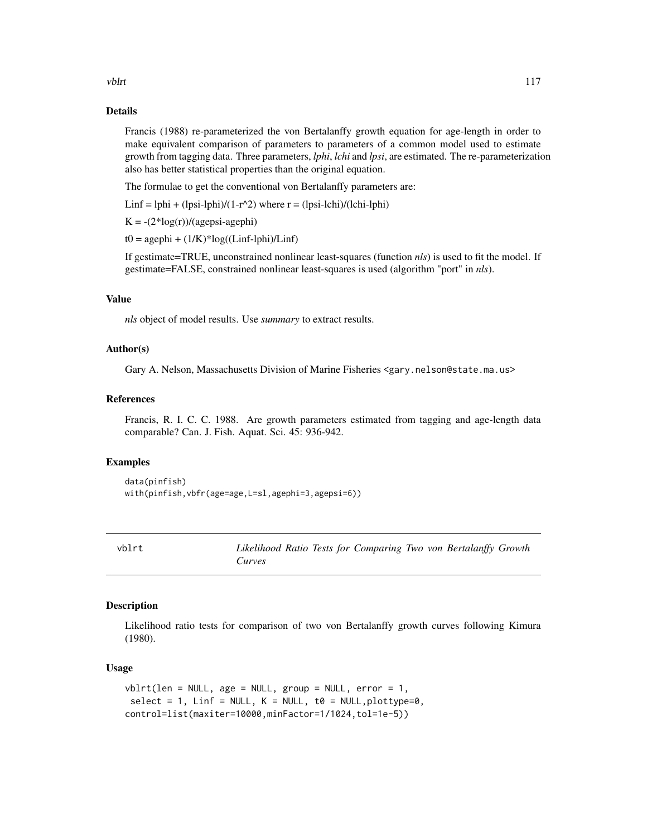<span id="page-116-0"></span>vblrt to the contract of the contract of the contract of the contract of the contract of the contract of the contract of the contract of the contract of the contract of the contract of the contract of the contract of the c

# Details

Francis (1988) re-parameterized the von Bertalanffy growth equation for age-length in order to make equivalent comparison of parameters to parameters of a common model used to estimate growth from tagging data. Three parameters, *lphi*, *lchi* and *lpsi*, are estimated. The re-parameterization also has better statistical properties than the original equation.

The formulae to get the conventional von Bertalanffy parameters are:

Linf = lphi +  $(lpsi - lphi)/(1-r^2)$  where r =  $(lpsi - lchi)/(lchi-lphi)$ 

 $K = -(2 * log(r))/(agepsi - agephi)$ 

 $t0 = agephi + (1/K)^*log((Linf-lphi)/Linf)$ 

If gestimate=TRUE, unconstrained nonlinear least-squares (function *nls*) is used to fit the model. If gestimate=FALSE, constrained nonlinear least-squares is used (algorithm "port" in *nls*).

# Value

*nls* object of model results. Use *summary* to extract results.

### Author(s)

Gary A. Nelson, Massachusetts Division of Marine Fisheries <gary.nelson@state.ma.us>

#### References

Francis, R. I. C. C. 1988. Are growth parameters estimated from tagging and age-length data comparable? Can. J. Fish. Aquat. Sci. 45: 936-942.

#### Examples

```
data(pinfish)
with(pinfish,vbfr(age=age,L=sl,agephi=3,agepsi=6))
```
vblrt *Likelihood Ratio Tests for Comparing Two von Bertalanffy Growth Curves*

### Description

Likelihood ratio tests for comparison of two von Bertalanffy growth curves following Kimura (1980).

#### Usage

```
vblrt(len = NULL, age = NULL, group = NULL, error = 1,select = 1, Linf = NULL, K = NULL, to = NULL, plottype=0,
control=list(maxiter=10000,minFactor=1/1024,tol=1e-5))
```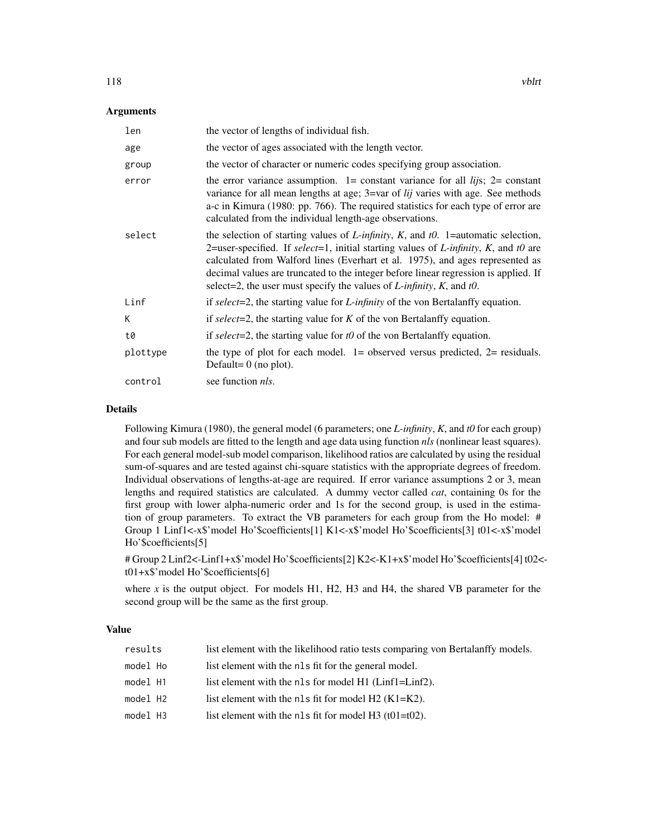# **Arguments**

| len      | the vector of lengths of individual fish.                                                                                                                                                                                                                                                                                                                                                                                                               |
|----------|---------------------------------------------------------------------------------------------------------------------------------------------------------------------------------------------------------------------------------------------------------------------------------------------------------------------------------------------------------------------------------------------------------------------------------------------------------|
| age      | the vector of ages associated with the length vector.                                                                                                                                                                                                                                                                                                                                                                                                   |
| group    | the vector of character or numeric codes specifying group association.                                                                                                                                                                                                                                                                                                                                                                                  |
| error    | the error variance assumption. 1 = constant variance for all $lij$ s; 2 = constant<br>variance for all mean lengths at age; 3=var of <i>lij</i> varies with age. See methods<br>a-c in Kimura (1980: pp. 766). The required statistics for each type of error are<br>calculated from the individual length-age observations.                                                                                                                            |
| select   | the selection of starting values of $L$ -infinity, $K$ , and $t0$ . 1=automatic selection,<br>2=user-specified. If select=1, initial starting values of <i>L</i> -infinity, <i>K</i> , and t0 are<br>calculated from Walford lines (Everhart et al. 1975), and ages represented as<br>decimal values are truncated to the integer before linear regression is applied. If<br>select=2, the user must specify the values of $L$ -infinity, $K$ , and t0. |
| Linf     | if select=2, the starting value for <i>L</i> -infinity of the von Bertalanffy equation.                                                                                                                                                                                                                                                                                                                                                                 |
| K        | if select=2, the starting value for $K$ of the von Bertalanffy equation.                                                                                                                                                                                                                                                                                                                                                                                |
| t0       | if select=2, the starting value for $t0$ of the von Bertalanffy equation.                                                                                                                                                                                                                                                                                                                                                                               |
| plottype | the type of plot for each model. $1 =$ observed versus predicted, $2 =$ residuals.<br>Default= $0$ (no plot).                                                                                                                                                                                                                                                                                                                                           |
| control  | see function <i>nls</i> .                                                                                                                                                                                                                                                                                                                                                                                                                               |

# Details

Following Kimura (1980), the general model (6 parameters; one *L-infinity*, *K*, and *t0* for each group) and four sub models are fitted to the length and age data using function *nls* (nonlinear least squares). For each general model-sub model comparison, likelihood ratios are calculated by using the residual sum-of-squares and are tested against chi-square statistics with the appropriate degrees of freedom. Individual observations of lengths-at-age are required. If error variance assumptions 2 or 3, mean lengths and required statistics are calculated. A dummy vector called *cat*, containing 0s for the first group with lower alpha-numeric order and 1s for the second group, is used in the estimation of group parameters. To extract the VB parameters for each group from the Ho model: # Group 1 Linf1<-x\$'model Ho'\$coefficients[1] K1<-x\$'model Ho'\$coefficients[3] t01<-x\$'model Ho'\$coefficients[5]

# Group 2 Linf2<-Linf1+x\$'model Ho'\$coefficients[2] K2<-K1+x\$'model Ho'\$coefficients[4] t02< t01+x\$'model Ho'\$coefficients[6]

where  $x$  is the output object. For models H1, H2, H3 and H4, the shared VB parameter for the second group will be the same as the first group.

# Value

| results  | list element with the likelihood ratio tests comparing von Bertalanffy models. |
|----------|--------------------------------------------------------------------------------|
| model Ho | list element with the nls fit for the general model.                           |
| model H1 | list element with the nls for model H1 (Linf1=Linf2).                          |
| model H2 | list element with the nls fit for model $H2$ (K1=K2).                          |
| model H3 | list element with the nls fit for model $H3$ (t01=t02).                        |
|          |                                                                                |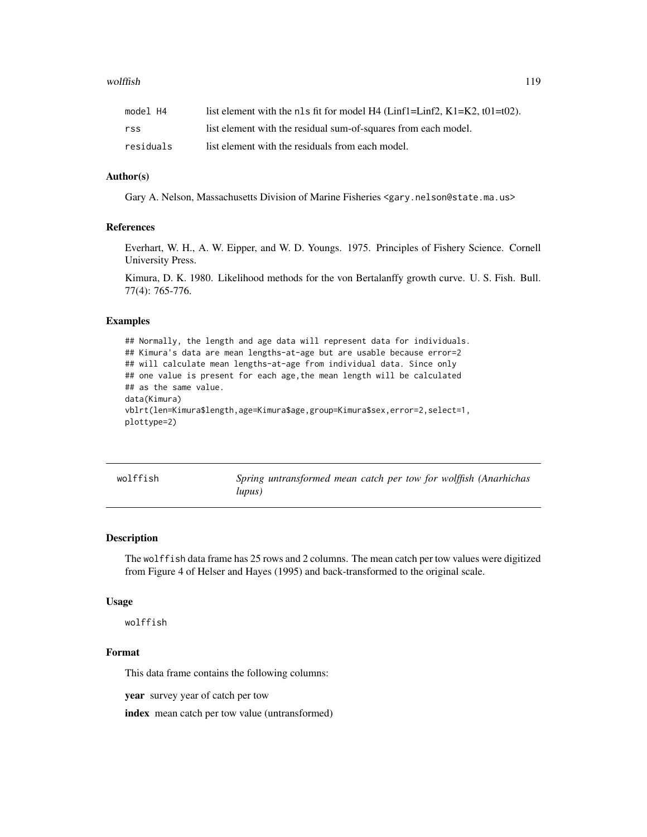#### <span id="page-118-0"></span>wolffish the contract of the contract of the contract of the contract of the contract of the contract of the contract of the contract of the contract of the contract of the contract of the contract of the contract of the c

| model H4  | list element with the nls fit for model H4 (Linf1=Linf2, K1=K2, t01=t02). |
|-----------|---------------------------------------------------------------------------|
| rss       | list element with the residual sum-of-squares from each model.            |
| residuals | list element with the residuals from each model.                          |

# Author(s)

Gary A. Nelson, Massachusetts Division of Marine Fisheries <gary.nelson@state.ma.us>

# References

Everhart, W. H., A. W. Eipper, and W. D. Youngs. 1975. Principles of Fishery Science. Cornell University Press.

Kimura, D. K. 1980. Likelihood methods for the von Bertalanffy growth curve. U. S. Fish. Bull. 77(4): 765-776.

#### Examples

```
## Normally, the length and age data will represent data for individuals.
## Kimura's data are mean lengths-at-age but are usable because error=2
## will calculate mean lengths-at-age from individual data. Since only
## one value is present for each age,the mean length will be calculated
## as the same value.
data(Kimura)
vblrt(len=Kimura$length,age=Kimura$age,group=Kimura$sex,error=2,select=1,
plottype=2)
```

| wolffish |        |  | Spring untransformed mean catch per tow for wolffish (Anarhichas |
|----------|--------|--|------------------------------------------------------------------|
|          | lupus) |  |                                                                  |

#### Description

The wolffish data frame has 25 rows and 2 columns. The mean catch per tow values were digitized from Figure 4 of Helser and Hayes (1995) and back-transformed to the original scale.

#### Usage

wolffish

# Format

This data frame contains the following columns:

year survey year of catch per tow

index mean catch per tow value (untransformed)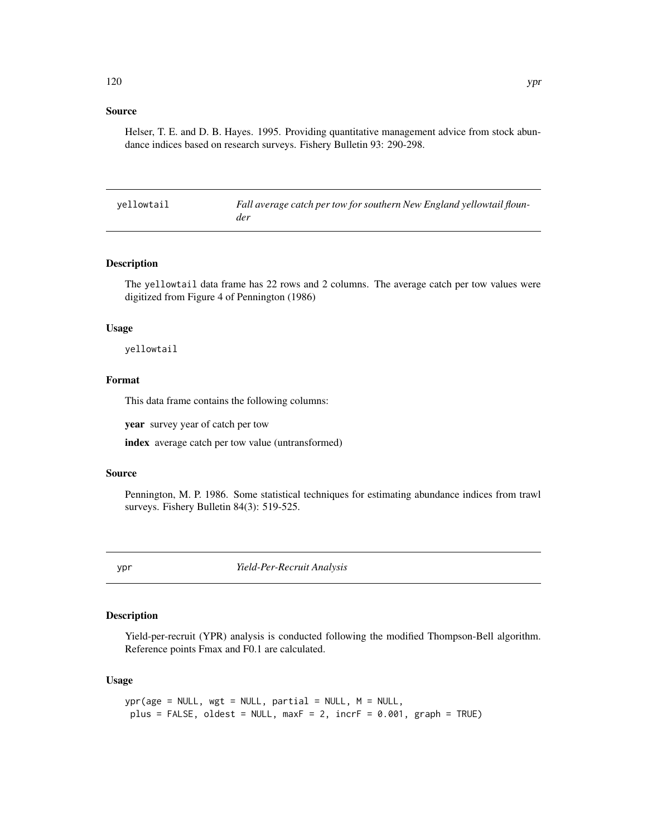# <span id="page-119-0"></span>Source

Helser, T. E. and D. B. Hayes. 1995. Providing quantitative management advice from stock abundance indices based on research surveys. Fishery Bulletin 93: 290-298.

| vellowtail | Fall average catch per tow for southern New England yellowtail floun- |
|------------|-----------------------------------------------------------------------|
|            | der                                                                   |

# Description

The yellowtail data frame has 22 rows and 2 columns. The average catch per tow values were digitized from Figure 4 of Pennington (1986)

#### Usage

yellowtail

# Format

This data frame contains the following columns:

year survey year of catch per tow

index average catch per tow value (untransformed)

#### Source

Pennington, M. P. 1986. Some statistical techniques for estimating abundance indices from trawl surveys. Fishery Bulletin 84(3): 519-525.

ypr *Yield-Per-Recruit Analysis*

# Description

Yield-per-recruit (YPR) analysis is conducted following the modified Thompson-Bell algorithm. Reference points Fmax and F0.1 are calculated.

#### Usage

```
ypr(age = NULL, wgt = NULL, partial = NULL, M = NULL,plus = FALSE, oldest = NULL, maxF = 2, incrF = 0.001, graph = TRUE)
```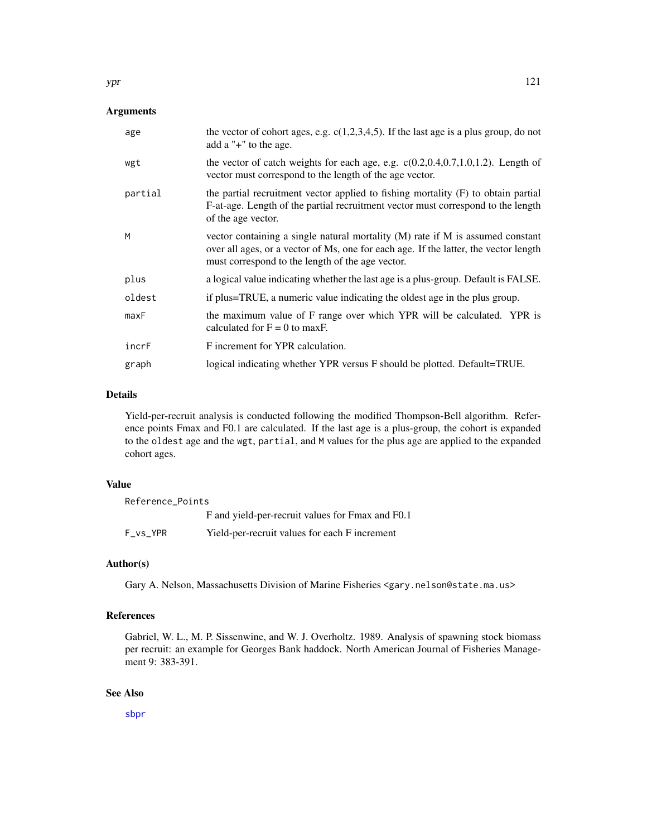# <span id="page-120-0"></span>Arguments

| age     | the vector of cohort ages, e.g. $c(1,2,3,4,5)$ . If the last age is a plus group, do not<br>add a " $+$ " to the age.                                                                                                      |
|---------|----------------------------------------------------------------------------------------------------------------------------------------------------------------------------------------------------------------------------|
| wgt     | the vector of catch weights for each age, e.g. $c(0.2, 0.4, 0.7, 1.0, 1.2)$ . Length of<br>vector must correspond to the length of the age vector.                                                                         |
| partial | the partial recruitment vector applied to fishing mortality (F) to obtain partial<br>F-at-age. Length of the partial recruitment vector must correspond to the length<br>of the age vector.                                |
| M       | vector containing a single natural mortality (M) rate if M is assumed constant<br>over all ages, or a vector of Ms, one for each age. If the latter, the vector length<br>must correspond to the length of the age vector. |
| plus    | a logical value indicating whether the last age is a plus-group. Default is FALSE.                                                                                                                                         |
| oldest  | if plus=TRUE, a numeric value indicating the oldest age in the plus group.                                                                                                                                                 |
| maxF    | the maximum value of F range over which YPR will be calculated. YPR is<br>calculated for $F = 0$ to maxF.                                                                                                                  |
| incrF   | F increment for YPR calculation.                                                                                                                                                                                           |
| graph   | logical indicating whether YPR versus F should be plotted. Default=TRUE.                                                                                                                                                   |

# Details

Yield-per-recruit analysis is conducted following the modified Thompson-Bell algorithm. Reference points Fmax and F0.1 are calculated. If the last age is a plus-group, the cohort is expanded to the oldest age and the wgt, partial, and M values for the plus age are applied to the expanded cohort ages.

# Value

| Reference_Points |                                                  |
|------------------|--------------------------------------------------|
|                  | F and yield-per-recruit values for Fmax and F0.1 |
| F vs YPR         | Yield-per-recruit values for each F increment    |

# Author(s)

Gary A. Nelson, Massachusetts Division of Marine Fisheries <gary.nelson@state.ma.us>

# References

Gabriel, W. L., M. P. Sissenwine, and W. J. Overholtz. 1989. Analysis of spawning stock biomass per recruit: an example for Georges Bank haddock. North American Journal of Fisheries Management 9: 383-391.

# See Also

[sbpr](#page-105-0)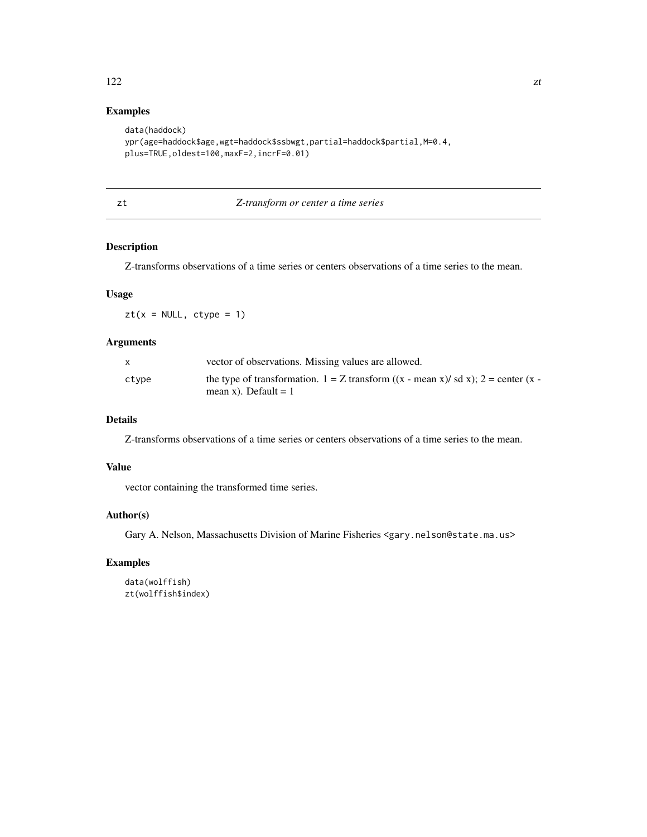# <span id="page-121-0"></span>Examples

```
data(haddock)
ypr(age=haddock$age,wgt=haddock$ssbwgt,partial=haddock$partial,M=0.4,
plus=TRUE,oldest=100,maxF=2,incrF=0.01)
```
zt *Z-transform or center a time series*

# Description

Z-transforms observations of a time series or centers observations of a time series to the mean.

# Usage

 $zt(x = NULL, ctype = 1)$ 

# Arguments

| X     | vector of observations. Missing values are allowed.                                         |
|-------|---------------------------------------------------------------------------------------------|
| ctype | the type of transformation. $1 = Z$ transform $((x - mean x)/ sd x)$ ; $2 = center (x - b)$ |
|       | mean x). Default $= 1$                                                                      |

# Details

Z-transforms observations of a time series or centers observations of a time series to the mean.

# Value

vector containing the transformed time series.

# Author(s)

Gary A. Nelson, Massachusetts Division of Marine Fisheries <gary.nelson@state.ma.us>

# Examples

data(wolffish) zt(wolffish\$index)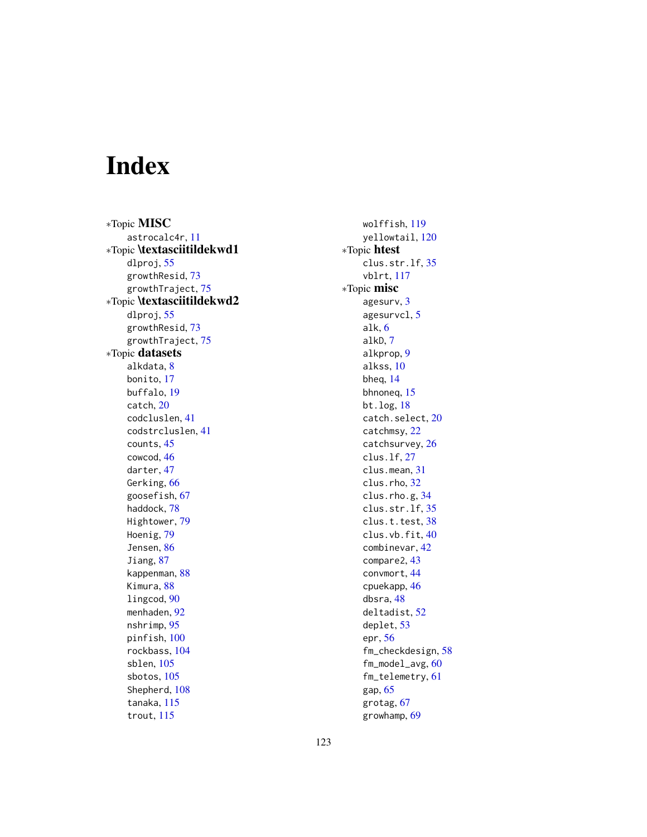# Index

∗Topic MISC astrocalc4r, [11](#page-10-0) ∗Topic \textasciitildekwd1 dlproj, [55](#page-54-0) growthResid, [73](#page-72-0) growthTraject, [75](#page-74-0) ∗Topic \textasciitildekwd2 dlproj, [55](#page-54-0) growthResid, [73](#page-72-0) growthTraject, [75](#page-74-0) ∗Topic datasets alkdata, [8](#page-7-0) bonito, [17](#page-16-0) buffalo, [19](#page-18-0) catch, [20](#page-19-0) codcluslen, [41](#page-40-0) codstrcluslen, [41](#page-40-0) counts, [45](#page-44-0) cowcod, [46](#page-45-0) darter, [47](#page-46-0) Gerking, [66](#page-65-0) goosefish, [67](#page-66-0) haddock, [78](#page-77-0) Hightower, [79](#page-78-0) Hoenig, [79](#page-78-0) Jensen, [86](#page-85-0) Jiang, [87](#page-86-0) kappenman, [88](#page-87-0) Kimura, [88](#page-87-0) lingcod, [90](#page-89-0) menhaden, [92](#page-91-0) nshrimp, [95](#page-94-0) pinfish, [100](#page-99-0) rockbass, [104](#page-103-0) sblen, [105](#page-104-0) sbotos, [105](#page-104-0) Shepherd, [108](#page-107-0) tanaka, [115](#page-114-0) trout, [115](#page-114-0)

wolffish, [119](#page-118-0) yellowtail, [120](#page-119-0) ∗Topic htest clus.str.lf, [35](#page-34-0) vblrt, [117](#page-116-0) ∗Topic misc agesurv, [3](#page-2-0) agesurvcl, [5](#page-4-0) alk, [6](#page-5-0) alkD, [7](#page-6-0) alkprop, [9](#page-8-0) alkss, [10](#page-9-0) bheq, [14](#page-13-0) bhnoneq, [15](#page-14-0) bt.log, [18](#page-17-0) catch.select, [20](#page-19-0) catchmsy, [22](#page-21-0) catchsurvey, [26](#page-25-0) clus.lf, [27](#page-26-0) clus.mean, [31](#page-30-0) clus.rho, [32](#page-31-0) clus.rho.g, [34](#page-33-0) clus.str.lf, [35](#page-34-0) clus.t.test, [38](#page-37-0) clus.vb.fit, [40](#page-39-0) combinevar, [42](#page-41-0) compare2, [43](#page-42-0) convmort, [44](#page-43-0) cpuekapp, [46](#page-45-0) dbsra, [48](#page-47-0) deltadist, [52](#page-51-0) deplet, [53](#page-52-0) epr, [56](#page-55-0) fm\_checkdesign, [58](#page-57-0) fm\_model\_avg, [60](#page-59-0) fm\_telemetry, [61](#page-60-0) gap, [65](#page-64-0) grotag, [67](#page-66-0) growhamp, [69](#page-68-0)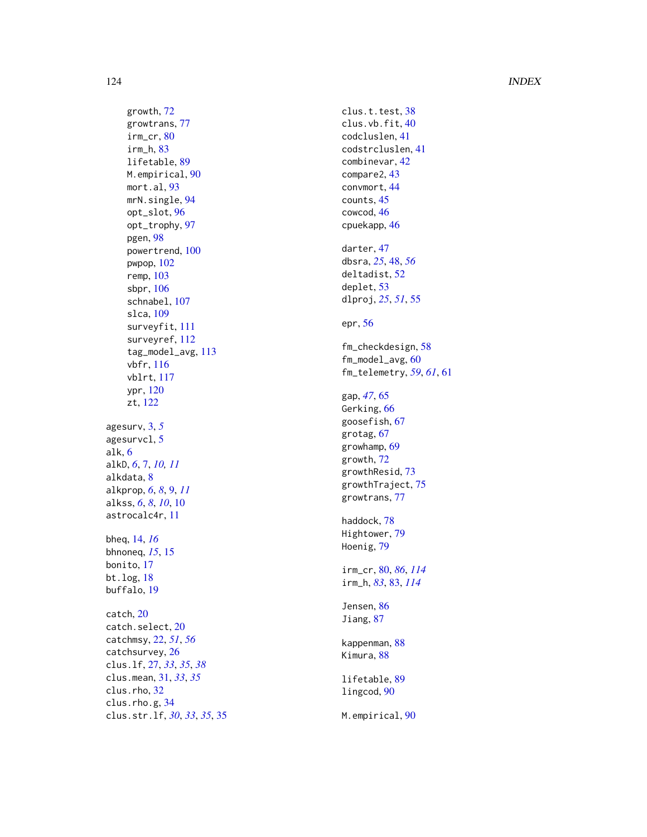# 124 INDEX

growth , [72](#page-71-0) growtrans , [77](#page-76-0) irm\_cr , [80](#page-79-1) irm\_h , [83](#page-82-1) lifetable , [89](#page-88-0) M.empirical,  $90$ mort.al, [93](#page-92-0) mrN.single, [94](#page-93-0) opt\_slot , [96](#page-95-0) opt\_trophy , [97](#page-96-0) pgen , [98](#page-97-0) powertrend, [100](#page-99-0) pwpop , [102](#page-101-0) remp , [103](#page-102-0) sbpr , [106](#page-105-1) schnabel , [107](#page-106-0) slca , [109](#page-108-0) surveyfit , [111](#page-110-1) surveyref, [112](#page-111-1) tag\_model\_avg , [113](#page-112-0) vbfr , [116](#page-115-0) vblrt , [117](#page-116-0) ypr , [120](#page-119-0) zt , [122](#page-121-0) agesurv , [3](#page-2-0) , *[5](#page-4-0)* agesurvcl, <mark>[5](#page-4-0)</mark> alk , [6](#page-5-0) alkD, [6](#page-5-0), [7](#page-6-0), *[10](#page-9-0), [11](#page-10-0)* alkdata, [8](#page-7-0) alkprop , *[6](#page-5-0)* , *[8](#page-7-0)* , [9](#page-8-0) , *[11](#page-10-0)* alkss, [6](#page-5-0), [8](#page-7-0), [10](#page-9-0), 10 astrocalc4r , [11](#page-10-0) bheq , [14](#page-13-0) , *[16](#page-15-0)* bhnoneq , *[15](#page-14-0)* , [15](#page-14-0) bonito , [17](#page-16-0) bt.log , [18](#page-17-0) buffalo , [19](#page-18-0) catch , [20](#page-19-0) catch.select, [20](#page-19-0) catchmsy , [22](#page-21-0) , *[51](#page-50-0)* , *[56](#page-55-0)* catchsurvey , [26](#page-25-0) clus.lf , [27](#page-26-0) , *[33](#page-32-0)* , *[35](#page-34-0)* , *[38](#page-37-0)* clus.mean , [31](#page-30-0) , *[33](#page-32-0)* , *[35](#page-34-0)* clus.rho , [32](#page-31-0) clus.rho.g, [34](#page-33-0) clus.str.lf , *[30](#page-29-0)* , *[33](#page-32-0)* , *[35](#page-34-0)* , [35](#page-34-0)

clus.t.test, [38](#page-37-0) clus.vb.fit, [40](#page-39-0) codcluslen , [41](#page-40-0) codstrcluslen , [41](#page-40-0) combinevar , [42](#page-41-0) compare2 , [43](#page-42-0) convmort , [44](#page-43-0) counts , [45](#page-44-0) cowcod , [46](#page-45-0) cpuekapp , [46](#page-45-0) darter , [47](#page-46-0) dbsra , *[25](#page-24-0)* , [48](#page-47-0) , *[56](#page-55-0)* deltadist , [52](#page-51-0) deplet , [53](#page-52-0) dlproj , *[25](#page-24-0)* , *[51](#page-50-0)* , [55](#page-54-0) epr, <mark>[56](#page-55-0)</mark> fm\_checkdesign , [58](#page-57-0) fm\_model\_avg , [60](#page-59-0) fm\_telemetry , *[59](#page-58-0)* , *[61](#page-60-0)* , [61](#page-60-0) gap , *[47](#page-46-0)* , [65](#page-64-0) Gerking, [66](#page-65-0) goosefish , [67](#page-66-0) grotag , [67](#page-66-0) growhamp , [69](#page-68-0) growth , [72](#page-71-0) growthResid , [73](#page-72-0) growthTraject , [75](#page-74-0) growtrans , [77](#page-76-0) haddock , [78](#page-77-0) Hightower , [79](#page-78-0) Hoenig, <mark>[79](#page-78-0)</mark> irm\_cr , [80](#page-79-1) , *[86](#page-85-0)* , *[114](#page-113-0)* irm\_h , *[83](#page-82-1)* , [83](#page-82-1) , *[114](#page-113-0)* Jensen, [86](#page-85-0) Jiang, [87](#page-86-0) kappenman , [88](#page-87-0) Kimura, <mark>[88](#page-87-0)</mark> lifetable , [89](#page-88-0) lingcod, [90](#page-89-0) M.empirical, $90$